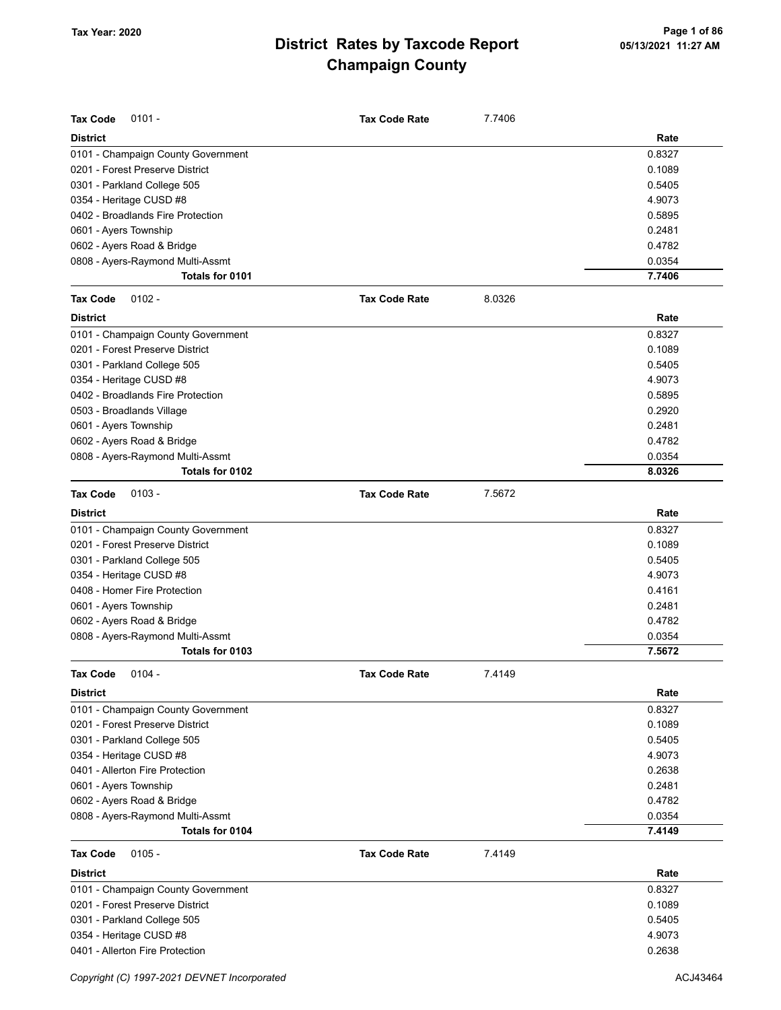| <b>Tax Code</b><br>$0101 -$        | <b>Tax Code Rate</b> | 7.7406 |        |
|------------------------------------|----------------------|--------|--------|
| <b>District</b>                    |                      |        | Rate   |
| 0101 - Champaign County Government |                      |        | 0.8327 |
| 0201 - Forest Preserve District    |                      |        | 0.1089 |
| 0301 - Parkland College 505        |                      |        | 0.5405 |
| 0354 - Heritage CUSD #8            |                      |        | 4.9073 |
| 0402 - Broadlands Fire Protection  |                      |        | 0.5895 |
| 0601 - Ayers Township              |                      |        | 0.2481 |
| 0602 - Ayers Road & Bridge         |                      |        | 0.4782 |
| 0808 - Ayers-Raymond Multi-Assmt   |                      |        | 0.0354 |
| Totals for 0101                    |                      |        | 7.7406 |
| <b>Tax Code</b><br>$0102 -$        | <b>Tax Code Rate</b> | 8.0326 |        |
| <b>District</b>                    |                      |        | Rate   |
| 0101 - Champaign County Government |                      |        | 0.8327 |
| 0201 - Forest Preserve District    |                      |        | 0.1089 |
| 0301 - Parkland College 505        |                      |        | 0.5405 |
| 0354 - Heritage CUSD #8            |                      |        | 4.9073 |
| 0402 - Broadlands Fire Protection  |                      |        | 0.5895 |
| 0503 - Broadlands Village          |                      |        | 0.2920 |
| 0601 - Ayers Township              |                      |        | 0.2481 |
| 0602 - Ayers Road & Bridge         |                      |        | 0.4782 |
| 0808 - Ayers-Raymond Multi-Assmt   |                      |        | 0.0354 |
| Totals for 0102                    |                      |        | 8.0326 |
| <b>Tax Code</b><br>$0103 -$        | <b>Tax Code Rate</b> | 7.5672 |        |
| <b>District</b>                    |                      |        | Rate   |
| 0101 - Champaign County Government |                      |        | 0.8327 |
| 0201 - Forest Preserve District    |                      |        | 0.1089 |
| 0301 - Parkland College 505        |                      |        | 0.5405 |
| 0354 - Heritage CUSD #8            |                      |        | 4.9073 |
| 0408 - Homer Fire Protection       |                      |        | 0.4161 |
| 0601 - Ayers Township              |                      |        | 0.2481 |
| 0602 - Ayers Road & Bridge         |                      |        | 0.4782 |
| 0808 - Ayers-Raymond Multi-Assmt   |                      |        | 0.0354 |
| Totals for 0103                    |                      |        | 7.5672 |
| Tax Code 0104 -                    | <b>Tax Code Rate</b> | 7.4149 |        |
| <b>District</b>                    |                      |        | Rate   |
| 0101 - Champaign County Government |                      |        | 0.8327 |
| 0201 - Forest Preserve District    |                      |        | 0.1089 |
| 0301 - Parkland College 505        |                      |        | 0.5405 |
| 0354 - Heritage CUSD #8            |                      |        | 4.9073 |
| 0401 - Allerton Fire Protection    |                      |        | 0.2638 |
| 0601 - Ayers Township              |                      |        | 0.2481 |
| 0602 - Ayers Road & Bridge         |                      |        | 0.4782 |
| 0808 - Ayers-Raymond Multi-Assmt   |                      |        | 0.0354 |
| Totals for 0104                    |                      |        | 7.4149 |
| <b>Tax Code</b><br>$0105 -$        | <b>Tax Code Rate</b> | 7.4149 |        |
| <b>District</b>                    |                      |        | Rate   |
| 0101 - Champaign County Government |                      |        | 0.8327 |
| 0201 - Forest Preserve District    |                      |        | 0.1089 |
| 0301 - Parkland College 505        |                      |        | 0.5405 |
| 0354 - Heritage CUSD #8            |                      |        | 4.9073 |
| 0401 - Allerton Fire Protection    |                      |        | 0.2638 |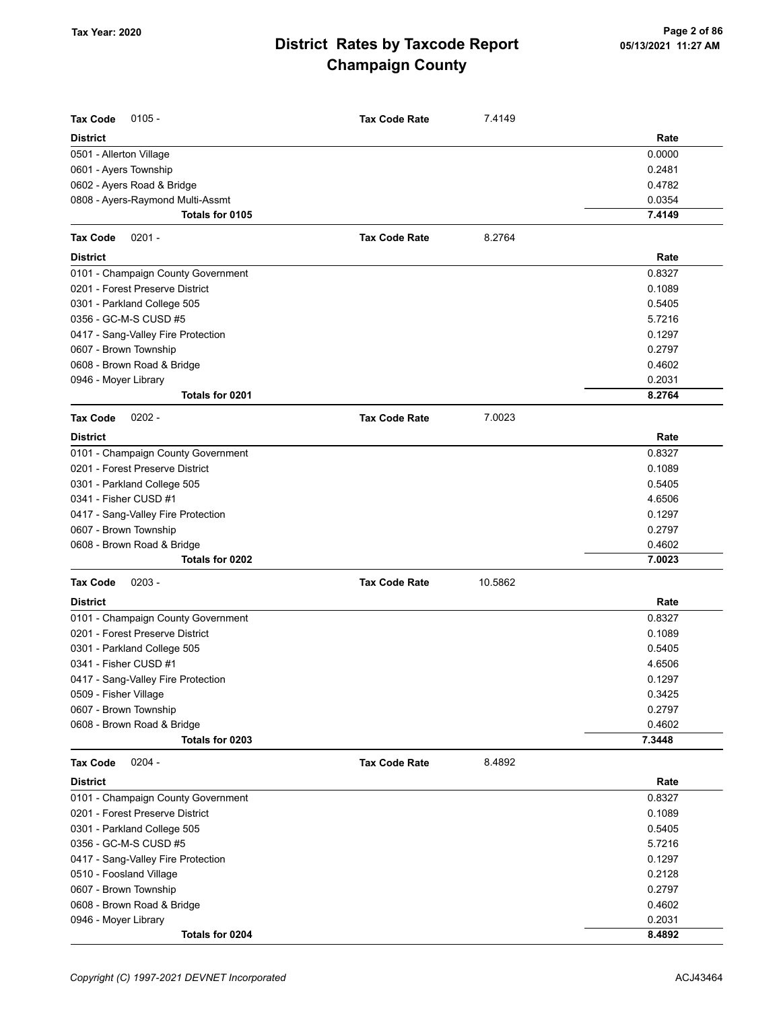| <b>Tax Code</b><br>$0105 -$        | <b>Tax Code Rate</b> | 7.4149  |        |
|------------------------------------|----------------------|---------|--------|
| District                           |                      |         | Rate   |
| 0501 - Allerton Village            |                      |         | 0.0000 |
| 0601 - Ayers Township              |                      |         | 0.2481 |
| 0602 - Ayers Road & Bridge         |                      |         | 0.4782 |
| 0808 - Ayers-Raymond Multi-Assmt   |                      |         | 0.0354 |
| Totals for 0105                    |                      |         | 7.4149 |
| Tax Code<br>$0201 -$               | <b>Tax Code Rate</b> | 8.2764  |        |
| District                           |                      |         | Rate   |
| 0101 - Champaign County Government |                      |         | 0.8327 |
| 0201 - Forest Preserve District    |                      |         | 0.1089 |
| 0301 - Parkland College 505        |                      |         | 0.5405 |
| 0356 - GC-M-S CUSD #5              |                      |         | 5.7216 |
| 0417 - Sang-Valley Fire Protection |                      |         | 0.1297 |
| 0607 - Brown Township              |                      |         | 0.2797 |
| 0608 - Brown Road & Bridge         |                      |         | 0.4602 |
| 0946 - Moyer Library               |                      |         | 0.2031 |
| Totals for 0201                    |                      |         | 8.2764 |
| $0202 -$<br>Tax Code               | <b>Tax Code Rate</b> | 7.0023  |        |
| District                           |                      |         | Rate   |
| 0101 - Champaign County Government |                      |         | 0.8327 |
| 0201 - Forest Preserve District    |                      |         | 0.1089 |
| 0301 - Parkland College 505        |                      |         | 0.5405 |
| 0341 - Fisher CUSD #1              |                      |         | 4.6506 |
| 0417 - Sang-Valley Fire Protection |                      |         | 0.1297 |
| 0607 - Brown Township              |                      |         | 0.2797 |
| 0608 - Brown Road & Bridge         |                      |         | 0.4602 |
| Totals for 0202                    |                      |         | 7.0023 |
| Tax Code<br>$0203 -$               | <b>Tax Code Rate</b> | 10.5862 |        |
| District                           |                      |         | Rate   |
| 0101 - Champaign County Government |                      |         | 0.8327 |
| 0201 - Forest Preserve District    |                      |         | 0.1089 |
| 0301 - Parkland College 505        |                      |         | 0.5405 |
| 0341 - Fisher CUSD #1              |                      |         | 4.6506 |
| 0417 - Sang-Valley Fire Protection |                      |         | 0.1297 |
| 0509 - Fisher Village              |                      |         | 0.3425 |
| 0607 - Brown Township              |                      |         | 0.2797 |
| 0608 - Brown Road & Bridge         |                      |         | 0.4602 |
| Totals for 0203                    |                      |         | 7.3448 |
| <b>Tax Code</b><br>$0204 -$        | <b>Tax Code Rate</b> | 8.4892  |        |
| <b>District</b>                    |                      |         | Rate   |
| 0101 - Champaign County Government |                      |         | 0.8327 |
| 0201 - Forest Preserve District    |                      |         | 0.1089 |
| 0301 - Parkland College 505        |                      |         | 0.5405 |
| 0356 - GC-M-S CUSD #5              |                      |         | 5.7216 |
| 0417 - Sang-Valley Fire Protection |                      |         | 0.1297 |
| 0510 - Foosland Village            |                      |         | 0.2128 |
| 0607 - Brown Township              |                      |         | 0.2797 |
| 0608 - Brown Road & Bridge         |                      |         | 0.4602 |
| 0946 - Moyer Library               |                      |         | 0.2031 |
| Totals for 0204                    |                      |         | 8.4892 |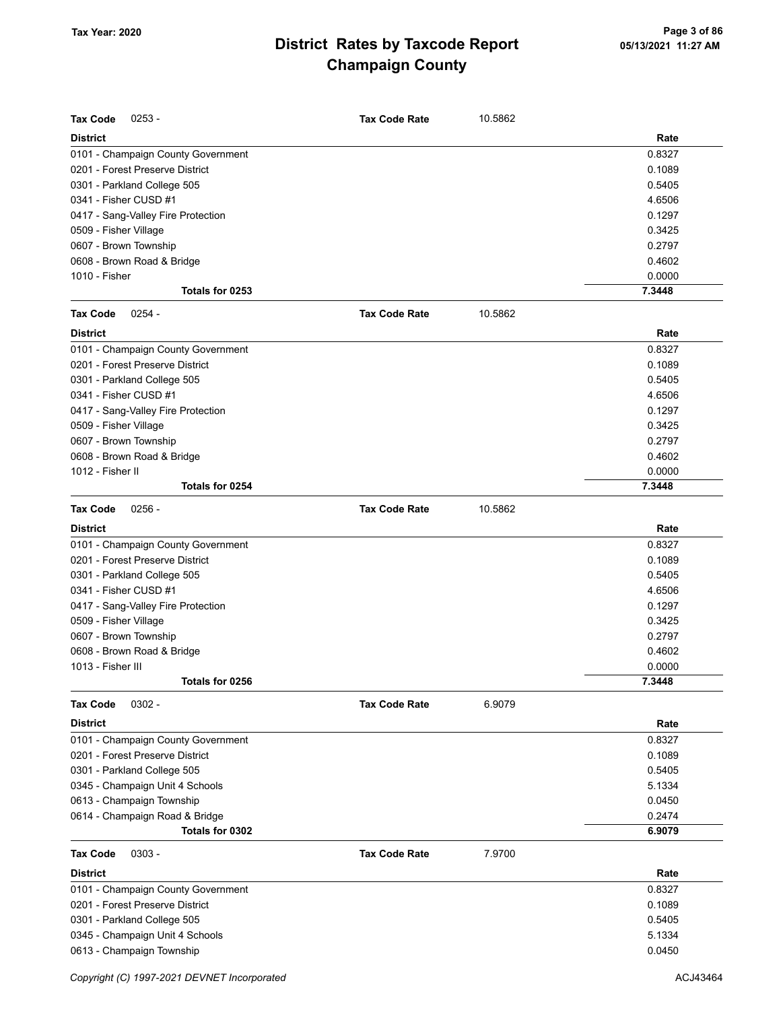| <b>Tax Code</b><br>$0253 -$        | <b>Tax Code Rate</b> | 10.5862 |        |
|------------------------------------|----------------------|---------|--------|
| <b>District</b>                    |                      |         | Rate   |
| 0101 - Champaign County Government |                      |         | 0.8327 |
| 0201 - Forest Preserve District    |                      |         | 0.1089 |
| 0301 - Parkland College 505        |                      |         | 0.5405 |
| 0341 - Fisher CUSD #1              |                      |         | 4.6506 |
| 0417 - Sang-Valley Fire Protection |                      |         | 0.1297 |
| 0509 - Fisher Village              |                      |         | 0.3425 |
| 0607 - Brown Township              |                      |         | 0.2797 |
| 0608 - Brown Road & Bridge         |                      |         | 0.4602 |
| 1010 - Fisher                      |                      |         | 0.0000 |
| Totals for 0253                    |                      |         | 7.3448 |
| <b>Tax Code</b><br>$0254 -$        | <b>Tax Code Rate</b> | 10.5862 |        |
| <b>District</b>                    |                      |         | Rate   |
| 0101 - Champaign County Government |                      |         | 0.8327 |
| 0201 - Forest Preserve District    |                      |         | 0.1089 |
| 0301 - Parkland College 505        |                      |         | 0.5405 |
| 0341 - Fisher CUSD #1              |                      |         | 4.6506 |
| 0417 - Sang-Valley Fire Protection |                      |         | 0.1297 |
| 0509 - Fisher Village              |                      |         | 0.3425 |
| 0607 - Brown Township              |                      |         | 0.2797 |
| 0608 - Brown Road & Bridge         |                      |         | 0.4602 |
| 1012 - Fisher II                   |                      |         | 0.0000 |
| Totals for 0254                    |                      |         | 7.3448 |
| <b>Tax Code</b><br>$0256 -$        | <b>Tax Code Rate</b> | 10.5862 |        |
| <b>District</b>                    |                      |         | Rate   |
| 0101 - Champaign County Government |                      |         | 0.8327 |
| 0201 - Forest Preserve District    |                      |         | 0.1089 |
| 0301 - Parkland College 505        |                      |         | 0.5405 |
| 0341 - Fisher CUSD #1              |                      |         | 4.6506 |
| 0417 - Sang-Valley Fire Protection |                      |         | 0.1297 |
| 0509 - Fisher Village              |                      |         | 0.3425 |
| 0607 - Brown Township              |                      |         | 0.2797 |
| 0608 - Brown Road & Bridge         |                      |         | 0.4602 |
| 1013 - Fisher III                  |                      |         | 0.0000 |
| Totals for 0256                    |                      |         | 7.3448 |
| $0302 -$<br><b>Tax Code</b>        | <b>Tax Code Rate</b> | 6.9079  |        |
| District                           |                      |         | Rate   |
| 0101 - Champaign County Government |                      |         | 0.8327 |
| 0201 - Forest Preserve District    |                      |         | 0.1089 |
| 0301 - Parkland College 505        |                      |         | 0.5405 |
| 0345 - Champaign Unit 4 Schools    |                      |         | 5.1334 |
| 0613 - Champaign Township          |                      |         | 0.0450 |
| 0614 - Champaign Road & Bridge     |                      |         | 0.2474 |
| Totals for 0302                    |                      |         | 6.9079 |
| <b>Tax Code</b><br>$0303 -$        | <b>Tax Code Rate</b> | 7.9700  |        |
| <b>District</b>                    |                      |         | Rate   |
| 0101 - Champaign County Government |                      |         | 0.8327 |
| 0201 - Forest Preserve District    |                      |         | 0.1089 |
| 0301 - Parkland College 505        |                      |         | 0.5405 |
| 0345 - Champaign Unit 4 Schools    |                      |         | 5.1334 |
| 0613 - Champaign Township          |                      |         | 0.0450 |
|                                    |                      |         |        |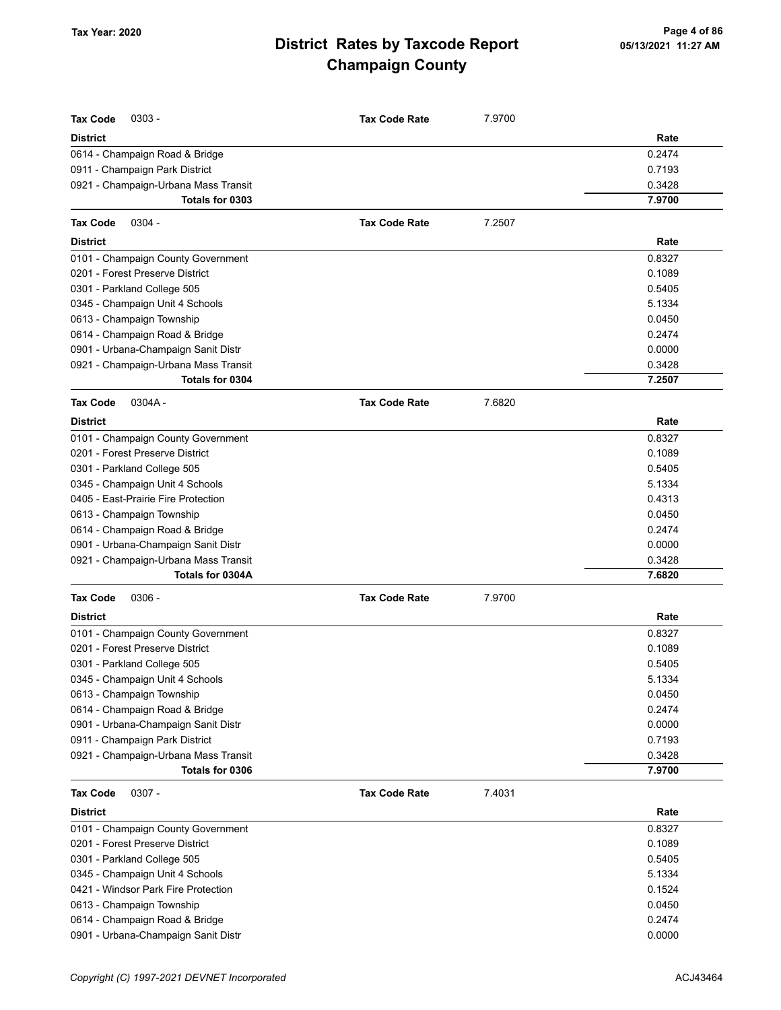| <b>Tax Code</b><br>$0303 -$          | <b>Tax Code Rate</b> | 7.9700 |        |
|--------------------------------------|----------------------|--------|--------|
| <b>District</b>                      |                      |        | Rate   |
| 0614 - Champaign Road & Bridge       |                      |        | 0.2474 |
| 0911 - Champaign Park District       |                      |        | 0.7193 |
| 0921 - Champaign-Urbana Mass Transit |                      |        | 0.3428 |
| Totals for 0303                      |                      |        | 7.9700 |
| <b>Tax Code</b><br>$0304 -$          | <b>Tax Code Rate</b> | 7.2507 |        |
| <b>District</b>                      |                      |        | Rate   |
| 0101 - Champaign County Government   |                      |        | 0.8327 |
| 0201 - Forest Preserve District      |                      |        | 0.1089 |
| 0301 - Parkland College 505          |                      |        | 0.5405 |
| 0345 - Champaign Unit 4 Schools      |                      |        | 5.1334 |
| 0613 - Champaign Township            |                      |        | 0.0450 |
| 0614 - Champaign Road & Bridge       |                      |        | 0.2474 |
| 0901 - Urbana-Champaign Sanit Distr  |                      |        | 0.0000 |
| 0921 - Champaign-Urbana Mass Transit |                      |        | 0.3428 |
| Totals for 0304                      |                      |        | 7.2507 |
| <b>Tax Code</b><br>0304A-            | <b>Tax Code Rate</b> | 7.6820 |        |
| <b>District</b>                      |                      |        | Rate   |
| 0101 - Champaign County Government   |                      |        | 0.8327 |
| 0201 - Forest Preserve District      |                      |        | 0.1089 |
| 0301 - Parkland College 505          |                      |        | 0.5405 |
| 0345 - Champaign Unit 4 Schools      |                      |        | 5.1334 |
| 0405 - East-Prairie Fire Protection  |                      |        | 0.4313 |
| 0613 - Champaign Township            |                      |        | 0.0450 |
| 0614 - Champaign Road & Bridge       |                      |        | 0.2474 |
| 0901 - Urbana-Champaign Sanit Distr  |                      |        | 0.0000 |
| 0921 - Champaign-Urbana Mass Transit |                      |        | 0.3428 |
| Totals for 0304A                     |                      |        | 7.6820 |
| <b>Tax Code</b><br>$0306 -$          | <b>Tax Code Rate</b> | 7.9700 |        |
| <b>District</b>                      |                      |        | Rate   |
| 0101 - Champaign County Government   |                      |        | 0.8327 |
| 0201 - Forest Preserve District      |                      |        | 0.1089 |
| 0301 - Parkland College 505          |                      |        | 0.5405 |
| 0345 - Champaign Unit 4 Schools      |                      |        | 5.1334 |
| 0613 - Champaign Township            |                      |        | 0.0450 |
| 0614 - Champaign Road & Bridge       |                      |        | 0.2474 |
| 0901 - Urbana-Champaign Sanit Distr  |                      |        | 0.0000 |
| 0911 - Champaign Park District       |                      |        | 0.7193 |
| 0921 - Champaign-Urbana Mass Transit |                      |        | 0.3428 |
| Totals for 0306                      |                      |        | 7.9700 |
| 0307 -<br><b>Tax Code</b>            | <b>Tax Code Rate</b> | 7.4031 |        |
| <b>District</b>                      |                      |        | Rate   |
| 0101 - Champaign County Government   |                      |        | 0.8327 |
| 0201 - Forest Preserve District      |                      |        | 0.1089 |
| 0301 - Parkland College 505          |                      |        | 0.5405 |
| 0345 - Champaign Unit 4 Schools      |                      |        | 5.1334 |
| 0421 - Windsor Park Fire Protection  |                      |        | 0.1524 |
| 0613 - Champaign Township            |                      |        | 0.0450 |
| 0614 - Champaign Road & Bridge       |                      |        | 0.2474 |
| 0901 - Urbana-Champaign Sanit Distr  |                      |        | 0.0000 |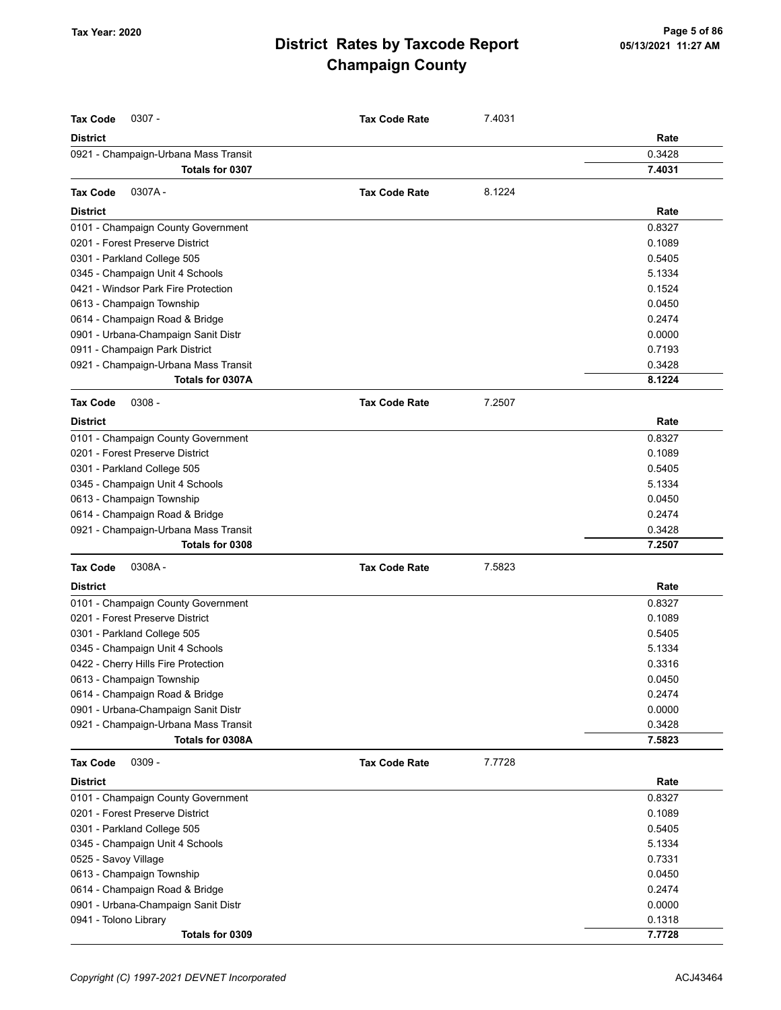| <b>Tax Code</b><br>$0307 -$          | <b>Tax Code Rate</b> | 7.4031 |        |
|--------------------------------------|----------------------|--------|--------|
| <b>District</b>                      |                      |        | Rate   |
| 0921 - Champaign-Urbana Mass Transit |                      |        | 0.3428 |
| Totals for 0307                      |                      |        | 7.4031 |
| 0307A-<br><b>Tax Code</b>            | <b>Tax Code Rate</b> | 8.1224 |        |
| <b>District</b>                      |                      |        | Rate   |
| 0101 - Champaign County Government   |                      |        | 0.8327 |
| 0201 - Forest Preserve District      |                      |        | 0.1089 |
| 0301 - Parkland College 505          |                      |        | 0.5405 |
| 0345 - Champaign Unit 4 Schools      |                      |        | 5.1334 |
| 0421 - Windsor Park Fire Protection  |                      |        | 0.1524 |
| 0613 - Champaign Township            |                      |        | 0.0450 |
| 0614 - Champaign Road & Bridge       |                      |        | 0.2474 |
| 0901 - Urbana-Champaign Sanit Distr  |                      |        | 0.0000 |
| 0911 - Champaign Park District       |                      |        | 0.7193 |
| 0921 - Champaign-Urbana Mass Transit |                      |        | 0.3428 |
| Totals for 0307A                     |                      |        | 8.1224 |
| $0308 -$<br><b>Tax Code</b>          | <b>Tax Code Rate</b> | 7.2507 |        |
| <b>District</b>                      |                      |        | Rate   |
| 0101 - Champaign County Government   |                      |        | 0.8327 |
| 0201 - Forest Preserve District      |                      |        | 0.1089 |
| 0301 - Parkland College 505          |                      |        | 0.5405 |
| 0345 - Champaign Unit 4 Schools      |                      |        | 5.1334 |
| 0613 - Champaign Township            |                      |        | 0.0450 |
| 0614 - Champaign Road & Bridge       |                      |        | 0.2474 |
| 0921 - Champaign-Urbana Mass Transit |                      |        | 0.3428 |
| Totals for 0308                      |                      |        | 7.2507 |
| <b>Tax Code</b><br>0308A-            | <b>Tax Code Rate</b> | 7.5823 |        |
| <b>District</b>                      |                      |        | Rate   |
| 0101 - Champaign County Government   |                      |        | 0.8327 |
| 0201 - Forest Preserve District      |                      |        | 0.1089 |
| 0301 - Parkland College 505          |                      |        | 0.5405 |
| 0345 - Champaign Unit 4 Schools      |                      |        | 5.1334 |
| 0422 - Cherry Hills Fire Protection  |                      |        | 0.3316 |
| 0613 - Champaign Township            |                      |        | 0.0450 |
| 0614 - Champaign Road & Bridge       |                      |        | 0.2474 |
| 0901 - Urbana-Champaign Sanit Distr  |                      |        | 0.0000 |
| 0921 - Champaign-Urbana Mass Transit |                      |        | 0.3428 |
| Totals for 0308A                     |                      |        | 7.5823 |
| <b>Tax Code</b><br>$0309 -$          | <b>Tax Code Rate</b> | 7.7728 |        |
| <b>District</b>                      |                      |        | Rate   |
| 0101 - Champaign County Government   |                      |        | 0.8327 |
| 0201 - Forest Preserve District      |                      |        | 0.1089 |
| 0301 - Parkland College 505          |                      |        | 0.5405 |
| 0345 - Champaign Unit 4 Schools      |                      |        | 5.1334 |
| 0525 - Savoy Village                 |                      |        | 0.7331 |
| 0613 - Champaign Township            |                      |        | 0.0450 |
| 0614 - Champaign Road & Bridge       |                      |        | 0.2474 |
| 0901 - Urbana-Champaign Sanit Distr  |                      |        | 0.0000 |
| 0941 - Tolono Library                |                      |        | 0.1318 |
| Totals for 0309                      |                      |        | 7.7728 |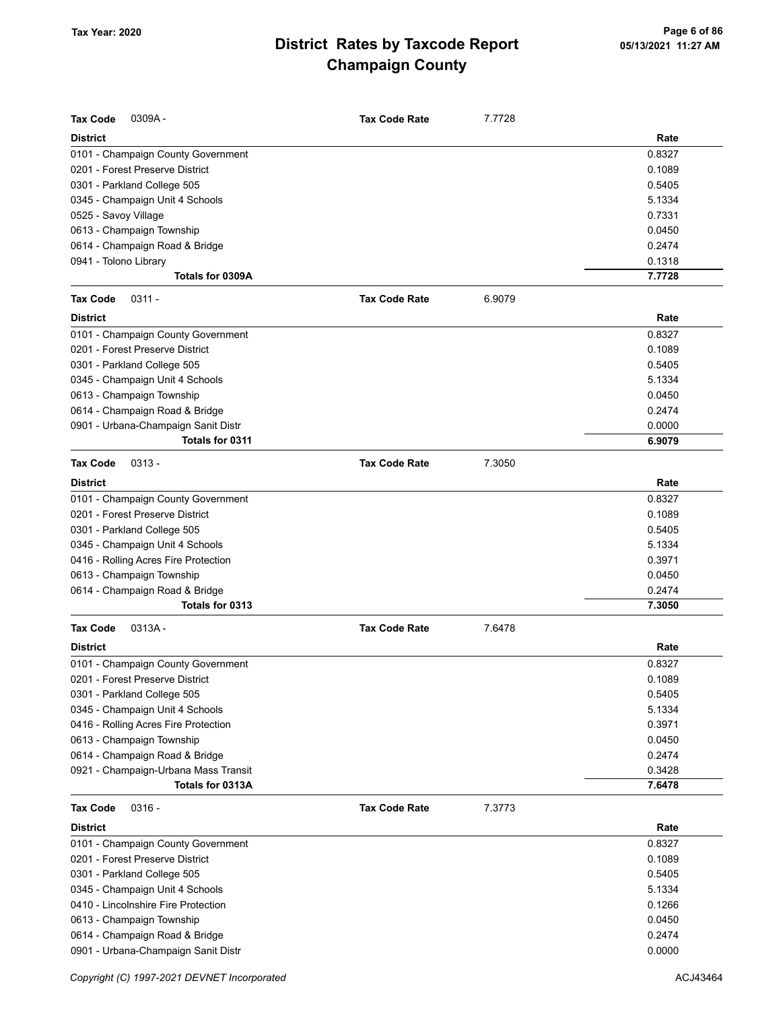| <b>Tax Code</b><br>0309A-            | <b>Tax Code Rate</b> | 7.7728 |        |
|--------------------------------------|----------------------|--------|--------|
| <b>District</b>                      |                      |        | Rate   |
| 0101 - Champaign County Government   |                      |        | 0.8327 |
| 0201 - Forest Preserve District      |                      |        | 0.1089 |
| 0301 - Parkland College 505          |                      |        | 0.5405 |
| 0345 - Champaign Unit 4 Schools      |                      |        | 5.1334 |
| 0525 - Savoy Village                 |                      |        | 0.7331 |
| 0613 - Champaign Township            |                      |        | 0.0450 |
| 0614 - Champaign Road & Bridge       |                      |        | 0.2474 |
| 0941 - Tolono Library                |                      |        | 0.1318 |
| Totals for 0309A                     |                      |        | 7.7728 |
| <b>Tax Code</b><br>$0311 -$          | <b>Tax Code Rate</b> | 6.9079 |        |
| <b>District</b>                      |                      |        | Rate   |
| 0101 - Champaign County Government   |                      |        | 0.8327 |
| 0201 - Forest Preserve District      |                      |        | 0.1089 |
| 0301 - Parkland College 505          |                      |        | 0.5405 |
| 0345 - Champaign Unit 4 Schools      |                      |        | 5.1334 |
| 0613 - Champaign Township            |                      |        | 0.0450 |
| 0614 - Champaign Road & Bridge       |                      |        | 0.2474 |
| 0901 - Urbana-Champaign Sanit Distr  |                      |        | 0.0000 |
| Totals for 0311                      |                      |        | 6.9079 |
| <b>Tax Code</b><br>$0313 -$          | <b>Tax Code Rate</b> | 7.3050 |        |
| <b>District</b>                      |                      |        | Rate   |
| 0101 - Champaign County Government   |                      |        | 0.8327 |
| 0201 - Forest Preserve District      |                      |        | 0.1089 |
| 0301 - Parkland College 505          |                      |        | 0.5405 |
| 0345 - Champaign Unit 4 Schools      |                      |        | 5.1334 |
| 0416 - Rolling Acres Fire Protection |                      |        | 0.3971 |
| 0613 - Champaign Township            |                      |        | 0.0450 |
| 0614 - Champaign Road & Bridge       |                      |        | 0.2474 |
| Totals for 0313                      |                      |        | 7.3050 |
| <b>Tax Code</b><br>$0313A -$         | <b>Tax Code Rate</b> | 7.6478 |        |
| <b>District</b>                      |                      |        | Rate   |
| 0101 - Champaign County Government   |                      |        | 0.8327 |
| 0201 - Forest Preserve District      |                      |        | 0.1089 |
| 0301 - Parkland College 505          |                      |        | 0.5405 |
| 0345 - Champaign Unit 4 Schools      |                      |        | 5.1334 |
| 0416 - Rolling Acres Fire Protection |                      |        | 0.3971 |
| 0613 - Champaign Township            |                      |        | 0.0450 |
| 0614 - Champaign Road & Bridge       |                      |        | 0.2474 |
| 0921 - Champaign-Urbana Mass Transit |                      |        | 0.3428 |
| Totals for 0313A                     |                      |        | 7.6478 |
| <b>Tax Code</b><br>$0316 -$          | <b>Tax Code Rate</b> | 7.3773 |        |
| <b>District</b>                      |                      |        | Rate   |
| 0101 - Champaign County Government   |                      |        | 0.8327 |
| 0201 - Forest Preserve District      |                      |        | 0.1089 |
| 0301 - Parkland College 505          |                      |        | 0.5405 |
| 0345 - Champaign Unit 4 Schools      |                      |        | 5.1334 |
| 0410 - Lincolnshire Fire Protection  |                      |        | 0.1266 |
| 0613 - Champaign Township            |                      |        | 0.0450 |
| 0614 - Champaign Road & Bridge       |                      |        | 0.2474 |
| 0901 - Urbana-Champaign Sanit Distr  |                      |        | 0.0000 |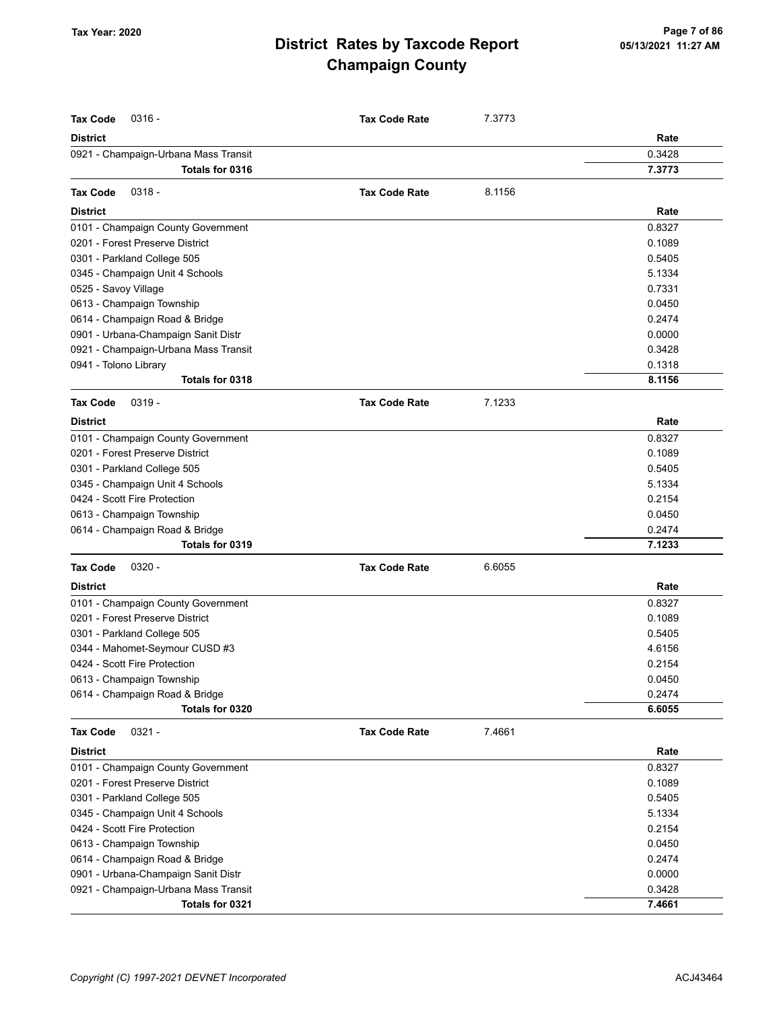| <b>District</b><br>Rate<br>0.3428<br>0921 - Champaign-Urbana Mass Transit<br>Totals for 0316<br>7.3773<br>$0318 -$<br>8.1156<br><b>Tax Code</b><br><b>Tax Code Rate</b><br><b>District</b><br>Rate<br>0101 - Champaign County Government<br>0.8327<br>0201 - Forest Preserve District<br>0.1089<br>0.5405<br>0345 - Champaign Unit 4 Schools<br>5.1334<br>0525 - Savoy Village<br>0.7331<br>0613 - Champaign Township<br>0.0450<br>0614 - Champaign Road & Bridge<br>0.2474<br>0901 - Urbana-Champaign Sanit Distr<br>0.0000<br>0921 - Champaign-Urbana Mass Transit<br>0.3428<br>0941 - Tolono Library<br>0.1318<br>Totals for 0318<br>8.1156<br>$0319 -$<br>7.1233<br><b>Tax Code</b><br><b>Tax Code Rate</b><br><b>District</b><br>Rate<br>0.8327<br>0101 - Champaign County Government<br>0201 - Forest Preserve District<br>0.1089<br>0301 - Parkland College 505<br>0.5405<br>0345 - Champaign Unit 4 Schools<br>5.1334<br>0424 - Scott Fire Protection<br>0.2154<br>0613 - Champaign Township<br>0.0450<br>0614 - Champaign Road & Bridge<br>0.2474<br>7.1233<br>Totals for 0319<br><b>Tax Code</b><br>$0320 -$<br><b>Tax Code Rate</b><br>6.6055<br><b>District</b><br>Rate<br>0.8327<br>0101 - Champaign County Government<br>0201 - Forest Preserve District<br>0.1089<br>0301 - Parkland College 505<br>0.5405<br>4.6156<br>0344 - Mahomet-Seymour CUSD #3<br>0424 - Scott Fire Protection<br>0.2154<br>0.0450<br>0613 - Champaign Township<br>0614 - Champaign Road & Bridge<br>0.2474<br>Totals for 0320<br>6.6055<br>$0321 -$<br>7.4661<br><b>Tax Code</b><br><b>Tax Code Rate</b><br><b>District</b><br>Rate<br>0101 - Champaign County Government<br>0.8327<br>0201 - Forest Preserve District<br>0.1089<br>0.5405<br>0301 - Parkland College 505<br>5.1334<br>0345 - Champaign Unit 4 Schools<br>0424 - Scott Fire Protection<br>0.2154<br>0.0450<br>0613 - Champaign Township<br>0614 - Champaign Road & Bridge<br>0.2474<br>0.0000<br>0901 - Urbana-Champaign Sanit Distr<br>0.3428<br>0921 - Champaign-Urbana Mass Transit<br>7.4661<br>Totals for 0321 | <b>Tax Code</b><br>$0316 -$ | <b>Tax Code Rate</b> | 7.3773 |  |
|-----------------------------------------------------------------------------------------------------------------------------------------------------------------------------------------------------------------------------------------------------------------------------------------------------------------------------------------------------------------------------------------------------------------------------------------------------------------------------------------------------------------------------------------------------------------------------------------------------------------------------------------------------------------------------------------------------------------------------------------------------------------------------------------------------------------------------------------------------------------------------------------------------------------------------------------------------------------------------------------------------------------------------------------------------------------------------------------------------------------------------------------------------------------------------------------------------------------------------------------------------------------------------------------------------------------------------------------------------------------------------------------------------------------------------------------------------------------------------------------------------------------------------------------------------------------------------------------------------------------------------------------------------------------------------------------------------------------------------------------------------------------------------------------------------------------------------------------------------------------------------------------------------------------------------------------------------------------------------------------------------------------------------------------------------------------------------|-----------------------------|----------------------|--------|--|
|                                                                                                                                                                                                                                                                                                                                                                                                                                                                                                                                                                                                                                                                                                                                                                                                                                                                                                                                                                                                                                                                                                                                                                                                                                                                                                                                                                                                                                                                                                                                                                                                                                                                                                                                                                                                                                                                                                                                                                                                                                                                             |                             |                      |        |  |
|                                                                                                                                                                                                                                                                                                                                                                                                                                                                                                                                                                                                                                                                                                                                                                                                                                                                                                                                                                                                                                                                                                                                                                                                                                                                                                                                                                                                                                                                                                                                                                                                                                                                                                                                                                                                                                                                                                                                                                                                                                                                             |                             |                      |        |  |
|                                                                                                                                                                                                                                                                                                                                                                                                                                                                                                                                                                                                                                                                                                                                                                                                                                                                                                                                                                                                                                                                                                                                                                                                                                                                                                                                                                                                                                                                                                                                                                                                                                                                                                                                                                                                                                                                                                                                                                                                                                                                             |                             |                      |        |  |
|                                                                                                                                                                                                                                                                                                                                                                                                                                                                                                                                                                                                                                                                                                                                                                                                                                                                                                                                                                                                                                                                                                                                                                                                                                                                                                                                                                                                                                                                                                                                                                                                                                                                                                                                                                                                                                                                                                                                                                                                                                                                             |                             |                      |        |  |
|                                                                                                                                                                                                                                                                                                                                                                                                                                                                                                                                                                                                                                                                                                                                                                                                                                                                                                                                                                                                                                                                                                                                                                                                                                                                                                                                                                                                                                                                                                                                                                                                                                                                                                                                                                                                                                                                                                                                                                                                                                                                             |                             |                      |        |  |
|                                                                                                                                                                                                                                                                                                                                                                                                                                                                                                                                                                                                                                                                                                                                                                                                                                                                                                                                                                                                                                                                                                                                                                                                                                                                                                                                                                                                                                                                                                                                                                                                                                                                                                                                                                                                                                                                                                                                                                                                                                                                             |                             |                      |        |  |
|                                                                                                                                                                                                                                                                                                                                                                                                                                                                                                                                                                                                                                                                                                                                                                                                                                                                                                                                                                                                                                                                                                                                                                                                                                                                                                                                                                                                                                                                                                                                                                                                                                                                                                                                                                                                                                                                                                                                                                                                                                                                             |                             |                      |        |  |
|                                                                                                                                                                                                                                                                                                                                                                                                                                                                                                                                                                                                                                                                                                                                                                                                                                                                                                                                                                                                                                                                                                                                                                                                                                                                                                                                                                                                                                                                                                                                                                                                                                                                                                                                                                                                                                                                                                                                                                                                                                                                             | 0301 - Parkland College 505 |                      |        |  |
|                                                                                                                                                                                                                                                                                                                                                                                                                                                                                                                                                                                                                                                                                                                                                                                                                                                                                                                                                                                                                                                                                                                                                                                                                                                                                                                                                                                                                                                                                                                                                                                                                                                                                                                                                                                                                                                                                                                                                                                                                                                                             |                             |                      |        |  |
|                                                                                                                                                                                                                                                                                                                                                                                                                                                                                                                                                                                                                                                                                                                                                                                                                                                                                                                                                                                                                                                                                                                                                                                                                                                                                                                                                                                                                                                                                                                                                                                                                                                                                                                                                                                                                                                                                                                                                                                                                                                                             |                             |                      |        |  |
|                                                                                                                                                                                                                                                                                                                                                                                                                                                                                                                                                                                                                                                                                                                                                                                                                                                                                                                                                                                                                                                                                                                                                                                                                                                                                                                                                                                                                                                                                                                                                                                                                                                                                                                                                                                                                                                                                                                                                                                                                                                                             |                             |                      |        |  |
|                                                                                                                                                                                                                                                                                                                                                                                                                                                                                                                                                                                                                                                                                                                                                                                                                                                                                                                                                                                                                                                                                                                                                                                                                                                                                                                                                                                                                                                                                                                                                                                                                                                                                                                                                                                                                                                                                                                                                                                                                                                                             |                             |                      |        |  |
|                                                                                                                                                                                                                                                                                                                                                                                                                                                                                                                                                                                                                                                                                                                                                                                                                                                                                                                                                                                                                                                                                                                                                                                                                                                                                                                                                                                                                                                                                                                                                                                                                                                                                                                                                                                                                                                                                                                                                                                                                                                                             |                             |                      |        |  |
|                                                                                                                                                                                                                                                                                                                                                                                                                                                                                                                                                                                                                                                                                                                                                                                                                                                                                                                                                                                                                                                                                                                                                                                                                                                                                                                                                                                                                                                                                                                                                                                                                                                                                                                                                                                                                                                                                                                                                                                                                                                                             |                             |                      |        |  |
|                                                                                                                                                                                                                                                                                                                                                                                                                                                                                                                                                                                                                                                                                                                                                                                                                                                                                                                                                                                                                                                                                                                                                                                                                                                                                                                                                                                                                                                                                                                                                                                                                                                                                                                                                                                                                                                                                                                                                                                                                                                                             |                             |                      |        |  |
|                                                                                                                                                                                                                                                                                                                                                                                                                                                                                                                                                                                                                                                                                                                                                                                                                                                                                                                                                                                                                                                                                                                                                                                                                                                                                                                                                                                                                                                                                                                                                                                                                                                                                                                                                                                                                                                                                                                                                                                                                                                                             |                             |                      |        |  |
|                                                                                                                                                                                                                                                                                                                                                                                                                                                                                                                                                                                                                                                                                                                                                                                                                                                                                                                                                                                                                                                                                                                                                                                                                                                                                                                                                                                                                                                                                                                                                                                                                                                                                                                                                                                                                                                                                                                                                                                                                                                                             |                             |                      |        |  |
|                                                                                                                                                                                                                                                                                                                                                                                                                                                                                                                                                                                                                                                                                                                                                                                                                                                                                                                                                                                                                                                                                                                                                                                                                                                                                                                                                                                                                                                                                                                                                                                                                                                                                                                                                                                                                                                                                                                                                                                                                                                                             |                             |                      |        |  |
|                                                                                                                                                                                                                                                                                                                                                                                                                                                                                                                                                                                                                                                                                                                                                                                                                                                                                                                                                                                                                                                                                                                                                                                                                                                                                                                                                                                                                                                                                                                                                                                                                                                                                                                                                                                                                                                                                                                                                                                                                                                                             |                             |                      |        |  |
|                                                                                                                                                                                                                                                                                                                                                                                                                                                                                                                                                                                                                                                                                                                                                                                                                                                                                                                                                                                                                                                                                                                                                                                                                                                                                                                                                                                                                                                                                                                                                                                                                                                                                                                                                                                                                                                                                                                                                                                                                                                                             |                             |                      |        |  |
|                                                                                                                                                                                                                                                                                                                                                                                                                                                                                                                                                                                                                                                                                                                                                                                                                                                                                                                                                                                                                                                                                                                                                                                                                                                                                                                                                                                                                                                                                                                                                                                                                                                                                                                                                                                                                                                                                                                                                                                                                                                                             |                             |                      |        |  |
|                                                                                                                                                                                                                                                                                                                                                                                                                                                                                                                                                                                                                                                                                                                                                                                                                                                                                                                                                                                                                                                                                                                                                                                                                                                                                                                                                                                                                                                                                                                                                                                                                                                                                                                                                                                                                                                                                                                                                                                                                                                                             |                             |                      |        |  |
|                                                                                                                                                                                                                                                                                                                                                                                                                                                                                                                                                                                                                                                                                                                                                                                                                                                                                                                                                                                                                                                                                                                                                                                                                                                                                                                                                                                                                                                                                                                                                                                                                                                                                                                                                                                                                                                                                                                                                                                                                                                                             |                             |                      |        |  |
|                                                                                                                                                                                                                                                                                                                                                                                                                                                                                                                                                                                                                                                                                                                                                                                                                                                                                                                                                                                                                                                                                                                                                                                                                                                                                                                                                                                                                                                                                                                                                                                                                                                                                                                                                                                                                                                                                                                                                                                                                                                                             |                             |                      |        |  |
|                                                                                                                                                                                                                                                                                                                                                                                                                                                                                                                                                                                                                                                                                                                                                                                                                                                                                                                                                                                                                                                                                                                                                                                                                                                                                                                                                                                                                                                                                                                                                                                                                                                                                                                                                                                                                                                                                                                                                                                                                                                                             |                             |                      |        |  |
|                                                                                                                                                                                                                                                                                                                                                                                                                                                                                                                                                                                                                                                                                                                                                                                                                                                                                                                                                                                                                                                                                                                                                                                                                                                                                                                                                                                                                                                                                                                                                                                                                                                                                                                                                                                                                                                                                                                                                                                                                                                                             |                             |                      |        |  |
|                                                                                                                                                                                                                                                                                                                                                                                                                                                                                                                                                                                                                                                                                                                                                                                                                                                                                                                                                                                                                                                                                                                                                                                                                                                                                                                                                                                                                                                                                                                                                                                                                                                                                                                                                                                                                                                                                                                                                                                                                                                                             |                             |                      |        |  |
|                                                                                                                                                                                                                                                                                                                                                                                                                                                                                                                                                                                                                                                                                                                                                                                                                                                                                                                                                                                                                                                                                                                                                                                                                                                                                                                                                                                                                                                                                                                                                                                                                                                                                                                                                                                                                                                                                                                                                                                                                                                                             |                             |                      |        |  |
|                                                                                                                                                                                                                                                                                                                                                                                                                                                                                                                                                                                                                                                                                                                                                                                                                                                                                                                                                                                                                                                                                                                                                                                                                                                                                                                                                                                                                                                                                                                                                                                                                                                                                                                                                                                                                                                                                                                                                                                                                                                                             |                             |                      |        |  |
|                                                                                                                                                                                                                                                                                                                                                                                                                                                                                                                                                                                                                                                                                                                                                                                                                                                                                                                                                                                                                                                                                                                                                                                                                                                                                                                                                                                                                                                                                                                                                                                                                                                                                                                                                                                                                                                                                                                                                                                                                                                                             |                             |                      |        |  |
|                                                                                                                                                                                                                                                                                                                                                                                                                                                                                                                                                                                                                                                                                                                                                                                                                                                                                                                                                                                                                                                                                                                                                                                                                                                                                                                                                                                                                                                                                                                                                                                                                                                                                                                                                                                                                                                                                                                                                                                                                                                                             |                             |                      |        |  |
|                                                                                                                                                                                                                                                                                                                                                                                                                                                                                                                                                                                                                                                                                                                                                                                                                                                                                                                                                                                                                                                                                                                                                                                                                                                                                                                                                                                                                                                                                                                                                                                                                                                                                                                                                                                                                                                                                                                                                                                                                                                                             |                             |                      |        |  |
|                                                                                                                                                                                                                                                                                                                                                                                                                                                                                                                                                                                                                                                                                                                                                                                                                                                                                                                                                                                                                                                                                                                                                                                                                                                                                                                                                                                                                                                                                                                                                                                                                                                                                                                                                                                                                                                                                                                                                                                                                                                                             |                             |                      |        |  |
|                                                                                                                                                                                                                                                                                                                                                                                                                                                                                                                                                                                                                                                                                                                                                                                                                                                                                                                                                                                                                                                                                                                                                                                                                                                                                                                                                                                                                                                                                                                                                                                                                                                                                                                                                                                                                                                                                                                                                                                                                                                                             |                             |                      |        |  |
|                                                                                                                                                                                                                                                                                                                                                                                                                                                                                                                                                                                                                                                                                                                                                                                                                                                                                                                                                                                                                                                                                                                                                                                                                                                                                                                                                                                                                                                                                                                                                                                                                                                                                                                                                                                                                                                                                                                                                                                                                                                                             |                             |                      |        |  |
|                                                                                                                                                                                                                                                                                                                                                                                                                                                                                                                                                                                                                                                                                                                                                                                                                                                                                                                                                                                                                                                                                                                                                                                                                                                                                                                                                                                                                                                                                                                                                                                                                                                                                                                                                                                                                                                                                                                                                                                                                                                                             |                             |                      |        |  |
|                                                                                                                                                                                                                                                                                                                                                                                                                                                                                                                                                                                                                                                                                                                                                                                                                                                                                                                                                                                                                                                                                                                                                                                                                                                                                                                                                                                                                                                                                                                                                                                                                                                                                                                                                                                                                                                                                                                                                                                                                                                                             |                             |                      |        |  |
|                                                                                                                                                                                                                                                                                                                                                                                                                                                                                                                                                                                                                                                                                                                                                                                                                                                                                                                                                                                                                                                                                                                                                                                                                                                                                                                                                                                                                                                                                                                                                                                                                                                                                                                                                                                                                                                                                                                                                                                                                                                                             |                             |                      |        |  |
|                                                                                                                                                                                                                                                                                                                                                                                                                                                                                                                                                                                                                                                                                                                                                                                                                                                                                                                                                                                                                                                                                                                                                                                                                                                                                                                                                                                                                                                                                                                                                                                                                                                                                                                                                                                                                                                                                                                                                                                                                                                                             |                             |                      |        |  |
|                                                                                                                                                                                                                                                                                                                                                                                                                                                                                                                                                                                                                                                                                                                                                                                                                                                                                                                                                                                                                                                                                                                                                                                                                                                                                                                                                                                                                                                                                                                                                                                                                                                                                                                                                                                                                                                                                                                                                                                                                                                                             |                             |                      |        |  |
|                                                                                                                                                                                                                                                                                                                                                                                                                                                                                                                                                                                                                                                                                                                                                                                                                                                                                                                                                                                                                                                                                                                                                                                                                                                                                                                                                                                                                                                                                                                                                                                                                                                                                                                                                                                                                                                                                                                                                                                                                                                                             |                             |                      |        |  |
|                                                                                                                                                                                                                                                                                                                                                                                                                                                                                                                                                                                                                                                                                                                                                                                                                                                                                                                                                                                                                                                                                                                                                                                                                                                                                                                                                                                                                                                                                                                                                                                                                                                                                                                                                                                                                                                                                                                                                                                                                                                                             |                             |                      |        |  |
|                                                                                                                                                                                                                                                                                                                                                                                                                                                                                                                                                                                                                                                                                                                                                                                                                                                                                                                                                                                                                                                                                                                                                                                                                                                                                                                                                                                                                                                                                                                                                                                                                                                                                                                                                                                                                                                                                                                                                                                                                                                                             |                             |                      |        |  |
|                                                                                                                                                                                                                                                                                                                                                                                                                                                                                                                                                                                                                                                                                                                                                                                                                                                                                                                                                                                                                                                                                                                                                                                                                                                                                                                                                                                                                                                                                                                                                                                                                                                                                                                                                                                                                                                                                                                                                                                                                                                                             |                             |                      |        |  |
|                                                                                                                                                                                                                                                                                                                                                                                                                                                                                                                                                                                                                                                                                                                                                                                                                                                                                                                                                                                                                                                                                                                                                                                                                                                                                                                                                                                                                                                                                                                                                                                                                                                                                                                                                                                                                                                                                                                                                                                                                                                                             |                             |                      |        |  |
|                                                                                                                                                                                                                                                                                                                                                                                                                                                                                                                                                                                                                                                                                                                                                                                                                                                                                                                                                                                                                                                                                                                                                                                                                                                                                                                                                                                                                                                                                                                                                                                                                                                                                                                                                                                                                                                                                                                                                                                                                                                                             |                             |                      |        |  |
|                                                                                                                                                                                                                                                                                                                                                                                                                                                                                                                                                                                                                                                                                                                                                                                                                                                                                                                                                                                                                                                                                                                                                                                                                                                                                                                                                                                                                                                                                                                                                                                                                                                                                                                                                                                                                                                                                                                                                                                                                                                                             |                             |                      |        |  |
|                                                                                                                                                                                                                                                                                                                                                                                                                                                                                                                                                                                                                                                                                                                                                                                                                                                                                                                                                                                                                                                                                                                                                                                                                                                                                                                                                                                                                                                                                                                                                                                                                                                                                                                                                                                                                                                                                                                                                                                                                                                                             |                             |                      |        |  |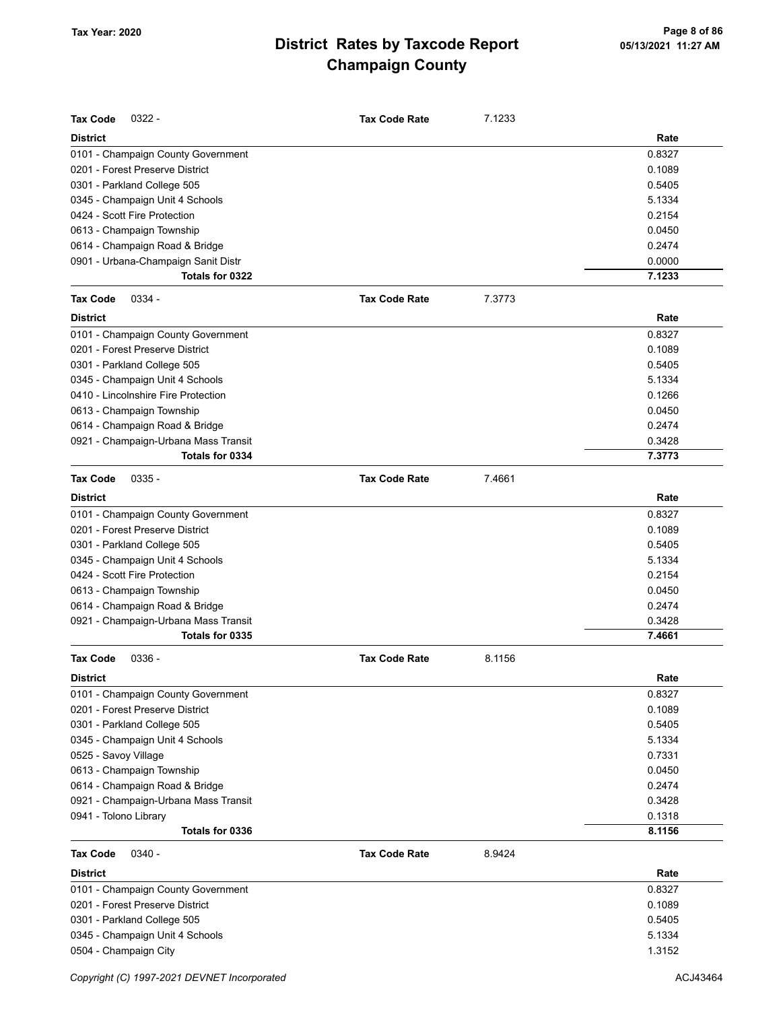| <b>Tax Code</b><br>$0322 -$          | <b>Tax Code Rate</b> | 7.1233 |        |
|--------------------------------------|----------------------|--------|--------|
| <b>District</b>                      |                      |        | Rate   |
| 0101 - Champaign County Government   |                      |        | 0.8327 |
| 0201 - Forest Preserve District      |                      |        | 0.1089 |
| 0301 - Parkland College 505          |                      |        | 0.5405 |
| 0345 - Champaign Unit 4 Schools      |                      |        | 5.1334 |
| 0424 - Scott Fire Protection         |                      |        | 0.2154 |
| 0613 - Champaign Township            |                      |        | 0.0450 |
| 0614 - Champaign Road & Bridge       |                      |        | 0.2474 |
| 0901 - Urbana-Champaign Sanit Distr  |                      |        | 0.0000 |
| Totals for 0322                      |                      |        | 7.1233 |
| 0334 -<br><b>Tax Code</b>            | <b>Tax Code Rate</b> | 7.3773 |        |
| <b>District</b>                      |                      |        | Rate   |
| 0101 - Champaign County Government   |                      |        | 0.8327 |
| 0201 - Forest Preserve District      |                      |        | 0.1089 |
| 0301 - Parkland College 505          |                      |        | 0.5405 |
| 0345 - Champaign Unit 4 Schools      |                      |        | 5.1334 |
| 0410 - Lincolnshire Fire Protection  |                      |        | 0.1266 |
| 0613 - Champaign Township            |                      |        | 0.0450 |
| 0614 - Champaign Road & Bridge       |                      |        | 0.2474 |
| 0921 - Champaign-Urbana Mass Transit |                      |        | 0.3428 |
| Totals for 0334                      |                      |        | 7.3773 |
| <b>Tax Code</b><br>$0335 -$          | <b>Tax Code Rate</b> | 7.4661 |        |
| <b>District</b>                      |                      |        | Rate   |
| 0101 - Champaign County Government   |                      |        | 0.8327 |
| 0201 - Forest Preserve District      |                      |        | 0.1089 |
| 0301 - Parkland College 505          |                      |        | 0.5405 |
| 0345 - Champaign Unit 4 Schools      |                      |        | 5.1334 |
| 0424 - Scott Fire Protection         |                      |        | 0.2154 |
| 0613 - Champaign Township            |                      |        | 0.0450 |
| 0614 - Champaign Road & Bridge       |                      |        | 0.2474 |
| 0921 - Champaign-Urbana Mass Transit |                      |        | 0.3428 |
| Totals for 0335                      |                      |        | 7.4661 |
| $0336 -$<br>Tax Code                 | <b>Tax Code Rate</b> | 8.1156 |        |
| <b>District</b>                      |                      |        | Rate   |
| 0101 - Champaign County Government   |                      |        | 0.8327 |
| 0201 - Forest Preserve District      |                      |        | 0.1089 |
| 0301 - Parkland College 505          |                      |        | 0.5405 |
| 0345 - Champaign Unit 4 Schools      |                      |        | 5.1334 |
| 0525 - Savoy Village                 |                      |        | 0.7331 |
| 0613 - Champaign Township            |                      |        | 0.0450 |
| 0614 - Champaign Road & Bridge       |                      |        | 0.2474 |
| 0921 - Champaign-Urbana Mass Transit |                      |        | 0.3428 |
| 0941 - Tolono Library                |                      |        | 0.1318 |
| Totals for 0336                      |                      |        | 8.1156 |
| Tax Code<br>0340 -                   | <b>Tax Code Rate</b> | 8.9424 |        |
| <b>District</b>                      |                      |        | Rate   |
| 0101 - Champaign County Government   |                      |        | 0.8327 |
| 0201 - Forest Preserve District      |                      |        | 0.1089 |
| 0301 - Parkland College 505          |                      |        | 0.5405 |
| 0345 - Champaign Unit 4 Schools      |                      |        | 5.1334 |
| 0504 - Champaign City                |                      |        | 1.3152 |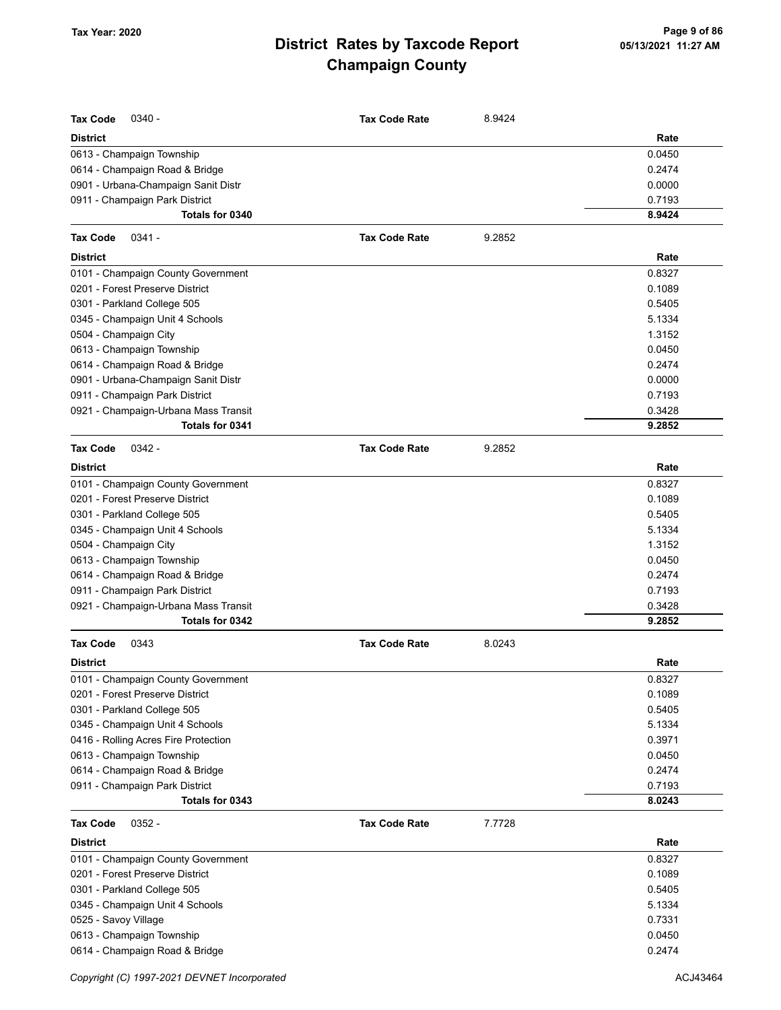| <b>Tax Code</b><br>$0340 -$          | <b>Tax Code Rate</b> | 8.9424 |        |
|--------------------------------------|----------------------|--------|--------|
| <b>District</b>                      |                      |        | Rate   |
| 0613 - Champaign Township            |                      |        | 0.0450 |
| 0614 - Champaign Road & Bridge       |                      |        | 0.2474 |
| 0901 - Urbana-Champaign Sanit Distr  |                      |        | 0.0000 |
| 0911 - Champaign Park District       |                      |        | 0.7193 |
| Totals for 0340                      |                      |        | 8.9424 |
| <b>Tax Code</b><br>$0341 -$          | <b>Tax Code Rate</b> | 9.2852 |        |
| <b>District</b>                      |                      |        | Rate   |
| 0101 - Champaign County Government   |                      |        | 0.8327 |
| 0201 - Forest Preserve District      |                      |        | 0.1089 |
| 0301 - Parkland College 505          |                      |        | 0.5405 |
| 0345 - Champaign Unit 4 Schools      |                      |        | 5.1334 |
| 0504 - Champaign City                |                      |        | 1.3152 |
| 0613 - Champaign Township            |                      |        | 0.0450 |
| 0614 - Champaign Road & Bridge       |                      |        | 0.2474 |
| 0901 - Urbana-Champaign Sanit Distr  |                      |        | 0.0000 |
| 0911 - Champaign Park District       |                      |        | 0.7193 |
| 0921 - Champaign-Urbana Mass Transit |                      |        | 0.3428 |
| Totals for 0341                      |                      |        | 9.2852 |
| <b>Tax Code</b><br>$0342 -$          | <b>Tax Code Rate</b> | 9.2852 |        |
| <b>District</b>                      |                      |        | Rate   |
| 0101 - Champaign County Government   |                      |        | 0.8327 |
| 0201 - Forest Preserve District      |                      |        | 0.1089 |
| 0301 - Parkland College 505          |                      |        | 0.5405 |
| 0345 - Champaign Unit 4 Schools      |                      |        | 5.1334 |
| 0504 - Champaign City                |                      |        | 1.3152 |
| 0613 - Champaign Township            |                      |        | 0.0450 |
| 0614 - Champaign Road & Bridge       |                      |        | 0.2474 |
| 0911 - Champaign Park District       |                      |        | 0.7193 |
| 0921 - Champaign-Urbana Mass Transit |                      |        | 0.3428 |
| Totals for 0342                      |                      |        | 9.2852 |
| <b>Tax Code</b><br>0343              | <b>Tax Code Rate</b> | 8.0243 |        |
| <b>District</b>                      |                      |        | Rate   |
| 0101 - Champaign County Government   |                      |        | 0.8327 |
| 0201 - Forest Preserve District      |                      |        | 0.1089 |
| 0301 - Parkland College 505          |                      |        | 0.5405 |
| 0345 - Champaign Unit 4 Schools      |                      |        | 5.1334 |
| 0416 - Rolling Acres Fire Protection |                      |        | 0.3971 |
| 0613 - Champaign Township            |                      |        | 0.0450 |
| 0614 - Champaign Road & Bridge       |                      |        | 0.2474 |
| 0911 - Champaign Park District       |                      |        | 0.7193 |
| Totals for 0343                      |                      |        | 8.0243 |
| $0352 -$<br><b>Tax Code</b>          | <b>Tax Code Rate</b> | 7.7728 |        |
| <b>District</b>                      |                      |        | Rate   |
| 0101 - Champaign County Government   |                      |        | 0.8327 |
| 0201 - Forest Preserve District      |                      |        | 0.1089 |
| 0301 - Parkland College 505          |                      |        | 0.5405 |
| 0345 - Champaign Unit 4 Schools      |                      |        | 5.1334 |
| 0525 - Savoy Village                 |                      |        | 0.7331 |
| 0613 - Champaign Township            |                      |        | 0.0450 |
| 0614 - Champaign Road & Bridge       |                      |        | 0.2474 |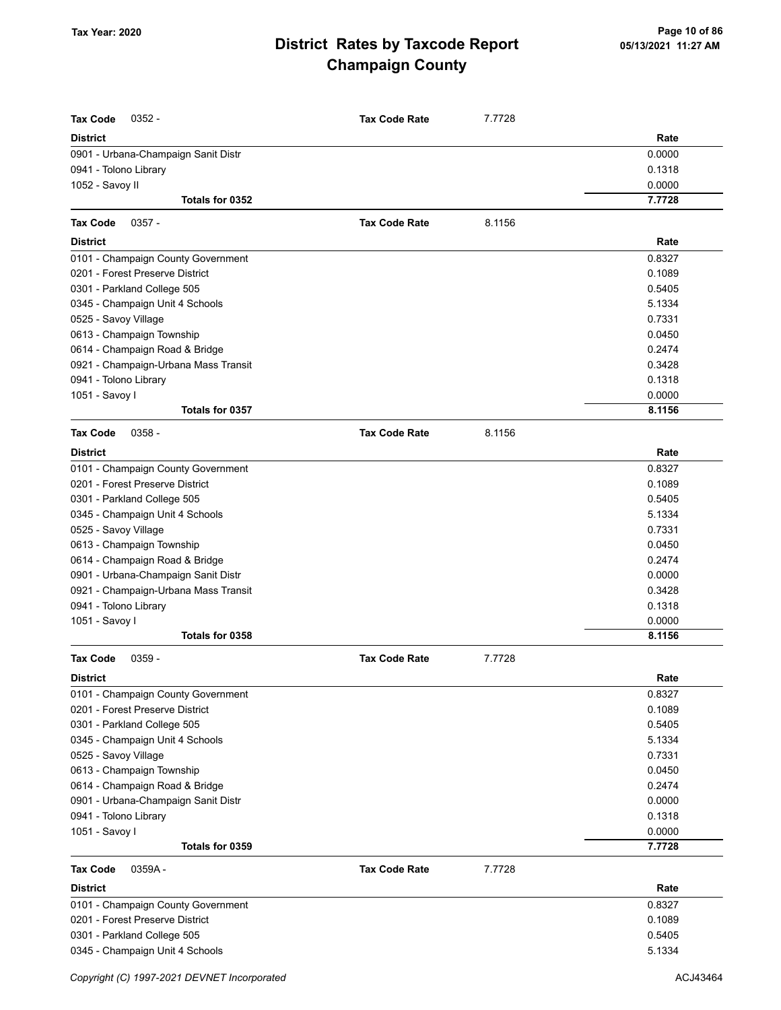| <b>Tax Code</b><br>$0352 -$                                           | <b>Tax Code Rate</b> | 7.7728 |                  |
|-----------------------------------------------------------------------|----------------------|--------|------------------|
| <b>District</b>                                                       |                      |        | Rate             |
| 0901 - Urbana-Champaign Sanit Distr                                   |                      |        | 0.0000           |
| 0941 - Tolono Library                                                 |                      |        | 0.1318           |
| 1052 - Savoy II                                                       |                      |        | 0.0000           |
| Totals for 0352                                                       |                      |        | 7.7728           |
| <b>Tax Code</b><br>$0357 -$                                           | <b>Tax Code Rate</b> | 8.1156 |                  |
| <b>District</b>                                                       |                      |        | Rate             |
|                                                                       |                      |        | 0.8327           |
| 0101 - Champaign County Government<br>0201 - Forest Preserve District |                      |        | 0.1089           |
|                                                                       |                      |        |                  |
| 0301 - Parkland College 505                                           |                      |        | 0.5405<br>5.1334 |
| 0345 - Champaign Unit 4 Schools                                       |                      |        | 0.7331           |
| 0525 - Savoy Village                                                  |                      |        |                  |
| 0613 - Champaign Township                                             |                      |        | 0.0450           |
| 0614 - Champaign Road & Bridge                                        |                      |        | 0.2474           |
| 0921 - Champaign-Urbana Mass Transit                                  |                      |        | 0.3428           |
| 0941 - Tolono Library                                                 |                      |        | 0.1318           |
| 1051 - Savoy I                                                        |                      |        | 0.0000           |
| Totals for 0357                                                       |                      |        | 8.1156           |
| <b>Tax Code</b><br>$0358 -$                                           | <b>Tax Code Rate</b> | 8.1156 |                  |
| <b>District</b>                                                       |                      |        | Rate             |
| 0101 - Champaign County Government                                    |                      |        | 0.8327           |
| 0201 - Forest Preserve District                                       |                      |        | 0.1089           |
| 0301 - Parkland College 505                                           |                      |        | 0.5405           |
| 0345 - Champaign Unit 4 Schools                                       |                      |        | 5.1334           |
| 0525 - Savoy Village                                                  |                      |        | 0.7331           |
| 0613 - Champaign Township                                             |                      |        | 0.0450           |
| 0614 - Champaign Road & Bridge                                        |                      |        | 0.2474           |
| 0901 - Urbana-Champaign Sanit Distr                                   |                      |        | 0.0000           |
| 0921 - Champaign-Urbana Mass Transit                                  |                      |        | 0.3428           |
| 0941 - Tolono Library                                                 |                      |        | 0.1318           |
| 1051 - Savoy I                                                        |                      |        | 0.0000           |
| Totals for 0358                                                       |                      |        | 8.1156           |
| <b>Tax Code</b><br>0359 -                                             | <b>Tax Code Rate</b> | 7.7728 |                  |
| <b>District</b>                                                       |                      |        | Rate             |
| 0101 - Champaign County Government                                    |                      |        | 0.8327           |
| 0201 - Forest Preserve District                                       |                      |        | 0.1089           |
| 0301 - Parkland College 505                                           |                      |        | 0.5405           |
| 0345 - Champaign Unit 4 Schools                                       |                      |        | 5.1334           |
| 0525 - Savoy Village                                                  |                      |        | 0.7331           |
| 0613 - Champaign Township                                             |                      |        | 0.0450           |
| 0614 - Champaign Road & Bridge                                        |                      |        | 0.2474           |
| 0901 - Urbana-Champaign Sanit Distr                                   |                      |        | 0.0000           |
| 0941 - Tolono Library                                                 |                      |        | 0.1318           |
| 1051 - Savoy I                                                        |                      |        | 0.0000           |
| Totals for 0359                                                       |                      |        | 7.7728           |
| <b>Tax Code</b><br>0359A-                                             | <b>Tax Code Rate</b> | 7.7728 |                  |
| <b>District</b>                                                       |                      |        | Rate             |
| 0101 - Champaign County Government                                    |                      |        | 0.8327           |
| 0201 - Forest Preserve District                                       |                      |        | 0.1089           |
| 0301 - Parkland College 505                                           |                      |        | 0.5405           |
| 0345 - Champaign Unit 4 Schools                                       |                      |        | 5.1334           |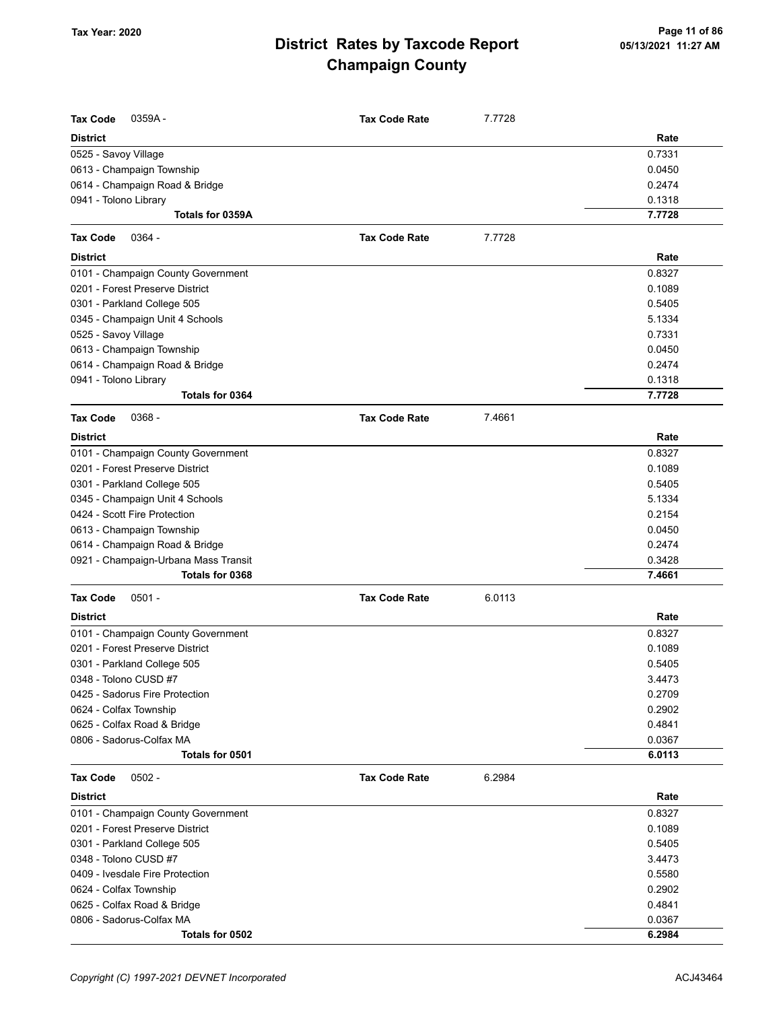| <b>Tax Code</b><br>0359A-            | <b>Tax Code Rate</b> | 7.7728 |        |
|--------------------------------------|----------------------|--------|--------|
| <b>District</b>                      |                      |        | Rate   |
| 0525 - Savoy Village                 |                      |        | 0.7331 |
| 0613 - Champaign Township            |                      |        | 0.0450 |
| 0614 - Champaign Road & Bridge       |                      |        | 0.2474 |
| 0941 - Tolono Library                |                      |        | 0.1318 |
| Totals for 0359A                     |                      |        | 7.7728 |
| <b>Tax Code</b><br>$0364 -$          | <b>Tax Code Rate</b> | 7.7728 |        |
| <b>District</b>                      |                      |        | Rate   |
| 0101 - Champaign County Government   |                      |        | 0.8327 |
| 0201 - Forest Preserve District      |                      |        | 0.1089 |
| 0301 - Parkland College 505          |                      |        | 0.5405 |
| 0345 - Champaign Unit 4 Schools      |                      |        | 5.1334 |
| 0525 - Savoy Village                 |                      |        | 0.7331 |
| 0613 - Champaign Township            |                      |        | 0.0450 |
| 0614 - Champaign Road & Bridge       |                      |        | 0.2474 |
| 0941 - Tolono Library                |                      |        | 0.1318 |
| Totals for 0364                      |                      |        | 7.7728 |
| $0368 -$<br><b>Tax Code</b>          | <b>Tax Code Rate</b> | 7.4661 |        |
| <b>District</b>                      |                      |        | Rate   |
| 0101 - Champaign County Government   |                      |        | 0.8327 |
| 0201 - Forest Preserve District      |                      |        | 0.1089 |
| 0301 - Parkland College 505          |                      |        | 0.5405 |
| 0345 - Champaign Unit 4 Schools      |                      |        | 5.1334 |
| 0424 - Scott Fire Protection         |                      |        | 0.2154 |
| 0613 - Champaign Township            |                      |        | 0.0450 |
| 0614 - Champaign Road & Bridge       |                      |        | 0.2474 |
| 0921 - Champaign-Urbana Mass Transit |                      |        | 0.3428 |
| Totals for 0368                      |                      |        | 7.4661 |
| <b>Tax Code</b><br>$0501 -$          | <b>Tax Code Rate</b> | 6.0113 |        |
| <b>District</b>                      |                      |        | Rate   |
| 0101 - Champaign County Government   |                      |        | 0.8327 |
| 0201 - Forest Preserve District      |                      |        | 0.1089 |
| 0301 - Parkland College 505          |                      |        | 0.5405 |
| 0348 - Tolono CUSD #7                |                      |        | 3.4473 |
| 0425 - Sadorus Fire Protection       |                      |        | 0.2709 |
| 0624 - Colfax Township               |                      |        | 0.2902 |
| 0625 - Colfax Road & Bridge          |                      |        | 0.4841 |
| 0806 - Sadorus-Colfax MA             |                      |        | 0.0367 |
| Totals for 0501                      |                      |        | 6.0113 |
| <b>Tax Code</b><br>$0502 -$          | <b>Tax Code Rate</b> | 6.2984 |        |
| <b>District</b>                      |                      |        | Rate   |
| 0101 - Champaign County Government   |                      |        | 0.8327 |
| 0201 - Forest Preserve District      |                      |        | 0.1089 |
| 0301 - Parkland College 505          |                      |        | 0.5405 |
| 0348 - Tolono CUSD #7                |                      |        | 3.4473 |
| 0409 - Ivesdale Fire Protection      |                      |        | 0.5580 |
| 0624 - Colfax Township               |                      |        | 0.2902 |
| 0625 - Colfax Road & Bridge          |                      |        | 0.4841 |
| 0806 - Sadorus-Colfax MA             |                      |        | 0.0367 |
| Totals for 0502                      |                      |        | 6.2984 |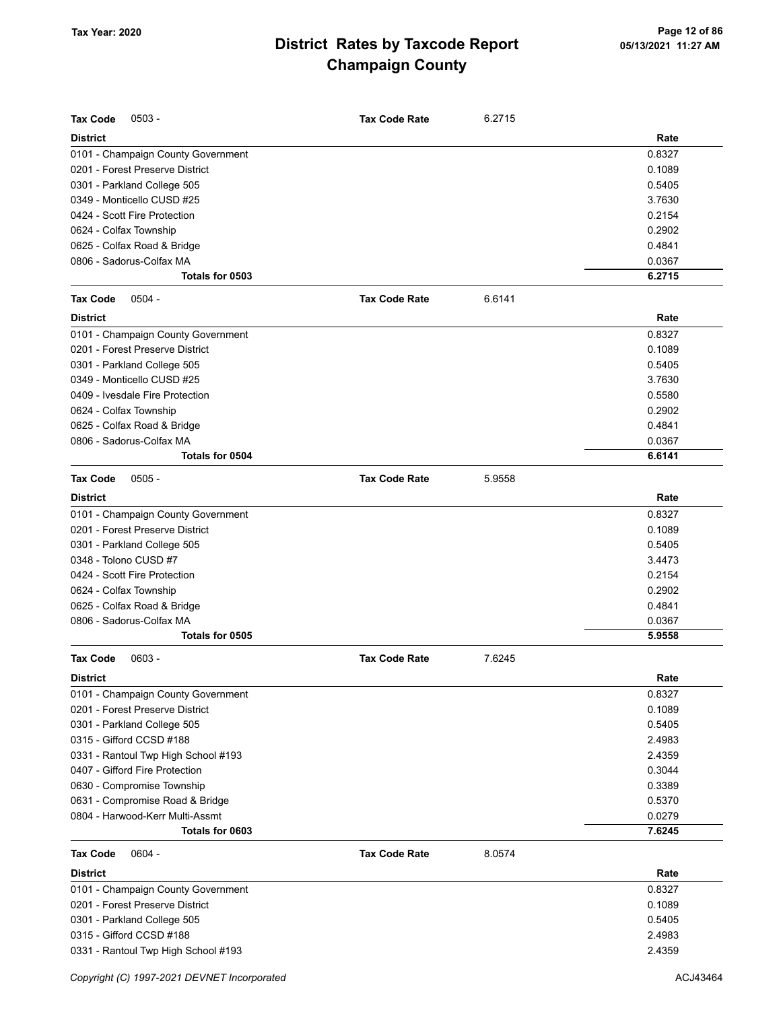| <b>Tax Code</b><br>$0503 -$         | <b>Tax Code Rate</b> | 6.2715 |        |
|-------------------------------------|----------------------|--------|--------|
| <b>District</b>                     |                      |        | Rate   |
| 0101 - Champaign County Government  |                      |        | 0.8327 |
| 0201 - Forest Preserve District     |                      |        | 0.1089 |
| 0301 - Parkland College 505         |                      |        | 0.5405 |
| 0349 - Monticello CUSD #25          |                      |        | 3.7630 |
| 0424 - Scott Fire Protection        |                      |        | 0.2154 |
| 0624 - Colfax Township              |                      |        | 0.2902 |
| 0625 - Colfax Road & Bridge         |                      |        | 0.4841 |
| 0806 - Sadorus-Colfax MA            |                      |        | 0.0367 |
| Totals for 0503                     |                      |        | 6.2715 |
| $0504 -$<br><b>Tax Code</b>         | <b>Tax Code Rate</b> | 6.6141 |        |
| <b>District</b>                     |                      |        | Rate   |
| 0101 - Champaign County Government  |                      |        | 0.8327 |
| 0201 - Forest Preserve District     |                      |        | 0.1089 |
| 0301 - Parkland College 505         |                      |        | 0.5405 |
| 0349 - Monticello CUSD #25          |                      |        | 3.7630 |
| 0409 - Ivesdale Fire Protection     |                      |        | 0.5580 |
| 0624 - Colfax Township              |                      |        | 0.2902 |
| 0625 - Colfax Road & Bridge         |                      |        | 0.4841 |
| 0806 - Sadorus-Colfax MA            |                      |        | 0.0367 |
| Totals for 0504                     |                      |        | 6.6141 |
|                                     |                      |        |        |
| <b>Tax Code</b><br>$0505 -$         | <b>Tax Code Rate</b> | 5.9558 |        |
| <b>District</b>                     |                      |        | Rate   |
| 0101 - Champaign County Government  |                      |        | 0.8327 |
| 0201 - Forest Preserve District     |                      |        | 0.1089 |
| 0301 - Parkland College 505         |                      |        | 0.5405 |
| 0348 - Tolono CUSD #7               |                      |        | 3.4473 |
| 0424 - Scott Fire Protection        |                      |        | 0.2154 |
| 0624 - Colfax Township              |                      |        | 0.2902 |
| 0625 - Colfax Road & Bridge         |                      |        | 0.4841 |
| 0806 - Sadorus-Colfax MA            |                      |        | 0.0367 |
| Totals for 0505                     |                      |        | 5.9558 |
| <b>Tax Code</b><br>$0603 -$         | <b>Tax Code Rate</b> | 7.6245 |        |
| <b>District</b>                     |                      |        | Rate   |
| 0101 - Champaign County Government  |                      |        | 0.8327 |
| 0201 - Forest Preserve District     |                      |        | 0.1089 |
| 0301 - Parkland College 505         |                      |        | 0.5405 |
| 0315 - Gifford CCSD #188            |                      |        | 2.4983 |
| 0331 - Rantoul Twp High School #193 |                      |        | 2.4359 |
| 0407 - Gifford Fire Protection      |                      |        | 0.3044 |
| 0630 - Compromise Township          |                      |        | 0.3389 |
| 0631 - Compromise Road & Bridge     |                      |        | 0.5370 |
| 0804 - Harwood-Kerr Multi-Assmt     |                      |        | 0.0279 |
| Totals for 0603                     |                      |        | 7.6245 |
|                                     |                      |        |        |
| <b>Tax Code</b><br>$0604 -$         | <b>Tax Code Rate</b> | 8.0574 |        |
| <b>District</b>                     |                      |        | Rate   |
| 0101 - Champaign County Government  |                      |        | 0.8327 |
| 0201 - Forest Preserve District     |                      |        | 0.1089 |
| 0301 - Parkland College 505         |                      |        | 0.5405 |
| 0315 - Gifford CCSD #188            |                      |        | 2.4983 |
| 0331 - Rantoul Twp High School #193 |                      |        | 2.4359 |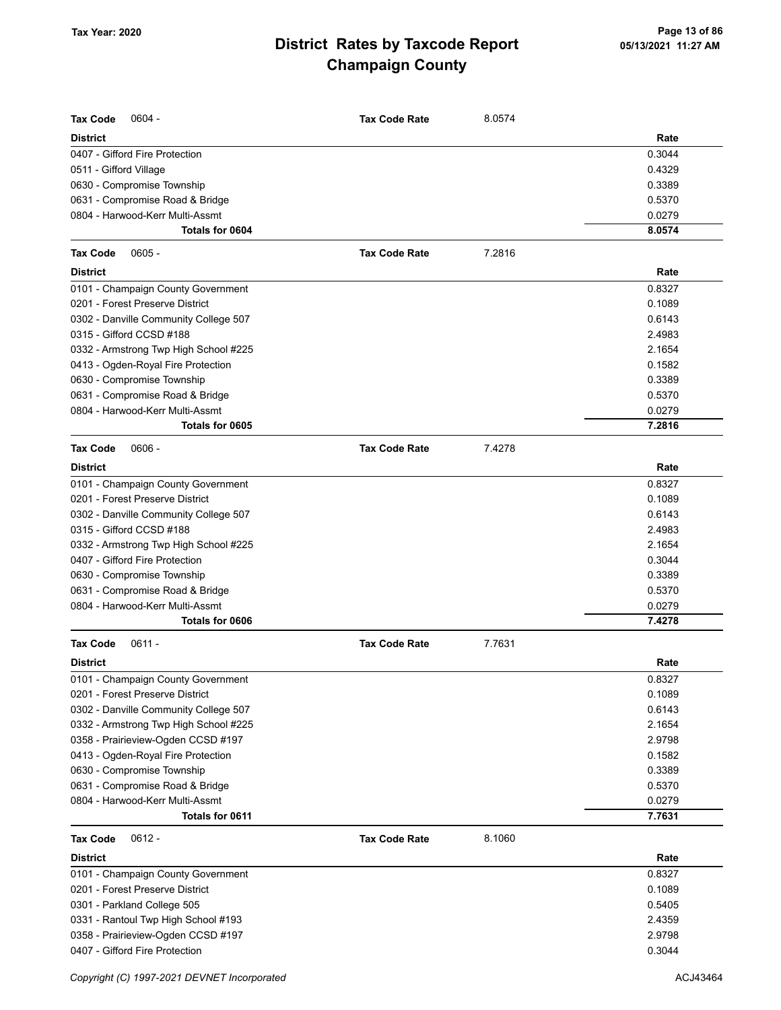| <b>Tax Code</b><br>$0604 -$                              | <b>Tax Code Rate</b> | 8.0574 |        |
|----------------------------------------------------------|----------------------|--------|--------|
| <b>District</b>                                          |                      |        | Rate   |
|                                                          |                      |        | 0.3044 |
| 0407 - Gifford Fire Protection<br>0511 - Gifford Village |                      |        | 0.4329 |
| 0630 - Compromise Township                               |                      |        | 0.3389 |
| 0631 - Compromise Road & Bridge                          |                      |        | 0.5370 |
| 0804 - Harwood-Kerr Multi-Assmt                          |                      |        | 0.0279 |
| Totals for 0604                                          |                      |        | 8.0574 |
|                                                          |                      |        |        |
| <b>Tax Code</b><br>$0605 -$                              | <b>Tax Code Rate</b> | 7.2816 |        |
| <b>District</b>                                          |                      |        | Rate   |
| 0101 - Champaign County Government                       |                      |        | 0.8327 |
| 0201 - Forest Preserve District                          |                      |        | 0.1089 |
| 0302 - Danville Community College 507                    |                      |        | 0.6143 |
| 0315 - Gifford CCSD #188                                 |                      |        | 2.4983 |
| 0332 - Armstrong Twp High School #225                    |                      |        | 2.1654 |
| 0413 - Ogden-Royal Fire Protection                       |                      |        | 0.1582 |
| 0630 - Compromise Township                               |                      |        | 0.3389 |
| 0631 - Compromise Road & Bridge                          |                      |        | 0.5370 |
| 0804 - Harwood-Kerr Multi-Assmt                          |                      |        | 0.0279 |
| Totals for 0605                                          |                      |        | 7.2816 |
| <b>Tax Code</b><br>$0606 -$                              | <b>Tax Code Rate</b> | 7.4278 |        |
| <b>District</b>                                          |                      |        | Rate   |
| 0101 - Champaign County Government                       |                      |        | 0.8327 |
| 0201 - Forest Preserve District                          |                      |        | 0.1089 |
| 0302 - Danville Community College 507                    |                      |        | 0.6143 |
| 0315 - Gifford CCSD #188                                 |                      |        | 2.4983 |
| 0332 - Armstrong Twp High School #225                    |                      |        | 2.1654 |
| 0407 - Gifford Fire Protection                           |                      |        | 0.3044 |
| 0630 - Compromise Township                               |                      |        | 0.3389 |
| 0631 - Compromise Road & Bridge                          |                      |        | 0.5370 |
| 0804 - Harwood-Kerr Multi-Assmt                          |                      |        | 0.0279 |
| Totals for 0606                                          |                      |        | 7.4278 |
| <b>Tax Code</b><br>$0611 -$                              | <b>Tax Code Rate</b> | 7.7631 |        |
| District                                                 |                      |        | Rate   |
| 0101 - Champaign County Government                       |                      |        | 0.8327 |
| 0201 - Forest Preserve District                          |                      |        | 0.1089 |
| 0302 - Danville Community College 507                    |                      |        | 0.6143 |
| 0332 - Armstrong Twp High School #225                    |                      |        | 2.1654 |
| 0358 - Prairieview-Ogden CCSD #197                       |                      |        | 2.9798 |
| 0413 - Ogden-Royal Fire Protection                       |                      |        | 0.1582 |
| 0630 - Compromise Township                               |                      |        | 0.3389 |
| 0631 - Compromise Road & Bridge                          |                      |        | 0.5370 |
| 0804 - Harwood-Kerr Multi-Assmt                          |                      |        | 0.0279 |
| Totals for 0611                                          |                      |        | 7.7631 |
| $0612 -$<br>Tax Code                                     | <b>Tax Code Rate</b> | 8.1060 |        |
| <b>District</b>                                          |                      |        | Rate   |
| 0101 - Champaign County Government                       |                      |        | 0.8327 |
| 0201 - Forest Preserve District                          |                      |        | 0.1089 |
| 0301 - Parkland College 505                              |                      |        | 0.5405 |
| 0331 - Rantoul Twp High School #193                      |                      |        | 2.4359 |
| 0358 - Prairieview-Ogden CCSD #197                       |                      |        | 2.9798 |
| 0407 - Gifford Fire Protection                           |                      |        | 0.3044 |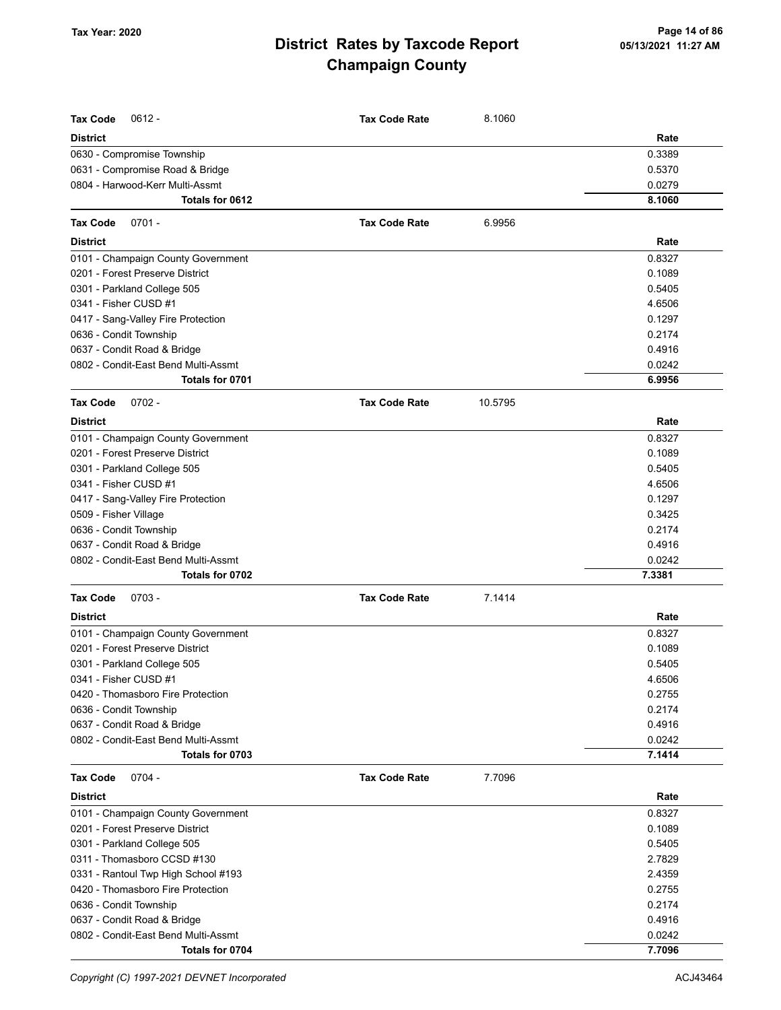| <b>Tax Code</b><br>$0612 -$                                        | <b>Tax Code Rate</b> | 8.1060  |                  |
|--------------------------------------------------------------------|----------------------|---------|------------------|
| <b>District</b>                                                    |                      |         | Rate             |
| 0630 - Compromise Township                                         |                      |         | 0.3389           |
| 0631 - Compromise Road & Bridge                                    |                      |         | 0.5370           |
| 0804 - Harwood-Kerr Multi-Assmt                                    |                      |         | 0.0279           |
| Totals for 0612                                                    |                      |         | 8.1060           |
| <b>Tax Code</b><br>$0701 -$                                        | <b>Tax Code Rate</b> | 6.9956  |                  |
| <b>District</b>                                                    |                      |         | Rate             |
| 0101 - Champaign County Government                                 |                      |         | 0.8327           |
| 0201 - Forest Preserve District                                    |                      |         | 0.1089           |
| 0301 - Parkland College 505                                        |                      |         | 0.5405           |
| 0341 - Fisher CUSD #1                                              |                      |         | 4.6506           |
| 0417 - Sang-Valley Fire Protection                                 |                      |         | 0.1297           |
| 0636 - Condit Township                                             |                      |         | 0.2174           |
| 0637 - Condit Road & Bridge                                        |                      |         | 0.4916           |
| 0802 - Condit-East Bend Multi-Assmt                                |                      |         | 0.0242           |
| Totals for 0701                                                    |                      |         | 6.9956           |
| <b>Tax Code</b><br>$0702 -$                                        | <b>Tax Code Rate</b> | 10.5795 |                  |
| <b>District</b>                                                    |                      |         | Rate             |
| 0101 - Champaign County Government                                 |                      |         | 0.8327           |
| 0201 - Forest Preserve District                                    |                      |         | 0.1089           |
| 0301 - Parkland College 505                                        |                      |         | 0.5405           |
| 0341 - Fisher CUSD #1                                              |                      |         | 4.6506           |
| 0417 - Sang-Valley Fire Protection                                 |                      |         | 0.1297           |
| 0509 - Fisher Village                                              |                      |         | 0.3425           |
| 0636 - Condit Township                                             |                      |         | 0.2174           |
| 0637 - Condit Road & Bridge                                        |                      |         | 0.4916           |
| 0802 - Condit-East Bend Multi-Assmt                                |                      |         | 0.0242           |
| Totals for 0702                                                    |                      |         | 7.3381           |
| <b>Tax Code</b><br>$0703 -$                                        | <b>Tax Code Rate</b> | 7.1414  |                  |
| <b>District</b>                                                    |                      |         | Rate             |
| 0101 - Champaign County Government                                 |                      |         | 0.8327           |
| 0201 - Forest Preserve District                                    |                      |         | 0.1089           |
| 0301 - Parkland College 505                                        |                      |         | 0.5405           |
| 0341 - Fisher CUSD #1                                              |                      |         | 4.6506           |
| 0420 - Thomasboro Fire Protection                                  |                      |         | 0.2755           |
| 0636 - Condit Township                                             |                      |         | 0.2174<br>0.4916 |
| 0637 - Condit Road & Bridge<br>0802 - Condit-East Bend Multi-Assmt |                      |         | 0.0242           |
| Totals for 0703                                                    |                      |         | 7.1414           |
| <b>Tax Code</b><br>$0704 -$                                        | <b>Tax Code Rate</b> | 7.7096  |                  |
| <b>District</b>                                                    |                      |         | Rate             |
| 0101 - Champaign County Government                                 |                      |         | 0.8327           |
| 0201 - Forest Preserve District                                    |                      |         | 0.1089           |
| 0301 - Parkland College 505                                        |                      |         | 0.5405           |
| 0311 - Thomasboro CCSD #130                                        |                      |         | 2.7829           |
| 0331 - Rantoul Twp High School #193                                |                      |         | 2.4359           |
| 0420 - Thomasboro Fire Protection                                  |                      |         | 0.2755           |
| 0636 - Condit Township                                             |                      |         | 0.2174           |
| 0637 - Condit Road & Bridge                                        |                      |         | 0.4916           |
| 0802 - Condit-East Bend Multi-Assmt                                |                      |         | 0.0242           |
| Totals for 0704                                                    |                      |         | 7.7096           |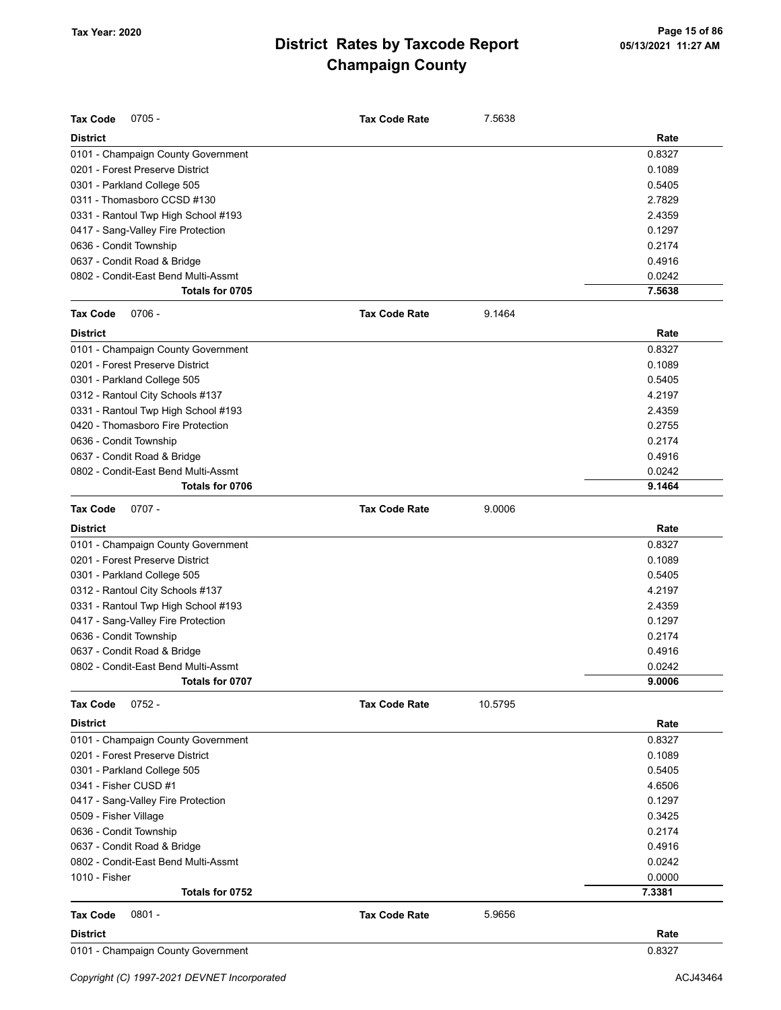| <b>Tax Code</b><br>$0705 -$         | <b>Tax Code Rate</b> | 7.5638  |                  |
|-------------------------------------|----------------------|---------|------------------|
| <b>District</b>                     |                      |         | Rate             |
| 0101 - Champaign County Government  |                      |         | 0.8327           |
| 0201 - Forest Preserve District     |                      |         | 0.1089           |
| 0301 - Parkland College 505         |                      |         | 0.5405           |
| 0311 - Thomasboro CCSD #130         |                      |         | 2.7829           |
| 0331 - Rantoul Twp High School #193 |                      |         | 2.4359           |
| 0417 - Sang-Valley Fire Protection  |                      |         | 0.1297           |
| 0636 - Condit Township              |                      |         | 0.2174           |
| 0637 - Condit Road & Bridge         |                      |         | 0.4916           |
| 0802 - Condit-East Bend Multi-Assmt |                      |         | 0.0242           |
| Totals for 0705                     |                      |         | 7.5638           |
| <b>Tax Code</b><br>$0706 -$         | <b>Tax Code Rate</b> | 9.1464  |                  |
| <b>District</b>                     |                      |         | Rate             |
| 0101 - Champaign County Government  |                      |         | 0.8327           |
| 0201 - Forest Preserve District     |                      |         | 0.1089           |
| 0301 - Parkland College 505         |                      |         | 0.5405           |
| 0312 - Rantoul City Schools #137    |                      |         | 4.2197           |
| 0331 - Rantoul Twp High School #193 |                      |         | 2.4359           |
| 0420 - Thomasboro Fire Protection   |                      |         | 0.2755           |
| 0636 - Condit Township              |                      |         | 0.2174           |
| 0637 - Condit Road & Bridge         |                      |         | 0.4916           |
| 0802 - Condit-East Bend Multi-Assmt |                      |         | 0.0242           |
| Totals for 0706                     |                      |         | 9.1464           |
| <b>Tax Code</b><br>$0707 -$         | <b>Tax Code Rate</b> | 9.0006  |                  |
| <b>District</b>                     |                      |         | Rate             |
| 0101 - Champaign County Government  |                      |         | 0.8327           |
| 0201 - Forest Preserve District     |                      |         | 0.1089           |
| 0301 - Parkland College 505         |                      |         | 0.5405           |
| 0312 - Rantoul City Schools #137    |                      |         | 4.2197           |
| 0331 - Rantoul Twp High School #193 |                      |         | 2.4359           |
| 0417 - Sang-Valley Fire Protection  |                      |         | 0.1297           |
| 0636 - Condit Township              |                      |         | 0.2174           |
| 0637 - Condit Road & Bridge         |                      |         | 0.4916           |
| 0802 - Condit-East Bend Multi-Assmt |                      |         | 0.0242           |
| Totals for 0707                     |                      |         | 9.0006           |
| <b>Tax Code</b><br>$0752 -$         | <b>Tax Code Rate</b> | 10.5795 |                  |
| <b>District</b>                     |                      |         | Rate             |
| 0101 - Champaign County Government  |                      |         | 0.8327           |
| 0201 - Forest Preserve District     |                      |         | 0.1089           |
| 0301 - Parkland College 505         |                      |         | 0.5405           |
| 0341 - Fisher CUSD #1               |                      |         | 4.6506           |
| 0417 - Sang-Valley Fire Protection  |                      |         | 0.1297           |
| 0509 - Fisher Village               |                      |         | 0.3425           |
| 0636 - Condit Township              |                      |         | 0.2174           |
| 0637 - Condit Road & Bridge         |                      |         | 0.4916           |
| 0802 - Condit-East Bend Multi-Assmt |                      |         | 0.0242           |
| 1010 - Fisher<br>Totals for 0752    |                      |         | 0.0000<br>7.3381 |
|                                     |                      |         |                  |
| $0801 -$<br><b>Tax Code</b>         | <b>Tax Code Rate</b> | 5.9656  |                  |
| <b>District</b>                     |                      |         | Rate             |
| 0101 - Champaign County Government  |                      |         | 0.8327           |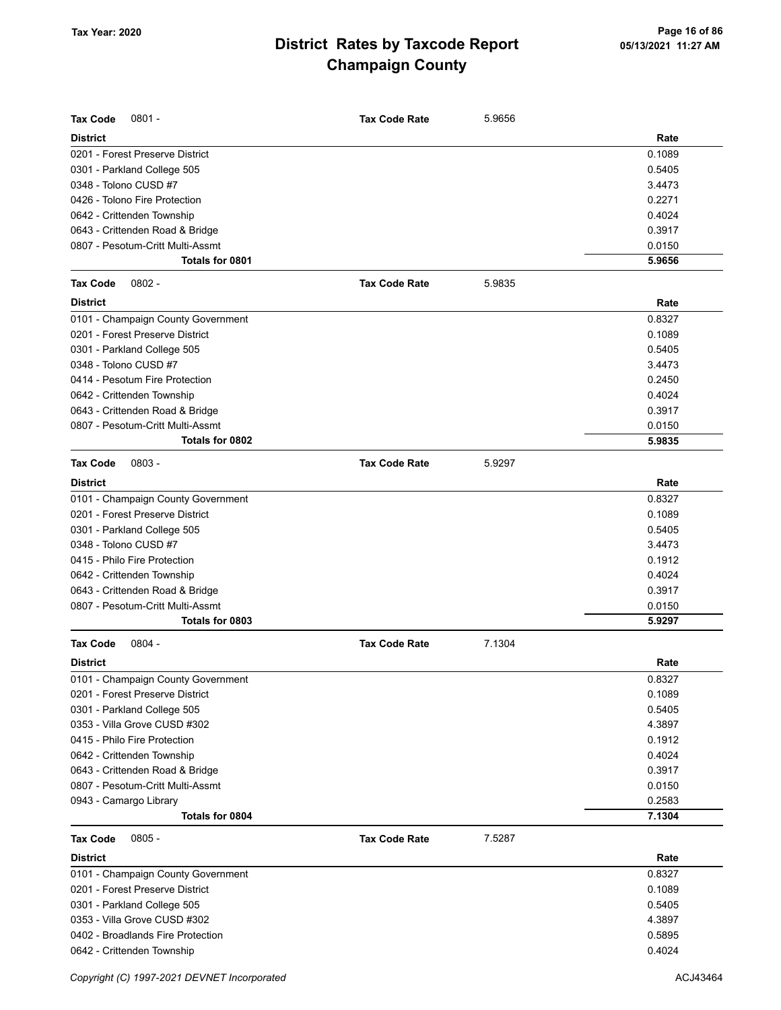| <b>Tax Code</b><br>$0801 -$                                 | <b>Tax Code Rate</b> | 5.9656 |        |
|-------------------------------------------------------------|----------------------|--------|--------|
| <b>District</b>                                             |                      |        | Rate   |
| 0201 - Forest Preserve District                             |                      |        | 0.1089 |
| 0301 - Parkland College 505                                 |                      |        | 0.5405 |
| 0348 - Tolono CUSD #7                                       |                      |        | 3.4473 |
| 0426 - Tolono Fire Protection                               |                      |        | 0.2271 |
| 0642 - Crittenden Township                                  |                      |        | 0.4024 |
| 0643 - Crittenden Road & Bridge                             |                      |        | 0.3917 |
| 0807 - Pesotum-Critt Multi-Assmt                            |                      |        | 0.0150 |
| Totals for 0801                                             |                      |        | 5.9656 |
| $0802 -$<br><b>Tax Code</b>                                 | <b>Tax Code Rate</b> | 5.9835 |        |
| <b>District</b>                                             |                      |        | Rate   |
| 0101 - Champaign County Government                          |                      |        | 0.8327 |
| 0201 - Forest Preserve District                             |                      |        | 0.1089 |
| 0301 - Parkland College 505                                 |                      |        | 0.5405 |
| 0348 - Tolono CUSD #7                                       |                      |        | 3.4473 |
| 0414 - Pesotum Fire Protection                              |                      |        | 0.2450 |
| 0642 - Crittenden Township                                  |                      |        | 0.4024 |
| 0643 - Crittenden Road & Bridge                             |                      |        | 0.3917 |
| 0807 - Pesotum-Critt Multi-Assmt                            |                      |        | 0.0150 |
| Totals for 0802                                             |                      |        | 5.9835 |
| <b>Tax Code</b><br>$0803 -$                                 | <b>Tax Code Rate</b> | 5.9297 |        |
|                                                             |                      |        |        |
| <b>District</b>                                             |                      |        | Rate   |
| 0101 - Champaign County Government                          |                      |        | 0.8327 |
| 0201 - Forest Preserve District                             |                      |        | 0.1089 |
| 0301 - Parkland College 505                                 |                      |        | 0.5405 |
| 0348 - Tolono CUSD #7                                       |                      |        | 3.4473 |
| 0415 - Philo Fire Protection                                |                      |        | 0.1912 |
| 0642 - Crittenden Township                                  |                      |        | 0.4024 |
| 0643 - Crittenden Road & Bridge                             |                      |        | 0.3917 |
| 0807 - Pesotum-Critt Multi-Assmt                            |                      |        | 0.0150 |
| Totals for 0803                                             |                      |        | 5.9297 |
| <b>Tax Code</b><br>$0804 -$                                 | <b>Tax Code Rate</b> | 7.1304 |        |
| <b>District</b>                                             |                      |        | Rate   |
| 0101 - Champaign County Government                          |                      |        | 0.8327 |
| 0201 - Forest Preserve District                             |                      |        | 0.1089 |
| 0301 - Parkland College 505                                 |                      |        | 0.5405 |
| 0353 - Villa Grove CUSD #302                                |                      |        | 4.3897 |
| 0415 - Philo Fire Protection                                |                      |        | 0.1912 |
| 0642 - Crittenden Township                                  |                      |        | 0.4024 |
| 0643 - Crittenden Road & Bridge                             |                      |        | 0.3917 |
| 0807 - Pesotum-Critt Multi-Assmt                            |                      |        | 0.0150 |
| 0943 - Camargo Library                                      |                      |        | 0.2583 |
| Totals for 0804                                             |                      |        | 7.1304 |
|                                                             |                      |        |        |
| $0805 -$<br><b>Tax Code</b><br><b>District</b>              | <b>Tax Code Rate</b> | 7.5287 | Rate   |
| 0101 - Champaign County Government                          |                      |        | 0.8327 |
| 0201 - Forest Preserve District                             |                      |        | 0.1089 |
|                                                             |                      |        | 0.5405 |
| 0301 - Parkland College 505<br>0353 - Villa Grove CUSD #302 |                      |        | 4.3897 |
| 0402 - Broadlands Fire Protection                           |                      |        | 0.5895 |
|                                                             |                      |        | 0.4024 |
| 0642 - Crittenden Township                                  |                      |        |        |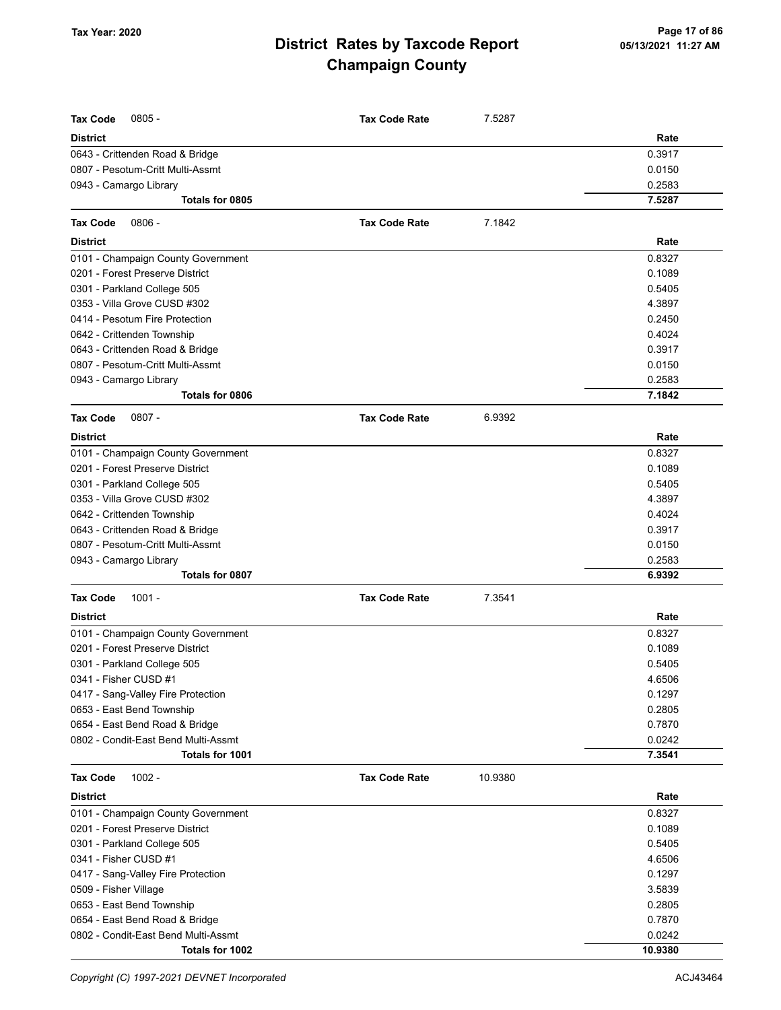| <b>Tax Code</b><br>$0805 -$                                 | <b>Tax Code Rate</b> | 7.5287  |                  |
|-------------------------------------------------------------|----------------------|---------|------------------|
| <b>District</b>                                             |                      |         | Rate             |
| 0643 - Crittenden Road & Bridge                             |                      |         | 0.3917           |
| 0807 - Pesotum-Critt Multi-Assmt                            |                      |         | 0.0150           |
| 0943 - Camargo Library                                      |                      |         | 0.2583           |
| Totals for 0805                                             |                      |         | 7.5287           |
| <b>Tax Code</b><br>$0806 -$                                 | <b>Tax Code Rate</b> | 7.1842  |                  |
| <b>District</b>                                             |                      |         | Rate             |
| 0101 - Champaign County Government                          |                      |         | 0.8327           |
| 0201 - Forest Preserve District                             |                      |         | 0.1089           |
| 0301 - Parkland College 505                                 |                      |         | 0.5405           |
| 0353 - Villa Grove CUSD #302                                |                      |         | 4.3897           |
| 0414 - Pesotum Fire Protection                              |                      |         | 0.2450           |
| 0642 - Crittenden Township                                  |                      |         | 0.4024           |
| 0643 - Crittenden Road & Bridge                             |                      |         | 0.3917           |
| 0807 - Pesotum-Critt Multi-Assmt                            |                      |         | 0.0150           |
| 0943 - Camargo Library                                      |                      |         | 0.2583           |
| Totals for 0806                                             |                      |         | 7.1842           |
| $0807 -$<br><b>Tax Code</b>                                 | <b>Tax Code Rate</b> | 6.9392  |                  |
| <b>District</b>                                             |                      |         | Rate             |
| 0101 - Champaign County Government                          |                      |         | 0.8327           |
| 0201 - Forest Preserve District                             |                      |         | 0.1089           |
| 0301 - Parkland College 505                                 |                      |         | 0.5405           |
| 0353 - Villa Grove CUSD #302                                |                      |         | 4.3897           |
| 0642 - Crittenden Township                                  |                      |         | 0.4024           |
| 0643 - Crittenden Road & Bridge                             |                      |         | 0.3917           |
| 0807 - Pesotum-Critt Multi-Assmt                            |                      |         | 0.0150           |
| 0943 - Camargo Library                                      |                      |         | 0.2583           |
| Totals for 0807                                             |                      |         | 6.9392           |
| <b>Tax Code</b><br>$1001 -$                                 | <b>Tax Code Rate</b> | 7.3541  |                  |
| <b>District</b>                                             |                      |         | Rate             |
| 0101 - Champaign County Government                          |                      |         | 0.8327           |
| 0201 - Forest Preserve District                             |                      |         | 0.1089           |
| 0301 - Parkland College 505                                 |                      |         | 0.5405           |
| 0341 - Fisher CUSD #1                                       |                      |         | 4.6506           |
| 0417 - Sang-Valley Fire Protection                          |                      |         | 0.1297           |
| 0653 - East Bend Township                                   |                      |         | 0.2805           |
| 0654 - East Bend Road & Bridge                              |                      |         | 0.7870           |
| 0802 - Condit-East Bend Multi-Assmt                         |                      |         | 0.0242           |
| Totals for 1001                                             |                      |         | 7.3541           |
| <b>Tax Code</b><br>$1002 -$                                 | <b>Tax Code Rate</b> | 10.9380 |                  |
| <b>District</b>                                             |                      |         | Rate             |
| 0101 - Champaign County Government                          |                      |         | 0.8327           |
| 0201 - Forest Preserve District                             |                      |         | 0.1089           |
| 0301 - Parkland College 505                                 |                      |         | 0.5405           |
| 0341 - Fisher CUSD #1                                       |                      |         | 4.6506           |
| 0417 - Sang-Valley Fire Protection                          |                      |         | 0.1297           |
| 0509 - Fisher Village                                       |                      |         | 3.5839<br>0.2805 |
| 0653 - East Bend Township<br>0654 - East Bend Road & Bridge |                      |         | 0.7870           |
| 0802 - Condit-East Bend Multi-Assmt                         |                      |         | 0.0242           |
| Totals for 1002                                             |                      |         | 10.9380          |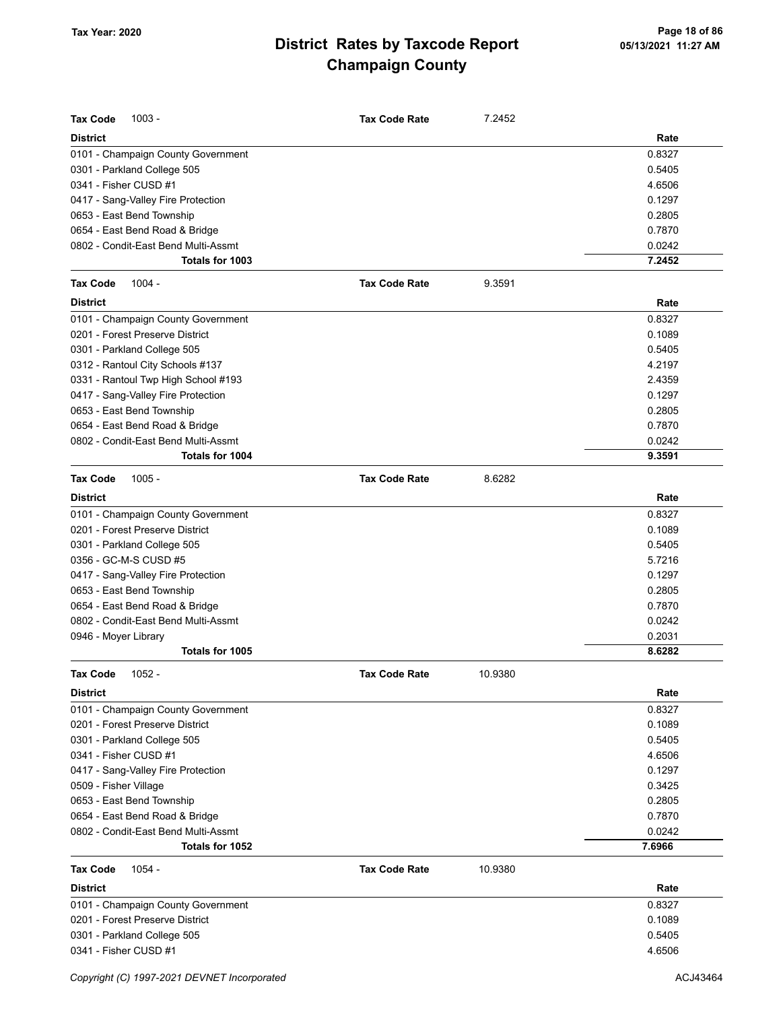| <b>Tax Code</b><br>$1003 -$         | <b>Tax Code Rate</b> | 7.2452  |        |
|-------------------------------------|----------------------|---------|--------|
| <b>District</b>                     |                      |         | Rate   |
| 0101 - Champaign County Government  |                      |         | 0.8327 |
| 0301 - Parkland College 505         |                      |         | 0.5405 |
| 0341 - Fisher CUSD #1               |                      |         | 4.6506 |
| 0417 - Sang-Valley Fire Protection  |                      |         | 0.1297 |
| 0653 - East Bend Township           |                      |         | 0.2805 |
| 0654 - East Bend Road & Bridge      |                      |         | 0.7870 |
| 0802 - Condit-East Bend Multi-Assmt |                      |         | 0.0242 |
| Totals for 1003                     |                      |         | 7.2452 |
| $1004 -$<br><b>Tax Code</b>         | <b>Tax Code Rate</b> | 9.3591  |        |
| <b>District</b>                     |                      |         | Rate   |
| 0101 - Champaign County Government  |                      |         | 0.8327 |
| 0201 - Forest Preserve District     |                      |         | 0.1089 |
| 0301 - Parkland College 505         |                      |         | 0.5405 |
| 0312 - Rantoul City Schools #137    |                      |         | 4.2197 |
| 0331 - Rantoul Twp High School #193 |                      |         | 2.4359 |
| 0417 - Sang-Valley Fire Protection  |                      |         | 0.1297 |
| 0653 - East Bend Township           |                      |         | 0.2805 |
| 0654 - East Bend Road & Bridge      |                      |         | 0.7870 |
| 0802 - Condit-East Bend Multi-Assmt |                      |         | 0.0242 |
| Totals for 1004                     |                      |         | 9.3591 |
| <b>Tax Code</b><br>$1005 -$         | <b>Tax Code Rate</b> | 8.6282  |        |
| <b>District</b>                     |                      |         | Rate   |
| 0101 - Champaign County Government  |                      |         | 0.8327 |
| 0201 - Forest Preserve District     |                      |         | 0.1089 |
| 0301 - Parkland College 505         |                      |         | 0.5405 |
| 0356 - GC-M-S CUSD #5               |                      |         | 5.7216 |
| 0417 - Sang-Valley Fire Protection  |                      |         | 0.1297 |
| 0653 - East Bend Township           |                      |         | 0.2805 |
| 0654 - East Bend Road & Bridge      |                      |         | 0.7870 |
| 0802 - Condit-East Bend Multi-Assmt |                      |         | 0.0242 |
| 0946 - Moyer Library                |                      |         | 0.2031 |
| Totals for 1005                     |                      |         | 8.6282 |
| 1052 -<br>Tax Code                  | <b>Tax Code Rate</b> | 10.9380 |        |
| District                            |                      |         | Rate   |
| 0101 - Champaign County Government  |                      |         | 0.8327 |
| 0201 - Forest Preserve District     |                      |         | 0.1089 |
| 0301 - Parkland College 505         |                      |         | 0.5405 |
| 0341 - Fisher CUSD #1               |                      |         | 4.6506 |
| 0417 - Sang-Valley Fire Protection  |                      |         | 0.1297 |
| 0509 - Fisher Village               |                      |         | 0.3425 |
| 0653 - East Bend Township           |                      |         | 0.2805 |
| 0654 - East Bend Road & Bridge      |                      |         | 0.7870 |
| 0802 - Condit-East Bend Multi-Assmt |                      |         | 0.0242 |
| Totals for 1052                     |                      |         | 7.6966 |
| 1054 -<br><b>Tax Code</b>           | <b>Tax Code Rate</b> | 10.9380 |        |
| <b>District</b>                     |                      |         | Rate   |
| 0101 - Champaign County Government  |                      |         | 0.8327 |
| 0201 - Forest Preserve District     |                      |         | 0.1089 |
| 0301 - Parkland College 505         |                      |         | 0.5405 |
| 0341 - Fisher CUSD #1               |                      |         | 4.6506 |
|                                     |                      |         |        |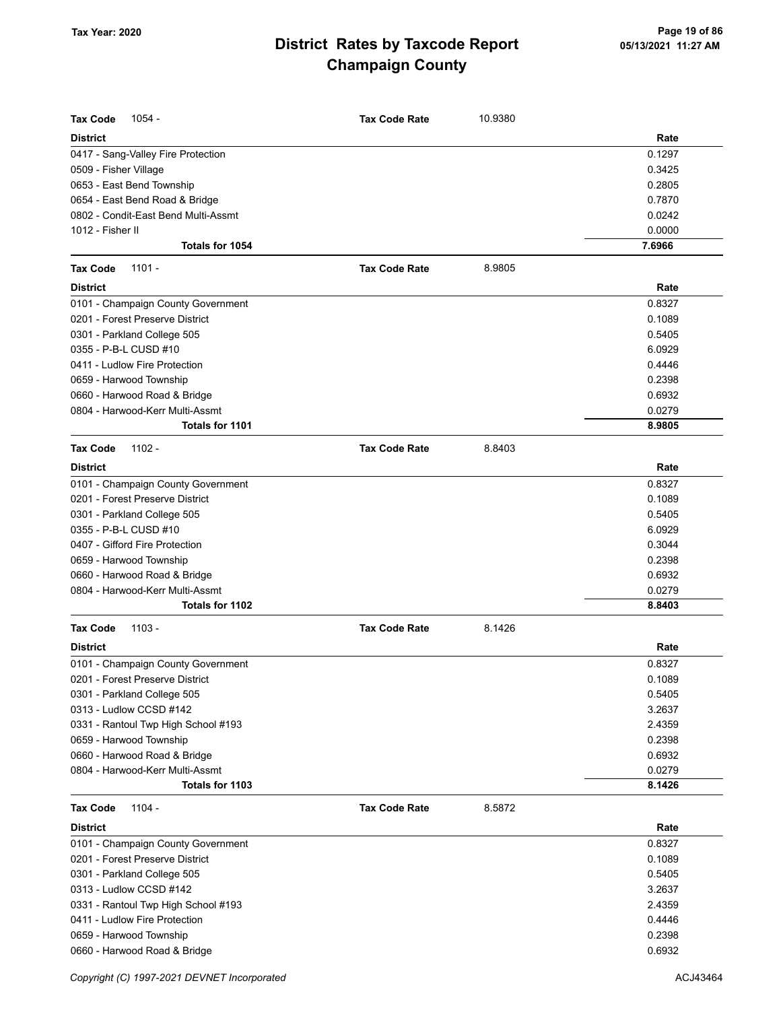| <b>Tax Code</b><br>1054 -           | <b>Tax Code Rate</b> | 10.9380 |        |
|-------------------------------------|----------------------|---------|--------|
| <b>District</b>                     |                      |         | Rate   |
| 0417 - Sang-Valley Fire Protection  |                      |         | 0.1297 |
| 0509 - Fisher Village               |                      |         | 0.3425 |
| 0653 - East Bend Township           |                      |         | 0.2805 |
| 0654 - East Bend Road & Bridge      |                      |         | 0.7870 |
| 0802 - Condit-East Bend Multi-Assmt |                      |         | 0.0242 |
| 1012 - Fisher II                    |                      |         | 0.0000 |
| Totals for 1054                     |                      |         | 7.6966 |
| <b>Tax Code</b><br>$1101 -$         | <b>Tax Code Rate</b> | 8.9805  |        |
| <b>District</b>                     |                      |         | Rate   |
| 0101 - Champaign County Government  |                      |         | 0.8327 |
| 0201 - Forest Preserve District     |                      |         | 0.1089 |
| 0301 - Parkland College 505         |                      |         | 0.5405 |
| 0355 - P-B-L CUSD #10               |                      |         | 6.0929 |
| 0411 - Ludlow Fire Protection       |                      |         | 0.4446 |
| 0659 - Harwood Township             |                      |         | 0.2398 |
| 0660 - Harwood Road & Bridge        |                      |         | 0.6932 |
| 0804 - Harwood-Kerr Multi-Assmt     |                      |         | 0.0279 |
| Totals for 1101                     |                      |         | 8.9805 |
| <b>Tax Code</b><br>$1102 -$         | <b>Tax Code Rate</b> | 8.8403  |        |
| <b>District</b>                     |                      |         | Rate   |
| 0101 - Champaign County Government  |                      |         | 0.8327 |
| 0201 - Forest Preserve District     |                      |         | 0.1089 |
| 0301 - Parkland College 505         |                      |         | 0.5405 |
| 0355 - P-B-L CUSD #10               |                      |         | 6.0929 |
| 0407 - Gifford Fire Protection      |                      |         | 0.3044 |
| 0659 - Harwood Township             |                      |         | 0.2398 |
| 0660 - Harwood Road & Bridge        |                      |         | 0.6932 |
| 0804 - Harwood-Kerr Multi-Assmt     |                      |         | 0.0279 |
| Totals for 1102                     |                      |         | 8.8403 |
| $1103 -$<br><b>Tax Code</b>         | <b>Tax Code Rate</b> | 8.1426  |        |
| <b>District</b>                     |                      |         | Rate   |
| 0101 - Champaign County Government  |                      |         | 0.8327 |
| 0201 - Forest Preserve District     |                      |         | 0.1089 |
| 0301 - Parkland College 505         |                      |         | 0.5405 |
| 0313 - Ludlow CCSD #142             |                      |         | 3.2637 |
| 0331 - Rantoul Twp High School #193 |                      |         | 2.4359 |
| 0659 - Harwood Township             |                      |         | 0.2398 |
| 0660 - Harwood Road & Bridge        |                      |         | 0.6932 |
| 0804 - Harwood-Kerr Multi-Assmt     |                      |         | 0.0279 |
| Totals for 1103                     |                      |         | 8.1426 |
| <b>Tax Code</b><br>1104 -           | <b>Tax Code Rate</b> | 8.5872  |        |
| <b>District</b>                     |                      |         | Rate   |
| 0101 - Champaign County Government  |                      |         | 0.8327 |
| 0201 - Forest Preserve District     |                      |         | 0.1089 |
| 0301 - Parkland College 505         |                      |         | 0.5405 |
| 0313 - Ludlow CCSD #142             |                      |         | 3.2637 |
| 0331 - Rantoul Twp High School #193 |                      |         | 2.4359 |
| 0411 - Ludlow Fire Protection       |                      |         | 0.4446 |
| 0659 - Harwood Township             |                      |         | 0.2398 |
| 0660 - Harwood Road & Bridge        |                      |         | 0.6932 |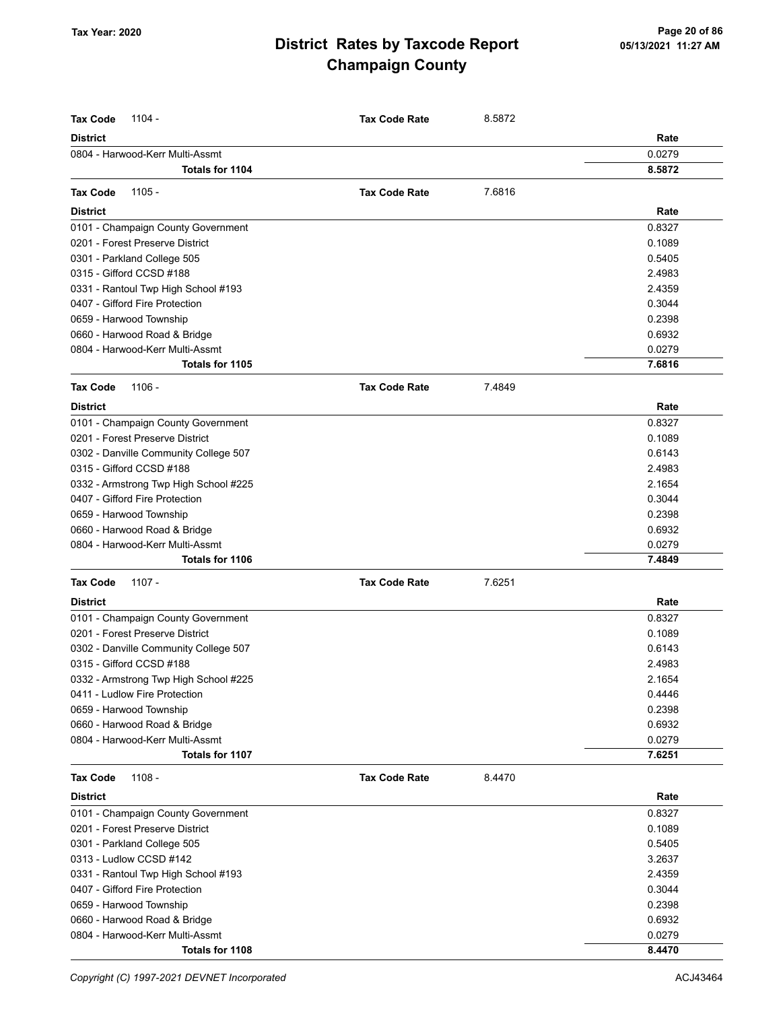| <b>Tax Code</b><br>1104 -             | <b>Tax Code Rate</b> | 8.5872 |        |
|---------------------------------------|----------------------|--------|--------|
| <b>District</b>                       |                      |        | Rate   |
| 0804 - Harwood-Kerr Multi-Assmt       |                      |        | 0.0279 |
| <b>Totals for 1104</b>                |                      |        | 8.5872 |
| $1105 -$<br><b>Tax Code</b>           | <b>Tax Code Rate</b> | 7.6816 |        |
| <b>District</b>                       |                      |        | Rate   |
| 0101 - Champaign County Government    |                      |        | 0.8327 |
| 0201 - Forest Preserve District       |                      |        | 0.1089 |
| 0301 - Parkland College 505           |                      |        | 0.5405 |
| 0315 - Gifford CCSD #188              |                      |        | 2.4983 |
| 0331 - Rantoul Twp High School #193   |                      |        | 2.4359 |
| 0407 - Gifford Fire Protection        |                      |        | 0.3044 |
| 0659 - Harwood Township               |                      |        | 0.2398 |
| 0660 - Harwood Road & Bridge          |                      |        | 0.6932 |
| 0804 - Harwood-Kerr Multi-Assmt       |                      |        | 0.0279 |
| Totals for 1105                       |                      |        | 7.6816 |
| <b>Tax Code</b><br>$1106 -$           | <b>Tax Code Rate</b> | 7.4849 |        |
| <b>District</b>                       |                      |        | Rate   |
| 0101 - Champaign County Government    |                      |        | 0.8327 |
| 0201 - Forest Preserve District       |                      |        | 0.1089 |
| 0302 - Danville Community College 507 |                      |        | 0.6143 |
| 0315 - Gifford CCSD #188              |                      |        | 2.4983 |
| 0332 - Armstrong Twp High School #225 |                      |        | 2.1654 |
| 0407 - Gifford Fire Protection        |                      |        | 0.3044 |
| 0659 - Harwood Township               |                      |        | 0.2398 |
| 0660 - Harwood Road & Bridge          |                      |        | 0.6932 |
| 0804 - Harwood-Kerr Multi-Assmt       |                      |        | 0.0279 |
| Totals for 1106                       |                      |        | 7.4849 |
| <b>Tax Code</b><br>1107 -             | <b>Tax Code Rate</b> | 7.6251 |        |
| <b>District</b>                       |                      |        | Rate   |
| 0101 - Champaign County Government    |                      |        | 0.8327 |
| 0201 - Forest Preserve District       |                      |        | 0.1089 |
| 0302 - Danville Community College 507 |                      |        | 0.6143 |
| 0315 - Gifford CCSD #188              |                      |        | 2.4983 |
| 0332 - Armstrong Twp High School #225 |                      |        | 2.1654 |
| 0411 - Ludlow Fire Protection         |                      |        | 0.4446 |
| 0659 - Harwood Township               |                      |        | 0.2398 |
| 0660 - Harwood Road & Bridge          |                      |        | 0.6932 |
| 0804 - Harwood-Kerr Multi-Assmt       |                      |        | 0.0279 |
| Totals for 1107                       |                      |        | 7.6251 |
| <b>Tax Code</b><br>$1108 -$           | <b>Tax Code Rate</b> | 8.4470 |        |
| <b>District</b>                       |                      |        | Rate   |
| 0101 - Champaign County Government    |                      |        | 0.8327 |
| 0201 - Forest Preserve District       |                      |        | 0.1089 |
| 0301 - Parkland College 505           |                      |        | 0.5405 |
| 0313 - Ludlow CCSD #142               |                      |        | 3.2637 |
| 0331 - Rantoul Twp High School #193   |                      |        | 2.4359 |
| 0407 - Gifford Fire Protection        |                      |        | 0.3044 |
| 0659 - Harwood Township               |                      |        | 0.2398 |
| 0660 - Harwood Road & Bridge          |                      |        | 0.6932 |
| 0804 - Harwood-Kerr Multi-Assmt       |                      |        | 0.0279 |
| Totals for 1108                       |                      |        | 8.4470 |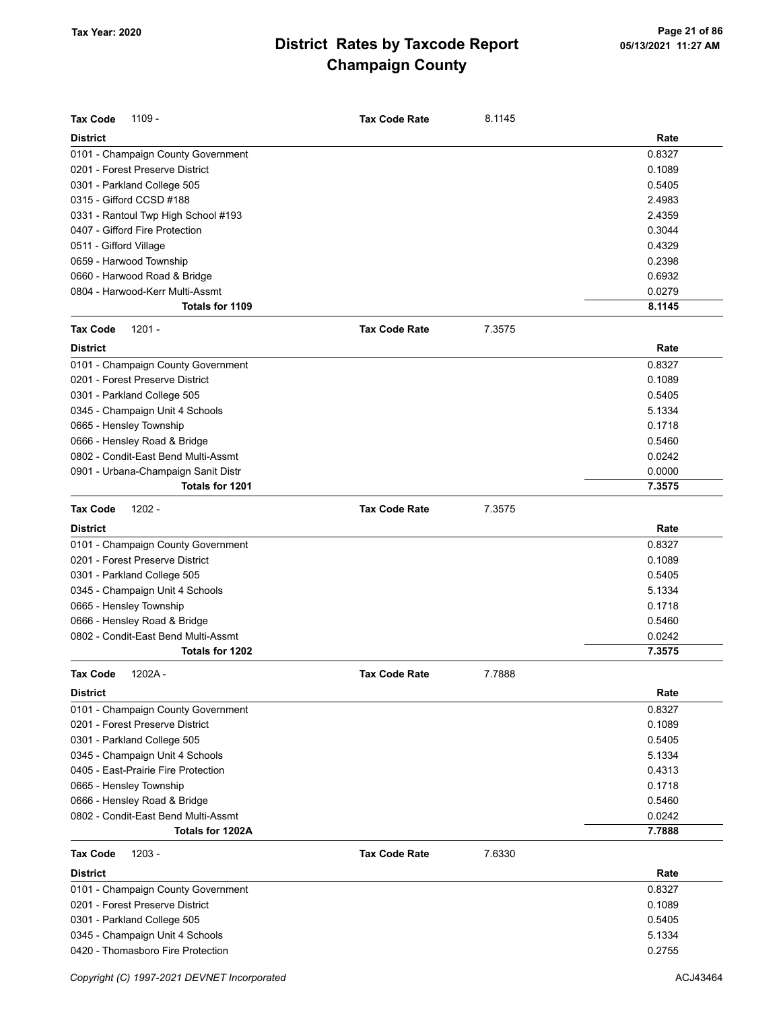| <b>Tax Code</b><br>1109 -           | <b>Tax Code Rate</b> | 8.1145 |        |
|-------------------------------------|----------------------|--------|--------|
|                                     |                      |        |        |
| <b>District</b>                     |                      |        | Rate   |
| 0101 - Champaign County Government  |                      |        | 0.8327 |
| 0201 - Forest Preserve District     |                      |        | 0.1089 |
| 0301 - Parkland College 505         |                      |        | 0.5405 |
| 0315 - Gifford CCSD #188            |                      |        | 2.4983 |
| 0331 - Rantoul Twp High School #193 |                      |        | 2.4359 |
| 0407 - Gifford Fire Protection      |                      |        | 0.3044 |
| 0511 - Gifford Village              |                      |        | 0.4329 |
| 0659 - Harwood Township             |                      |        | 0.2398 |
| 0660 - Harwood Road & Bridge        |                      |        | 0.6932 |
| 0804 - Harwood-Kerr Multi-Assmt     |                      |        | 0.0279 |
| Totals for 1109                     |                      |        | 8.1145 |
| <b>Tax Code</b><br>$1201 -$         | <b>Tax Code Rate</b> | 7.3575 |        |
| <b>District</b>                     |                      |        | Rate   |
| 0101 - Champaign County Government  |                      |        | 0.8327 |
| 0201 - Forest Preserve District     |                      |        | 0.1089 |
| 0301 - Parkland College 505         |                      |        | 0.5405 |
| 0345 - Champaign Unit 4 Schools     |                      |        | 5.1334 |
| 0665 - Hensley Township             |                      |        | 0.1718 |
| 0666 - Hensley Road & Bridge        |                      |        | 0.5460 |
| 0802 - Condit-East Bend Multi-Assmt |                      |        | 0.0242 |
| 0901 - Urbana-Champaign Sanit Distr |                      |        | 0.0000 |
| Totals for 1201                     |                      |        | 7.3575 |
| $1202 -$<br><b>Tax Code</b>         | <b>Tax Code Rate</b> | 7.3575 |        |
| <b>District</b>                     |                      |        | Rate   |
| 0101 - Champaign County Government  |                      |        | 0.8327 |
| 0201 - Forest Preserve District     |                      |        | 0.1089 |
| 0301 - Parkland College 505         |                      |        | 0.5405 |
| 0345 - Champaign Unit 4 Schools     |                      |        | 5.1334 |
| 0665 - Hensley Township             |                      |        | 0.1718 |
| 0666 - Hensley Road & Bridge        |                      |        | 0.5460 |
| 0802 - Condit-East Bend Multi-Assmt |                      |        | 0.0242 |
| Totals for 1202                     |                      |        | 7.3575 |
|                                     |                      |        |        |
| 1202A<br>Tax Code                   | <b>Tax Code Rate</b> | 7.7888 |        |
| <b>District</b>                     |                      |        | Rate   |
| 0101 - Champaign County Government  |                      |        | 0.8327 |
| 0201 - Forest Preserve District     |                      |        | 0.1089 |
| 0301 - Parkland College 505         |                      |        | 0.5405 |
| 0345 - Champaign Unit 4 Schools     |                      |        | 5.1334 |
| 0405 - East-Prairie Fire Protection |                      |        | 0.4313 |
| 0665 - Hensley Township             |                      |        | 0.1718 |
| 0666 - Hensley Road & Bridge        |                      |        | 0.5460 |
| 0802 - Condit-East Bend Multi-Assmt |                      |        | 0.0242 |
| Totals for 1202A                    |                      |        | 7.7888 |
| <b>Tax Code</b><br>$1203 -$         | <b>Tax Code Rate</b> | 7.6330 |        |
| <b>District</b>                     |                      |        | Rate   |
| 0101 - Champaign County Government  |                      |        | 0.8327 |
| 0201 - Forest Preserve District     |                      |        | 0.1089 |
| 0301 - Parkland College 505         |                      |        | 0.5405 |
| 0345 - Champaign Unit 4 Schools     |                      |        | 5.1334 |
| 0420 - Thomasboro Fire Protection   |                      |        | 0.2755 |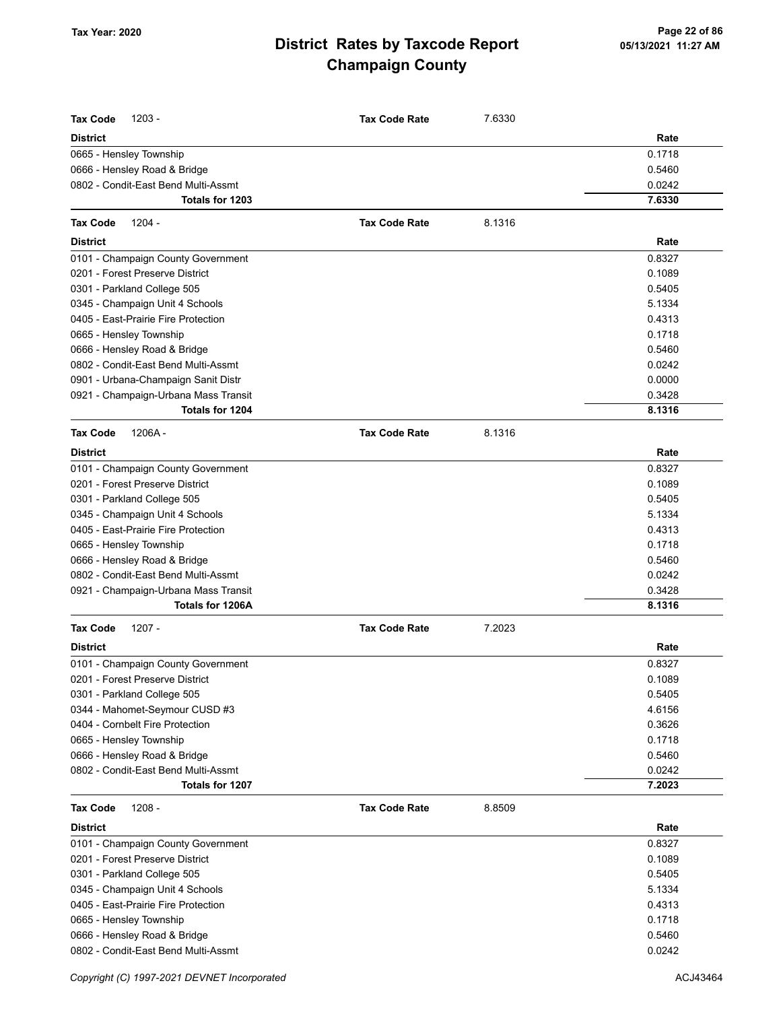| <b>Tax Code</b><br>$1203 -$<br><b>District</b>                        | <b>Tax Code Rate</b> | 7.6330 | Rate   |
|-----------------------------------------------------------------------|----------------------|--------|--------|
|                                                                       |                      |        | 0.1718 |
| 0665 - Hensley Township                                               |                      |        | 0.5460 |
| 0666 - Hensley Road & Bridge<br>0802 - Condit-East Bend Multi-Assmt   |                      |        | 0.0242 |
| Totals for 1203                                                       |                      |        | 7.6330 |
| <b>Tax Code</b><br>$1204 -$                                           | <b>Tax Code Rate</b> | 8.1316 |        |
| <b>District</b>                                                       |                      |        | Rate   |
|                                                                       |                      |        | 0.8327 |
| 0101 - Champaign County Government<br>0201 - Forest Preserve District |                      |        | 0.1089 |
| 0301 - Parkland College 505                                           |                      |        | 0.5405 |
| 0345 - Champaign Unit 4 Schools                                       |                      |        | 5.1334 |
| 0405 - East-Prairie Fire Protection                                   |                      |        | 0.4313 |
| 0665 - Hensley Township                                               |                      |        | 0.1718 |
| 0666 - Hensley Road & Bridge                                          |                      |        | 0.5460 |
| 0802 - Condit-East Bend Multi-Assmt                                   |                      |        | 0.0242 |
| 0901 - Urbana-Champaign Sanit Distr                                   |                      |        | 0.0000 |
| 0921 - Champaign-Urbana Mass Transit                                  |                      |        | 0.3428 |
| Totals for 1204                                                       |                      |        | 8.1316 |
| <b>Tax Code</b><br>1206A-                                             | <b>Tax Code Rate</b> | 8.1316 |        |
| <b>District</b>                                                       |                      |        | Rate   |
| 0101 - Champaign County Government                                    |                      |        | 0.8327 |
| 0201 - Forest Preserve District                                       |                      |        | 0.1089 |
| 0301 - Parkland College 505                                           |                      |        | 0.5405 |
| 0345 - Champaign Unit 4 Schools                                       |                      |        | 5.1334 |
| 0405 - East-Prairie Fire Protection                                   |                      |        | 0.4313 |
| 0665 - Hensley Township                                               |                      |        | 0.1718 |
| 0666 - Hensley Road & Bridge                                          |                      |        | 0.5460 |
| 0802 - Condit-East Bend Multi-Assmt                                   |                      |        | 0.0242 |
| 0921 - Champaign-Urbana Mass Transit                                  |                      |        | 0.3428 |
| Totals for 1206A                                                      |                      |        | 8.1316 |
| $1207 -$<br><b>Tax Code</b>                                           | <b>Tax Code Rate</b> | 7.2023 |        |
| <b>District</b>                                                       |                      |        | Rate   |
| 0101 - Champaign County Government                                    |                      |        | 0.8327 |
| 0201 - Forest Preserve District                                       |                      |        | 0.1089 |
| 0301 - Parkland College 505                                           |                      |        | 0.5405 |
| 0344 - Mahomet-Seymour CUSD #3                                        |                      |        | 4.6156 |
| 0404 - Cornbelt Fire Protection                                       |                      |        | 0.3626 |
| 0665 - Hensley Township                                               |                      |        | 0.1718 |
| 0666 - Hensley Road & Bridge                                          |                      |        | 0.5460 |
| 0802 - Condit-East Bend Multi-Assmt                                   |                      |        | 0.0242 |
| Totals for 1207                                                       |                      |        | 7.2023 |
| <b>Tax Code</b><br>$1208 -$                                           | <b>Tax Code Rate</b> | 8.8509 |        |
| <b>District</b>                                                       |                      |        | Rate   |
| 0101 - Champaign County Government                                    |                      |        | 0.8327 |
| 0201 - Forest Preserve District                                       |                      |        | 0.1089 |
| 0301 - Parkland College 505                                           |                      |        | 0.5405 |
| 0345 - Champaign Unit 4 Schools                                       |                      |        | 5.1334 |
| 0405 - East-Prairie Fire Protection                                   |                      |        | 0.4313 |
| 0665 - Hensley Township                                               |                      |        | 0.1718 |
| 0666 - Hensley Road & Bridge                                          |                      |        | 0.5460 |
| 0802 - Condit-East Bend Multi-Assmt                                   |                      |        | 0.0242 |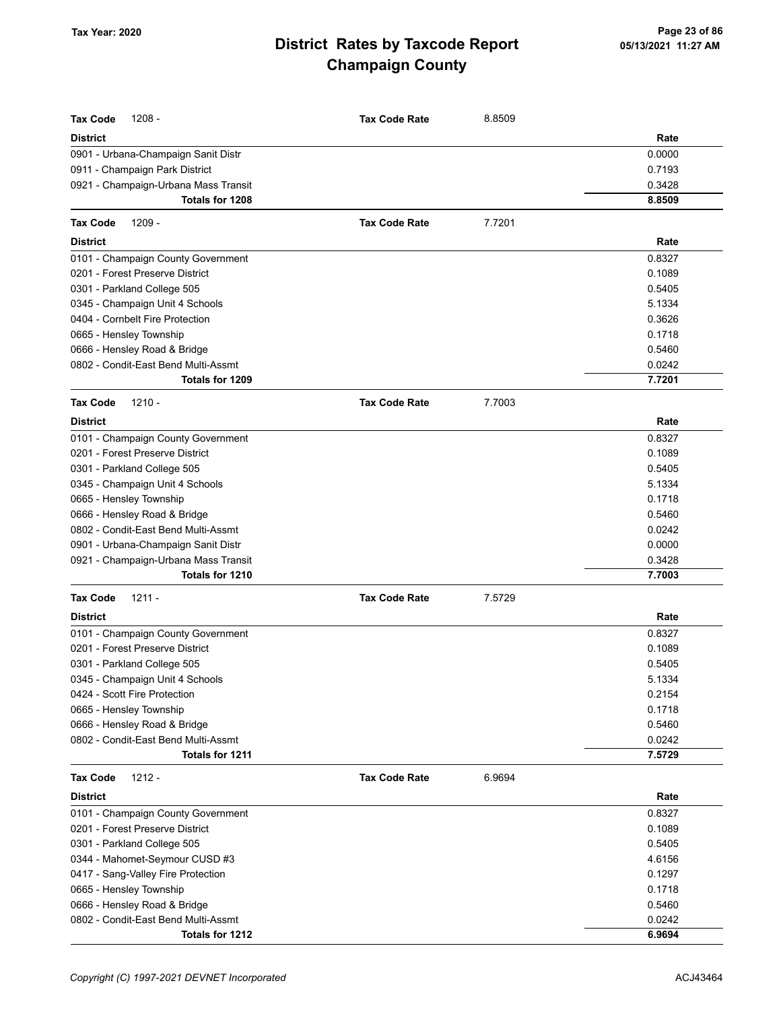| Tax Code<br>$1208 -$                 | <b>Tax Code Rate</b> | 8.8509 |        |
|--------------------------------------|----------------------|--------|--------|
| District                             |                      |        | Rate   |
| 0901 - Urbana-Champaign Sanit Distr  |                      |        | 0.0000 |
| 0911 - Champaign Park District       |                      |        | 0.7193 |
| 0921 - Champaign-Urbana Mass Transit |                      |        | 0.3428 |
| Totals for 1208                      |                      |        | 8.8509 |
| Tax Code<br>1209 -                   | <b>Tax Code Rate</b> | 7.7201 |        |
| <b>District</b>                      |                      |        | Rate   |
| 0101 - Champaign County Government   |                      |        | 0.8327 |
| 0201 - Forest Preserve District      |                      |        | 0.1089 |
| 0301 - Parkland College 505          |                      |        | 0.5405 |
| 0345 - Champaign Unit 4 Schools      |                      |        | 5.1334 |
| 0404 - Cornbelt Fire Protection      |                      |        | 0.3626 |
| 0665 - Hensley Township              |                      |        | 0.1718 |
| 0666 - Hensley Road & Bridge         |                      |        | 0.5460 |
| 0802 - Condit-East Bend Multi-Assmt  |                      |        | 0.0242 |
| Totals for 1209                      |                      |        | 7.7201 |
| $1210 -$<br><b>Tax Code</b>          | <b>Tax Code Rate</b> | 7.7003 |        |
| <b>District</b>                      |                      |        | Rate   |
| 0101 - Champaign County Government   |                      |        | 0.8327 |
| 0201 - Forest Preserve District      |                      |        | 0.1089 |
| 0301 - Parkland College 505          |                      |        | 0.5405 |
| 0345 - Champaign Unit 4 Schools      |                      |        | 5.1334 |
| 0665 - Hensley Township              |                      |        | 0.1718 |
| 0666 - Hensley Road & Bridge         |                      |        | 0.5460 |
| 0802 - Condit-East Bend Multi-Assmt  |                      |        | 0.0242 |
| 0901 - Urbana-Champaign Sanit Distr  |                      |        | 0.0000 |
| 0921 - Champaign-Urbana Mass Transit |                      |        | 0.3428 |
| Totals for 1210                      |                      |        | 7.7003 |
| Tax Code<br>$1211 -$                 | <b>Tax Code Rate</b> | 7.5729 |        |
| <b>District</b>                      |                      |        | Rate   |
| 0101 - Champaign County Government   |                      |        | 0.8327 |
| 0201 - Forest Preserve District      |                      |        | 0.1089 |
| 0301 - Parkland College 505          |                      |        | 0.5405 |
| 0345 - Champaign Unit 4 Schools      |                      |        | 5.1334 |
| 0424 - Scott Fire Protection         |                      |        | 0.2154 |
| 0665 - Hensley Township              |                      |        | 0.1718 |
| 0666 - Hensley Road & Bridge         |                      |        | 0.5460 |
| 0802 - Condit-East Bend Multi-Assmt  |                      |        | 0.0242 |
| Totals for 1211                      |                      |        | 7.5729 |
| Tax Code<br>1212 -                   | <b>Tax Code Rate</b> | 6.9694 |        |
| <b>District</b>                      |                      |        | Rate   |
| 0101 - Champaign County Government   |                      |        | 0.8327 |
| 0201 - Forest Preserve District      |                      |        | 0.1089 |
| 0301 - Parkland College 505          |                      |        | 0.5405 |
| 0344 - Mahomet-Seymour CUSD #3       |                      |        | 4.6156 |
| 0417 - Sang-Valley Fire Protection   |                      |        | 0.1297 |
| 0665 - Hensley Township              |                      |        | 0.1718 |
| 0666 - Hensley Road & Bridge         |                      |        | 0.5460 |
| 0802 - Condit-East Bend Multi-Assmt  |                      |        | 0.0242 |
| Totals for 1212                      |                      |        | 6.9694 |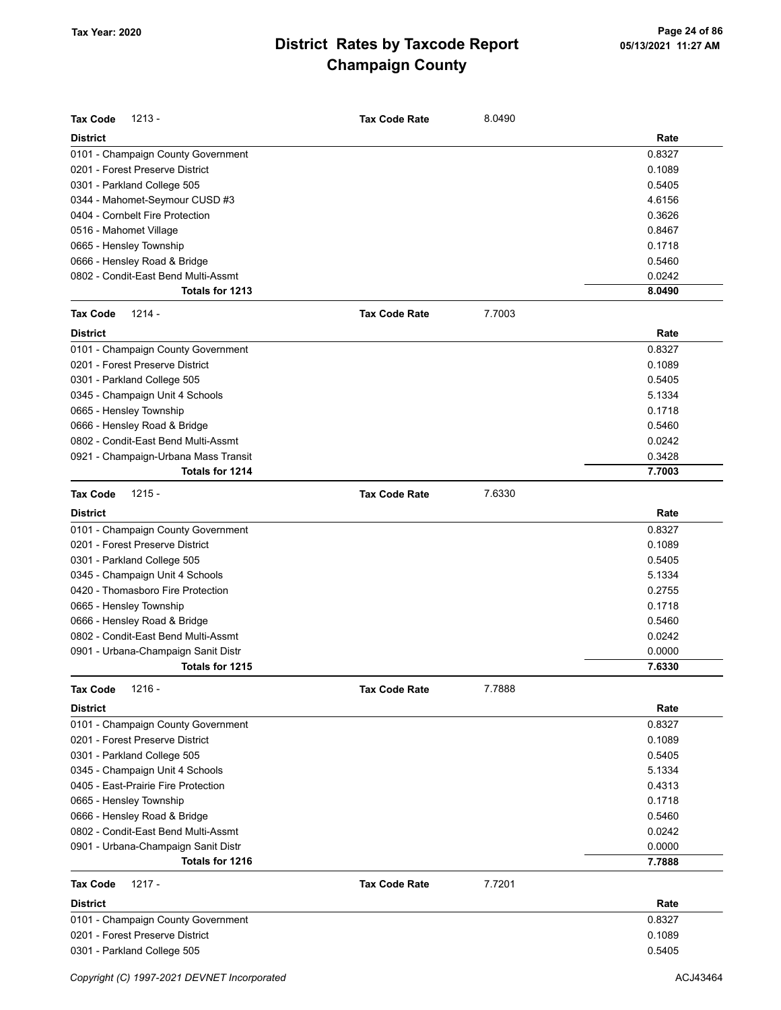| <b>Tax Code</b><br>$1213 -$          | <b>Tax Code Rate</b> | 8.0490 |        |
|--------------------------------------|----------------------|--------|--------|
| <b>District</b>                      |                      |        | Rate   |
| 0101 - Champaign County Government   |                      |        | 0.8327 |
| 0201 - Forest Preserve District      |                      |        | 0.1089 |
| 0301 - Parkland College 505          |                      |        | 0.5405 |
| 0344 - Mahomet-Seymour CUSD #3       |                      |        | 4.6156 |
| 0404 - Cornbelt Fire Protection      |                      |        | 0.3626 |
| 0516 - Mahomet Village               |                      |        | 0.8467 |
| 0665 - Hensley Township              |                      |        | 0.1718 |
| 0666 - Hensley Road & Bridge         |                      |        | 0.5460 |
| 0802 - Condit-East Bend Multi-Assmt  |                      |        | 0.0242 |
| Totals for 1213                      |                      |        | 8.0490 |
| <b>Tax Code</b><br>$1214 -$          | <b>Tax Code Rate</b> | 7.7003 |        |
| <b>District</b>                      |                      |        | Rate   |
| 0101 - Champaign County Government   |                      |        | 0.8327 |
| 0201 - Forest Preserve District      |                      |        | 0.1089 |
| 0301 - Parkland College 505          |                      |        | 0.5405 |
| 0345 - Champaign Unit 4 Schools      |                      |        | 5.1334 |
| 0665 - Hensley Township              |                      |        | 0.1718 |
| 0666 - Hensley Road & Bridge         |                      |        | 0.5460 |
| 0802 - Condit-East Bend Multi-Assmt  |                      |        | 0.0242 |
| 0921 - Champaign-Urbana Mass Transit |                      |        | 0.3428 |
| Totals for 1214                      |                      |        | 7.7003 |
| $1215 -$<br><b>Tax Code</b>          | <b>Tax Code Rate</b> | 7.6330 |        |
| <b>District</b>                      |                      |        | Rate   |
| 0101 - Champaign County Government   |                      |        | 0.8327 |
| 0201 - Forest Preserve District      |                      |        | 0.1089 |
| 0301 - Parkland College 505          |                      |        | 0.5405 |
| 0345 - Champaign Unit 4 Schools      |                      |        | 5.1334 |
| 0420 - Thomasboro Fire Protection    |                      |        | 0.2755 |
| 0665 - Hensley Township              |                      |        | 0.1718 |
| 0666 - Hensley Road & Bridge         |                      |        | 0.5460 |
| 0802 - Condit-East Bend Multi-Assmt  |                      |        | 0.0242 |
| 0901 - Urbana-Champaign Sanit Distr  |                      |        | 0.0000 |
| Totals for 1215                      |                      |        | 7.6330 |
| <b>Tax Code</b><br>$1216 -$          | <b>Tax Code Rate</b> | 7.7888 |        |
| <b>District</b>                      |                      |        | Rate   |
| 0101 - Champaign County Government   |                      |        | 0.8327 |
| 0201 - Forest Preserve District      |                      |        | 0.1089 |
| 0301 - Parkland College 505          |                      |        | 0.5405 |
| 0345 - Champaign Unit 4 Schools      |                      |        | 5.1334 |
| 0405 - East-Prairie Fire Protection  |                      |        | 0.4313 |
| 0665 - Hensley Township              |                      |        | 0.1718 |
| 0666 - Hensley Road & Bridge         |                      |        | 0.5460 |
| 0802 - Condit-East Bend Multi-Assmt  |                      |        | 0.0242 |
| 0901 - Urbana-Champaign Sanit Distr  |                      |        | 0.0000 |
| Totals for 1216                      |                      |        | 7.7888 |
| <b>Tax Code</b><br>$1217 -$          | <b>Tax Code Rate</b> | 7.7201 |        |
| <b>District</b>                      |                      |        | Rate   |
| 0101 - Champaign County Government   |                      |        | 0.8327 |
| 0201 - Forest Preserve District      |                      |        | 0.1089 |
| 0301 - Parkland College 505          |                      |        | 0.5405 |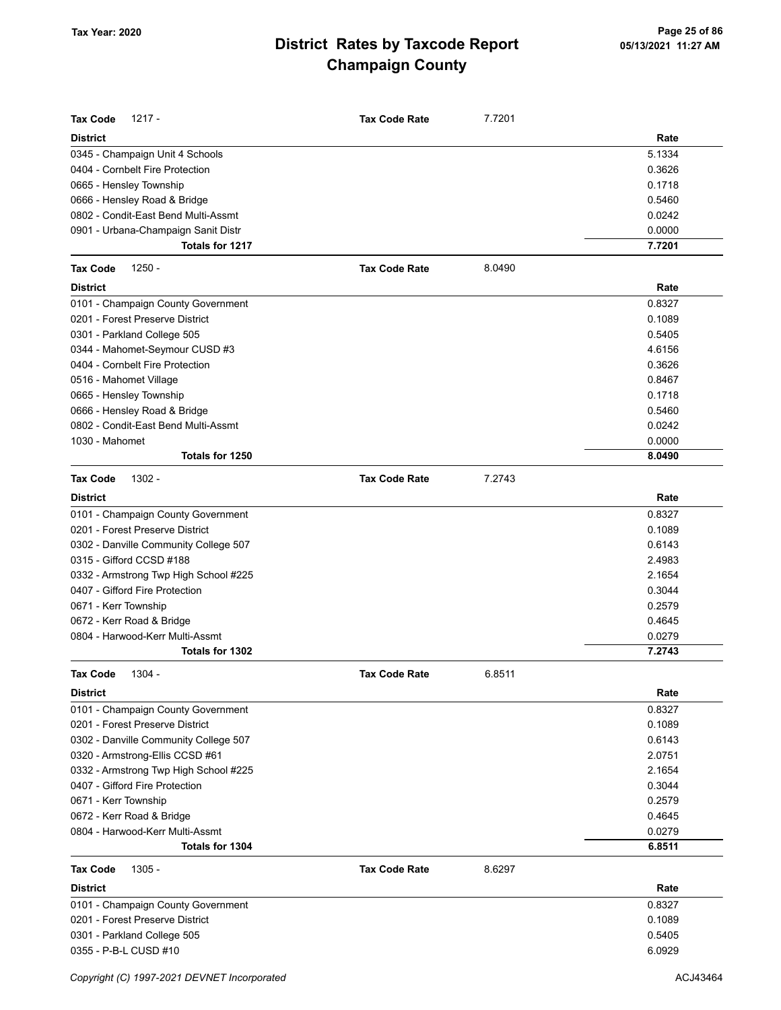| <b>Tax Code</b><br>1217 -             | <b>Tax Code Rate</b> | 7.7201 |        |
|---------------------------------------|----------------------|--------|--------|
| <b>District</b>                       |                      |        | Rate   |
| 0345 - Champaign Unit 4 Schools       |                      |        | 5.1334 |
| 0404 - Cornbelt Fire Protection       |                      |        | 0.3626 |
| 0665 - Hensley Township               |                      |        | 0.1718 |
| 0666 - Hensley Road & Bridge          |                      |        | 0.5460 |
| 0802 - Condit-East Bend Multi-Assmt   |                      |        | 0.0242 |
| 0901 - Urbana-Champaign Sanit Distr   |                      |        | 0.0000 |
| Totals for 1217                       |                      |        | 7.7201 |
| <b>Tax Code</b><br>$1250 -$           | <b>Tax Code Rate</b> | 8.0490 |        |
| <b>District</b>                       |                      |        | Rate   |
| 0101 - Champaign County Government    |                      |        | 0.8327 |
| 0201 - Forest Preserve District       |                      |        | 0.1089 |
| 0301 - Parkland College 505           |                      |        | 0.5405 |
| 0344 - Mahomet-Seymour CUSD #3        |                      |        | 4.6156 |
| 0404 - Cornbelt Fire Protection       |                      |        | 0.3626 |
| 0516 - Mahomet Village                |                      |        | 0.8467 |
| 0665 - Hensley Township               |                      |        | 0.1718 |
| 0666 - Hensley Road & Bridge          |                      |        | 0.5460 |
| 0802 - Condit-East Bend Multi-Assmt   |                      |        | 0.0242 |
| 1030 - Mahomet                        |                      |        | 0.0000 |
| Totals for 1250                       |                      |        | 8.0490 |
| <b>Tax Code</b><br>1302 -             | <b>Tax Code Rate</b> | 7.2743 |        |
| <b>District</b>                       |                      |        | Rate   |
| 0101 - Champaign County Government    |                      |        | 0.8327 |
| 0201 - Forest Preserve District       |                      |        | 0.1089 |
| 0302 - Danville Community College 507 |                      |        | 0.6143 |
| 0315 - Gifford CCSD #188              |                      |        | 2.4983 |
| 0332 - Armstrong Twp High School #225 |                      |        | 2.1654 |
| 0407 - Gifford Fire Protection        |                      |        | 0.3044 |
| 0671 - Kerr Township                  |                      |        | 0.2579 |
| 0672 - Kerr Road & Bridge             |                      |        | 0.4645 |
| 0804 - Harwood-Kerr Multi-Assmt       |                      |        | 0.0279 |
| Totals for 1302                       |                      |        | 7.2743 |
| Tax Code<br>1304 -                    | <b>Tax Code Rate</b> | 6.8511 |        |
| <b>District</b>                       |                      |        | Rate   |
| 0101 - Champaign County Government    |                      |        | 0.8327 |
| 0201 - Forest Preserve District       |                      |        | 0.1089 |
| 0302 - Danville Community College 507 |                      |        | 0.6143 |
| 0320 - Armstrong-Ellis CCSD #61       |                      |        | 2.0751 |
| 0332 - Armstrong Twp High School #225 |                      |        | 2.1654 |
| 0407 - Gifford Fire Protection        |                      |        | 0.3044 |
| 0671 - Kerr Township                  |                      |        | 0.2579 |
| 0672 - Kerr Road & Bridge             |                      |        | 0.4645 |
| 0804 - Harwood-Kerr Multi-Assmt       |                      |        | 0.0279 |
| Totals for 1304                       |                      |        | 6.8511 |
| <b>Tax Code</b><br>$1305 -$           | <b>Tax Code Rate</b> | 8.6297 |        |
| <b>District</b>                       |                      |        | Rate   |
| 0101 - Champaign County Government    |                      |        | 0.8327 |
| 0201 - Forest Preserve District       |                      |        | 0.1089 |
| 0301 - Parkland College 505           |                      |        | 0.5405 |
| 0355 - P-B-L CUSD #10                 |                      |        | 6.0929 |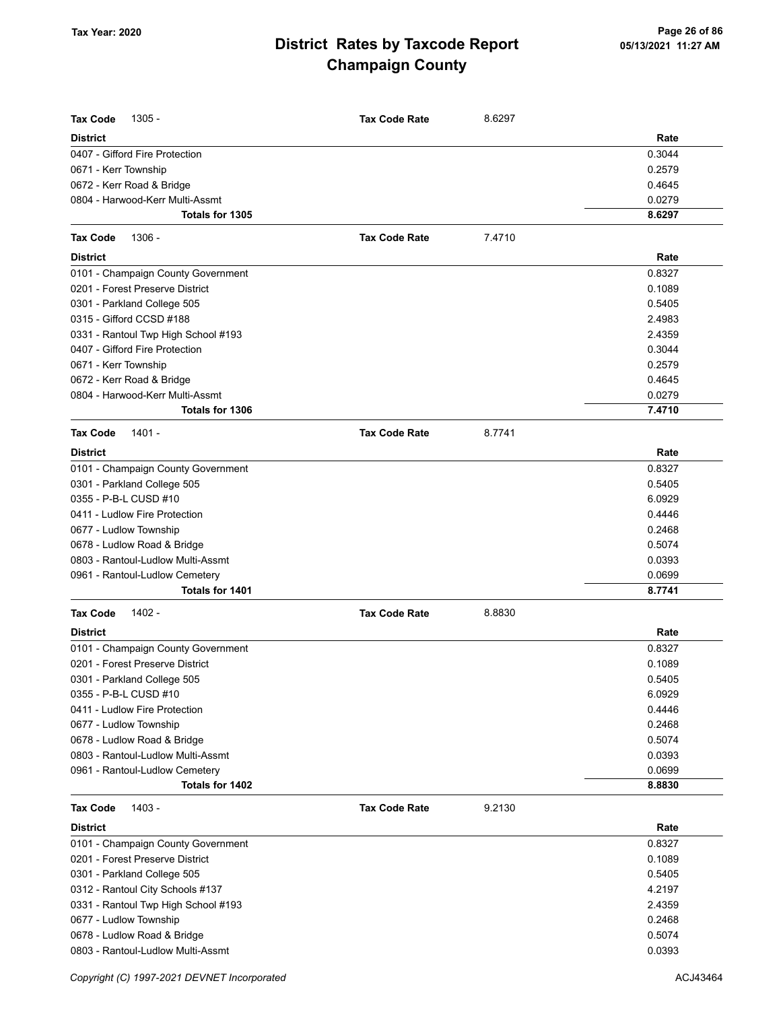| <b>Tax Code</b><br>$1305 -$         | <b>Tax Code Rate</b> | 8.6297 |        |
|-------------------------------------|----------------------|--------|--------|
| <b>District</b>                     |                      |        | Rate   |
| 0407 - Gifford Fire Protection      |                      |        | 0.3044 |
| 0671 - Kerr Township                |                      |        | 0.2579 |
| 0672 - Kerr Road & Bridge           |                      |        | 0.4645 |
| 0804 - Harwood-Kerr Multi-Assmt     |                      |        | 0.0279 |
| Totals for 1305                     |                      |        | 8.6297 |
| <b>Tax Code</b><br>1306 -           | <b>Tax Code Rate</b> | 7.4710 |        |
| <b>District</b>                     |                      |        | Rate   |
| 0101 - Champaign County Government  |                      |        | 0.8327 |
| 0201 - Forest Preserve District     |                      |        | 0.1089 |
| 0301 - Parkland College 505         |                      |        | 0.5405 |
| 0315 - Gifford CCSD #188            |                      |        | 2.4983 |
| 0331 - Rantoul Twp High School #193 |                      |        | 2.4359 |
| 0407 - Gifford Fire Protection      |                      |        | 0.3044 |
| 0671 - Kerr Township                |                      |        | 0.2579 |
| 0672 - Kerr Road & Bridge           |                      |        | 0.4645 |
| 0804 - Harwood-Kerr Multi-Assmt     |                      |        | 0.0279 |
| <b>Totals for 1306</b>              |                      |        | 7.4710 |
| <b>Tax Code</b><br>1401 -           | <b>Tax Code Rate</b> | 8.7741 |        |
| <b>District</b>                     |                      |        | Rate   |
| 0101 - Champaign County Government  |                      |        | 0.8327 |
| 0301 - Parkland College 505         |                      |        | 0.5405 |
| 0355 - P-B-L CUSD #10               |                      |        | 6.0929 |
| 0411 - Ludlow Fire Protection       |                      |        | 0.4446 |
| 0677 - Ludlow Township              |                      |        | 0.2468 |
| 0678 - Ludlow Road & Bridge         |                      |        | 0.5074 |
| 0803 - Rantoul-Ludlow Multi-Assmt   |                      |        | 0.0393 |
| 0961 - Rantoul-Ludlow Cemetery      |                      |        | 0.0699 |
| Totals for 1401                     |                      |        | 8.7741 |
| 1402 -<br><b>Tax Code</b>           | <b>Tax Code Rate</b> | 8.8830 |        |
| <b>District</b>                     |                      |        | Rate   |
| 0101 - Champaign County Government  |                      |        | 0.8327 |
| 0201 - Forest Preserve District     |                      |        | 0.1089 |
| 0301 - Parkland College 505         |                      |        | 0.5405 |
| 0355 - P-B-L CUSD #10               |                      |        | 6.0929 |
| 0411 - Ludlow Fire Protection       |                      |        | 0.4446 |
| 0677 - Ludlow Township              |                      |        | 0.2468 |
| 0678 - Ludlow Road & Bridge         |                      |        | 0.5074 |
| 0803 - Rantoul-Ludlow Multi-Assmt   |                      |        | 0.0393 |
| 0961 - Rantoul-Ludlow Cemetery      |                      |        | 0.0699 |
| Totals for 1402                     |                      |        | 8.8830 |
| <b>Tax Code</b><br>1403 -           | <b>Tax Code Rate</b> | 9.2130 |        |
| <b>District</b>                     |                      |        | Rate   |
| 0101 - Champaign County Government  |                      |        | 0.8327 |
| 0201 - Forest Preserve District     |                      |        | 0.1089 |
| 0301 - Parkland College 505         |                      |        | 0.5405 |
| 0312 - Rantoul City Schools #137    |                      |        | 4.2197 |
| 0331 - Rantoul Twp High School #193 |                      |        | 2.4359 |
| 0677 - Ludlow Township              |                      |        | 0.2468 |
| 0678 - Ludlow Road & Bridge         |                      |        | 0.5074 |
| 0803 - Rantoul-Ludlow Multi-Assmt   |                      |        | 0.0393 |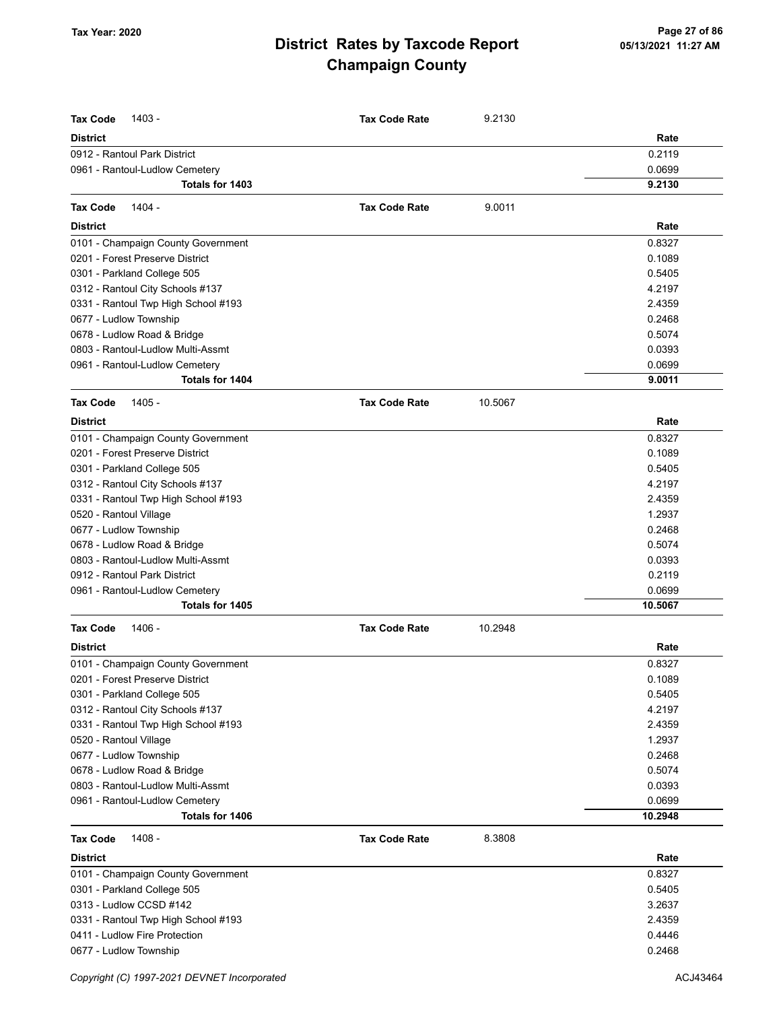| <b>Tax Code</b><br>1403 -                                            | <b>Tax Code Rate</b> | 9.2130  |                  |
|----------------------------------------------------------------------|----------------------|---------|------------------|
| <b>District</b>                                                      |                      |         | Rate             |
| 0912 - Rantoul Park District                                         |                      |         | 0.2119           |
| 0961 - Rantoul-Ludlow Cemetery                                       |                      |         | 0.0699           |
| Totals for 1403                                                      |                      |         | 9.2130           |
| 1404 -<br><b>Tax Code</b>                                            | <b>Tax Code Rate</b> | 9.0011  |                  |
|                                                                      |                      |         |                  |
| <b>District</b>                                                      |                      |         | Rate             |
| 0101 - Champaign County Government                                   |                      |         | 0.8327           |
| 0201 - Forest Preserve District                                      |                      |         | 0.1089           |
| 0301 - Parkland College 505                                          |                      |         | 0.5405           |
| 0312 - Rantoul City Schools #137                                     |                      |         | 4.2197<br>2.4359 |
| 0331 - Rantoul Twp High School #193                                  |                      |         | 0.2468           |
| 0677 - Ludlow Township<br>0678 - Ludlow Road & Bridge                |                      |         | 0.5074           |
| 0803 - Rantoul-Ludlow Multi-Assmt                                    |                      |         | 0.0393           |
| 0961 - Rantoul-Ludlow Cemetery                                       |                      |         | 0.0699           |
| Totals for 1404                                                      |                      |         | 9.0011           |
| 1405 -<br><b>Tax Code</b>                                            | <b>Tax Code Rate</b> | 10.5067 |                  |
| <b>District</b>                                                      |                      |         | Rate             |
| 0101 - Champaign County Government                                   |                      |         | 0.8327           |
| 0201 - Forest Preserve District                                      |                      |         | 0.1089           |
| 0301 - Parkland College 505                                          |                      |         | 0.5405           |
| 0312 - Rantoul City Schools #137                                     |                      |         | 4.2197           |
| 0331 - Rantoul Twp High School #193                                  |                      |         | 2.4359           |
| 0520 - Rantoul Village                                               |                      |         | 1.2937           |
| 0677 - Ludlow Township                                               |                      |         | 0.2468           |
| 0678 - Ludlow Road & Bridge                                          |                      |         | 0.5074           |
| 0803 - Rantoul-Ludlow Multi-Assmt                                    |                      |         | 0.0393           |
| 0912 - Rantoul Park District                                         |                      |         | 0.2119           |
| 0961 - Rantoul-Ludlow Cemetery                                       |                      |         | 0.0699           |
| Totals for 1405                                                      |                      |         | 10.5067          |
| 1406 -<br><b>Tax Code</b>                                            | <b>Tax Code Rate</b> | 10.2948 |                  |
| <b>District</b>                                                      |                      |         | Rate             |
| 0101 - Champaign County Government                                   |                      |         | 0.8327           |
| 0201 - Forest Preserve District                                      |                      |         | 0.1089           |
| 0301 - Parkland College 505                                          |                      |         | 0.5405           |
| 0312 - Rantoul City Schools #137                                     |                      |         | 4.2197           |
| 0331 - Rantoul Twp High School #193                                  |                      |         | 2.4359           |
| 0520 - Rantoul Village                                               |                      |         | 1.2937           |
| 0677 - Ludlow Township                                               |                      |         | 0.2468           |
| 0678 - Ludlow Road & Bridge                                          |                      |         | 0.5074           |
| 0803 - Rantoul-Ludlow Multi-Assmt                                    |                      |         | 0.0393           |
| 0961 - Rantoul-Ludlow Cemetery                                       |                      |         | 0.0699           |
| Totals for 1406                                                      |                      |         | 10.2948          |
| 1408 -<br><b>Tax Code</b>                                            | <b>Tax Code Rate</b> | 8.3808  |                  |
| <b>District</b>                                                      |                      |         | Rate             |
| 0101 - Champaign County Government                                   |                      |         | 0.8327           |
| 0301 - Parkland College 505                                          |                      |         | 0.5405           |
| 0313 - Ludlow CCSD #142                                              |                      |         | 3.2637           |
| 0331 - Rantoul Twp High School #193<br>0411 - Ludlow Fire Protection |                      |         | 2.4359<br>0.4446 |
| 0677 - Ludlow Township                                               |                      |         | 0.2468           |
|                                                                      |                      |         |                  |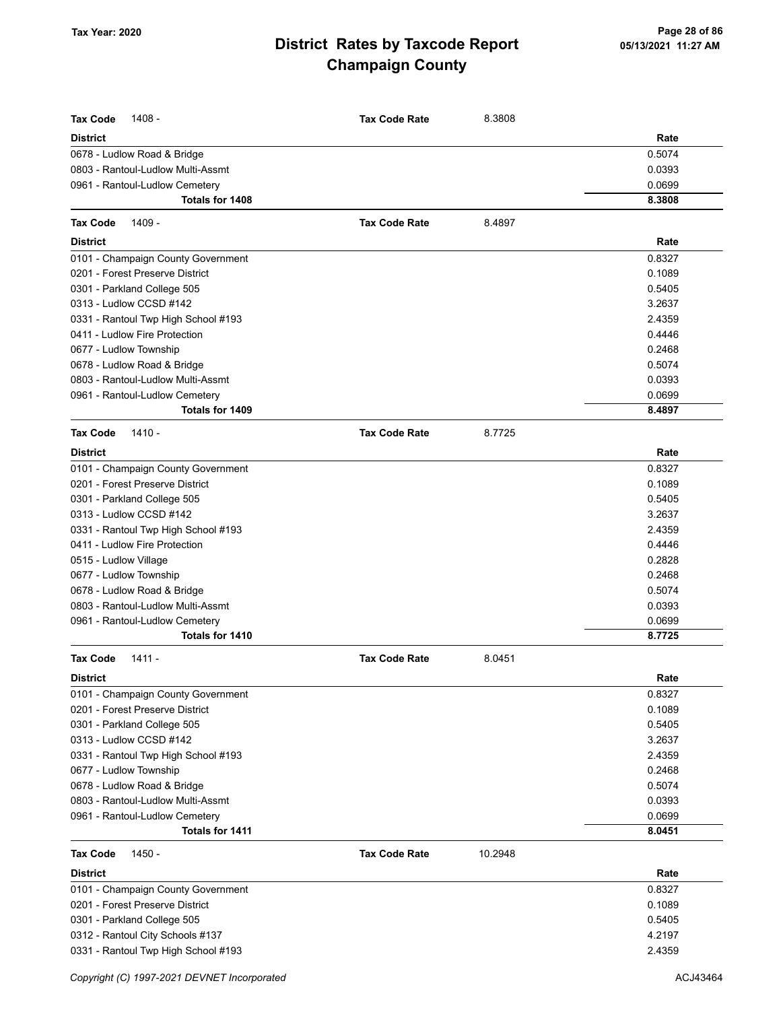| <b>Tax Code</b><br>1408 -<br><b>District</b>                     | <b>Tax Code Rate</b> | 8.3808  | Rate   |
|------------------------------------------------------------------|----------------------|---------|--------|
|                                                                  |                      |         | 0.5074 |
| 0678 - Ludlow Road & Bridge<br>0803 - Rantoul-Ludlow Multi-Assmt |                      |         | 0.0393 |
| 0961 - Rantoul-Ludlow Cemetery                                   |                      |         | 0.0699 |
| Totals for 1408                                                  |                      |         | 8.3808 |
|                                                                  |                      |         |        |
| <b>Tax Code</b><br>1409 -                                        | <b>Tax Code Rate</b> | 8.4897  |        |
| <b>District</b>                                                  |                      |         | Rate   |
| 0101 - Champaign County Government                               |                      |         | 0.8327 |
| 0201 - Forest Preserve District                                  |                      |         | 0.1089 |
| 0301 - Parkland College 505                                      |                      |         | 0.5405 |
| 0313 - Ludlow CCSD #142                                          |                      |         | 3.2637 |
| 0331 - Rantoul Twp High School #193                              |                      |         | 2.4359 |
| 0411 - Ludlow Fire Protection                                    |                      |         | 0.4446 |
| 0677 - Ludlow Township                                           |                      |         | 0.2468 |
| 0678 - Ludlow Road & Bridge                                      |                      |         | 0.5074 |
| 0803 - Rantoul-Ludlow Multi-Assmt                                |                      |         | 0.0393 |
| 0961 - Rantoul-Ludlow Cemetery                                   |                      |         | 0.0699 |
| Totals for 1409                                                  |                      |         | 8.4897 |
| <b>Tax Code</b><br>$1410 -$                                      | <b>Tax Code Rate</b> | 8.7725  |        |
| <b>District</b>                                                  |                      |         | Rate   |
| 0101 - Champaign County Government                               |                      |         | 0.8327 |
| 0201 - Forest Preserve District                                  |                      |         | 0.1089 |
| 0301 - Parkland College 505                                      |                      |         | 0.5405 |
| 0313 - Ludlow CCSD #142                                          |                      |         | 3.2637 |
| 0331 - Rantoul Twp High School #193                              |                      |         | 2.4359 |
| 0411 - Ludlow Fire Protection                                    |                      |         | 0.4446 |
| 0515 - Ludlow Village                                            |                      |         | 0.2828 |
| 0677 - Ludlow Township                                           |                      |         | 0.2468 |
| 0678 - Ludlow Road & Bridge                                      |                      |         | 0.5074 |
| 0803 - Rantoul-Ludlow Multi-Assmt                                |                      |         | 0.0393 |
| 0961 - Rantoul-Ludlow Cemetery                                   |                      |         | 0.0699 |
| Totals for 1410                                                  |                      |         | 8.7725 |
| <b>Tax Code</b><br>$1411 -$                                      | <b>Tax Code Rate</b> | 8.0451  |        |
| <b>District</b>                                                  |                      |         | Rate   |
| 0101 - Champaign County Government                               |                      |         | 0.8327 |
| 0201 - Forest Preserve District                                  |                      |         | 0.1089 |
| 0301 - Parkland College 505                                      |                      |         | 0.5405 |
| 0313 - Ludlow CCSD #142                                          |                      |         | 3.2637 |
| 0331 - Rantoul Twp High School #193                              |                      |         | 2.4359 |
| 0677 - Ludlow Township                                           |                      |         | 0.2468 |
| 0678 - Ludlow Road & Bridge                                      |                      |         | 0.5074 |
| 0803 - Rantoul-Ludlow Multi-Assmt                                |                      |         | 0.0393 |
| 0961 - Rantoul-Ludlow Cemetery                                   |                      |         | 0.0699 |
| Totals for 1411                                                  |                      |         | 8.0451 |
| <b>Tax Code</b><br>1450 -                                        | <b>Tax Code Rate</b> | 10.2948 |        |
| <b>District</b>                                                  |                      |         | Rate   |
| 0101 - Champaign County Government                               |                      |         | 0.8327 |
| 0201 - Forest Preserve District                                  |                      |         | 0.1089 |
| 0301 - Parkland College 505                                      |                      |         | 0.5405 |
| 0312 - Rantoul City Schools #137                                 |                      |         | 4.2197 |
| 0331 - Rantoul Twp High School #193                              |                      |         | 2.4359 |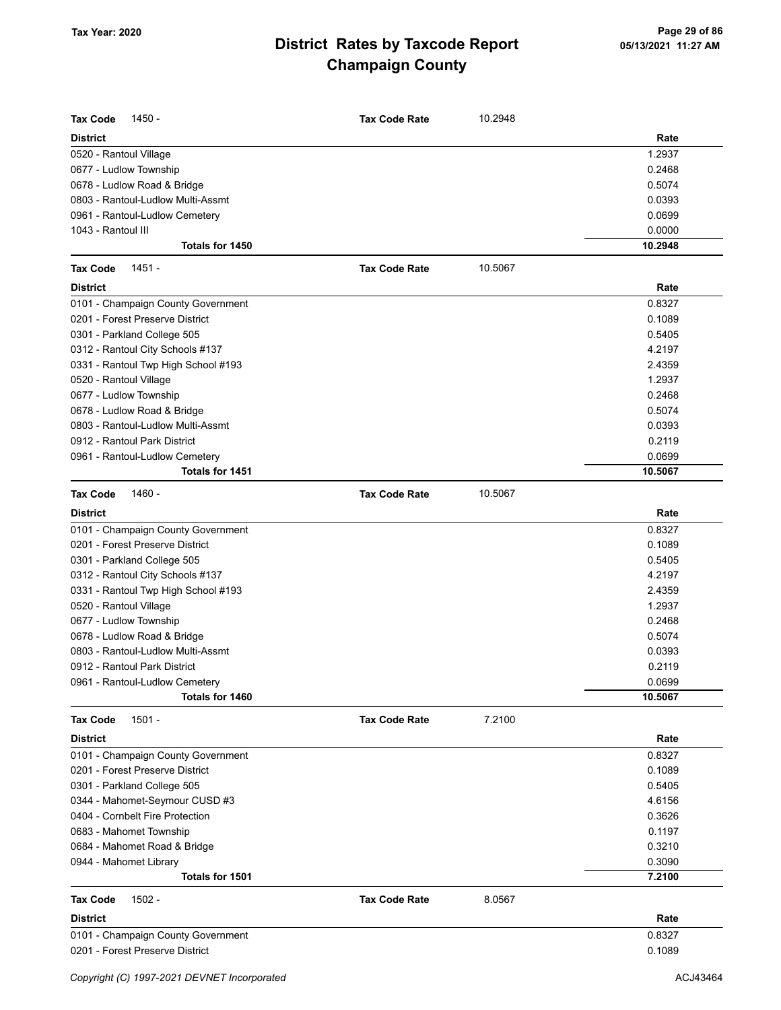| <b>Tax Code</b><br>1450 -                                               | <b>Tax Code Rate</b> | 10.2948 |                   |
|-------------------------------------------------------------------------|----------------------|---------|-------------------|
| <b>District</b>                                                         |                      |         | Rate              |
| 0520 - Rantoul Village                                                  |                      |         | 1.2937            |
| 0677 - Ludlow Township                                                  |                      |         | 0.2468            |
| 0678 - Ludlow Road & Bridge                                             |                      |         | 0.5074            |
| 0803 - Rantoul-Ludlow Multi-Assmt                                       |                      |         | 0.0393            |
| 0961 - Rantoul-Ludlow Cemetery                                          |                      |         | 0.0699            |
| 1043 - Rantoul III                                                      |                      |         | 0.0000            |
| Totals for 1450                                                         |                      |         | 10.2948           |
| $1451 -$<br><b>Tax Code</b>                                             | <b>Tax Code Rate</b> | 10.5067 |                   |
| <b>District</b>                                                         |                      |         | Rate              |
| 0101 - Champaign County Government                                      |                      |         | 0.8327            |
| 0201 - Forest Preserve District                                         |                      |         | 0.1089            |
| 0301 - Parkland College 505                                             |                      |         | 0.5405            |
| 0312 - Rantoul City Schools #137                                        |                      |         | 4.2197            |
| 0331 - Rantoul Twp High School #193                                     |                      |         | 2.4359            |
| 0520 - Rantoul Village                                                  |                      |         | 1.2937            |
| 0677 - Ludlow Township                                                  |                      |         | 0.2468            |
| 0678 - Ludlow Road & Bridge                                             |                      |         | 0.5074            |
| 0803 - Rantoul-Ludlow Multi-Assmt                                       |                      |         | 0.0393            |
| 0912 - Rantoul Park District                                            |                      |         | 0.2119            |
| 0961 - Rantoul-Ludlow Cemetery<br>Totals for 1451                       |                      |         | 0.0699<br>10.5067 |
| <b>Tax Code</b><br>1460 -                                               | <b>Tax Code Rate</b> | 10.5067 |                   |
| <b>District</b>                                                         |                      |         |                   |
|                                                                         |                      |         | Rate              |
| 0101 - Champaign County Government                                      |                      |         | 0.8327            |
| 0201 - Forest Preserve District                                         |                      |         | 0.1089            |
| 0301 - Parkland College 505                                             |                      |         | 0.5405<br>4.2197  |
| 0312 - Rantoul City Schools #137<br>0331 - Rantoul Twp High School #193 |                      |         | 2.4359            |
| 0520 - Rantoul Village                                                  |                      |         | 1.2937            |
| 0677 - Ludlow Township                                                  |                      |         | 0.2468            |
| 0678 - Ludlow Road & Bridge                                             |                      |         | 0.5074            |
| 0803 - Rantoul-Ludlow Multi-Assmt                                       |                      |         | 0.0393            |
| 0912 - Rantoul Park District                                            |                      |         | 0.2119            |
| 0961 - Rantoul-Ludlow Cemetery                                          |                      |         | 0.0699            |
| Totals for 1460                                                         |                      |         | 10.5067           |
| $1501 -$<br><b>Tax Code</b>                                             | <b>Tax Code Rate</b> | 7.2100  |                   |
| <b>District</b>                                                         |                      |         | Rate              |
| 0101 - Champaign County Government                                      |                      |         | 0.8327            |
| 0201 - Forest Preserve District                                         |                      |         | 0.1089            |
| 0301 - Parkland College 505                                             |                      |         | 0.5405            |
| 0344 - Mahomet-Seymour CUSD #3                                          |                      |         | 4.6156            |
| 0404 - Cornbelt Fire Protection                                         |                      |         | 0.3626            |
| 0683 - Mahomet Township                                                 |                      |         | 0.1197            |
| 0684 - Mahomet Road & Bridge                                            |                      |         | 0.3210            |
| 0944 - Mahomet Library                                                  |                      |         | 0.3090            |
| <b>Totals for 1501</b>                                                  |                      |         | 7.2100            |
| <b>Tax Code</b><br>$1502 -$                                             | <b>Tax Code Rate</b> | 8.0567  |                   |
| <b>District</b>                                                         |                      |         | Rate              |
| 0101 - Champaign County Government                                      |                      |         | 0.8327            |
| 0201 - Forest Preserve District                                         |                      |         | 0.1089            |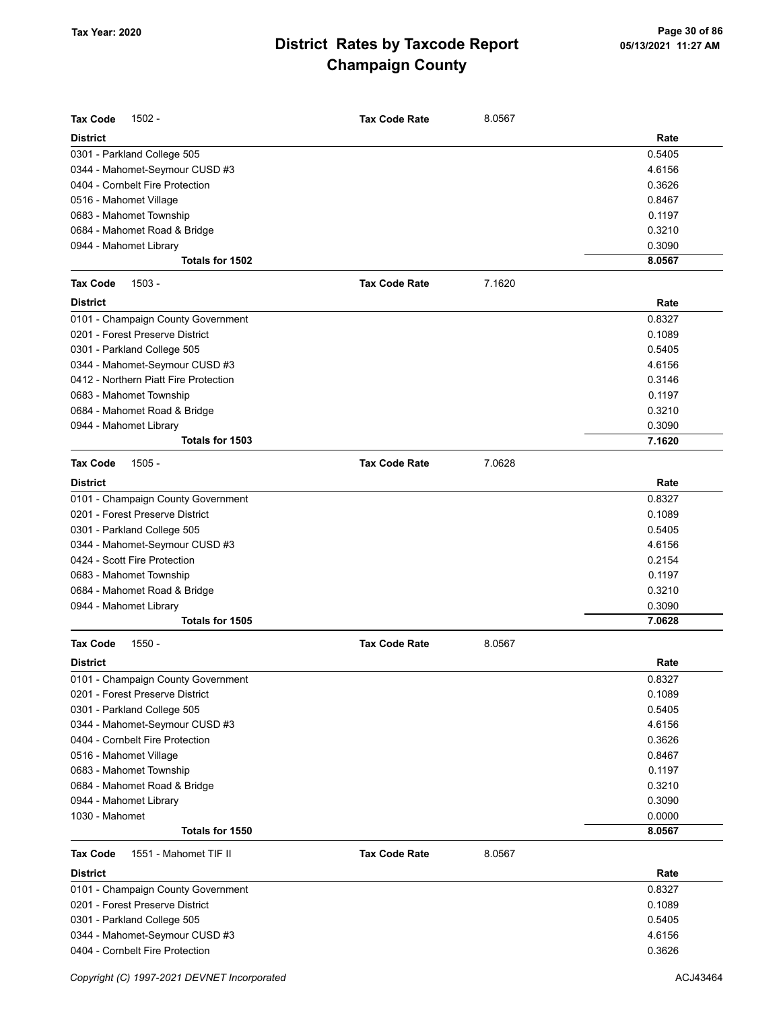| <b>Tax Code</b><br>$1502 -$              | <b>Tax Code Rate</b> | 8.0567 |        |
|------------------------------------------|----------------------|--------|--------|
| <b>District</b>                          |                      |        | Rate   |
| 0301 - Parkland College 505              |                      |        | 0.5405 |
| 0344 - Mahomet-Seymour CUSD #3           |                      |        | 4.6156 |
| 0404 - Cornbelt Fire Protection          |                      |        | 0.3626 |
| 0516 - Mahomet Village                   |                      |        | 0.8467 |
| 0683 - Mahomet Township                  |                      |        | 0.1197 |
| 0684 - Mahomet Road & Bridge             |                      |        | 0.3210 |
| 0944 - Mahomet Library                   |                      |        | 0.3090 |
| Totals for 1502                          |                      |        | 8.0567 |
| $1503 -$<br><b>Tax Code</b>              | <b>Tax Code Rate</b> | 7.1620 |        |
| <b>District</b>                          |                      |        | Rate   |
| 0101 - Champaign County Government       |                      |        | 0.8327 |
| 0201 - Forest Preserve District          |                      |        | 0.1089 |
| 0301 - Parkland College 505              |                      |        | 0.5405 |
| 0344 - Mahomet-Seymour CUSD #3           |                      |        | 4.6156 |
| 0412 - Northern Piatt Fire Protection    |                      |        | 0.3146 |
| 0683 - Mahomet Township                  |                      |        | 0.1197 |
| 0684 - Mahomet Road & Bridge             |                      |        | 0.3210 |
| 0944 - Mahomet Library                   |                      |        | 0.3090 |
| Totals for 1503                          |                      |        | 7.1620 |
| <b>Tax Code</b><br>$1505 -$              | <b>Tax Code Rate</b> | 7.0628 |        |
|                                          |                      |        |        |
| <b>District</b>                          |                      |        | Rate   |
| 0101 - Champaign County Government       |                      |        | 0.8327 |
| 0201 - Forest Preserve District          |                      |        | 0.1089 |
| 0301 - Parkland College 505              |                      |        | 0.5405 |
| 0344 - Mahomet-Seymour CUSD #3           |                      |        | 4.6156 |
| 0424 - Scott Fire Protection             |                      |        | 0.2154 |
| 0683 - Mahomet Township                  |                      |        | 0.1197 |
| 0684 - Mahomet Road & Bridge             |                      |        | 0.3210 |
| 0944 - Mahomet Library                   |                      |        | 0.3090 |
| Totals for 1505                          |                      |        | 7.0628 |
| <b>Tax Code</b><br>$1550 -$              | <b>Tax Code Rate</b> | 8.0567 |        |
| District                                 |                      |        | Rate   |
| 0101 - Champaign County Government       |                      |        | 0.8327 |
| 0201 - Forest Preserve District          |                      |        | 0.1089 |
| 0301 - Parkland College 505              |                      |        | 0.5405 |
| 0344 - Mahomet-Seymour CUSD #3           |                      |        | 4.6156 |
| 0404 - Cornbelt Fire Protection          |                      |        | 0.3626 |
| 0516 - Mahomet Village                   |                      |        | 0.8467 |
| 0683 - Mahomet Township                  |                      |        | 0.1197 |
| 0684 - Mahomet Road & Bridge             |                      |        | 0.3210 |
| 0944 - Mahomet Library                   |                      |        | 0.3090 |
| 1030 - Mahomet                           |                      |        | 0.0000 |
| Totals for 1550                          |                      |        | 8.0567 |
| <b>Tax Code</b><br>1551 - Mahomet TIF II | <b>Tax Code Rate</b> | 8.0567 |        |
| <b>District</b>                          |                      |        | Rate   |
| 0101 - Champaign County Government       |                      |        | 0.8327 |
| 0201 - Forest Preserve District          |                      |        | 0.1089 |
| 0301 - Parkland College 505              |                      |        | 0.5405 |
| 0344 - Mahomet-Seymour CUSD #3           |                      |        | 4.6156 |
| 0404 - Cornbelt Fire Protection          |                      |        | 0.3626 |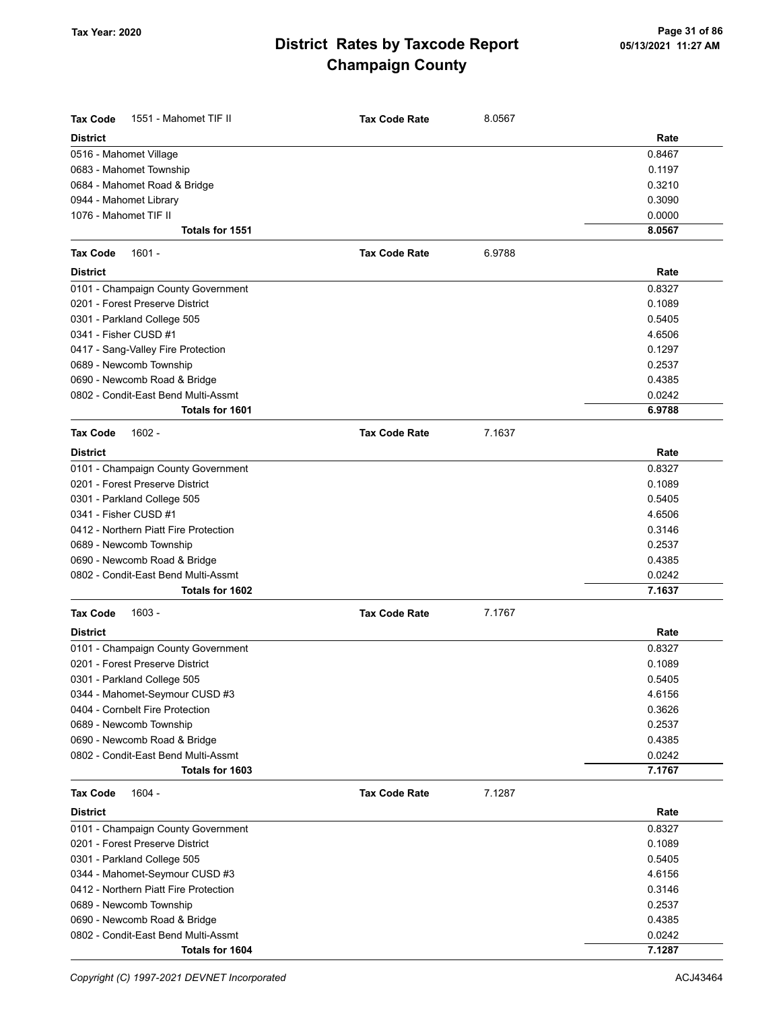| <b>Tax Code</b><br>1551 - Mahomet TIF II | <b>Tax Code Rate</b> | 8.0567 |        |
|------------------------------------------|----------------------|--------|--------|
| <b>District</b>                          |                      |        | Rate   |
| 0516 - Mahomet Village                   |                      |        | 0.8467 |
| 0683 - Mahomet Township                  |                      |        | 0.1197 |
| 0684 - Mahomet Road & Bridge             |                      |        | 0.3210 |
| 0944 - Mahomet Library                   |                      |        | 0.3090 |
| 1076 - Mahomet TIF II                    |                      |        | 0.0000 |
| Totals for 1551                          |                      |        | 8.0567 |
| <b>Tax Code</b><br>$1601 -$              | <b>Tax Code Rate</b> | 6.9788 |        |
| <b>District</b>                          |                      |        | Rate   |
| 0101 - Champaign County Government       |                      |        | 0.8327 |
| 0201 - Forest Preserve District          |                      |        | 0.1089 |
| 0301 - Parkland College 505              |                      |        | 0.5405 |
| 0341 - Fisher CUSD #1                    |                      |        | 4.6506 |
| 0417 - Sang-Valley Fire Protection       |                      |        | 0.1297 |
| 0689 - Newcomb Township                  |                      |        | 0.2537 |
| 0690 - Newcomb Road & Bridge             |                      |        | 0.4385 |
| 0802 - Condit-East Bend Multi-Assmt      |                      |        | 0.0242 |
| Totals for 1601                          |                      |        | 6.9788 |
| <b>Tax Code</b><br>$1602 -$              | <b>Tax Code Rate</b> | 7.1637 |        |
| <b>District</b>                          |                      |        | Rate   |
| 0101 - Champaign County Government       |                      |        | 0.8327 |
| 0201 - Forest Preserve District          |                      |        | 0.1089 |
| 0301 - Parkland College 505              |                      |        | 0.5405 |
| 0341 - Fisher CUSD #1                    |                      |        | 4.6506 |
| 0412 - Northern Piatt Fire Protection    |                      |        | 0.3146 |
| 0689 - Newcomb Township                  |                      |        | 0.2537 |
| 0690 - Newcomb Road & Bridge             |                      |        | 0.4385 |
| 0802 - Condit-East Bend Multi-Assmt      |                      |        | 0.0242 |
| Totals for 1602                          |                      |        | 7.1637 |
| <b>Tax Code</b><br>$1603 -$              | <b>Tax Code Rate</b> | 7.1767 |        |
| <b>District</b>                          |                      |        | Rate   |
| 0101 - Champaign County Government       |                      |        | 0.8327 |
| 0201 - Forest Preserve District          |                      |        | 0.1089 |
| 0301 - Parkland College 505              |                      |        | 0.5405 |
| 0344 - Mahomet-Seymour CUSD #3           |                      |        | 4.6156 |
| 0404 - Cornbelt Fire Protection          |                      |        | 0.3626 |
| 0689 - Newcomb Township                  |                      |        | 0.2537 |
| 0690 - Newcomb Road & Bridge             |                      |        | 0.4385 |
| 0802 - Condit-East Bend Multi-Assmt      |                      |        | 0.0242 |
| Totals for 1603                          |                      |        | 7.1767 |
| <b>Tax Code</b><br>$1604 -$              | <b>Tax Code Rate</b> | 7.1287 |        |
| <b>District</b>                          |                      |        | Rate   |
| 0101 - Champaign County Government       |                      |        | 0.8327 |
| 0201 - Forest Preserve District          |                      |        | 0.1089 |
| 0301 - Parkland College 505              |                      |        | 0.5405 |
| 0344 - Mahomet-Seymour CUSD #3           |                      |        | 4.6156 |
| 0412 - Northern Piatt Fire Protection    |                      |        | 0.3146 |
| 0689 - Newcomb Township                  |                      |        | 0.2537 |
| 0690 - Newcomb Road & Bridge             |                      |        | 0.4385 |
| 0802 - Condit-East Bend Multi-Assmt      |                      |        | 0.0242 |
| Totals for 1604                          |                      |        | 7.1287 |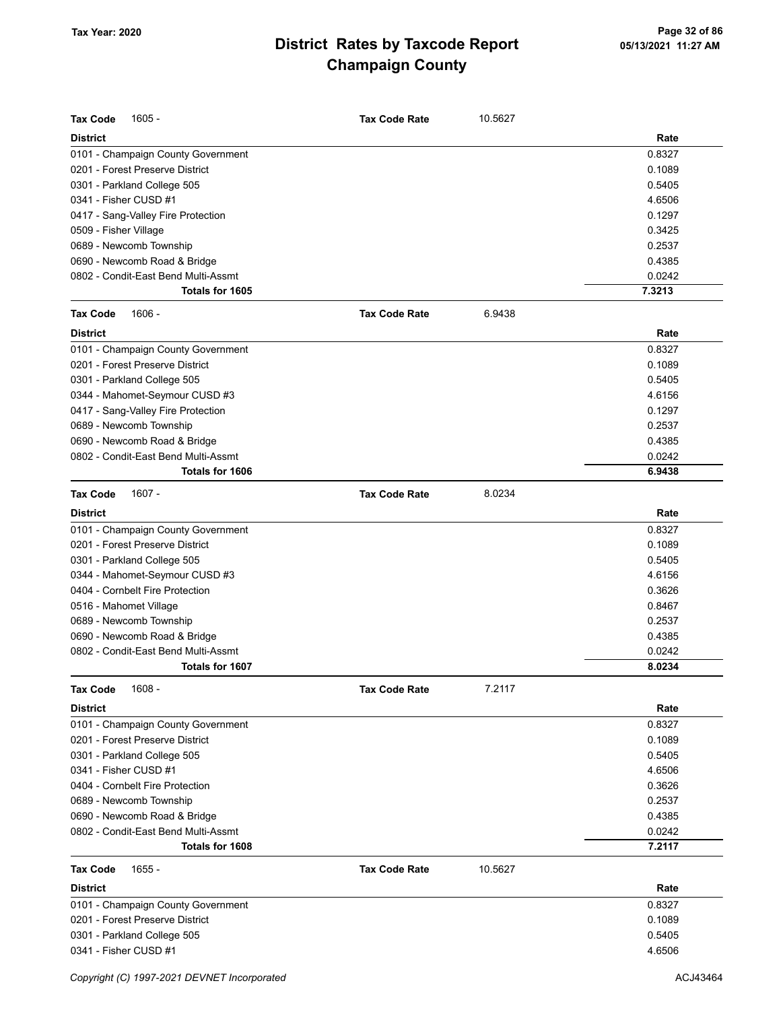| <b>Tax Code</b><br>1605 -                              | <b>Tax Code Rate</b> | 10.5627 |                  |
|--------------------------------------------------------|----------------------|---------|------------------|
| <b>District</b>                                        |                      |         | Rate             |
| 0101 - Champaign County Government                     |                      |         | 0.8327           |
| 0201 - Forest Preserve District                        |                      |         | 0.1089           |
| 0301 - Parkland College 505                            |                      |         | 0.5405           |
| 0341 - Fisher CUSD #1                                  |                      |         | 4.6506           |
| 0417 - Sang-Valley Fire Protection                     |                      |         | 0.1297           |
| 0509 - Fisher Village                                  |                      |         | 0.3425           |
| 0689 - Newcomb Township                                |                      |         | 0.2537           |
| 0690 - Newcomb Road & Bridge                           |                      |         | 0.4385           |
| 0802 - Condit-East Bend Multi-Assmt                    |                      |         | 0.0242           |
| Totals for 1605                                        |                      |         | 7.3213           |
| <b>Tax Code</b><br>$1606 -$                            | <b>Tax Code Rate</b> | 6.9438  |                  |
| <b>District</b>                                        |                      |         | Rate             |
|                                                        |                      |         | 0.8327           |
| 0101 - Champaign County Government                     |                      |         |                  |
| 0201 - Forest Preserve District                        |                      |         | 0.1089           |
| 0301 - Parkland College 505                            |                      |         | 0.5405           |
| 0344 - Mahomet-Seymour CUSD #3                         |                      |         | 4.6156           |
| 0417 - Sang-Valley Fire Protection                     |                      |         | 0.1297           |
| 0689 - Newcomb Township                                |                      |         | 0.2537           |
| 0690 - Newcomb Road & Bridge                           |                      |         | 0.4385           |
| 0802 - Condit-East Bend Multi-Assmt<br>Totals for 1606 |                      |         | 0.0242<br>6.9438 |
|                                                        |                      |         |                  |
| <b>Tax Code</b><br>$1607 -$                            | <b>Tax Code Rate</b> | 8.0234  |                  |
| <b>District</b>                                        |                      |         | Rate             |
| 0101 - Champaign County Government                     |                      |         | 0.8327           |
| 0201 - Forest Preserve District                        |                      |         | 0.1089           |
| 0301 - Parkland College 505                            |                      |         | 0.5405           |
| 0344 - Mahomet-Seymour CUSD #3                         |                      |         | 4.6156           |
| 0404 - Cornbelt Fire Protection                        |                      |         | 0.3626           |
| 0516 - Mahomet Village                                 |                      |         | 0.8467           |
| 0689 - Newcomb Township                                |                      |         | 0.2537           |
| 0690 - Newcomb Road & Bridge                           |                      |         | 0.4385           |
| 0802 - Condit-East Bend Multi-Assmt                    |                      |         | 0.0242           |
| Totals for 1607                                        |                      |         | 8.0234           |
| <b>Tax Code</b><br>$1608 -$                            | <b>Tax Code Rate</b> | 7.2117  |                  |
| <b>District</b>                                        |                      |         | Rate             |
| 0101 - Champaign County Government                     |                      |         | 0.8327           |
| 0201 - Forest Preserve District                        |                      |         | 0.1089           |
| 0301 - Parkland College 505                            |                      |         | 0.5405           |
| 0341 - Fisher CUSD #1                                  |                      |         | 4.6506           |
| 0404 - Cornbelt Fire Protection                        |                      |         | 0.3626           |
| 0689 - Newcomb Township                                |                      |         | 0.2537           |
| 0690 - Newcomb Road & Bridge                           |                      |         | 0.4385           |
| 0802 - Condit-East Bend Multi-Assmt                    |                      |         | 0.0242           |
| Totals for 1608                                        |                      |         | 7.2117           |
| <b>Tax Code</b><br>$1655 -$                            | <b>Tax Code Rate</b> | 10.5627 |                  |
| <b>District</b>                                        |                      |         | Rate             |
| 0101 - Champaign County Government                     |                      |         | 0.8327           |
| 0201 - Forest Preserve District                        |                      |         | 0.1089           |
| 0301 - Parkland College 505                            |                      |         | 0.5405           |
| 0341 - Fisher CUSD #1                                  |                      |         | 4.6506           |
|                                                        |                      |         |                  |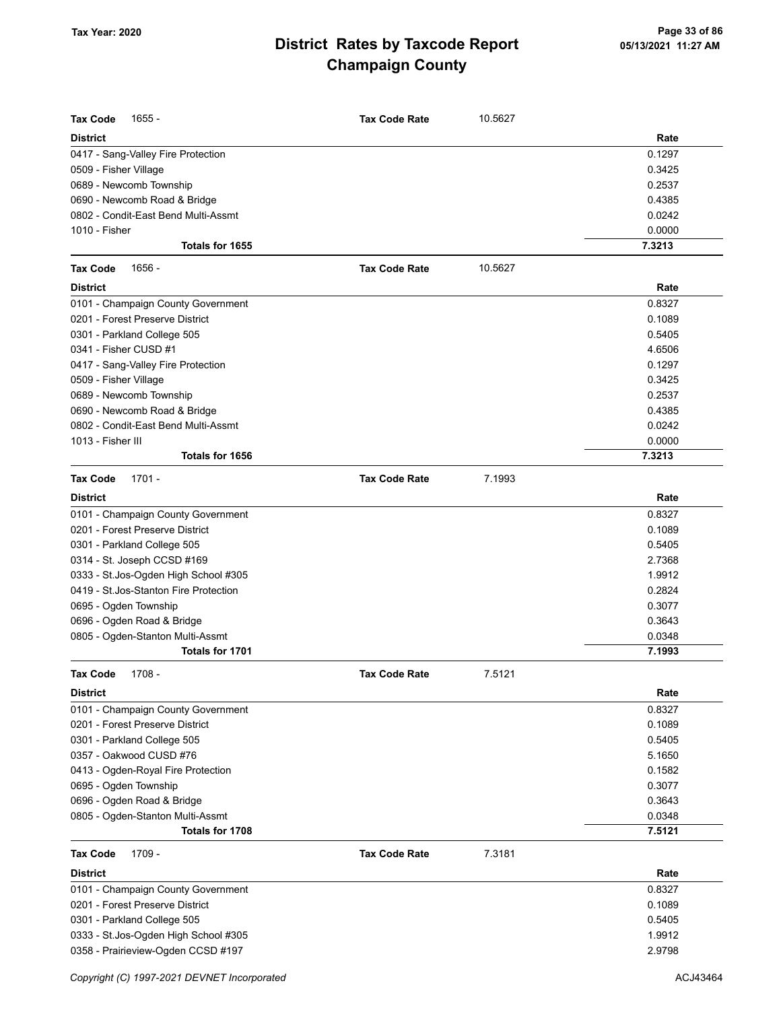| <b>Tax Code</b><br>1655 -              | <b>Tax Code Rate</b> | 10.5627 |        |
|----------------------------------------|----------------------|---------|--------|
| <b>District</b>                        |                      |         | Rate   |
| 0417 - Sang-Valley Fire Protection     |                      |         | 0.1297 |
| 0509 - Fisher Village                  |                      |         | 0.3425 |
| 0689 - Newcomb Township                |                      |         | 0.2537 |
| 0690 - Newcomb Road & Bridge           |                      |         | 0.4385 |
| 0802 - Condit-East Bend Multi-Assmt    |                      |         | 0.0242 |
| 1010 - Fisher                          |                      |         | 0.0000 |
| Totals for 1655                        |                      |         | 7.3213 |
| <b>Tax Code</b><br>1656 -              | <b>Tax Code Rate</b> | 10.5627 |        |
| <b>District</b>                        |                      |         | Rate   |
| 0101 - Champaign County Government     |                      |         | 0.8327 |
| 0201 - Forest Preserve District        |                      |         | 0.1089 |
| 0301 - Parkland College 505            |                      |         | 0.5405 |
| 0341 - Fisher CUSD #1                  |                      |         | 4.6506 |
| 0417 - Sang-Valley Fire Protection     |                      |         | 0.1297 |
| 0509 - Fisher Village                  |                      |         | 0.3425 |
| 0689 - Newcomb Township                |                      |         | 0.2537 |
| 0690 - Newcomb Road & Bridge           |                      |         | 0.4385 |
| 0802 - Condit-East Bend Multi-Assmt    |                      |         | 0.0242 |
| 1013 - Fisher III                      |                      |         | 0.0000 |
| Totals for 1656                        |                      |         | 7.3213 |
| $1701 -$<br><b>Tax Code</b>            | <b>Tax Code Rate</b> | 7.1993  |        |
| <b>District</b>                        |                      |         | Rate   |
| 0101 - Champaign County Government     |                      |         | 0.8327 |
| 0201 - Forest Preserve District        |                      |         | 0.1089 |
| 0301 - Parkland College 505            |                      |         | 0.5405 |
| 0314 - St. Joseph CCSD #169            |                      |         | 2.7368 |
| 0333 - St.Jos-Ogden High School #305   |                      |         | 1.9912 |
| 0419 - St. Jos-Stanton Fire Protection |                      |         | 0.2824 |
| 0695 - Ogden Township                  |                      |         | 0.3077 |
| 0696 - Ogden Road & Bridge             |                      |         | 0.3643 |
| 0805 - Ogden-Stanton Multi-Assmt       |                      |         | 0.0348 |
| Totals for 1701                        |                      |         | 7.1993 |
| Tax Code 1708 -                        | <b>Tax Code Rate</b> | 7.5121  |        |
| <b>District</b>                        |                      |         | Rate   |
| 0101 - Champaign County Government     |                      |         | 0.8327 |
| 0201 - Forest Preserve District        |                      |         | 0.1089 |
| 0301 - Parkland College 505            |                      |         | 0.5405 |
| 0357 - Oakwood CUSD #76                |                      |         | 5.1650 |
| 0413 - Ogden-Royal Fire Protection     |                      |         | 0.1582 |
| 0695 - Ogden Township                  |                      |         | 0.3077 |
| 0696 - Ogden Road & Bridge             |                      |         | 0.3643 |
| 0805 - Ogden-Stanton Multi-Assmt       |                      |         | 0.0348 |
| Totals for 1708                        |                      |         | 7.5121 |
| 1709 -<br><b>Tax Code</b>              | <b>Tax Code Rate</b> | 7.3181  |        |
| <b>District</b>                        |                      |         | Rate   |
| 0101 - Champaign County Government     |                      |         | 0.8327 |
| 0201 - Forest Preserve District        |                      |         | 0.1089 |
| 0301 - Parkland College 505            |                      |         | 0.5405 |
| 0333 - St.Jos-Ogden High School #305   |                      |         | 1.9912 |
| 0358 - Prairieview-Ogden CCSD #197     |                      |         | 2.9798 |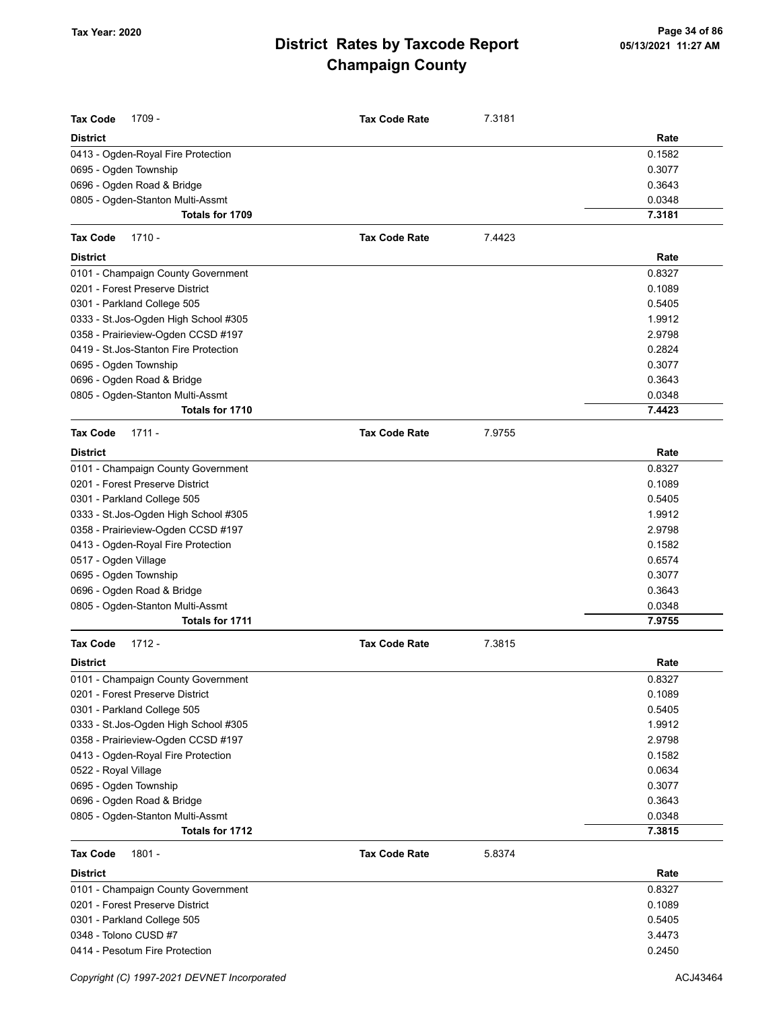| <b>Tax Code</b><br>1709 -<br><b>District</b> | <b>Tax Code Rate</b> | 7.3181 | Rate   |
|----------------------------------------------|----------------------|--------|--------|
| 0413 - Ogden-Royal Fire Protection           |                      |        | 0.1582 |
| 0695 - Ogden Township                        |                      |        | 0.3077 |
| 0696 - Ogden Road & Bridge                   |                      |        | 0.3643 |
| 0805 - Ogden-Stanton Multi-Assmt             |                      |        | 0.0348 |
| Totals for 1709                              |                      |        | 7.3181 |
| Tax Code<br>$1710 -$                         | <b>Tax Code Rate</b> | 7.4423 |        |
| <b>District</b>                              |                      |        | Rate   |
| 0101 - Champaign County Government           |                      |        | 0.8327 |
| 0201 - Forest Preserve District              |                      |        | 0.1089 |
| 0301 - Parkland College 505                  |                      |        | 0.5405 |
| 0333 - St.Jos-Ogden High School #305         |                      |        | 1.9912 |
| 0358 - Prairieview-Ogden CCSD #197           |                      |        | 2.9798 |
| 0419 - St. Jos-Stanton Fire Protection       |                      |        | 0.2824 |
| 0695 - Ogden Township                        |                      |        | 0.3077 |
| 0696 - Ogden Road & Bridge                   |                      |        | 0.3643 |
| 0805 - Ogden-Stanton Multi-Assmt             |                      |        | 0.0348 |
| Totals for 1710                              |                      |        | 7.4423 |
| <b>Tax Code</b><br>$1711 -$                  | <b>Tax Code Rate</b> | 7.9755 |        |
| District                                     |                      |        | Rate   |
| 0101 - Champaign County Government           |                      |        | 0.8327 |
| 0201 - Forest Preserve District              |                      |        | 0.1089 |
| 0301 - Parkland College 505                  |                      |        | 0.5405 |
| 0333 - St.Jos-Ogden High School #305         |                      |        | 1.9912 |
| 0358 - Prairieview-Ogden CCSD #197           |                      |        | 2.9798 |
| 0413 - Ogden-Royal Fire Protection           |                      |        | 0.1582 |
| 0517 - Ogden Village                         |                      |        | 0.6574 |
| 0695 - Ogden Township                        |                      |        | 0.3077 |
| 0696 - Ogden Road & Bridge                   |                      |        | 0.3643 |
| 0805 - Ogden-Stanton Multi-Assmt             |                      |        | 0.0348 |
| Totals for 1711                              |                      |        | 7.9755 |
| <b>Tax Code</b><br>$1712 -$                  | <b>Tax Code Rate</b> | 7.3815 |        |
| <b>District</b>                              |                      |        | Rate   |
| 0101 - Champaign County Government           |                      |        | 0.8327 |
| 0201 - Forest Preserve District              |                      |        | 0.1089 |
| 0301 - Parkland College 505                  |                      |        | 0.5405 |
| 0333 - St.Jos-Ogden High School #305         |                      |        | 1.9912 |
| 0358 - Prairieview-Ogden CCSD #197           |                      |        | 2.9798 |
| 0413 - Ogden-Royal Fire Protection           |                      |        | 0.1582 |
| 0522 - Royal Village                         |                      |        | 0.0634 |
| 0695 - Ogden Township                        |                      |        | 0.3077 |
| 0696 - Ogden Road & Bridge                   |                      |        | 0.3643 |
| 0805 - Ogden-Stanton Multi-Assmt             |                      |        | 0.0348 |
| Totals for 1712                              |                      |        | 7.3815 |
| <b>Tax Code</b><br>1801 -                    | <b>Tax Code Rate</b> | 5.8374 |        |
| District                                     |                      |        | Rate   |
| 0101 - Champaign County Government           |                      |        | 0.8327 |
| 0201 - Forest Preserve District              |                      |        | 0.1089 |
| 0301 - Parkland College 505                  |                      |        | 0.5405 |
| 0348 - Tolono CUSD #7                        |                      |        | 3.4473 |
| 0414 - Pesotum Fire Protection               |                      |        | 0.2450 |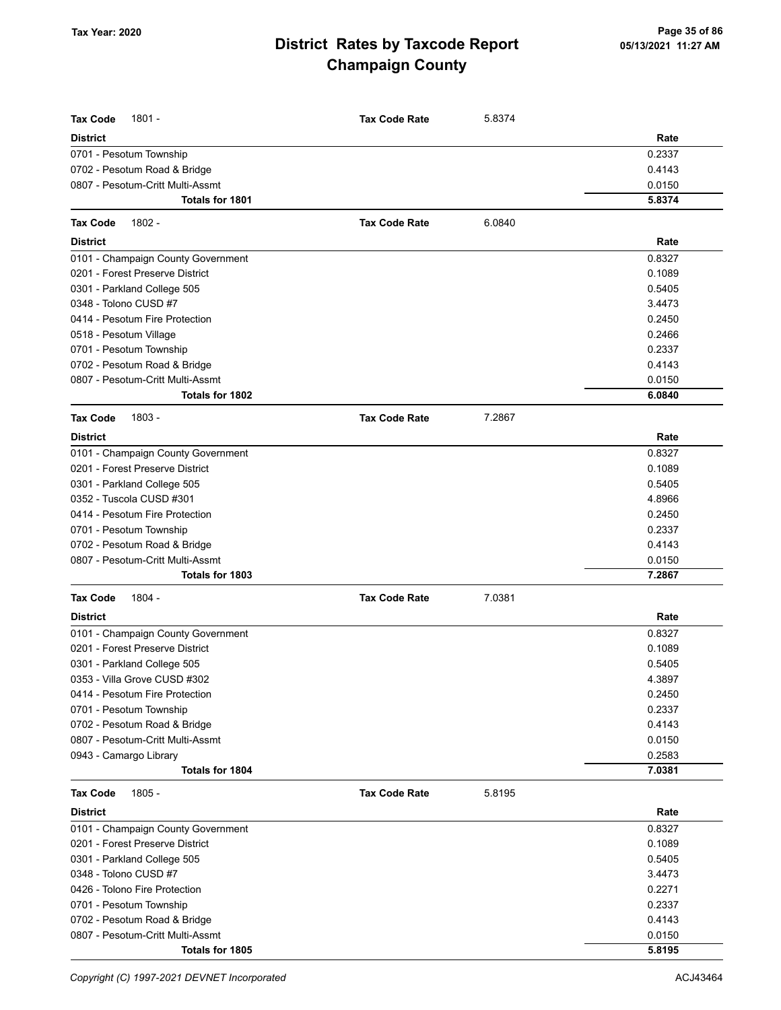| <b>Tax Code</b><br>$1801 -$        | <b>Tax Code Rate</b> | 5.8374 |        |
|------------------------------------|----------------------|--------|--------|
| <b>District</b>                    |                      |        | Rate   |
| 0701 - Pesotum Township            |                      |        | 0.2337 |
| 0702 - Pesotum Road & Bridge       |                      |        | 0.4143 |
| 0807 - Pesotum-Critt Multi-Assmt   |                      |        | 0.0150 |
| Totals for 1801                    |                      |        | 5.8374 |
| Tax Code<br>1802 -                 | <b>Tax Code Rate</b> | 6.0840 |        |
| <b>District</b>                    |                      |        | Rate   |
| 0101 - Champaign County Government |                      |        | 0.8327 |
| 0201 - Forest Preserve District    |                      |        | 0.1089 |
| 0301 - Parkland College 505        |                      |        | 0.5405 |
| 0348 - Tolono CUSD #7              |                      |        | 3.4473 |
| 0414 - Pesotum Fire Protection     |                      |        | 0.2450 |
| 0518 - Pesotum Village             |                      |        | 0.2466 |
| 0701 - Pesotum Township            |                      |        | 0.2337 |
| 0702 - Pesotum Road & Bridge       |                      |        | 0.4143 |
| 0807 - Pesotum-Critt Multi-Assmt   |                      |        | 0.0150 |
| Totals for 1802                    |                      |        | 6.0840 |
| 1803 -<br><b>Tax Code</b>          | <b>Tax Code Rate</b> | 7.2867 |        |
| District                           |                      |        | Rate   |
| 0101 - Champaign County Government |                      |        | 0.8327 |
| 0201 - Forest Preserve District    |                      |        | 0.1089 |
| 0301 - Parkland College 505        |                      |        | 0.5405 |
| 0352 - Tuscola CUSD #301           |                      |        | 4.8966 |
| 0414 - Pesotum Fire Protection     |                      |        | 0.2450 |
| 0701 - Pesotum Township            |                      |        | 0.2337 |
| 0702 - Pesotum Road & Bridge       |                      |        | 0.4143 |
| 0807 - Pesotum-Critt Multi-Assmt   |                      |        | 0.0150 |
| Totals for 1803                    |                      |        | 7.2867 |
| <b>Tax Code</b><br>1804 -          | <b>Tax Code Rate</b> | 7.0381 |        |
| <b>District</b>                    |                      |        | Rate   |
| 0101 - Champaign County Government |                      |        | 0.8327 |
| 0201 - Forest Preserve District    |                      |        | 0.1089 |
| 0301 - Parkland College 505        |                      |        | 0.5405 |
| 0353 - Villa Grove CUSD #302       |                      |        | 4.3897 |
| 0414 - Pesotum Fire Protection     |                      |        | 0.2450 |
| 0701 - Pesotum Township            |                      |        | 0.2337 |
| 0702 - Pesotum Road & Bridge       |                      |        | 0.4143 |
| 0807 - Pesotum-Critt Multi-Assmt   |                      |        | 0.0150 |
| 0943 - Camargo Library             |                      |        | 0.2583 |
| Totals for 1804                    |                      |        | 7.0381 |
| Tax Code<br>$1805 -$               | <b>Tax Code Rate</b> | 5.8195 |        |
| District                           |                      |        | Rate   |
| 0101 - Champaign County Government |                      |        | 0.8327 |
| 0201 - Forest Preserve District    |                      |        | 0.1089 |
| 0301 - Parkland College 505        |                      |        | 0.5405 |
| 0348 - Tolono CUSD #7              |                      |        | 3.4473 |
| 0426 - Tolono Fire Protection      |                      |        | 0.2271 |
| 0701 - Pesotum Township            |                      |        | 0.2337 |
| 0702 - Pesotum Road & Bridge       |                      |        | 0.4143 |
| 0807 - Pesotum-Critt Multi-Assmt   |                      |        | 0.0150 |
| Totals for 1805                    |                      |        | 5.8195 |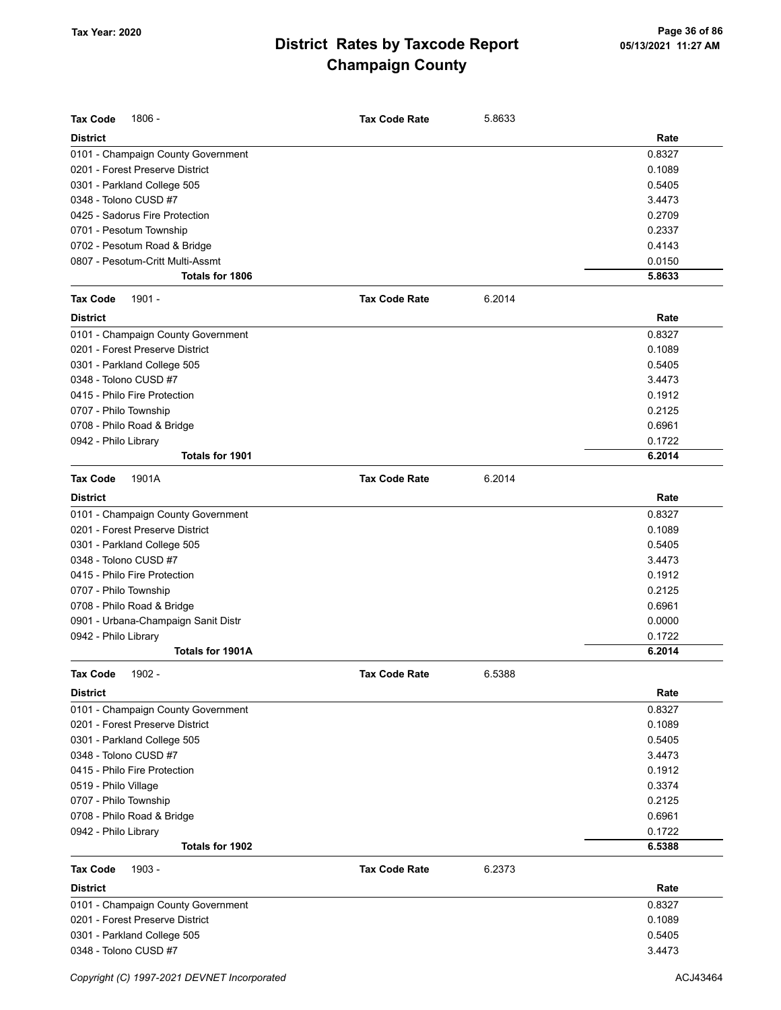| <b>Tax Code</b><br>1806 -           |                      |        |        |
|-------------------------------------|----------------------|--------|--------|
|                                     | <b>Tax Code Rate</b> | 5.8633 |        |
| <b>District</b>                     |                      |        | Rate   |
| 0101 - Champaign County Government  |                      |        | 0.8327 |
| 0201 - Forest Preserve District     |                      |        | 0.1089 |
| 0301 - Parkland College 505         |                      |        | 0.5405 |
| 0348 - Tolono CUSD #7               |                      |        | 3.4473 |
| 0425 - Sadorus Fire Protection      |                      |        | 0.2709 |
| 0701 - Pesotum Township             |                      |        | 0.2337 |
| 0702 - Pesotum Road & Bridge        |                      |        | 0.4143 |
| 0807 - Pesotum-Critt Multi-Assmt    |                      |        | 0.0150 |
| <b>Totals for 1806</b>              |                      |        | 5.8633 |
| 1901 -<br><b>Tax Code</b>           | <b>Tax Code Rate</b> | 6.2014 |        |
| <b>District</b>                     |                      |        | Rate   |
| 0101 - Champaign County Government  |                      |        | 0.8327 |
| 0201 - Forest Preserve District     |                      |        | 0.1089 |
| 0301 - Parkland College 505         |                      |        | 0.5405 |
| 0348 - Tolono CUSD #7               |                      |        | 3.4473 |
| 0415 - Philo Fire Protection        |                      |        | 0.1912 |
| 0707 - Philo Township               |                      |        | 0.2125 |
| 0708 - Philo Road & Bridge          |                      |        | 0.6961 |
| 0942 - Philo Library                |                      |        | 0.1722 |
| Totals for 1901                     |                      |        | 6.2014 |
| <b>Tax Code</b><br>1901A            | <b>Tax Code Rate</b> | 6.2014 |        |
| <b>District</b>                     |                      |        | Rate   |
| 0101 - Champaign County Government  |                      |        | 0.8327 |
| 0201 - Forest Preserve District     |                      |        | 0.1089 |
| 0301 - Parkland College 505         |                      |        | 0.5405 |
| 0348 - Tolono CUSD #7               |                      |        | 3.4473 |
| 0415 - Philo Fire Protection        |                      |        | 0.1912 |
| 0707 - Philo Township               |                      |        | 0.2125 |
| 0708 - Philo Road & Bridge          |                      |        | 0.6961 |
| 0901 - Urbana-Champaign Sanit Distr |                      |        | 0.0000 |
| 0942 - Philo Library                |                      |        | 0.1722 |
| Totals for 1901A                    |                      |        | 6.2014 |
|                                     |                      |        |        |
| 1902 -<br>Tax Code                  | <b>Tax Code Rate</b> | 6.5388 |        |
| <b>District</b>                     |                      |        | Rate   |
| 0101 - Champaign County Government  |                      |        | 0.8327 |
| 0201 - Forest Preserve District     |                      |        | 0.1089 |
| 0301 - Parkland College 505         |                      |        | 0.5405 |
| 0348 - Tolono CUSD #7               |                      |        | 3.4473 |
| 0415 - Philo Fire Protection        |                      |        | 0.1912 |
| 0519 - Philo Village                |                      |        | 0.3374 |
| 0707 - Philo Township               |                      |        | 0.2125 |
| 0708 - Philo Road & Bridge          |                      |        | 0.6961 |
| 0942 - Philo Library                |                      |        | 0.1722 |
| Totals for 1902                     |                      |        | 6.5388 |
| <b>Tax Code</b><br>1903 -           | <b>Tax Code Rate</b> | 6.2373 |        |
| <b>District</b>                     |                      |        | Rate   |
| 0101 - Champaign County Government  |                      |        | 0.8327 |
| 0201 - Forest Preserve District     |                      |        | 0.1089 |
| 0301 - Parkland College 505         |                      |        | 0.5405 |
| 0348 - Tolono CUSD #7               |                      |        | 3.4473 |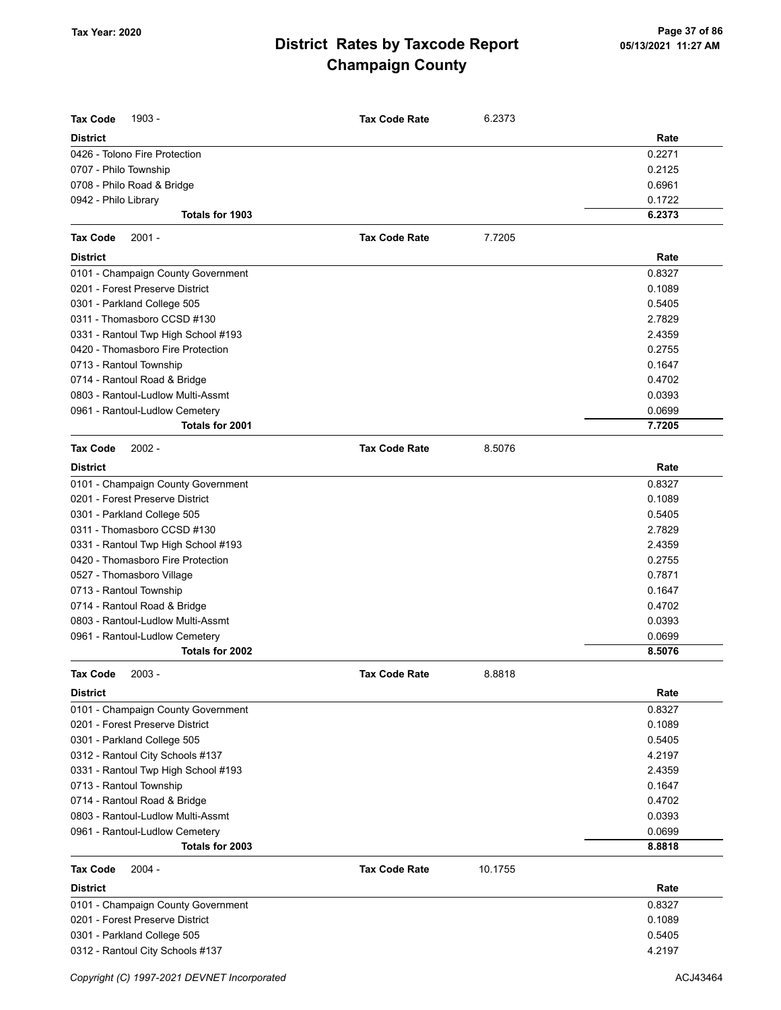| <b>Tax Code</b><br>1903 -                         | <b>Tax Code Rate</b> | 6.2373  |                  |
|---------------------------------------------------|----------------------|---------|------------------|
| <b>District</b>                                   |                      |         | Rate             |
| 0426 - Tolono Fire Protection                     |                      |         | 0.2271           |
| 0707 - Philo Township                             |                      |         | 0.2125           |
| 0708 - Philo Road & Bridge                        |                      |         | 0.6961           |
| 0942 - Philo Library                              |                      |         | 0.1722           |
| Totals for 1903                                   |                      |         | 6.2373           |
| <b>Tax Code</b><br>$2001 -$                       | <b>Tax Code Rate</b> | 7.7205  |                  |
| <b>District</b>                                   |                      |         | Rate             |
| 0101 - Champaign County Government                |                      |         | 0.8327           |
| 0201 - Forest Preserve District                   |                      |         | 0.1089           |
| 0301 - Parkland College 505                       |                      |         | 0.5405           |
| 0311 - Thomasboro CCSD #130                       |                      |         | 2.7829           |
| 0331 - Rantoul Twp High School #193               |                      |         | 2.4359           |
| 0420 - Thomasboro Fire Protection                 |                      |         | 0.2755           |
| 0713 - Rantoul Township                           |                      |         | 0.1647           |
| 0714 - Rantoul Road & Bridge                      |                      |         | 0.4702           |
| 0803 - Rantoul-Ludlow Multi-Assmt                 |                      |         | 0.0393           |
| 0961 - Rantoul-Ludlow Cemetery                    |                      |         | 0.0699           |
| Totals for 2001                                   |                      |         | 7.7205           |
| <b>Tax Code</b><br>$2002 -$                       | <b>Tax Code Rate</b> | 8.5076  |                  |
| <b>District</b>                                   |                      |         | Rate             |
| 0101 - Champaign County Government                |                      |         | 0.8327           |
| 0201 - Forest Preserve District                   |                      |         | 0.1089           |
| 0301 - Parkland College 505                       |                      |         | 0.5405           |
| 0311 - Thomasboro CCSD #130                       |                      |         | 2.7829           |
| 0331 - Rantoul Twp High School #193               |                      |         | 2.4359           |
| 0420 - Thomasboro Fire Protection                 |                      |         | 0.2755           |
| 0527 - Thomasboro Village                         |                      |         | 0.7871           |
| 0713 - Rantoul Township                           |                      |         | 0.1647           |
| 0714 - Rantoul Road & Bridge                      |                      |         | 0.4702           |
| 0803 - Rantoul-Ludlow Multi-Assmt                 |                      |         | 0.0393           |
| 0961 - Rantoul-Ludlow Cemetery                    |                      |         | 0.0699           |
| Totals for 2002                                   |                      |         | 8.5076           |
| Tax Code<br>$2003 -$                              | <b>Tax Code Rate</b> | 8.8818  |                  |
| <b>District</b>                                   |                      |         | Rate             |
| 0101 - Champaign County Government                |                      |         | 0.8327           |
| 0201 - Forest Preserve District                   |                      |         | 0.1089           |
| 0301 - Parkland College 505                       |                      |         | 0.5405           |
| 0312 - Rantoul City Schools #137                  |                      |         | 4.2197           |
| 0331 - Rantoul Twp High School #193               |                      |         | 2.4359           |
| 0713 - Rantoul Township                           |                      |         | 0.1647           |
| 0714 - Rantoul Road & Bridge                      |                      |         | 0.4702           |
| 0803 - Rantoul-Ludlow Multi-Assmt                 |                      |         | 0.0393           |
| 0961 - Rantoul-Ludlow Cemetery<br>Totals for 2003 |                      |         | 0.0699<br>8.8818 |
|                                                   |                      |         |                  |
| <b>Tax Code</b><br>$2004 -$                       | <b>Tax Code Rate</b> | 10.1755 |                  |
| <b>District</b>                                   |                      |         | Rate             |
| 0101 - Champaign County Government                |                      |         | 0.8327           |
| 0201 - Forest Preserve District                   |                      |         | 0.1089           |
| 0301 - Parkland College 505                       |                      |         | 0.5405           |
| 0312 - Rantoul City Schools #137                  |                      |         | 4.2197           |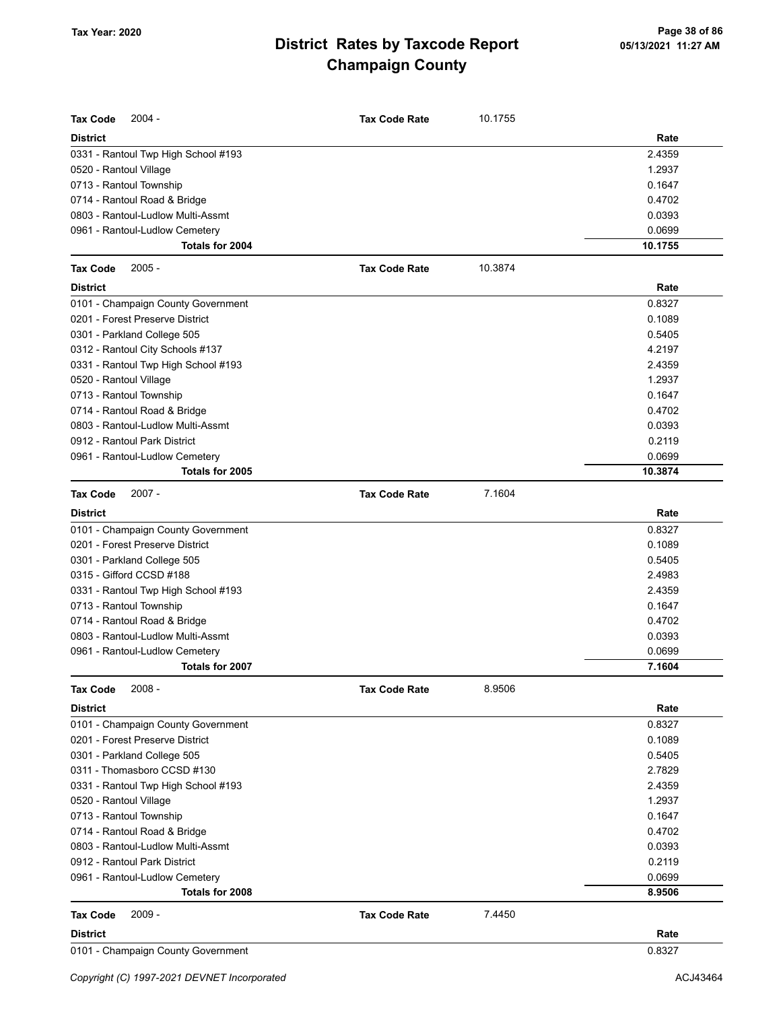| <b>Tax Code</b><br>$2004 -$         | <b>Tax Code Rate</b> | 10.1755 |         |
|-------------------------------------|----------------------|---------|---------|
| <b>District</b>                     |                      |         | Rate    |
| 0331 - Rantoul Twp High School #193 |                      |         | 2.4359  |
| 0520 - Rantoul Village              |                      |         | 1.2937  |
| 0713 - Rantoul Township             |                      |         | 0.1647  |
| 0714 - Rantoul Road & Bridge        |                      |         | 0.4702  |
| 0803 - Rantoul-Ludlow Multi-Assmt   |                      |         | 0.0393  |
| 0961 - Rantoul-Ludlow Cemetery      |                      |         | 0.0699  |
| Totals for 2004                     |                      |         | 10.1755 |
| <b>Tax Code</b><br>$2005 -$         | <b>Tax Code Rate</b> | 10.3874 |         |
| <b>District</b>                     |                      |         | Rate    |
| 0101 - Champaign County Government  |                      |         | 0.8327  |
| 0201 - Forest Preserve District     |                      |         | 0.1089  |
| 0301 - Parkland College 505         |                      |         | 0.5405  |
| 0312 - Rantoul City Schools #137    |                      |         | 4.2197  |
| 0331 - Rantoul Twp High School #193 |                      |         | 2.4359  |
| 0520 - Rantoul Village              |                      |         | 1.2937  |
| 0713 - Rantoul Township             |                      |         | 0.1647  |
| 0714 - Rantoul Road & Bridge        |                      |         | 0.4702  |
| 0803 - Rantoul-Ludlow Multi-Assmt   |                      |         | 0.0393  |
| 0912 - Rantoul Park District        |                      |         | 0.2119  |
| 0961 - Rantoul-Ludlow Cemetery      |                      |         | 0.0699  |
| Totals for 2005                     |                      |         | 10.3874 |
| $2007 -$<br><b>Tax Code</b>         | <b>Tax Code Rate</b> | 7.1604  |         |
| <b>District</b>                     |                      |         | Rate    |
| 0101 - Champaign County Government  |                      |         | 0.8327  |
| 0201 - Forest Preserve District     |                      |         | 0.1089  |
| 0301 - Parkland College 505         |                      |         | 0.5405  |
| 0315 - Gifford CCSD #188            |                      |         | 2.4983  |
| 0331 - Rantoul Twp High School #193 |                      |         | 2.4359  |
| 0713 - Rantoul Township             |                      |         | 0.1647  |
| 0714 - Rantoul Road & Bridge        |                      |         | 0.4702  |
| 0803 - Rantoul-Ludlow Multi-Assmt   |                      |         | 0.0393  |
| 0961 - Rantoul-Ludlow Cemetery      |                      |         | 0.0699  |
| Totals for 2007                     |                      |         | 7.1604  |
| Tax Code<br>$2008 -$                | <b>Tax Code Rate</b> | 8.9506  |         |
| <b>District</b>                     |                      |         | Rate    |
| 0101 - Champaign County Government  |                      |         | 0.8327  |
| 0201 - Forest Preserve District     |                      |         | 0.1089  |
| 0301 - Parkland College 505         |                      |         | 0.5405  |
| 0311 - Thomasboro CCSD #130         |                      |         | 2.7829  |
| 0331 - Rantoul Twp High School #193 |                      |         | 2.4359  |
| 0520 - Rantoul Village              |                      |         | 1.2937  |
| 0713 - Rantoul Township             |                      |         | 0.1647  |
| 0714 - Rantoul Road & Bridge        |                      |         | 0.4702  |
| 0803 - Rantoul-Ludlow Multi-Assmt   |                      |         | 0.0393  |
| 0912 - Rantoul Park District        |                      |         | 0.2119  |
| 0961 - Rantoul-Ludlow Cemetery      |                      |         | 0.0699  |
| Totals for 2008                     |                      |         | 8.9506  |
| $2009 -$<br><b>Tax Code</b>         | <b>Tax Code Rate</b> | 7.4450  |         |
| District                            |                      |         | Rate    |
| 0101 - Champaign County Government  |                      |         | 0.8327  |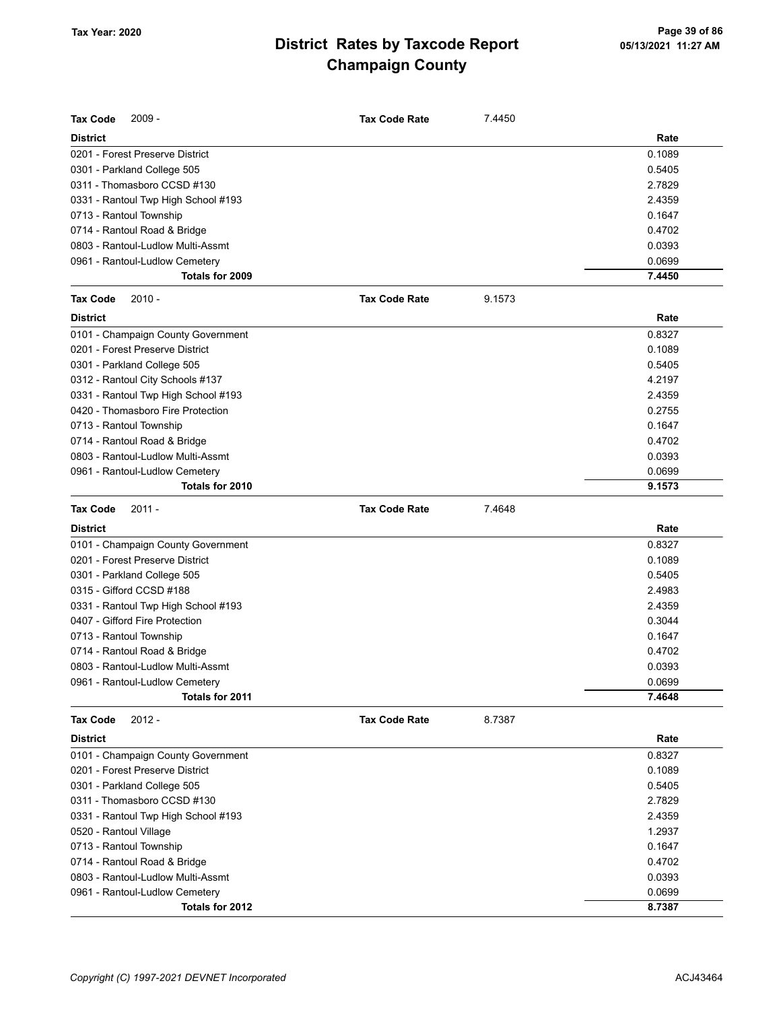| Tax Code<br>$2009 -$                | <b>Tax Code Rate</b> | 7.4450 |        |
|-------------------------------------|----------------------|--------|--------|
| <b>District</b>                     |                      |        | Rate   |
| 0201 - Forest Preserve District     |                      |        | 0.1089 |
| 0301 - Parkland College 505         |                      |        | 0.5405 |
| 0311 - Thomasboro CCSD #130         |                      |        | 2.7829 |
| 0331 - Rantoul Twp High School #193 |                      |        | 2.4359 |
| 0713 - Rantoul Township             |                      |        | 0.1647 |
| 0714 - Rantoul Road & Bridge        |                      |        | 0.4702 |
| 0803 - Rantoul-Ludlow Multi-Assmt   |                      |        | 0.0393 |
| 0961 - Rantoul-Ludlow Cemetery      |                      |        | 0.0699 |
| Totals for 2009                     |                      |        | 7.4450 |
| <b>Tax Code</b><br>$2010 -$         | <b>Tax Code Rate</b> | 9.1573 |        |
| <b>District</b>                     |                      |        | Rate   |
| 0101 - Champaign County Government  |                      |        | 0.8327 |
| 0201 - Forest Preserve District     |                      |        | 0.1089 |
| 0301 - Parkland College 505         |                      |        | 0.5405 |
| 0312 - Rantoul City Schools #137    |                      |        | 4.2197 |
| 0331 - Rantoul Twp High School #193 |                      |        | 2.4359 |
| 0420 - Thomasboro Fire Protection   |                      |        | 0.2755 |
| 0713 - Rantoul Township             |                      |        | 0.1647 |
| 0714 - Rantoul Road & Bridge        |                      |        | 0.4702 |
| 0803 - Rantoul-Ludlow Multi-Assmt   |                      |        | 0.0393 |
| 0961 - Rantoul-Ludlow Cemetery      |                      |        | 0.0699 |
| Totals for 2010                     |                      |        | 9.1573 |
| <b>Tax Code</b><br>$2011 -$         | <b>Tax Code Rate</b> | 7.4648 |        |
| <b>District</b>                     |                      |        | Rate   |
| 0101 - Champaign County Government  |                      |        | 0.8327 |
| 0201 - Forest Preserve District     |                      |        | 0.1089 |
| 0301 - Parkland College 505         |                      |        | 0.5405 |
| 0315 - Gifford CCSD #188            |                      |        | 2.4983 |
| 0331 - Rantoul Twp High School #193 |                      |        | 2.4359 |
| 0407 - Gifford Fire Protection      |                      |        | 0.3044 |
| 0713 - Rantoul Township             |                      |        | 0.1647 |
| 0714 - Rantoul Road & Bridge        |                      |        | 0.4702 |
| 0803 - Rantoul-Ludlow Multi-Assmt   |                      |        | 0.0393 |
| 0961 - Rantoul-Ludlow Cemetery      |                      |        | 0.0699 |
| Totals for 2011                     |                      |        | 7.4648 |
| $2012 -$<br>Tax Code                | <b>Tax Code Rate</b> | 8.7387 |        |
| <b>District</b>                     |                      |        | Rate   |
| 0101 - Champaign County Government  |                      |        | 0.8327 |
| 0201 - Forest Preserve District     |                      |        | 0.1089 |
| 0301 - Parkland College 505         |                      |        | 0.5405 |
| 0311 - Thomasboro CCSD #130         |                      |        | 2.7829 |
| 0331 - Rantoul Twp High School #193 |                      |        | 2.4359 |
| 0520 - Rantoul Village              |                      |        | 1.2937 |
| 0713 - Rantoul Township             |                      |        | 0.1647 |
| 0714 - Rantoul Road & Bridge        |                      |        | 0.4702 |
| 0803 - Rantoul-Ludlow Multi-Assmt   |                      |        | 0.0393 |
| 0961 - Rantoul-Ludlow Cemetery      |                      |        | 0.0699 |
| Totals for 2012                     |                      |        | 8.7387 |
|                                     |                      |        |        |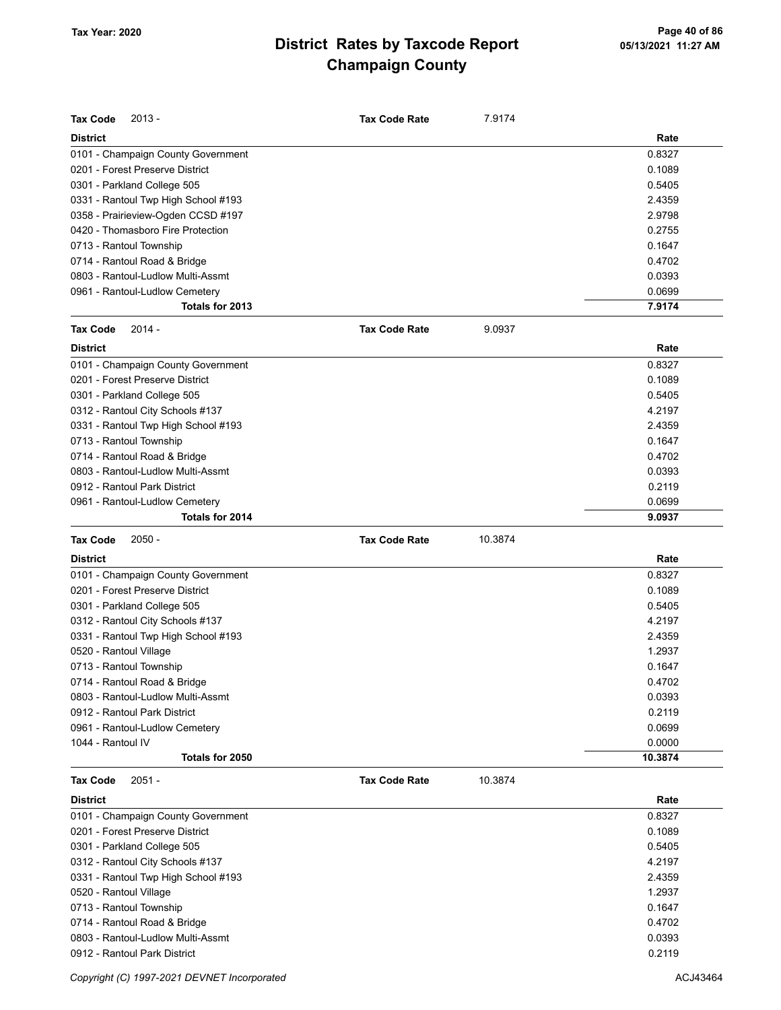| <b>Tax Code</b><br>$2013 -$          | <b>Tax Code Rate</b> | 7.9174  |                   |
|--------------------------------------|----------------------|---------|-------------------|
| <b>District</b>                      |                      |         | Rate              |
| 0101 - Champaign County Government   |                      |         | 0.8327            |
| 0201 - Forest Preserve District      |                      |         | 0.1089            |
| 0301 - Parkland College 505          |                      |         | 0.5405            |
| 0331 - Rantoul Twp High School #193  |                      |         | 2.4359            |
| 0358 - Prairieview-Ogden CCSD #197   |                      |         | 2.9798            |
| 0420 - Thomasboro Fire Protection    |                      |         | 0.2755            |
| 0713 - Rantoul Township              |                      |         | 0.1647            |
| 0714 - Rantoul Road & Bridge         |                      |         | 0.4702            |
| 0803 - Rantoul-Ludlow Multi-Assmt    |                      |         | 0.0393            |
| 0961 - Rantoul-Ludlow Cemetery       |                      |         | 0.0699            |
| Totals for 2013                      |                      |         | 7.9174            |
| <b>Tax Code</b><br>$2014 -$          | <b>Tax Code Rate</b> | 9.0937  |                   |
| <b>District</b>                      |                      |         | Rate              |
| 0101 - Champaign County Government   |                      |         | 0.8327            |
| 0201 - Forest Preserve District      |                      |         | 0.1089            |
| 0301 - Parkland College 505          |                      |         | 0.5405            |
| 0312 - Rantoul City Schools #137     |                      |         | 4.2197            |
| 0331 - Rantoul Twp High School #193  |                      |         | 2.4359            |
| 0713 - Rantoul Township              |                      |         | 0.1647            |
| 0714 - Rantoul Road & Bridge         |                      |         | 0.4702            |
| 0803 - Rantoul-Ludlow Multi-Assmt    |                      |         | 0.0393            |
| 0912 - Rantoul Park District         |                      |         | 0.2119            |
| 0961 - Rantoul-Ludlow Cemetery       |                      |         | 0.0699            |
| Totals for 2014                      |                      |         | 9.0937            |
| <b>Tax Code</b><br>$2050 -$          | <b>Tax Code Rate</b> | 10.3874 |                   |
| <b>District</b>                      |                      |         | Rate              |
|                                      |                      |         |                   |
|                                      |                      |         |                   |
| 0101 - Champaign County Government   |                      |         | 0.8327            |
| 0201 - Forest Preserve District      |                      |         | 0.1089            |
| 0301 - Parkland College 505          |                      |         | 0.5405            |
| 0312 - Rantoul City Schools #137     |                      |         | 4.2197            |
| 0331 - Rantoul Twp High School #193  |                      |         | 2.4359            |
| 0520 - Rantoul Village               |                      |         | 1.2937            |
| 0713 - Rantoul Township              |                      |         | 0.1647            |
| 0714 - Rantoul Road & Bridge         |                      |         | 0.4702            |
| 0803 - Rantoul-Ludlow Multi-Assmt    |                      |         | 0.0393            |
| 0912 - Rantoul Park District         |                      |         | 0.2119            |
| 0961 - Rantoul-Ludlow Cemetery       |                      |         | 0.0699            |
| 1044 - Rantoul IV<br>Totals for 2050 |                      |         | 0.0000<br>10.3874 |
| <b>Tax Code</b><br>$2051 -$          | <b>Tax Code Rate</b> | 10.3874 |                   |
| <b>District</b>                      |                      |         | Rate              |
| 0101 - Champaign County Government   |                      |         | 0.8327            |
| 0201 - Forest Preserve District      |                      |         | 0.1089            |
| 0301 - Parkland College 505          |                      |         | 0.5405            |
| 0312 - Rantoul City Schools #137     |                      |         | 4.2197            |
| 0331 - Rantoul Twp High School #193  |                      |         | 2.4359            |
| 0520 - Rantoul Village               |                      |         | 1.2937            |
| 0713 - Rantoul Township              |                      |         | 0.1647            |
| 0714 - Rantoul Road & Bridge         |                      |         | 0.4702            |
| 0803 - Rantoul-Ludlow Multi-Assmt    |                      |         | 0.0393            |

Copyright (C) 1997-2021 DEVNET Incorporated **ACJ43464** ACJ43464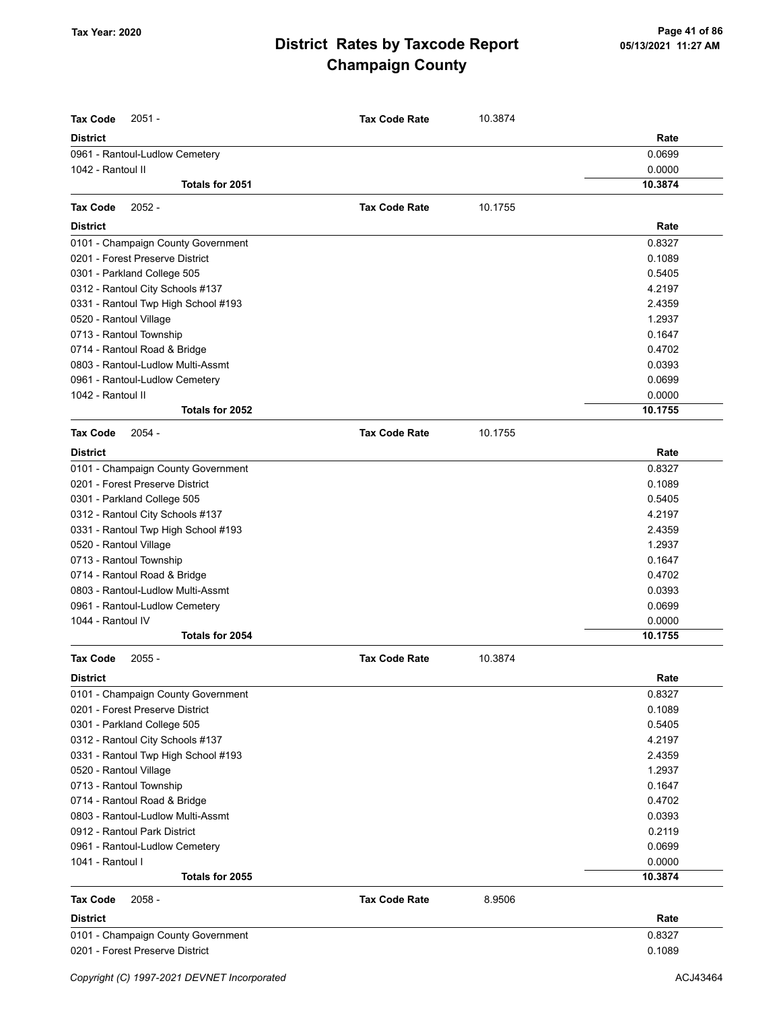| Tax Code<br>$2051 -$                                              | <b>Tax Code Rate</b> | 10.3874 |                  |
|-------------------------------------------------------------------|----------------------|---------|------------------|
| <b>District</b>                                                   |                      |         | Rate             |
| 0961 - Rantoul-Ludlow Cemetery                                    |                      |         | 0.0699           |
| 1042 - Rantoul II                                                 |                      |         | 0.0000           |
| Totals for 2051                                                   |                      |         | 10.3874          |
| $2052 -$<br><b>Tax Code</b>                                       | <b>Tax Code Rate</b> | 10.1755 |                  |
| <b>District</b>                                                   |                      |         | Rate             |
| 0101 - Champaign County Government                                |                      |         | 0.8327           |
| 0201 - Forest Preserve District                                   |                      |         | 0.1089           |
| 0301 - Parkland College 505                                       |                      |         | 0.5405           |
| 0312 - Rantoul City Schools #137                                  |                      |         | 4.2197           |
| 0331 - Rantoul Twp High School #193                               |                      |         | 2.4359           |
| 0520 - Rantoul Village                                            |                      |         | 1.2937           |
| 0713 - Rantoul Township                                           |                      |         | 0.1647           |
| 0714 - Rantoul Road & Bridge                                      |                      |         | 0.4702           |
| 0803 - Rantoul-Ludlow Multi-Assmt                                 |                      |         | 0.0393           |
| 0961 - Rantoul-Ludlow Cemetery                                    |                      |         | 0.0699           |
| 1042 - Rantoul II                                                 |                      |         | 0.0000           |
| Totals for 2052                                                   |                      |         | 10.1755          |
| <b>Tax Code</b><br>$2054 -$                                       | <b>Tax Code Rate</b> | 10.1755 |                  |
| District                                                          |                      |         | Rate             |
| 0101 - Champaign County Government                                |                      |         | 0.8327           |
| 0201 - Forest Preserve District                                   |                      |         | 0.1089           |
| 0301 - Parkland College 505                                       |                      |         | 0.5405           |
| 0312 - Rantoul City Schools #137                                  |                      |         | 4.2197           |
| 0331 - Rantoul Twp High School #193                               |                      |         | 2.4359           |
| 0520 - Rantoul Village                                            |                      |         | 1.2937           |
| 0713 - Rantoul Township                                           |                      |         | 0.1647           |
| 0714 - Rantoul Road & Bridge                                      |                      |         | 0.4702           |
| 0803 - Rantoul-Ludlow Multi-Assmt                                 |                      |         | 0.0393           |
| 0961 - Rantoul-Ludlow Cemetery                                    |                      |         | 0.0699           |
| 1044 - Rantoul IV                                                 |                      |         | 0.0000           |
| Totals for 2054                                                   |                      |         | 10.1755          |
| <b>Tax Code</b><br>$2055 -$                                       | <b>Tax Code Rate</b> | 10.3874 |                  |
| District                                                          |                      |         | Rate             |
| 0101 - Champaign County Government                                |                      |         | 0.8327           |
| 0201 - Forest Preserve District                                   |                      |         | 0.1089           |
| 0301 - Parkland College 505                                       |                      |         | 0.5405           |
| 0312 - Rantoul City Schools #137                                  |                      |         | 4.2197           |
| 0331 - Rantoul Twp High School #193                               |                      |         | 2.4359           |
| 0520 - Rantoul Village                                            |                      |         | 1.2937           |
| 0713 - Rantoul Township                                           |                      |         | 0.1647           |
| 0714 - Rantoul Road & Bridge                                      |                      |         | 0.4702<br>0.0393 |
| 0803 - Rantoul-Ludlow Multi-Assmt<br>0912 - Rantoul Park District |                      |         | 0.2119           |
|                                                                   |                      |         | 0.0699           |
| 0961 - Rantoul-Ludlow Cemetery<br>1041 - Rantoul I                |                      |         | 0.0000           |
| Totals for 2055                                                   |                      |         | 10.3874          |
| <b>Tax Code</b><br>$2058 -$                                       | <b>Tax Code Rate</b> | 8.9506  |                  |
| District                                                          |                      |         | Rate             |
| 0101 - Champaign County Government                                |                      |         | 0.8327           |
| 0201 - Forest Preserve District                                   |                      |         | 0.1089           |
|                                                                   |                      |         |                  |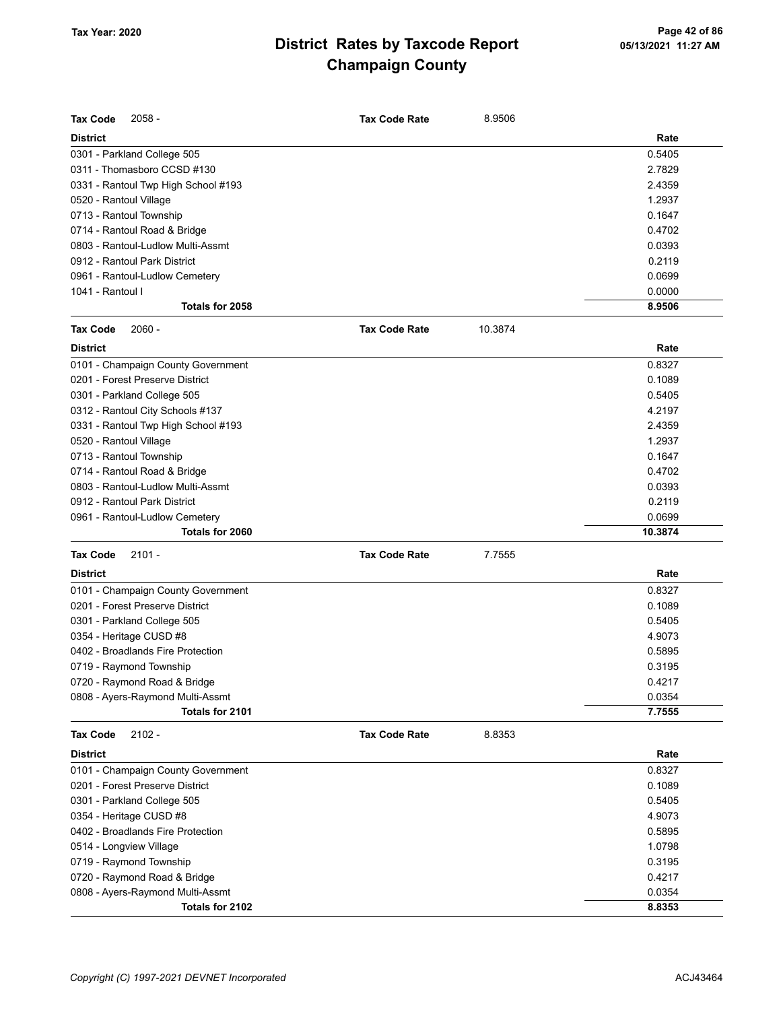| <b>Tax Code</b><br>$2058 -$                         | <b>Tax Code Rate</b> | 8.9506  |         |
|-----------------------------------------------------|----------------------|---------|---------|
| <b>District</b>                                     |                      |         | Rate    |
| 0301 - Parkland College 505                         |                      |         | 0.5405  |
| 0311 - Thomasboro CCSD #130                         |                      |         | 2.7829  |
| 0331 - Rantoul Twp High School #193                 |                      |         | 2.4359  |
| 0520 - Rantoul Village                              |                      |         | 1.2937  |
| 0713 - Rantoul Township                             |                      |         | 0.1647  |
| 0714 - Rantoul Road & Bridge                        |                      |         | 0.4702  |
| 0803 - Rantoul-Ludlow Multi-Assmt                   |                      |         | 0.0393  |
| 0912 - Rantoul Park District                        |                      |         | 0.2119  |
| 0961 - Rantoul-Ludlow Cemetery                      |                      |         | 0.0699  |
| 1041 - Rantoul I                                    |                      |         | 0.0000  |
| Totals for 2058                                     |                      |         | 8.9506  |
| $2060 -$<br><b>Tax Code</b>                         | <b>Tax Code Rate</b> | 10.3874 |         |
| <b>District</b>                                     |                      |         | Rate    |
| 0101 - Champaign County Government                  |                      |         | 0.8327  |
| 0201 - Forest Preserve District                     |                      |         | 0.1089  |
| 0301 - Parkland College 505                         |                      |         | 0.5405  |
| 0312 - Rantoul City Schools #137                    |                      |         | 4.2197  |
| 0331 - Rantoul Twp High School #193                 |                      |         | 2.4359  |
| 0520 - Rantoul Village                              |                      |         | 1.2937  |
| 0713 - Rantoul Township                             |                      |         | 0.1647  |
| 0714 - Rantoul Road & Bridge                        |                      |         | 0.4702  |
| 0803 - Rantoul-Ludlow Multi-Assmt                   |                      |         | 0.0393  |
| 0912 - Rantoul Park District                        |                      |         | 0.2119  |
| 0961 - Rantoul-Ludlow Cemetery                      |                      |         | 0.0699  |
| Totals for 2060                                     |                      |         | 10.3874 |
| <b>Tax Code</b><br>$2101 -$                         | <b>Tax Code Rate</b> | 7.7555  |         |
| <b>District</b>                                     |                      |         | Rate    |
| 0101 - Champaign County Government                  |                      |         | 0.8327  |
| 0201 - Forest Preserve District                     |                      |         | 0.1089  |
| 0301 - Parkland College 505                         |                      |         | 0.5405  |
| 0354 - Heritage CUSD #8                             |                      |         | 4.9073  |
| 0402 - Broadlands Fire Protection                   |                      |         | 0.5895  |
| 0719 - Raymond Township                             |                      |         | 0.3195  |
| 0720 - Raymond Road & Bridge                        |                      |         | 0.4217  |
| 0808 - Ayers-Raymond Multi-Assmt                    |                      |         | 0.0354  |
| Totals for 2101                                     |                      |         | 7.7555  |
| <b>Tax Code</b><br>$2102 -$                         | <b>Tax Code Rate</b> | 8.8353  |         |
| <b>District</b>                                     |                      |         | Rate    |
| 0101 - Champaign County Government                  |                      |         | 0.8327  |
| 0201 - Forest Preserve District                     |                      |         | 0.1089  |
| 0301 - Parkland College 505                         |                      |         | 0.5405  |
| 0354 - Heritage CUSD #8                             |                      |         | 4.9073  |
| 0402 - Broadlands Fire Protection                   |                      |         | 0.5895  |
| 0514 - Longview Village                             |                      |         | 1.0798  |
| 0719 - Raymond Township                             |                      |         | 0.3195  |
| 0720 - Raymond Road & Bridge                        |                      |         | 0.4217  |
|                                                     |                      |         | 0.0354  |
| 0808 - Ayers-Raymond Multi-Assmt<br>Totals for 2102 |                      |         | 8.8353  |
|                                                     |                      |         |         |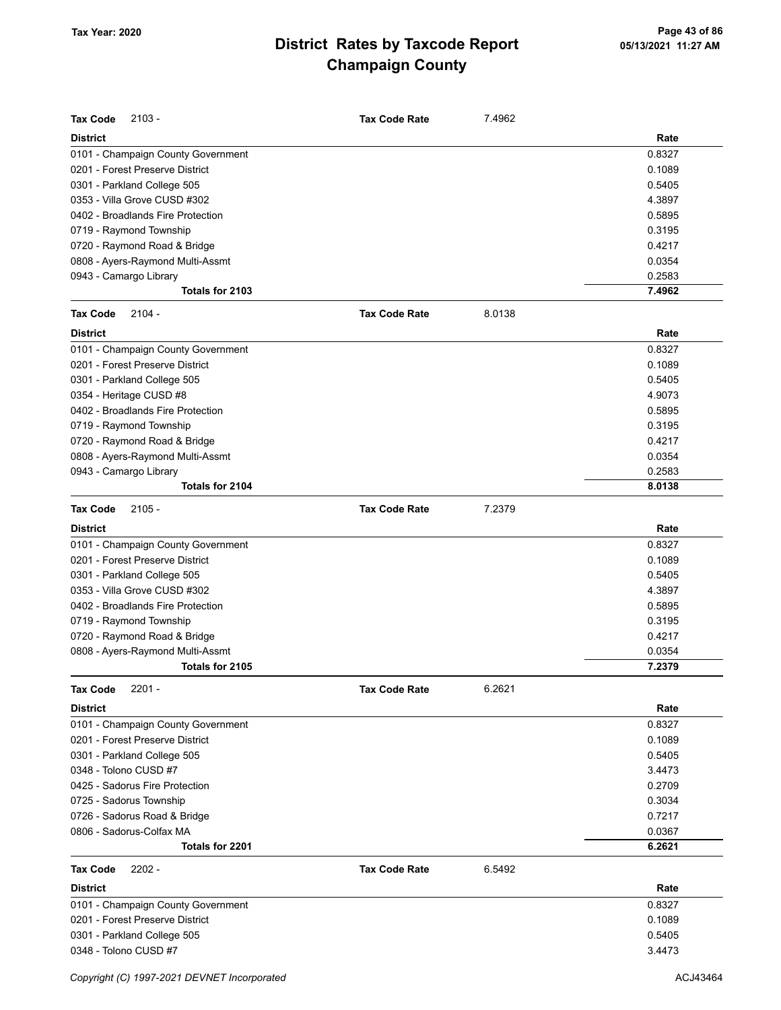| <b>Tax Code</b><br>$2103 -$        | <b>Tax Code Rate</b> | 7.4962 |        |
|------------------------------------|----------------------|--------|--------|
| <b>District</b>                    |                      |        | Rate   |
| 0101 - Champaign County Government |                      |        | 0.8327 |
| 0201 - Forest Preserve District    |                      |        | 0.1089 |
| 0301 - Parkland College 505        |                      |        | 0.5405 |
| 0353 - Villa Grove CUSD #302       |                      |        | 4.3897 |
| 0402 - Broadlands Fire Protection  |                      |        | 0.5895 |
| 0719 - Raymond Township            |                      |        | 0.3195 |
| 0720 - Raymond Road & Bridge       |                      |        | 0.4217 |
| 0808 - Ayers-Raymond Multi-Assmt   |                      |        | 0.0354 |
| 0943 - Camargo Library             |                      |        | 0.2583 |
| Totals for 2103                    |                      |        | 7.4962 |
| $2104 -$<br><b>Tax Code</b>        | <b>Tax Code Rate</b> | 8.0138 |        |
| <b>District</b>                    |                      |        | Rate   |
| 0101 - Champaign County Government |                      |        | 0.8327 |
| 0201 - Forest Preserve District    |                      |        | 0.1089 |
| 0301 - Parkland College 505        |                      |        | 0.5405 |
| 0354 - Heritage CUSD #8            |                      |        | 4.9073 |
| 0402 - Broadlands Fire Protection  |                      |        | 0.5895 |
| 0719 - Raymond Township            |                      |        | 0.3195 |
| 0720 - Raymond Road & Bridge       |                      |        | 0.4217 |
| 0808 - Ayers-Raymond Multi-Assmt   |                      |        | 0.0354 |
| 0943 - Camargo Library             |                      |        | 0.2583 |
| Totals for 2104                    |                      |        | 8.0138 |
| $2105 -$<br><b>Tax Code</b>        | <b>Tax Code Rate</b> | 7.2379 |        |
| <b>District</b>                    |                      |        | Rate   |
| 0101 - Champaign County Government |                      |        | 0.8327 |
| 0201 - Forest Preserve District    |                      |        | 0.1089 |
| 0301 - Parkland College 505        |                      |        | 0.5405 |
| 0353 - Villa Grove CUSD #302       |                      |        | 4.3897 |
| 0402 - Broadlands Fire Protection  |                      |        | 0.5895 |
| 0719 - Raymond Township            |                      |        | 0.3195 |
| 0720 - Raymond Road & Bridge       |                      |        | 0.4217 |
| 0808 - Ayers-Raymond Multi-Assmt   |                      |        | 0.0354 |
| Totals for 2105                    |                      |        | 7.2379 |
| <b>Tax Code</b><br>$2201 -$        | <b>Tax Code Rate</b> | 6.2621 |        |
| <b>District</b>                    |                      |        | Rate   |
| 0101 - Champaign County Government |                      |        | 0.8327 |
| 0201 - Forest Preserve District    |                      |        | 0.1089 |
| 0301 - Parkland College 505        |                      |        | 0.5405 |
| 0348 - Tolono CUSD #7              |                      |        | 3.4473 |
| 0425 - Sadorus Fire Protection     |                      |        | 0.2709 |
| 0725 - Sadorus Township            |                      |        | 0.3034 |
| 0726 - Sadorus Road & Bridge       |                      |        | 0.7217 |
| 0806 - Sadorus-Colfax MA           |                      |        | 0.0367 |
| Totals for 2201                    |                      |        | 6.2621 |
| <b>Tax Code</b><br>$2202 -$        | <b>Tax Code Rate</b> | 6.5492 |        |
| <b>District</b>                    |                      |        | Rate   |
| 0101 - Champaign County Government |                      |        | 0.8327 |
| 0201 - Forest Preserve District    |                      |        | 0.1089 |
| 0301 - Parkland College 505        |                      |        | 0.5405 |
| 0348 - Tolono CUSD #7              |                      |        | 3.4473 |
|                                    |                      |        |        |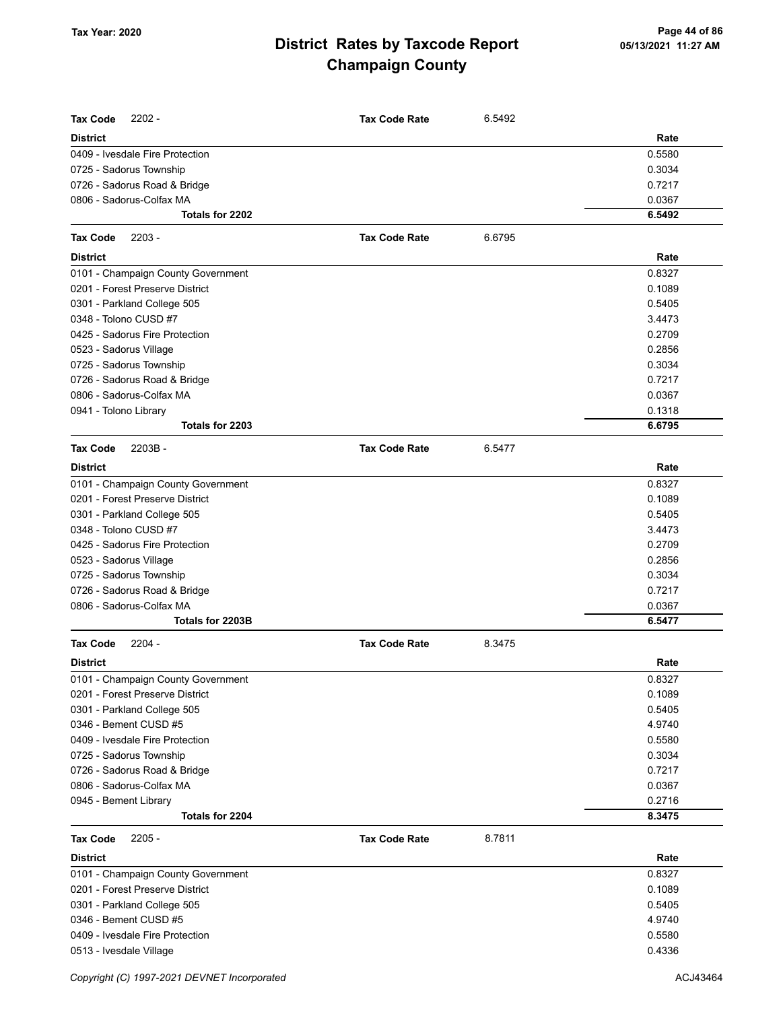| <b>Tax Code</b><br>$2202 -$        | <b>Tax Code Rate</b> | 6.5492 |        |
|------------------------------------|----------------------|--------|--------|
| <b>District</b>                    |                      |        | Rate   |
| 0409 - Ivesdale Fire Protection    |                      |        | 0.5580 |
| 0725 - Sadorus Township            |                      |        | 0.3034 |
| 0726 - Sadorus Road & Bridge       |                      |        | 0.7217 |
| 0806 - Sadorus-Colfax MA           |                      |        | 0.0367 |
| Totals for 2202                    |                      |        | 6.5492 |
| <b>Tax Code</b><br>$2203 -$        | <b>Tax Code Rate</b> | 6.6795 |        |
| <b>District</b>                    |                      |        | Rate   |
| 0101 - Champaign County Government |                      |        | 0.8327 |
| 0201 - Forest Preserve District    |                      |        | 0.1089 |
| 0301 - Parkland College 505        |                      |        | 0.5405 |
| 0348 - Tolono CUSD #7              |                      |        | 3.4473 |
| 0425 - Sadorus Fire Protection     |                      |        | 0.2709 |
| 0523 - Sadorus Village             |                      |        | 0.2856 |
| 0725 - Sadorus Township            |                      |        | 0.3034 |
| 0726 - Sadorus Road & Bridge       |                      |        | 0.7217 |
| 0806 - Sadorus-Colfax MA           |                      |        | 0.0367 |
| 0941 - Tolono Library              |                      |        | 0.1318 |
| Totals for 2203                    |                      |        | 6.6795 |
| <b>Tax Code</b><br>$2203B -$       | <b>Tax Code Rate</b> | 6.5477 |        |
| <b>District</b>                    |                      |        | Rate   |
| 0101 - Champaign County Government |                      |        | 0.8327 |
| 0201 - Forest Preserve District    |                      |        | 0.1089 |
| 0301 - Parkland College 505        |                      |        | 0.5405 |
| 0348 - Tolono CUSD #7              |                      |        | 3.4473 |
| 0425 - Sadorus Fire Protection     |                      |        | 0.2709 |
| 0523 - Sadorus Village             |                      |        | 0.2856 |
| 0725 - Sadorus Township            |                      |        | 0.3034 |
| 0726 - Sadorus Road & Bridge       |                      |        | 0.7217 |
| 0806 - Sadorus-Colfax MA           |                      |        | 0.0367 |
| Totals for 2203B                   |                      |        | 6.5477 |
| <b>Tax Code</b><br>$2204 -$        | <b>Tax Code Rate</b> | 8.3475 |        |
| <b>District</b>                    |                      |        | Rate   |
| 0101 - Champaign County Government |                      |        | 0.8327 |
| 0201 - Forest Preserve District    |                      |        | 0.1089 |
| 0301 - Parkland College 505        |                      |        | 0.5405 |
| 0346 - Bement CUSD #5              |                      |        | 4.9740 |
| 0409 - Ivesdale Fire Protection    |                      |        | 0.5580 |
| 0725 - Sadorus Township            |                      |        | 0.3034 |
| 0726 - Sadorus Road & Bridge       |                      |        | 0.7217 |
| 0806 - Sadorus-Colfax MA           |                      |        | 0.0367 |
| 0945 - Bement Library              |                      |        | 0.2716 |
| Totals for 2204                    |                      |        | 8.3475 |
| $2205 -$<br><b>Tax Code</b>        | <b>Tax Code Rate</b> | 8.7811 |        |
| <b>District</b>                    |                      |        | Rate   |
| 0101 - Champaign County Government |                      |        | 0.8327 |
| 0201 - Forest Preserve District    |                      |        | 0.1089 |
| 0301 - Parkland College 505        |                      |        | 0.5405 |
| 0346 - Bement CUSD #5              |                      |        | 4.9740 |
| 0409 - Ivesdale Fire Protection    |                      |        | 0.5580 |
| 0513 - Ivesdale Village            |                      |        | 0.4336 |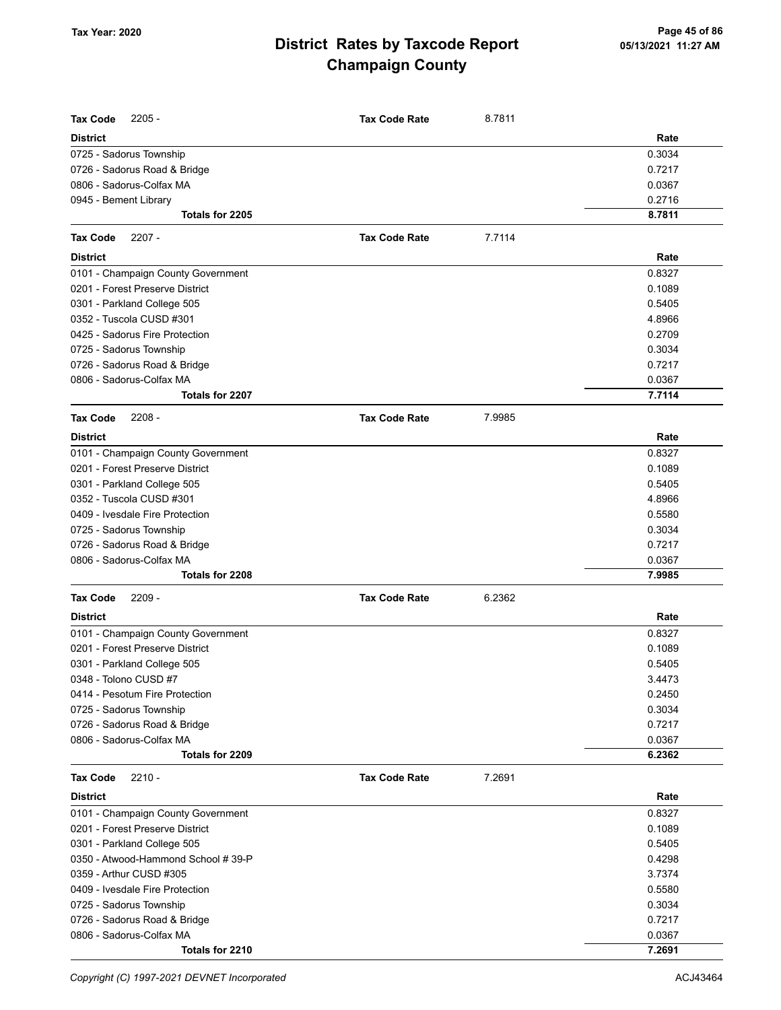| <b>Tax Code</b><br>$2205 -$         | <b>Tax Code Rate</b> | 8.7811 |        |
|-------------------------------------|----------------------|--------|--------|
| <b>District</b>                     |                      |        | Rate   |
| 0725 - Sadorus Township             |                      |        | 0.3034 |
| 0726 - Sadorus Road & Bridge        |                      |        | 0.7217 |
| 0806 - Sadorus-Colfax MA            |                      |        | 0.0367 |
| 0945 - Bement Library               |                      |        | 0.2716 |
| Totals for 2205                     |                      |        | 8.7811 |
| <b>Tax Code</b><br>$2207 -$         | <b>Tax Code Rate</b> | 7.7114 |        |
| <b>District</b>                     |                      |        | Rate   |
| 0101 - Champaign County Government  |                      |        | 0.8327 |
| 0201 - Forest Preserve District     |                      |        | 0.1089 |
| 0301 - Parkland College 505         |                      |        | 0.5405 |
| 0352 - Tuscola CUSD #301            |                      |        | 4.8966 |
| 0425 - Sadorus Fire Protection      |                      |        | 0.2709 |
| 0725 - Sadorus Township             |                      |        | 0.3034 |
| 0726 - Sadorus Road & Bridge        |                      |        | 0.7217 |
| 0806 - Sadorus-Colfax MA            |                      |        | 0.0367 |
| Totals for 2207                     |                      |        | 7.7114 |
| $2208 -$<br><b>Tax Code</b>         | <b>Tax Code Rate</b> | 7.9985 |        |
| <b>District</b>                     |                      |        | Rate   |
| 0101 - Champaign County Government  |                      |        | 0.8327 |
| 0201 - Forest Preserve District     |                      |        | 0.1089 |
| 0301 - Parkland College 505         |                      |        | 0.5405 |
| 0352 - Tuscola CUSD #301            |                      |        | 4.8966 |
| 0409 - Ivesdale Fire Protection     |                      |        | 0.5580 |
| 0725 - Sadorus Township             |                      |        | 0.3034 |
| 0726 - Sadorus Road & Bridge        |                      |        | 0.7217 |
| 0806 - Sadorus-Colfax MA            |                      |        | 0.0367 |
| Totals for 2208                     |                      |        | 7.9985 |
| <b>Tax Code</b><br>$2209 -$         | <b>Tax Code Rate</b> | 6.2362 |        |
| <b>District</b>                     |                      |        | Rate   |
| 0101 - Champaign County Government  |                      |        | 0.8327 |
| 0201 - Forest Preserve District     |                      |        | 0.1089 |
| 0301 - Parkland College 505         |                      |        | 0.5405 |
| 0348 - Tolono CUSD #7               |                      |        | 3.4473 |
| 0414 - Pesotum Fire Protection      |                      |        | 0.2450 |
| 0725 - Sadorus Township             |                      |        | 0.3034 |
| 0726 - Sadorus Road & Bridge        |                      |        | 0.7217 |
| 0806 - Sadorus-Colfax MA            |                      |        | 0.0367 |
| Totals for 2209                     |                      |        | 6.2362 |
| <b>Tax Code</b><br>$2210 -$         | <b>Tax Code Rate</b> | 7.2691 |        |
| <b>District</b>                     |                      |        | Rate   |
| 0101 - Champaign County Government  |                      |        | 0.8327 |
| 0201 - Forest Preserve District     |                      |        | 0.1089 |
| 0301 - Parkland College 505         |                      |        | 0.5405 |
| 0350 - Atwood-Hammond School # 39-P |                      |        | 0.4298 |
| 0359 - Arthur CUSD #305             |                      |        | 3.7374 |
| 0409 - Ivesdale Fire Protection     |                      |        | 0.5580 |
| 0725 - Sadorus Township             |                      |        | 0.3034 |
| 0726 - Sadorus Road & Bridge        |                      |        | 0.7217 |
| 0806 - Sadorus-Colfax MA            |                      |        | 0.0367 |
| Totals for 2210                     |                      |        | 7.2691 |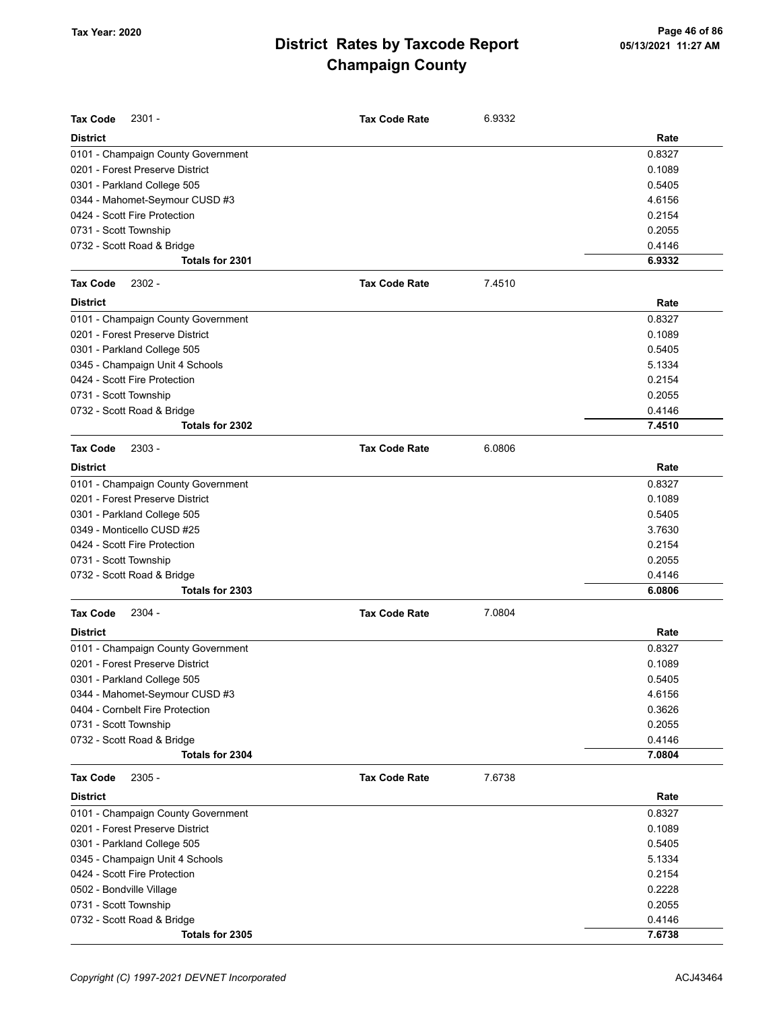| <b>Tax Code</b><br>$2301 -$        | <b>Tax Code Rate</b> | 6.9332 |        |
|------------------------------------|----------------------|--------|--------|
| <b>District</b>                    |                      |        | Rate   |
| 0101 - Champaign County Government |                      |        | 0.8327 |
| 0201 - Forest Preserve District    |                      |        | 0.1089 |
| 0301 - Parkland College 505        |                      |        | 0.5405 |
| 0344 - Mahomet-Seymour CUSD #3     |                      |        | 4.6156 |
| 0424 - Scott Fire Protection       |                      |        | 0.2154 |
| 0731 - Scott Township              |                      |        | 0.2055 |
| 0732 - Scott Road & Bridge         |                      |        | 0.4146 |
| Totals for 2301                    |                      |        | 6.9332 |
| $2302 -$<br><b>Tax Code</b>        | <b>Tax Code Rate</b> | 7.4510 |        |
| <b>District</b>                    |                      |        | Rate   |
| 0101 - Champaign County Government |                      |        | 0.8327 |
| 0201 - Forest Preserve District    |                      |        | 0.1089 |
| 0301 - Parkland College 505        |                      |        | 0.5405 |
| 0345 - Champaign Unit 4 Schools    |                      |        | 5.1334 |
| 0424 - Scott Fire Protection       |                      |        | 0.2154 |
| 0731 - Scott Township              |                      |        | 0.2055 |
| 0732 - Scott Road & Bridge         |                      |        | 0.4146 |
| Totals for 2302                    |                      |        | 7.4510 |
| <b>Tax Code</b><br>$2303 -$        | <b>Tax Code Rate</b> | 6.0806 |        |
| <b>District</b>                    |                      |        | Rate   |
| 0101 - Champaign County Government |                      |        | 0.8327 |
| 0201 - Forest Preserve District    |                      |        | 0.1089 |
| 0301 - Parkland College 505        |                      |        | 0.5405 |
| 0349 - Monticello CUSD #25         |                      |        | 3.7630 |
| 0424 - Scott Fire Protection       |                      |        | 0.2154 |
| 0731 - Scott Township              |                      |        | 0.2055 |
| 0732 - Scott Road & Bridge         |                      |        | 0.4146 |
| Totals for 2303                    |                      |        | 6.0806 |
| 2304 -<br><b>Tax Code</b>          | <b>Tax Code Rate</b> | 7.0804 |        |
| <b>District</b>                    |                      |        | Rate   |
| 0101 - Champaign County Government |                      |        | 0.8327 |
| 0201 - Forest Preserve District    |                      |        | 0.1089 |
| 0301 - Parkland College 505        |                      |        | 0.5405 |
| 0344 - Mahomet-Seymour CUSD #3     |                      |        | 4.6156 |
| 0404 - Cornbelt Fire Protection    |                      |        | 0.3626 |
| 0731 - Scott Township              |                      |        | 0.2055 |
| 0732 - Scott Road & Bridge         |                      |        | 0.4146 |
| Totals for 2304                    |                      |        | 7.0804 |
| <b>Tax Code</b><br>2305 -          | <b>Tax Code Rate</b> | 7.6738 |        |
| <b>District</b>                    |                      |        | Rate   |
| 0101 - Champaign County Government |                      |        | 0.8327 |
| 0201 - Forest Preserve District    |                      |        | 0.1089 |
| 0301 - Parkland College 505        |                      |        | 0.5405 |
| 0345 - Champaign Unit 4 Schools    |                      |        | 5.1334 |
| 0424 - Scott Fire Protection       |                      |        | 0.2154 |
| 0502 - Bondville Village           |                      |        | 0.2228 |
| 0731 - Scott Township              |                      |        | 0.2055 |
| 0732 - Scott Road & Bridge         |                      |        | 0.4146 |
| Totals for 2305                    |                      |        | 7.6738 |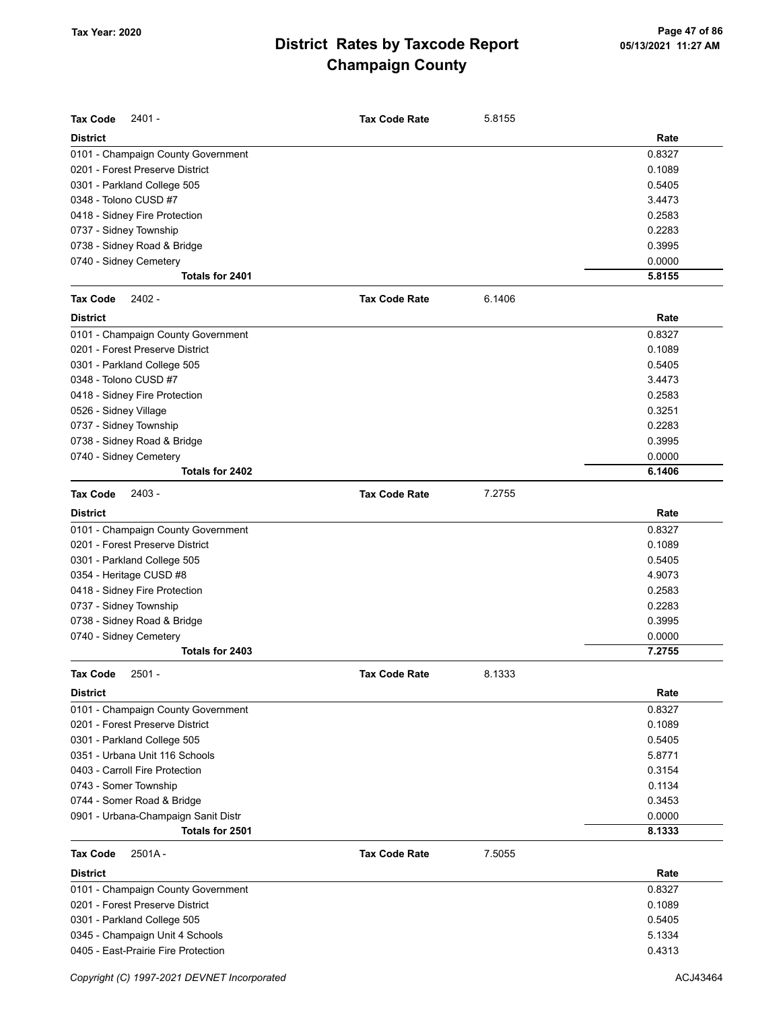| <b>Tax Code</b><br>2401 -           | <b>Tax Code Rate</b> | 5.8155 |        |
|-------------------------------------|----------------------|--------|--------|
| <b>District</b>                     |                      |        | Rate   |
| 0101 - Champaign County Government  |                      |        | 0.8327 |
| 0201 - Forest Preserve District     |                      |        | 0.1089 |
| 0301 - Parkland College 505         |                      |        | 0.5405 |
| 0348 - Tolono CUSD #7               |                      |        | 3.4473 |
| 0418 - Sidney Fire Protection       |                      |        | 0.2583 |
| 0737 - Sidney Township              |                      |        | 0.2283 |
| 0738 - Sidney Road & Bridge         |                      |        | 0.3995 |
| 0740 - Sidney Cemetery              |                      |        | 0.0000 |
| Totals for 2401                     |                      |        | 5.8155 |
| 2402 -<br><b>Tax Code</b>           | <b>Tax Code Rate</b> | 6.1406 |        |
| <b>District</b>                     |                      |        | Rate   |
| 0101 - Champaign County Government  |                      |        | 0.8327 |
| 0201 - Forest Preserve District     |                      |        | 0.1089 |
| 0301 - Parkland College 505         |                      |        | 0.5405 |
| 0348 - Tolono CUSD #7               |                      |        | 3.4473 |
| 0418 - Sidney Fire Protection       |                      |        | 0.2583 |
| 0526 - Sidney Village               |                      |        | 0.3251 |
| 0737 - Sidney Township              |                      |        | 0.2283 |
| 0738 - Sidney Road & Bridge         |                      |        | 0.3995 |
| 0740 - Sidney Cemetery              |                      |        | 0.0000 |
| Totals for 2402                     |                      |        | 6.1406 |
| 2403 -<br><b>Tax Code</b>           | <b>Tax Code Rate</b> | 7.2755 |        |
| <b>District</b>                     |                      |        | Rate   |
| 0101 - Champaign County Government  |                      |        | 0.8327 |
| 0201 - Forest Preserve District     |                      |        | 0.1089 |
| 0301 - Parkland College 505         |                      |        | 0.5405 |
| 0354 - Heritage CUSD #8             |                      |        | 4.9073 |
| 0418 - Sidney Fire Protection       |                      |        | 0.2583 |
| 0737 - Sidney Township              |                      |        | 0.2283 |
| 0738 - Sidney Road & Bridge         |                      |        | 0.3995 |
| 0740 - Sidney Cemetery              |                      |        | 0.0000 |
| Totals for 2403                     |                      |        | 7.2755 |
| Tax Code<br>2501 -                  | <b>Tax Code Rate</b> | 8.1333 |        |
| District                            |                      |        | Rate   |
| 0101 - Champaign County Government  |                      |        | 0.8327 |
| 0201 - Forest Preserve District     |                      |        | 0.1089 |
| 0301 - Parkland College 505         |                      |        | 0.5405 |
| 0351 - Urbana Unit 116 Schools      |                      |        | 5.8771 |
| 0403 - Carroll Fire Protection      |                      |        | 0.3154 |
| 0743 - Somer Township               |                      |        | 0.1134 |
| 0744 - Somer Road & Bridge          |                      |        | 0.3453 |
| 0901 - Urbana-Champaign Sanit Distr |                      |        | 0.0000 |
| Totals for 2501                     |                      |        | 8.1333 |
| <b>Tax Code</b><br>$2501A -$        | <b>Tax Code Rate</b> | 7.5055 |        |
| <b>District</b>                     |                      |        | Rate   |
| 0101 - Champaign County Government  |                      |        | 0.8327 |
| 0201 - Forest Preserve District     |                      |        | 0.1089 |
| 0301 - Parkland College 505         |                      |        | 0.5405 |
| 0345 - Champaign Unit 4 Schools     |                      |        | 5.1334 |
| 0405 - East-Prairie Fire Protection |                      |        | 0.4313 |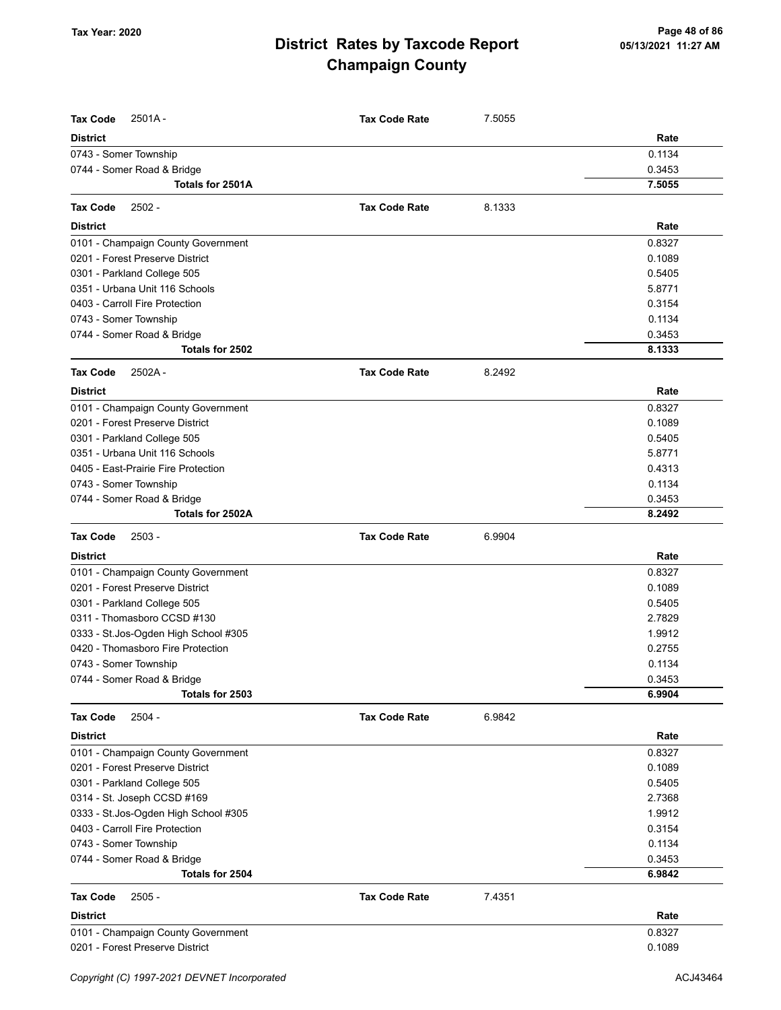| <b>Tax Code</b><br>$2501A -$         | <b>Tax Code Rate</b> | 7.5055 |        |
|--------------------------------------|----------------------|--------|--------|
| <b>District</b>                      |                      |        | Rate   |
| 0743 - Somer Township                |                      |        | 0.1134 |
| 0744 - Somer Road & Bridge           |                      |        | 0.3453 |
| Totals for 2501A                     |                      |        | 7.5055 |
| 2502 -<br><b>Tax Code</b>            | <b>Tax Code Rate</b> | 8.1333 |        |
| <b>District</b>                      |                      |        | Rate   |
| 0101 - Champaign County Government   |                      |        | 0.8327 |
| 0201 - Forest Preserve District      |                      |        | 0.1089 |
| 0301 - Parkland College 505          |                      |        | 0.5405 |
| 0351 - Urbana Unit 116 Schools       |                      |        | 5.8771 |
| 0403 - Carroll Fire Protection       |                      |        | 0.3154 |
| 0743 - Somer Township                |                      |        | 0.1134 |
| 0744 - Somer Road & Bridge           |                      |        | 0.3453 |
| Totals for 2502                      |                      |        | 8.1333 |
| <b>Tax Code</b><br>2502A-            | <b>Tax Code Rate</b> | 8.2492 |        |
| <b>District</b>                      |                      |        | Rate   |
| 0101 - Champaign County Government   |                      |        | 0.8327 |
| 0201 - Forest Preserve District      |                      |        | 0.1089 |
| 0301 - Parkland College 505          |                      |        | 0.5405 |
| 0351 - Urbana Unit 116 Schools       |                      |        | 5.8771 |
| 0405 - East-Prairie Fire Protection  |                      |        | 0.4313 |
| 0743 - Somer Township                |                      |        | 0.1134 |
| 0744 - Somer Road & Bridge           |                      |        | 0.3453 |
| Totals for 2502A                     |                      |        | 8.2492 |
| <b>Tax Code</b><br>2503 -            | <b>Tax Code Rate</b> | 6.9904 |        |
| <b>District</b>                      |                      |        | Rate   |
| 0101 - Champaign County Government   |                      |        | 0.8327 |
| 0201 - Forest Preserve District      |                      |        | 0.1089 |
| 0301 - Parkland College 505          |                      |        | 0.5405 |
| 0311 - Thomasboro CCSD #130          |                      |        | 2.7829 |
| 0333 - St.Jos-Ogden High School #305 |                      |        | 1.9912 |
| 0420 - Thomasboro Fire Protection    |                      |        | 0.2755 |
| 0743 - Somer Township                |                      |        | 0.1134 |
| 0744 - Somer Road & Bridge           |                      |        | 0.3453 |
| Totals for 2503                      |                      |        | 6.9904 |
| <b>Tax Code</b><br>$2504 -$          | <b>Tax Code Rate</b> | 6.9842 |        |
| <b>District</b>                      |                      |        | Rate   |
| 0101 - Champaign County Government   |                      |        | 0.8327 |
| 0201 - Forest Preserve District      |                      |        | 0.1089 |
| 0301 - Parkland College 505          |                      |        | 0.5405 |
| 0314 - St. Joseph CCSD #169          |                      |        | 2.7368 |
| 0333 - St.Jos-Ogden High School #305 |                      |        | 1.9912 |
| 0403 - Carroll Fire Protection       |                      |        | 0.3154 |
| 0743 - Somer Township                |                      |        | 0.1134 |
| 0744 - Somer Road & Bridge           |                      |        | 0.3453 |
| Totals for 2504                      |                      |        | 6.9842 |
| <b>Tax Code</b><br>$2505 -$          | <b>Tax Code Rate</b> | 7.4351 |        |
| <b>District</b>                      |                      |        | Rate   |
| 0101 - Champaign County Government   |                      |        | 0.8327 |
| 0201 - Forest Preserve District      |                      |        | 0.1089 |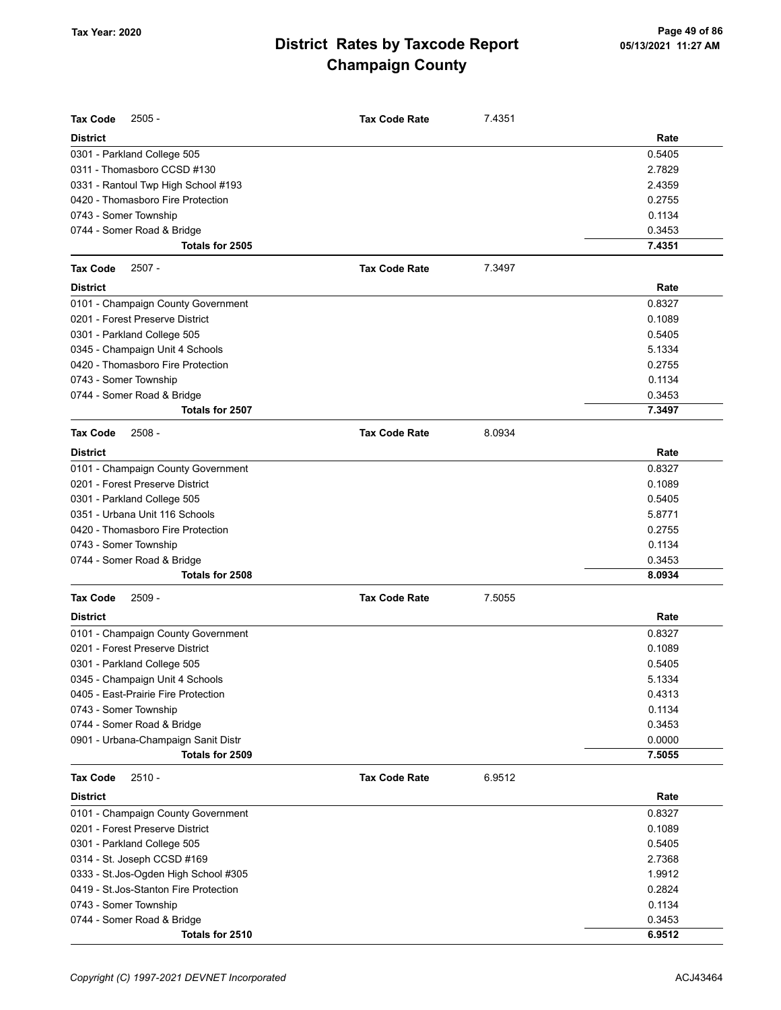| Tax Code<br>$2505 -$                  | <b>Tax Code Rate</b> | 7.4351 |        |
|---------------------------------------|----------------------|--------|--------|
| <b>District</b>                       |                      |        | Rate   |
| 0301 - Parkland College 505           |                      |        | 0.5405 |
| 0311 - Thomasboro CCSD #130           |                      |        | 2.7829 |
| 0331 - Rantoul Twp High School #193   |                      |        | 2.4359 |
| 0420 - Thomasboro Fire Protection     |                      |        | 0.2755 |
| 0743 - Somer Township                 |                      |        | 0.1134 |
| 0744 - Somer Road & Bridge            |                      |        | 0.3453 |
| Totals for 2505                       |                      |        | 7.4351 |
| <b>Tax Code</b><br>$2507 -$           | <b>Tax Code Rate</b> | 7.3497 |        |
| <b>District</b>                       |                      |        | Rate   |
| 0101 - Champaign County Government    |                      |        | 0.8327 |
| 0201 - Forest Preserve District       |                      |        | 0.1089 |
| 0301 - Parkland College 505           |                      |        | 0.5405 |
| 0345 - Champaign Unit 4 Schools       |                      |        | 5.1334 |
| 0420 - Thomasboro Fire Protection     |                      |        | 0.2755 |
| 0743 - Somer Township                 |                      |        | 0.1134 |
| 0744 - Somer Road & Bridge            |                      |        | 0.3453 |
| Totals for 2507                       |                      |        | 7.3497 |
| <b>Tax Code</b><br>$2508 -$           | <b>Tax Code Rate</b> | 8.0934 |        |
| <b>District</b>                       |                      |        | Rate   |
| 0101 - Champaign County Government    |                      |        | 0.8327 |
| 0201 - Forest Preserve District       |                      |        | 0.1089 |
| 0301 - Parkland College 505           |                      |        | 0.5405 |
| 0351 - Urbana Unit 116 Schools        |                      |        | 5.8771 |
| 0420 - Thomasboro Fire Protection     |                      |        | 0.2755 |
| 0743 - Somer Township                 |                      |        | 0.1134 |
| 0744 - Somer Road & Bridge            |                      |        | 0.3453 |
| Totals for 2508                       |                      |        | 8.0934 |
| <b>Tax Code</b><br>$2509 -$           | <b>Tax Code Rate</b> | 7.5055 |        |
| <b>District</b>                       |                      |        | Rate   |
| 0101 - Champaign County Government    |                      |        | 0.8327 |
| 0201 - Forest Preserve District       |                      |        | 0.1089 |
| 0301 - Parkland College 505           |                      |        | 0.5405 |
| 0345 - Champaign Unit 4 Schools       |                      |        | 5.1334 |
| 0405 - East-Prairie Fire Protection   |                      |        | 0.4313 |
| 0743 - Somer Township                 |                      |        | 0.1134 |
| 0744 - Somer Road & Bridge            |                      |        | 0.3453 |
| 0901 - Urbana-Champaign Sanit Distr   |                      |        | 0.0000 |
| Totals for 2509                       |                      |        | 7.5055 |
| <b>Tax Code</b><br>$2510 -$           | <b>Tax Code Rate</b> | 6.9512 |        |
| <b>District</b>                       |                      |        | Rate   |
| 0101 - Champaign County Government    |                      |        | 0.8327 |
| 0201 - Forest Preserve District       |                      |        | 0.1089 |
| 0301 - Parkland College 505           |                      |        | 0.5405 |
| 0314 - St. Joseph CCSD #169           |                      |        | 2.7368 |
| 0333 - St.Jos-Ogden High School #305  |                      |        | 1.9912 |
| 0419 - St.Jos-Stanton Fire Protection |                      |        | 0.2824 |
| 0743 - Somer Township                 |                      |        | 0.1134 |
| 0744 - Somer Road & Bridge            |                      |        | 0.3453 |
| Totals for 2510                       |                      |        | 6.9512 |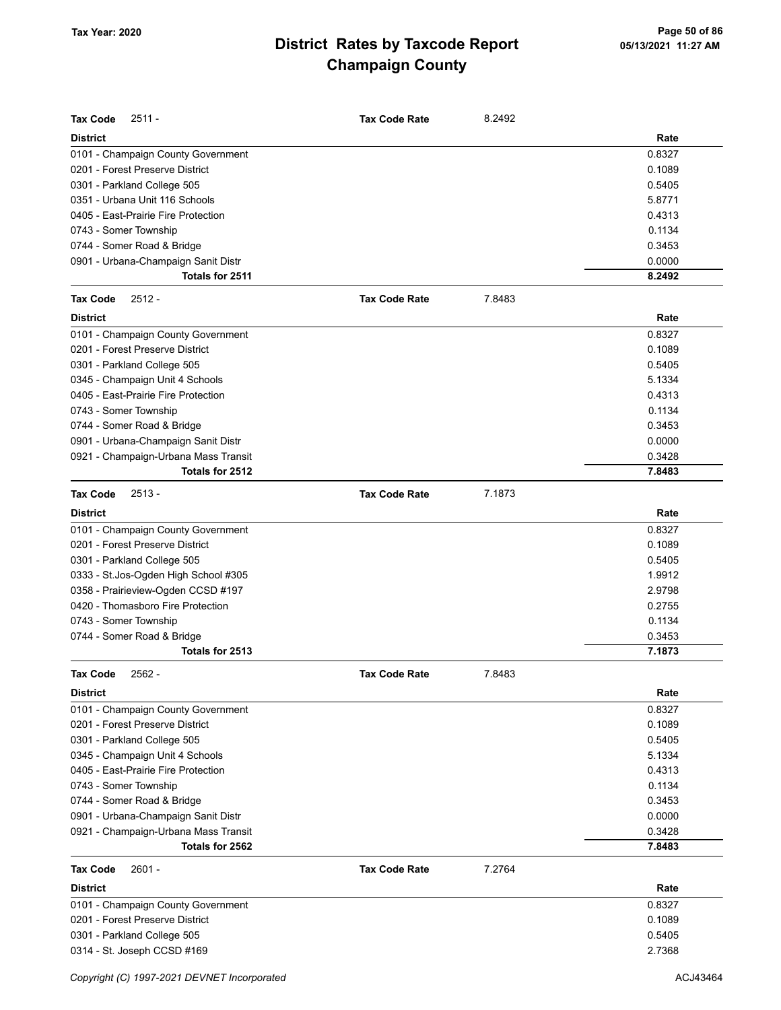| <b>Tax Code</b><br>$2511 -$          | <b>Tax Code Rate</b> | 8.2492 |        |
|--------------------------------------|----------------------|--------|--------|
| <b>District</b>                      |                      |        | Rate   |
| 0101 - Champaign County Government   |                      |        | 0.8327 |
| 0201 - Forest Preserve District      |                      |        | 0.1089 |
| 0301 - Parkland College 505          |                      |        | 0.5405 |
| 0351 - Urbana Unit 116 Schools       |                      |        | 5.8771 |
| 0405 - East-Prairie Fire Protection  |                      |        | 0.4313 |
| 0743 - Somer Township                |                      |        | 0.1134 |
| 0744 - Somer Road & Bridge           |                      |        | 0.3453 |
| 0901 - Urbana-Champaign Sanit Distr  |                      |        | 0.0000 |
| Totals for 2511                      |                      |        | 8.2492 |
| <b>Tax Code</b><br>$2512 -$          | <b>Tax Code Rate</b> | 7.8483 |        |
| <b>District</b>                      |                      |        | Rate   |
| 0101 - Champaign County Government   |                      |        | 0.8327 |
| 0201 - Forest Preserve District      |                      |        | 0.1089 |
| 0301 - Parkland College 505          |                      |        | 0.5405 |
| 0345 - Champaign Unit 4 Schools      |                      |        | 5.1334 |
| 0405 - East-Prairie Fire Protection  |                      |        | 0.4313 |
| 0743 - Somer Township                |                      |        | 0.1134 |
| 0744 - Somer Road & Bridge           |                      |        | 0.3453 |
| 0901 - Urbana-Champaign Sanit Distr  |                      |        | 0.0000 |
| 0921 - Champaign-Urbana Mass Transit |                      |        | 0.3428 |
| Totals for 2512                      |                      |        | 7.8483 |
| <b>Tax Code</b><br>$2513 -$          | <b>Tax Code Rate</b> | 7.1873 |        |
| <b>District</b>                      |                      |        | Rate   |
| 0101 - Champaign County Government   |                      |        | 0.8327 |
| 0201 - Forest Preserve District      |                      |        | 0.1089 |
| 0301 - Parkland College 505          |                      |        | 0.5405 |
| 0333 - St.Jos-Ogden High School #305 |                      |        | 1.9912 |
| 0358 - Prairieview-Ogden CCSD #197   |                      |        | 2.9798 |
| 0420 - Thomasboro Fire Protection    |                      |        | 0.2755 |
| 0743 - Somer Township                |                      |        | 0.1134 |
| 0744 - Somer Road & Bridge           |                      |        | 0.3453 |
| Totals for 2513                      |                      |        | 7.1873 |
| Tax Code<br>2562 -                   | <b>Tax Code Rate</b> | 7.8483 |        |
| <b>District</b>                      |                      |        | Rate   |
| 0101 - Champaign County Government   |                      |        | 0.8327 |
| 0201 - Forest Preserve District      |                      |        | 0.1089 |
| 0301 - Parkland College 505          |                      |        | 0.5405 |
| 0345 - Champaign Unit 4 Schools      |                      |        | 5.1334 |
| 0405 - East-Prairie Fire Protection  |                      |        | 0.4313 |
| 0743 - Somer Township                |                      |        | 0.1134 |
| 0744 - Somer Road & Bridge           |                      |        | 0.3453 |
| 0901 - Urbana-Champaign Sanit Distr  |                      |        | 0.0000 |
| 0921 - Champaign-Urbana Mass Transit |                      |        | 0.3428 |
| Totals for 2562                      |                      |        | 7.8483 |
| <b>Tax Code</b><br>$2601 -$          | <b>Tax Code Rate</b> | 7.2764 |        |
| <b>District</b>                      |                      |        | Rate   |
| 0101 - Champaign County Government   |                      |        | 0.8327 |
| 0201 - Forest Preserve District      |                      |        | 0.1089 |
| 0301 - Parkland College 505          |                      |        | 0.5405 |
| 0314 - St. Joseph CCSD #169          |                      |        | 2.7368 |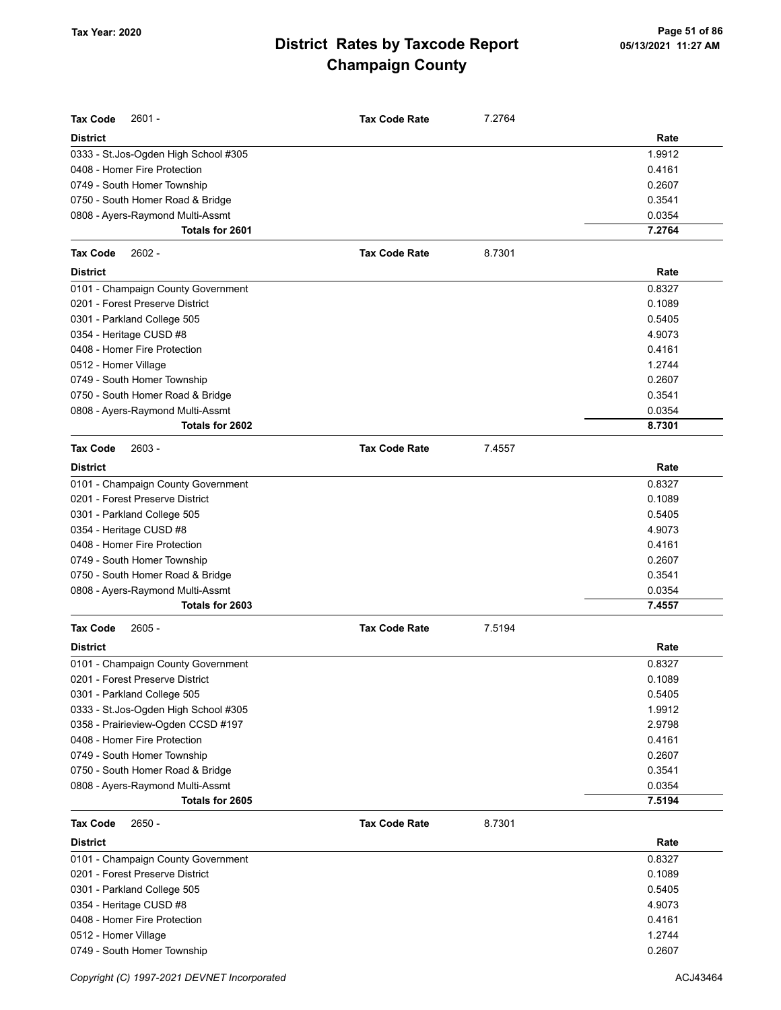| <b>Tax Code</b><br>$2601 -$          | <b>Tax Code Rate</b> | 7.2764 |        |
|--------------------------------------|----------------------|--------|--------|
| <b>District</b>                      |                      |        | Rate   |
| 0333 - St.Jos-Ogden High School #305 |                      |        | 1.9912 |
| 0408 - Homer Fire Protection         |                      |        | 0.4161 |
| 0749 - South Homer Township          |                      |        | 0.2607 |
| 0750 - South Homer Road & Bridge     |                      |        | 0.3541 |
| 0808 - Ayers-Raymond Multi-Assmt     |                      |        | 0.0354 |
| Totals for 2601                      |                      |        | 7.2764 |
| <b>Tax Code</b><br>$2602 -$          | <b>Tax Code Rate</b> | 8.7301 |        |
| <b>District</b>                      |                      |        | Rate   |
| 0101 - Champaign County Government   |                      |        | 0.8327 |
| 0201 - Forest Preserve District      |                      |        | 0.1089 |
| 0301 - Parkland College 505          |                      |        | 0.5405 |
| 0354 - Heritage CUSD #8              |                      |        | 4.9073 |
| 0408 - Homer Fire Protection         |                      |        | 0.4161 |
| 0512 - Homer Village                 |                      |        | 1.2744 |
| 0749 - South Homer Township          |                      |        | 0.2607 |
| 0750 - South Homer Road & Bridge     |                      |        | 0.3541 |
| 0808 - Ayers-Raymond Multi-Assmt     |                      |        | 0.0354 |
| Totals for 2602                      |                      |        | 8.7301 |
| <b>Tax Code</b><br>$2603 -$          | <b>Tax Code Rate</b> | 7.4557 |        |
| <b>District</b>                      |                      |        | Rate   |
| 0101 - Champaign County Government   |                      |        | 0.8327 |
| 0201 - Forest Preserve District      |                      |        | 0.1089 |
| 0301 - Parkland College 505          |                      |        | 0.5405 |
| 0354 - Heritage CUSD #8              |                      |        | 4.9073 |
| 0408 - Homer Fire Protection         |                      |        | 0.4161 |
| 0749 - South Homer Township          |                      |        | 0.2607 |
| 0750 - South Homer Road & Bridge     |                      |        | 0.3541 |
| 0808 - Ayers-Raymond Multi-Assmt     |                      |        | 0.0354 |
| Totals for 2603                      |                      |        | 7.4557 |
| $2605 -$<br><b>Tax Code</b>          | <b>Tax Code Rate</b> | 7.5194 |        |
| <b>District</b>                      |                      |        | Rate   |
| 0101 - Champaign County Government   |                      |        | 0.8327 |
| 0201 - Forest Preserve District      |                      |        | 0.1089 |
| 0301 - Parkland College 505          |                      |        | 0.5405 |
| 0333 - St.Jos-Ogden High School #305 |                      |        | 1.9912 |
| 0358 - Prairieview-Ogden CCSD #197   |                      |        | 2.9798 |
| 0408 - Homer Fire Protection         |                      |        | 0.4161 |
| 0749 - South Homer Township          |                      |        | 0.2607 |
| 0750 - South Homer Road & Bridge     |                      |        | 0.3541 |
| 0808 - Ayers-Raymond Multi-Assmt     |                      |        | 0.0354 |
| Totals for 2605                      |                      |        | 7.5194 |
| $2650 -$<br><b>Tax Code</b>          | <b>Tax Code Rate</b> | 8.7301 |        |
| <b>District</b>                      |                      |        | Rate   |
| 0101 - Champaign County Government   |                      |        | 0.8327 |
| 0201 - Forest Preserve District      |                      |        | 0.1089 |
| 0301 - Parkland College 505          |                      |        | 0.5405 |
| 0354 - Heritage CUSD #8              |                      |        | 4.9073 |
| 0408 - Homer Fire Protection         |                      |        | 0.4161 |
| 0512 - Homer Village                 |                      |        | 1.2744 |
| 0749 - South Homer Township          |                      |        | 0.2607 |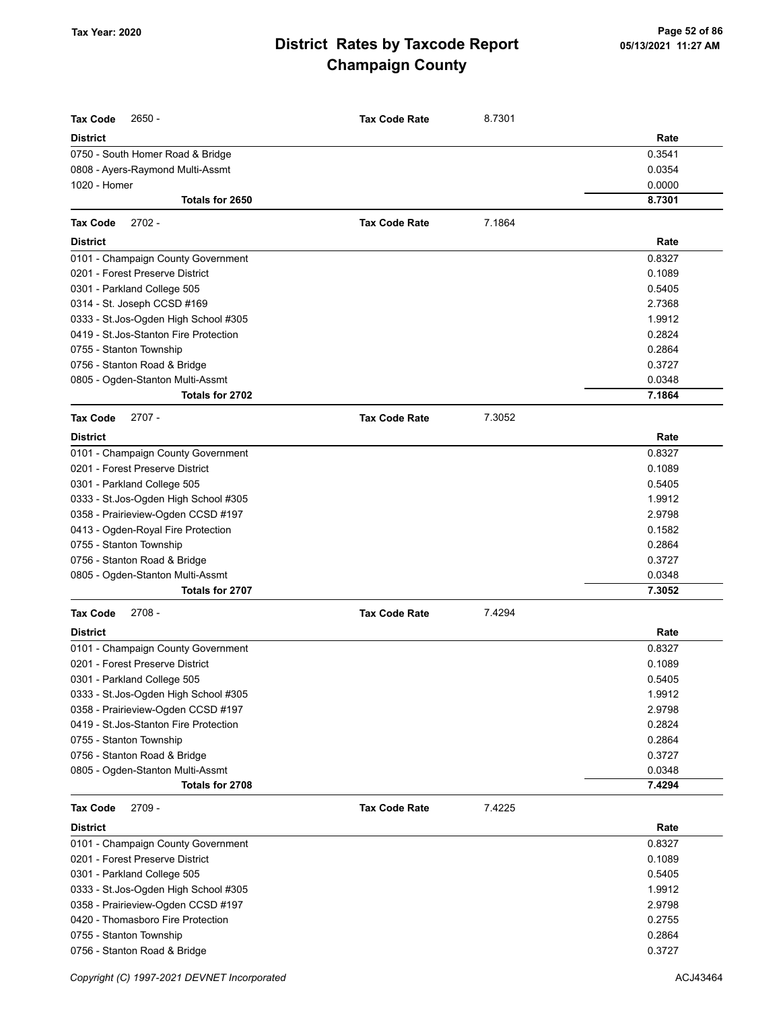| <b>Tax Code</b>                        | <b>Tax Code Rate</b> |        |                  |
|----------------------------------------|----------------------|--------|------------------|
| 2650 -                                 |                      | 8.7301 |                  |
| <b>District</b>                        |                      |        | Rate             |
| 0750 - South Homer Road & Bridge       |                      |        | 0.3541           |
| 0808 - Ayers-Raymond Multi-Assmt       |                      |        | 0.0354           |
| 1020 - Homer<br>Totals for 2650        |                      |        | 0.0000<br>8.7301 |
|                                        |                      |        |                  |
| <b>Tax Code</b><br>$2702 -$            | <b>Tax Code Rate</b> | 7.1864 |                  |
| <b>District</b>                        |                      |        | Rate             |
| 0101 - Champaign County Government     |                      |        | 0.8327           |
| 0201 - Forest Preserve District        |                      |        | 0.1089           |
| 0301 - Parkland College 505            |                      |        | 0.5405           |
| 0314 - St. Joseph CCSD #169            |                      |        | 2.7368           |
| 0333 - St.Jos-Ogden High School #305   |                      |        | 1.9912           |
| 0419 - St. Jos-Stanton Fire Protection |                      |        | 0.2824           |
| 0755 - Stanton Township                |                      |        | 0.2864           |
| 0756 - Stanton Road & Bridge           |                      |        | 0.3727           |
| 0805 - Ogden-Stanton Multi-Assmt       |                      |        | 0.0348           |
| Totals for 2702                        |                      |        | 7.1864           |
| $2707 -$<br><b>Tax Code</b>            | <b>Tax Code Rate</b> | 7.3052 |                  |
| <b>District</b>                        |                      |        | Rate             |
| 0101 - Champaign County Government     |                      |        | 0.8327           |
| 0201 - Forest Preserve District        |                      |        | 0.1089           |
| 0301 - Parkland College 505            |                      |        | 0.5405           |
| 0333 - St. Jos-Ogden High School #305  |                      |        | 1.9912           |
| 0358 - Prairieview-Ogden CCSD #197     |                      |        | 2.9798           |
| 0413 - Ogden-Royal Fire Protection     |                      |        | 0.1582           |
| 0755 - Stanton Township                |                      |        | 0.2864           |
| 0756 - Stanton Road & Bridge           |                      |        | 0.3727           |
| 0805 - Ogden-Stanton Multi-Assmt       |                      |        | 0.0348           |
| Totals for 2707                        |                      |        | 7.3052           |
| $2708 -$<br><b>Tax Code</b>            | <b>Tax Code Rate</b> | 7.4294 |                  |
| <b>District</b>                        |                      |        | Rate             |
| 0101 - Champaign County Government     |                      |        | 0.8327           |
| 0201 - Forest Preserve District        |                      |        | 0.1089           |
| 0301 - Parkland College 505            |                      |        | 0.5405           |
| 0333 - St. Jos-Ogden High School #305  |                      |        | 1.9912           |
| 0358 - Prairieview-Ogden CCSD #197     |                      |        | 2.9798           |
| 0419 - St. Jos-Stanton Fire Protection |                      |        | 0.2824           |
| 0755 - Stanton Township                |                      |        | 0.2864           |
| 0756 - Stanton Road & Bridge           |                      |        | 0.3727           |
| 0805 - Ogden-Stanton Multi-Assmt       |                      |        | 0.0348           |
| Totals for 2708                        |                      |        | 7.4294           |
| <b>Tax Code</b><br>2709 -              | <b>Tax Code Rate</b> | 7.4225 |                  |
| <b>District</b>                        |                      |        | Rate             |
| 0101 - Champaign County Government     |                      |        | 0.8327           |
| 0201 - Forest Preserve District        |                      |        | 0.1089           |
| 0301 - Parkland College 505            |                      |        | 0.5405           |
| 0333 - St. Jos-Ogden High School #305  |                      |        | 1.9912           |
| 0358 - Prairieview-Ogden CCSD #197     |                      |        | 2.9798           |
| 0420 - Thomasboro Fire Protection      |                      |        | 0.2755           |
| 0755 - Stanton Township                |                      |        | 0.2864           |
| 0756 - Stanton Road & Bridge           |                      |        | 0.3727           |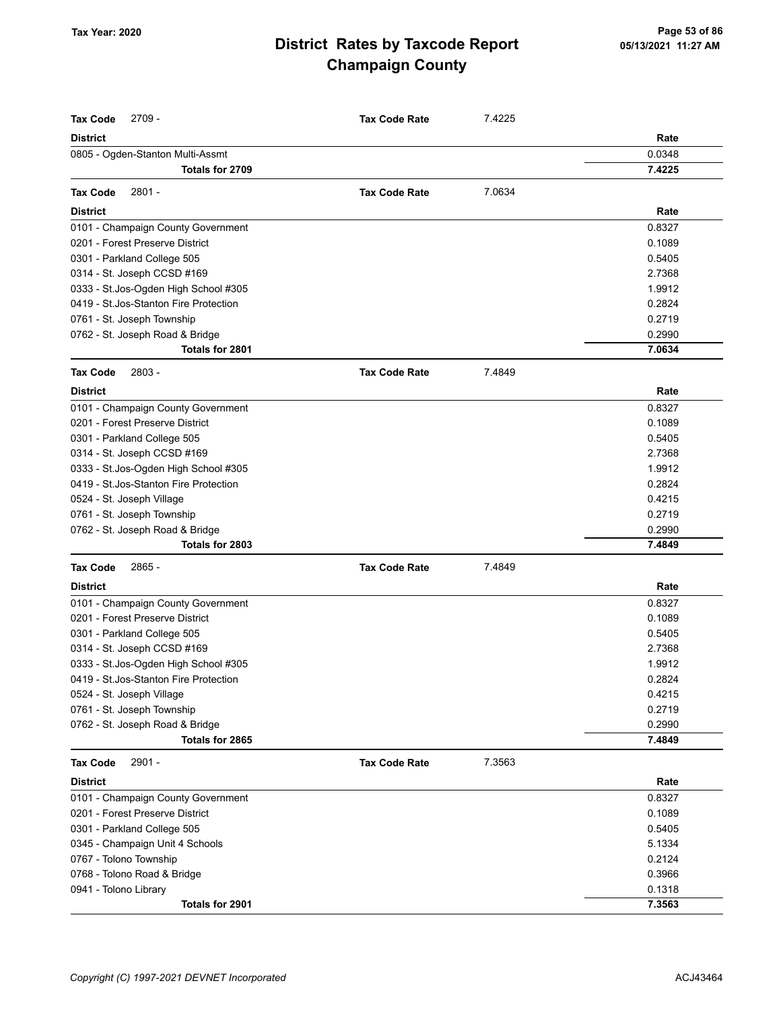| <b>District</b><br>Rate<br>0.0348<br>0805 - Ogden-Stanton Multi-Assmt<br>Totals for 2709<br>7.4225<br>$2801 -$<br>7.0634<br><b>Tax Code</b><br><b>Tax Code Rate</b><br>Rate<br><b>District</b><br>0101 - Champaign County Government<br>0.8327<br>0201 - Forest Preserve District<br>0.1089<br>0301 - Parkland College 505<br>0.5405<br>0314 - St. Joseph CCSD #169<br>2.7368<br>0333 - St.Jos-Ogden High School #305<br>1.9912<br>0419 - St. Jos-Stanton Fire Protection<br>0.2824<br>0761 - St. Joseph Township<br>0.2719<br>0762 - St. Joseph Road & Bridge<br>0.2990<br>Totals for 2801<br>7.0634<br><b>Tax Code</b><br>2803 -<br><b>Tax Code Rate</b><br>7.4849<br><b>District</b><br>Rate<br>0101 - Champaign County Government<br>0.8327<br>0201 - Forest Preserve District<br>0.1089<br>0301 - Parkland College 505<br>0.5405<br>0314 - St. Joseph CCSD #169<br>2.7368<br>0333 - St.Jos-Ogden High School #305<br>1.9912<br>0.2824<br>0419 - St. Jos-Stanton Fire Protection<br>0524 - St. Joseph Village<br>0.4215<br>0.2719<br>0761 - St. Joseph Township<br>0.2990<br>0762 - St. Joseph Road & Bridge<br>7.4849<br>Totals for 2803<br><b>Tax Code</b><br>2865 -<br><b>Tax Code Rate</b><br>7.4849<br>Rate<br><b>District</b><br>0101 - Champaign County Government<br>0.8327<br>0201 - Forest Preserve District<br>0.1089<br>0301 - Parkland College 505<br>0.5405<br>0314 - St. Joseph CCSD #169<br>2.7368<br>0333 - St.Jos-Ogden High School #305<br>1.9912<br>0419 - St. Jos-Stanton Fire Protection<br>0.2824<br>0.4215<br>0524 - St. Joseph Village<br>0.2719<br>0761 - St. Joseph Township<br>0762 - St. Joseph Road & Bridge<br>0.2990<br>Totals for 2865<br>7.4849<br>2901 -<br><b>Tax Code</b><br><b>Tax Code Rate</b><br>7.3563<br><b>District</b><br>Rate<br>0101 - Champaign County Government<br>0.8327<br>0.1089<br>0201 - Forest Preserve District<br>0.5405<br>0301 - Parkland College 505<br>5.1334<br>0345 - Champaign Unit 4 Schools<br>0.2124<br>0767 - Tolono Township<br>0.3966<br>0768 - Tolono Road & Bridge<br>0.1318<br>0941 - Tolono Library<br>7.3563<br>Totals for 2901 | <b>Tax Code</b><br>$2709 -$ | <b>Tax Code Rate</b> | 7.4225 |  |
|-----------------------------------------------------------------------------------------------------------------------------------------------------------------------------------------------------------------------------------------------------------------------------------------------------------------------------------------------------------------------------------------------------------------------------------------------------------------------------------------------------------------------------------------------------------------------------------------------------------------------------------------------------------------------------------------------------------------------------------------------------------------------------------------------------------------------------------------------------------------------------------------------------------------------------------------------------------------------------------------------------------------------------------------------------------------------------------------------------------------------------------------------------------------------------------------------------------------------------------------------------------------------------------------------------------------------------------------------------------------------------------------------------------------------------------------------------------------------------------------------------------------------------------------------------------------------------------------------------------------------------------------------------------------------------------------------------------------------------------------------------------------------------------------------------------------------------------------------------------------------------------------------------------------------------------------------------------------------------------------------------------------------------------------------------------------------------------------------------------------|-----------------------------|----------------------|--------|--|
|                                                                                                                                                                                                                                                                                                                                                                                                                                                                                                                                                                                                                                                                                                                                                                                                                                                                                                                                                                                                                                                                                                                                                                                                                                                                                                                                                                                                                                                                                                                                                                                                                                                                                                                                                                                                                                                                                                                                                                                                                                                                                                                 |                             |                      |        |  |
|                                                                                                                                                                                                                                                                                                                                                                                                                                                                                                                                                                                                                                                                                                                                                                                                                                                                                                                                                                                                                                                                                                                                                                                                                                                                                                                                                                                                                                                                                                                                                                                                                                                                                                                                                                                                                                                                                                                                                                                                                                                                                                                 |                             |                      |        |  |
|                                                                                                                                                                                                                                                                                                                                                                                                                                                                                                                                                                                                                                                                                                                                                                                                                                                                                                                                                                                                                                                                                                                                                                                                                                                                                                                                                                                                                                                                                                                                                                                                                                                                                                                                                                                                                                                                                                                                                                                                                                                                                                                 |                             |                      |        |  |
|                                                                                                                                                                                                                                                                                                                                                                                                                                                                                                                                                                                                                                                                                                                                                                                                                                                                                                                                                                                                                                                                                                                                                                                                                                                                                                                                                                                                                                                                                                                                                                                                                                                                                                                                                                                                                                                                                                                                                                                                                                                                                                                 |                             |                      |        |  |
|                                                                                                                                                                                                                                                                                                                                                                                                                                                                                                                                                                                                                                                                                                                                                                                                                                                                                                                                                                                                                                                                                                                                                                                                                                                                                                                                                                                                                                                                                                                                                                                                                                                                                                                                                                                                                                                                                                                                                                                                                                                                                                                 |                             |                      |        |  |
|                                                                                                                                                                                                                                                                                                                                                                                                                                                                                                                                                                                                                                                                                                                                                                                                                                                                                                                                                                                                                                                                                                                                                                                                                                                                                                                                                                                                                                                                                                                                                                                                                                                                                                                                                                                                                                                                                                                                                                                                                                                                                                                 |                             |                      |        |  |
|                                                                                                                                                                                                                                                                                                                                                                                                                                                                                                                                                                                                                                                                                                                                                                                                                                                                                                                                                                                                                                                                                                                                                                                                                                                                                                                                                                                                                                                                                                                                                                                                                                                                                                                                                                                                                                                                                                                                                                                                                                                                                                                 |                             |                      |        |  |
|                                                                                                                                                                                                                                                                                                                                                                                                                                                                                                                                                                                                                                                                                                                                                                                                                                                                                                                                                                                                                                                                                                                                                                                                                                                                                                                                                                                                                                                                                                                                                                                                                                                                                                                                                                                                                                                                                                                                                                                                                                                                                                                 |                             |                      |        |  |
|                                                                                                                                                                                                                                                                                                                                                                                                                                                                                                                                                                                                                                                                                                                                                                                                                                                                                                                                                                                                                                                                                                                                                                                                                                                                                                                                                                                                                                                                                                                                                                                                                                                                                                                                                                                                                                                                                                                                                                                                                                                                                                                 |                             |                      |        |  |
|                                                                                                                                                                                                                                                                                                                                                                                                                                                                                                                                                                                                                                                                                                                                                                                                                                                                                                                                                                                                                                                                                                                                                                                                                                                                                                                                                                                                                                                                                                                                                                                                                                                                                                                                                                                                                                                                                                                                                                                                                                                                                                                 |                             |                      |        |  |
|                                                                                                                                                                                                                                                                                                                                                                                                                                                                                                                                                                                                                                                                                                                                                                                                                                                                                                                                                                                                                                                                                                                                                                                                                                                                                                                                                                                                                                                                                                                                                                                                                                                                                                                                                                                                                                                                                                                                                                                                                                                                                                                 |                             |                      |        |  |
|                                                                                                                                                                                                                                                                                                                                                                                                                                                                                                                                                                                                                                                                                                                                                                                                                                                                                                                                                                                                                                                                                                                                                                                                                                                                                                                                                                                                                                                                                                                                                                                                                                                                                                                                                                                                                                                                                                                                                                                                                                                                                                                 |                             |                      |        |  |
|                                                                                                                                                                                                                                                                                                                                                                                                                                                                                                                                                                                                                                                                                                                                                                                                                                                                                                                                                                                                                                                                                                                                                                                                                                                                                                                                                                                                                                                                                                                                                                                                                                                                                                                                                                                                                                                                                                                                                                                                                                                                                                                 |                             |                      |        |  |
|                                                                                                                                                                                                                                                                                                                                                                                                                                                                                                                                                                                                                                                                                                                                                                                                                                                                                                                                                                                                                                                                                                                                                                                                                                                                                                                                                                                                                                                                                                                                                                                                                                                                                                                                                                                                                                                                                                                                                                                                                                                                                                                 |                             |                      |        |  |
|                                                                                                                                                                                                                                                                                                                                                                                                                                                                                                                                                                                                                                                                                                                                                                                                                                                                                                                                                                                                                                                                                                                                                                                                                                                                                                                                                                                                                                                                                                                                                                                                                                                                                                                                                                                                                                                                                                                                                                                                                                                                                                                 |                             |                      |        |  |
|                                                                                                                                                                                                                                                                                                                                                                                                                                                                                                                                                                                                                                                                                                                                                                                                                                                                                                                                                                                                                                                                                                                                                                                                                                                                                                                                                                                                                                                                                                                                                                                                                                                                                                                                                                                                                                                                                                                                                                                                                                                                                                                 |                             |                      |        |  |
|                                                                                                                                                                                                                                                                                                                                                                                                                                                                                                                                                                                                                                                                                                                                                                                                                                                                                                                                                                                                                                                                                                                                                                                                                                                                                                                                                                                                                                                                                                                                                                                                                                                                                                                                                                                                                                                                                                                                                                                                                                                                                                                 |                             |                      |        |  |
|                                                                                                                                                                                                                                                                                                                                                                                                                                                                                                                                                                                                                                                                                                                                                                                                                                                                                                                                                                                                                                                                                                                                                                                                                                                                                                                                                                                                                                                                                                                                                                                                                                                                                                                                                                                                                                                                                                                                                                                                                                                                                                                 |                             |                      |        |  |
|                                                                                                                                                                                                                                                                                                                                                                                                                                                                                                                                                                                                                                                                                                                                                                                                                                                                                                                                                                                                                                                                                                                                                                                                                                                                                                                                                                                                                                                                                                                                                                                                                                                                                                                                                                                                                                                                                                                                                                                                                                                                                                                 |                             |                      |        |  |
|                                                                                                                                                                                                                                                                                                                                                                                                                                                                                                                                                                                                                                                                                                                                                                                                                                                                                                                                                                                                                                                                                                                                                                                                                                                                                                                                                                                                                                                                                                                                                                                                                                                                                                                                                                                                                                                                                                                                                                                                                                                                                                                 |                             |                      |        |  |
|                                                                                                                                                                                                                                                                                                                                                                                                                                                                                                                                                                                                                                                                                                                                                                                                                                                                                                                                                                                                                                                                                                                                                                                                                                                                                                                                                                                                                                                                                                                                                                                                                                                                                                                                                                                                                                                                                                                                                                                                                                                                                                                 |                             |                      |        |  |
|                                                                                                                                                                                                                                                                                                                                                                                                                                                                                                                                                                                                                                                                                                                                                                                                                                                                                                                                                                                                                                                                                                                                                                                                                                                                                                                                                                                                                                                                                                                                                                                                                                                                                                                                                                                                                                                                                                                                                                                                                                                                                                                 |                             |                      |        |  |
|                                                                                                                                                                                                                                                                                                                                                                                                                                                                                                                                                                                                                                                                                                                                                                                                                                                                                                                                                                                                                                                                                                                                                                                                                                                                                                                                                                                                                                                                                                                                                                                                                                                                                                                                                                                                                                                                                                                                                                                                                                                                                                                 |                             |                      |        |  |
|                                                                                                                                                                                                                                                                                                                                                                                                                                                                                                                                                                                                                                                                                                                                                                                                                                                                                                                                                                                                                                                                                                                                                                                                                                                                                                                                                                                                                                                                                                                                                                                                                                                                                                                                                                                                                                                                                                                                                                                                                                                                                                                 |                             |                      |        |  |
|                                                                                                                                                                                                                                                                                                                                                                                                                                                                                                                                                                                                                                                                                                                                                                                                                                                                                                                                                                                                                                                                                                                                                                                                                                                                                                                                                                                                                                                                                                                                                                                                                                                                                                                                                                                                                                                                                                                                                                                                                                                                                                                 |                             |                      |        |  |
|                                                                                                                                                                                                                                                                                                                                                                                                                                                                                                                                                                                                                                                                                                                                                                                                                                                                                                                                                                                                                                                                                                                                                                                                                                                                                                                                                                                                                                                                                                                                                                                                                                                                                                                                                                                                                                                                                                                                                                                                                                                                                                                 |                             |                      |        |  |
|                                                                                                                                                                                                                                                                                                                                                                                                                                                                                                                                                                                                                                                                                                                                                                                                                                                                                                                                                                                                                                                                                                                                                                                                                                                                                                                                                                                                                                                                                                                                                                                                                                                                                                                                                                                                                                                                                                                                                                                                                                                                                                                 |                             |                      |        |  |
|                                                                                                                                                                                                                                                                                                                                                                                                                                                                                                                                                                                                                                                                                                                                                                                                                                                                                                                                                                                                                                                                                                                                                                                                                                                                                                                                                                                                                                                                                                                                                                                                                                                                                                                                                                                                                                                                                                                                                                                                                                                                                                                 |                             |                      |        |  |
|                                                                                                                                                                                                                                                                                                                                                                                                                                                                                                                                                                                                                                                                                                                                                                                                                                                                                                                                                                                                                                                                                                                                                                                                                                                                                                                                                                                                                                                                                                                                                                                                                                                                                                                                                                                                                                                                                                                                                                                                                                                                                                                 |                             |                      |        |  |
|                                                                                                                                                                                                                                                                                                                                                                                                                                                                                                                                                                                                                                                                                                                                                                                                                                                                                                                                                                                                                                                                                                                                                                                                                                                                                                                                                                                                                                                                                                                                                                                                                                                                                                                                                                                                                                                                                                                                                                                                                                                                                                                 |                             |                      |        |  |
|                                                                                                                                                                                                                                                                                                                                                                                                                                                                                                                                                                                                                                                                                                                                                                                                                                                                                                                                                                                                                                                                                                                                                                                                                                                                                                                                                                                                                                                                                                                                                                                                                                                                                                                                                                                                                                                                                                                                                                                                                                                                                                                 |                             |                      |        |  |
|                                                                                                                                                                                                                                                                                                                                                                                                                                                                                                                                                                                                                                                                                                                                                                                                                                                                                                                                                                                                                                                                                                                                                                                                                                                                                                                                                                                                                                                                                                                                                                                                                                                                                                                                                                                                                                                                                                                                                                                                                                                                                                                 |                             |                      |        |  |
|                                                                                                                                                                                                                                                                                                                                                                                                                                                                                                                                                                                                                                                                                                                                                                                                                                                                                                                                                                                                                                                                                                                                                                                                                                                                                                                                                                                                                                                                                                                                                                                                                                                                                                                                                                                                                                                                                                                                                                                                                                                                                                                 |                             |                      |        |  |
|                                                                                                                                                                                                                                                                                                                                                                                                                                                                                                                                                                                                                                                                                                                                                                                                                                                                                                                                                                                                                                                                                                                                                                                                                                                                                                                                                                                                                                                                                                                                                                                                                                                                                                                                                                                                                                                                                                                                                                                                                                                                                                                 |                             |                      |        |  |
|                                                                                                                                                                                                                                                                                                                                                                                                                                                                                                                                                                                                                                                                                                                                                                                                                                                                                                                                                                                                                                                                                                                                                                                                                                                                                                                                                                                                                                                                                                                                                                                                                                                                                                                                                                                                                                                                                                                                                                                                                                                                                                                 |                             |                      |        |  |
|                                                                                                                                                                                                                                                                                                                                                                                                                                                                                                                                                                                                                                                                                                                                                                                                                                                                                                                                                                                                                                                                                                                                                                                                                                                                                                                                                                                                                                                                                                                                                                                                                                                                                                                                                                                                                                                                                                                                                                                                                                                                                                                 |                             |                      |        |  |
|                                                                                                                                                                                                                                                                                                                                                                                                                                                                                                                                                                                                                                                                                                                                                                                                                                                                                                                                                                                                                                                                                                                                                                                                                                                                                                                                                                                                                                                                                                                                                                                                                                                                                                                                                                                                                                                                                                                                                                                                                                                                                                                 |                             |                      |        |  |
|                                                                                                                                                                                                                                                                                                                                                                                                                                                                                                                                                                                                                                                                                                                                                                                                                                                                                                                                                                                                                                                                                                                                                                                                                                                                                                                                                                                                                                                                                                                                                                                                                                                                                                                                                                                                                                                                                                                                                                                                                                                                                                                 |                             |                      |        |  |
|                                                                                                                                                                                                                                                                                                                                                                                                                                                                                                                                                                                                                                                                                                                                                                                                                                                                                                                                                                                                                                                                                                                                                                                                                                                                                                                                                                                                                                                                                                                                                                                                                                                                                                                                                                                                                                                                                                                                                                                                                                                                                                                 |                             |                      |        |  |
|                                                                                                                                                                                                                                                                                                                                                                                                                                                                                                                                                                                                                                                                                                                                                                                                                                                                                                                                                                                                                                                                                                                                                                                                                                                                                                                                                                                                                                                                                                                                                                                                                                                                                                                                                                                                                                                                                                                                                                                                                                                                                                                 |                             |                      |        |  |
|                                                                                                                                                                                                                                                                                                                                                                                                                                                                                                                                                                                                                                                                                                                                                                                                                                                                                                                                                                                                                                                                                                                                                                                                                                                                                                                                                                                                                                                                                                                                                                                                                                                                                                                                                                                                                                                                                                                                                                                                                                                                                                                 |                             |                      |        |  |
|                                                                                                                                                                                                                                                                                                                                                                                                                                                                                                                                                                                                                                                                                                                                                                                                                                                                                                                                                                                                                                                                                                                                                                                                                                                                                                                                                                                                                                                                                                                                                                                                                                                                                                                                                                                                                                                                                                                                                                                                                                                                                                                 |                             |                      |        |  |
|                                                                                                                                                                                                                                                                                                                                                                                                                                                                                                                                                                                                                                                                                                                                                                                                                                                                                                                                                                                                                                                                                                                                                                                                                                                                                                                                                                                                                                                                                                                                                                                                                                                                                                                                                                                                                                                                                                                                                                                                                                                                                                                 |                             |                      |        |  |
|                                                                                                                                                                                                                                                                                                                                                                                                                                                                                                                                                                                                                                                                                                                                                                                                                                                                                                                                                                                                                                                                                                                                                                                                                                                                                                                                                                                                                                                                                                                                                                                                                                                                                                                                                                                                                                                                                                                                                                                                                                                                                                                 |                             |                      |        |  |
|                                                                                                                                                                                                                                                                                                                                                                                                                                                                                                                                                                                                                                                                                                                                                                                                                                                                                                                                                                                                                                                                                                                                                                                                                                                                                                                                                                                                                                                                                                                                                                                                                                                                                                                                                                                                                                                                                                                                                                                                                                                                                                                 |                             |                      |        |  |
|                                                                                                                                                                                                                                                                                                                                                                                                                                                                                                                                                                                                                                                                                                                                                                                                                                                                                                                                                                                                                                                                                                                                                                                                                                                                                                                                                                                                                                                                                                                                                                                                                                                                                                                                                                                                                                                                                                                                                                                                                                                                                                                 |                             |                      |        |  |
|                                                                                                                                                                                                                                                                                                                                                                                                                                                                                                                                                                                                                                                                                                                                                                                                                                                                                                                                                                                                                                                                                                                                                                                                                                                                                                                                                                                                                                                                                                                                                                                                                                                                                                                                                                                                                                                                                                                                                                                                                                                                                                                 |                             |                      |        |  |
|                                                                                                                                                                                                                                                                                                                                                                                                                                                                                                                                                                                                                                                                                                                                                                                                                                                                                                                                                                                                                                                                                                                                                                                                                                                                                                                                                                                                                                                                                                                                                                                                                                                                                                                                                                                                                                                                                                                                                                                                                                                                                                                 |                             |                      |        |  |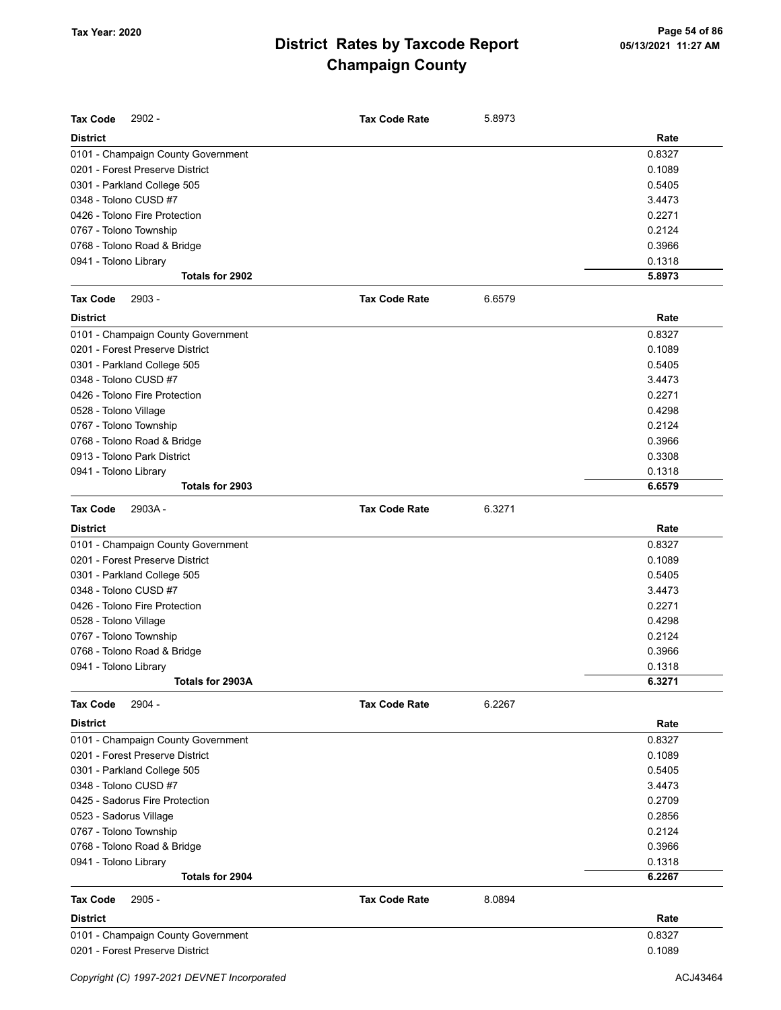| <b>Tax Code</b><br>$2902 -$        | <b>Tax Code Rate</b> | 5.8973 |        |
|------------------------------------|----------------------|--------|--------|
| <b>District</b>                    |                      |        | Rate   |
| 0101 - Champaign County Government |                      |        | 0.8327 |
| 0201 - Forest Preserve District    |                      |        | 0.1089 |
| 0301 - Parkland College 505        |                      |        | 0.5405 |
| 0348 - Tolono CUSD #7              |                      |        | 3.4473 |
| 0426 - Tolono Fire Protection      |                      |        | 0.2271 |
| 0767 - Tolono Township             |                      |        | 0.2124 |
| 0768 - Tolono Road & Bridge        |                      |        | 0.3966 |
| 0941 - Tolono Library              |                      |        | 0.1318 |
| Totals for 2902                    |                      |        | 5.8973 |
| 2903 -<br><b>Tax Code</b>          | <b>Tax Code Rate</b> | 6.6579 |        |
| <b>District</b>                    |                      |        | Rate   |
| 0101 - Champaign County Government |                      |        | 0.8327 |
| 0201 - Forest Preserve District    |                      |        | 0.1089 |
| 0301 - Parkland College 505        |                      |        | 0.5405 |
| 0348 - Tolono CUSD #7              |                      |        | 3.4473 |
| 0426 - Tolono Fire Protection      |                      |        | 0.2271 |
| 0528 - Tolono Village              |                      |        | 0.4298 |
| 0767 - Tolono Township             |                      |        | 0.2124 |
| 0768 - Tolono Road & Bridge        |                      |        | 0.3966 |
| 0913 - Tolono Park District        |                      |        | 0.3308 |
| 0941 - Tolono Library              |                      |        | 0.1318 |
| Totals for 2903                    |                      |        | 6.6579 |
| <b>Tax Code</b><br>2903A-          | <b>Tax Code Rate</b> | 6.3271 |        |
| <b>District</b>                    |                      |        | Rate   |
| 0101 - Champaign County Government |                      |        | 0.8327 |
| 0201 - Forest Preserve District    |                      |        | 0.1089 |
| 0301 - Parkland College 505        |                      |        | 0.5405 |
| 0348 - Tolono CUSD #7              |                      |        | 3.4473 |
| 0426 - Tolono Fire Protection      |                      |        | 0.2271 |
| 0528 - Tolono Village              |                      |        | 0.4298 |
| 0767 - Tolono Township             |                      |        | 0.2124 |
| 0768 - Tolono Road & Bridge        |                      |        | 0.3966 |
| 0941 - Tolono Library              |                      |        | 0.1318 |
| Totals for 2903A                   |                      |        | 6.3271 |
| 2904 -<br><b>Tax Code</b>          | <b>Tax Code Rate</b> | 6.2267 |        |
| <b>District</b>                    |                      |        | Rate   |
| 0101 - Champaign County Government |                      |        | 0.8327 |
| 0201 - Forest Preserve District    |                      |        | 0.1089 |
| 0301 - Parkland College 505        |                      |        | 0.5405 |
| 0348 - Tolono CUSD #7              |                      |        | 3.4473 |
| 0425 - Sadorus Fire Protection     |                      |        | 0.2709 |
| 0523 - Sadorus Village             |                      |        | 0.2856 |
| 0767 - Tolono Township             |                      |        | 0.2124 |
| 0768 - Tolono Road & Bridge        |                      |        | 0.3966 |
| 0941 - Tolono Library              |                      |        | 0.1318 |
| Totals for 2904                    |                      |        | 6.2267 |
| <b>Tax Code</b><br>$2905 -$        | <b>Tax Code Rate</b> | 8.0894 |        |
| <b>District</b>                    |                      |        | Rate   |
| 0101 - Champaign County Government |                      |        | 0.8327 |
| 0201 - Forest Preserve District    |                      |        | 0.1089 |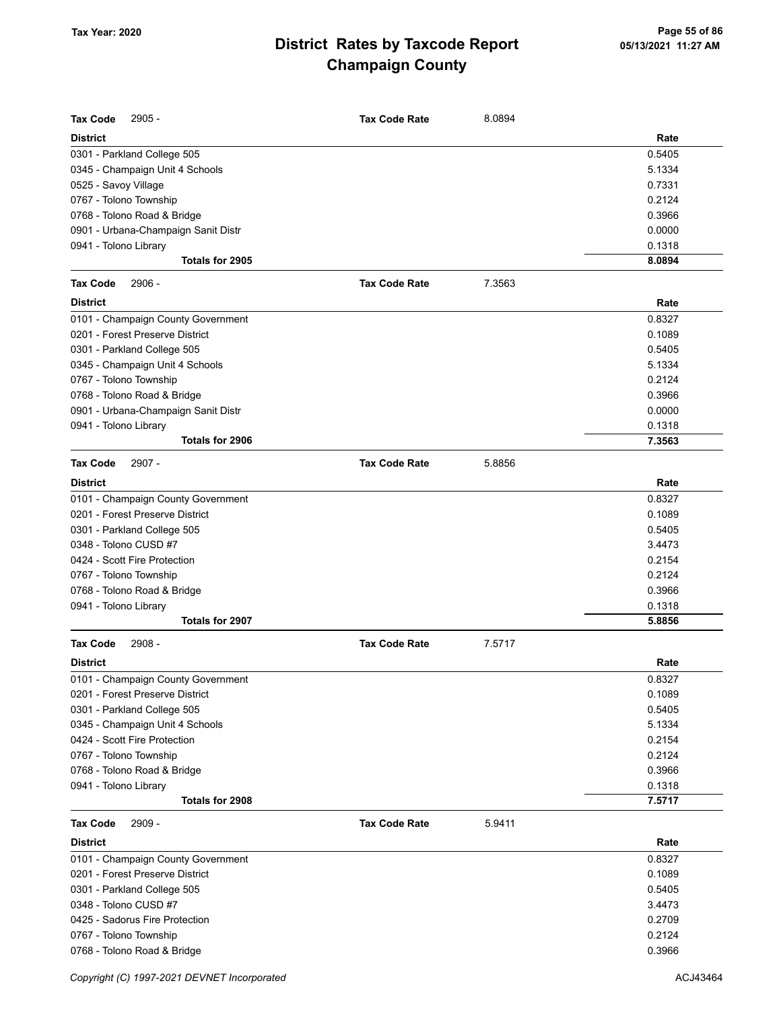| <b>Tax Code</b><br>$2905 -$         | <b>Tax Code Rate</b> | 8.0894 |        |
|-------------------------------------|----------------------|--------|--------|
| <b>District</b>                     |                      |        | Rate   |
| 0301 - Parkland College 505         |                      |        | 0.5405 |
| 0345 - Champaign Unit 4 Schools     |                      |        | 5.1334 |
| 0525 - Savoy Village                |                      |        | 0.7331 |
| 0767 - Tolono Township              |                      |        | 0.2124 |
| 0768 - Tolono Road & Bridge         |                      |        | 0.3966 |
| 0901 - Urbana-Champaign Sanit Distr |                      |        | 0.0000 |
| 0941 - Tolono Library               |                      |        | 0.1318 |
| Totals for 2905                     |                      |        | 8.0894 |
| <b>Tax Code</b><br>2906 -           | <b>Tax Code Rate</b> | 7.3563 |        |
| <b>District</b>                     |                      |        | Rate   |
| 0101 - Champaign County Government  |                      |        | 0.8327 |
| 0201 - Forest Preserve District     |                      |        | 0.1089 |
| 0301 - Parkland College 505         |                      |        | 0.5405 |
| 0345 - Champaign Unit 4 Schools     |                      |        | 5.1334 |
| 0767 - Tolono Township              |                      |        | 0.2124 |
| 0768 - Tolono Road & Bridge         |                      |        | 0.3966 |
| 0901 - Urbana-Champaign Sanit Distr |                      |        | 0.0000 |
| 0941 - Tolono Library               |                      |        | 0.1318 |
| Totals for 2906                     |                      |        | 7.3563 |
| <b>Tax Code</b><br>$2907 -$         | <b>Tax Code Rate</b> | 5.8856 |        |
|                                     |                      |        |        |
| <b>District</b>                     |                      |        | Rate   |
| 0101 - Champaign County Government  |                      |        | 0.8327 |
| 0201 - Forest Preserve District     |                      |        | 0.1089 |
| 0301 - Parkland College 505         |                      |        | 0.5405 |
| 0348 - Tolono CUSD #7               |                      |        | 3.4473 |
| 0424 - Scott Fire Protection        |                      |        | 0.2154 |
| 0767 - Tolono Township              |                      |        | 0.2124 |
| 0768 - Tolono Road & Bridge         |                      |        | 0.3966 |
| 0941 - Tolono Library               |                      |        | 0.1318 |
| Totals for 2907                     |                      |        | 5.8856 |
| <b>Tax Code</b><br>2908 -           | <b>Tax Code Rate</b> | 7.5717 |        |
| <b>District</b>                     |                      |        | Rate   |
| 0101 - Champaign County Government  |                      |        | 0.8327 |
| 0201 - Forest Preserve District     |                      |        | 0.1089 |
| 0301 - Parkland College 505         |                      |        | 0.5405 |
| 0345 - Champaign Unit 4 Schools     |                      |        | 5.1334 |
| 0424 - Scott Fire Protection        |                      |        | 0.2154 |
| 0767 - Tolono Township              |                      |        | 0.2124 |
| 0768 - Tolono Road & Bridge         |                      |        | 0.3966 |
| 0941 - Tolono Library               |                      |        | 0.1318 |
| Totals for 2908                     |                      |        | 7.5717 |
| 2909 -<br><b>Tax Code</b>           | <b>Tax Code Rate</b> | 5.9411 |        |
| <b>District</b>                     |                      |        | Rate   |
| 0101 - Champaign County Government  |                      |        | 0.8327 |
| 0201 - Forest Preserve District     |                      |        | 0.1089 |
| 0301 - Parkland College 505         |                      |        | 0.5405 |
| 0348 - Tolono CUSD #7               |                      |        | 3.4473 |
| 0425 - Sadorus Fire Protection      |                      |        | 0.2709 |
| 0767 - Tolono Township              |                      |        | 0.2124 |
| 0768 - Tolono Road & Bridge         |                      |        | 0.3966 |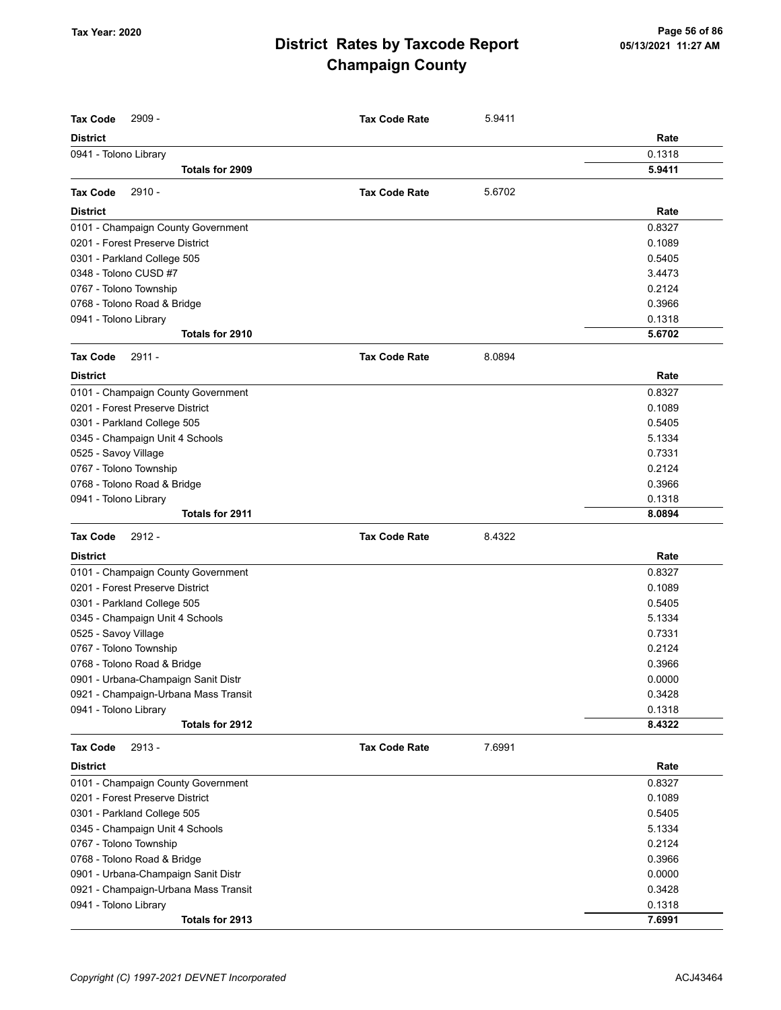| Rate<br>0.1318<br>0941 - Tolono Library<br>Totals for 2909<br>5.9411<br>2910 -<br>5.6702<br><b>Tax Code</b><br><b>Tax Code Rate</b><br><b>District</b><br>Rate<br>0.8327<br>0101 - Champaign County Government<br>0201 - Forest Preserve District<br>0.1089<br>0301 - Parkland College 505<br>0.5405<br>0348 - Tolono CUSD #7<br>3.4473<br>0767 - Tolono Township<br>0.2124<br>0.3966<br>0768 - Tolono Road & Bridge<br>0941 - Tolono Library<br>0.1318<br>5.6702<br>Totals for 2910<br><b>Tax Code</b><br>$2911 -$<br><b>Tax Code Rate</b><br>8.0894<br><b>District</b><br>Rate<br>0.8327<br>0101 - Champaign County Government<br>0201 - Forest Preserve District<br>0.1089<br>0301 - Parkland College 505<br>0.5405<br>5.1334<br>0345 - Champaign Unit 4 Schools<br>0525 - Savoy Village<br>0.7331<br>0.2124<br>0767 - Tolono Township<br>0.3966<br>0768 - Tolono Road & Bridge<br>0941 - Tolono Library<br>0.1318<br>8.0894<br>Totals for 2911<br>$2912 -$<br>8.4322<br><b>Tax Code Rate</b><br><b>District</b><br>Rate<br>0101 - Champaign County Government<br>0.8327<br>0201 - Forest Preserve District<br>0.1089<br>0301 - Parkland College 505<br>0.5405<br>5.1334<br>0345 - Champaign Unit 4 Schools<br>0.7331<br>0525 - Savoy Village<br>0767 - Tolono Township<br>0.2124<br>0768 - Tolono Road & Bridge<br>0.3966<br>0.0000<br>0901 - Urbana-Champaign Sanit Distr<br>0921 - Champaign-Urbana Mass Transit<br>0.3428<br>0941 - Tolono Library<br>0.1318<br>8.4322<br>Totals for 2912<br>2913 -<br>7.6991<br><b>Tax Code</b><br><b>Tax Code Rate</b><br><b>District</b><br>Rate<br>0.8327<br>0101 - Champaign County Government<br>0201 - Forest Preserve District<br>0.1089<br>0301 - Parkland College 505<br>0.5405<br>5.1334<br>0345 - Champaign Unit 4 Schools<br>0.2124<br>0767 - Tolono Township<br>0.3966<br>0768 - Tolono Road & Bridge<br>0.0000<br>0901 - Urbana-Champaign Sanit Distr<br>0.3428<br>0921 - Champaign-Urbana Mass Transit<br>0.1318<br>0941 - Tolono Library | <b>Tax Code</b><br>2909 - | <b>Tax Code Rate</b> | 5.9411 |  |
|--------------------------------------------------------------------------------------------------------------------------------------------------------------------------------------------------------------------------------------------------------------------------------------------------------------------------------------------------------------------------------------------------------------------------------------------------------------------------------------------------------------------------------------------------------------------------------------------------------------------------------------------------------------------------------------------------------------------------------------------------------------------------------------------------------------------------------------------------------------------------------------------------------------------------------------------------------------------------------------------------------------------------------------------------------------------------------------------------------------------------------------------------------------------------------------------------------------------------------------------------------------------------------------------------------------------------------------------------------------------------------------------------------------------------------------------------------------------------------------------------------------------------------------------------------------------------------------------------------------------------------------------------------------------------------------------------------------------------------------------------------------------------------------------------------------------------------------------------------------------------------------------------------------------------------------------------------------------------------------------------|---------------------------|----------------------|--------|--|
|                                                                                                                                                                                                                                                                                                                                                                                                                                                                                                                                                                                                                                                                                                                                                                                                                                                                                                                                                                                                                                                                                                                                                                                                                                                                                                                                                                                                                                                                                                                                                                                                                                                                                                                                                                                                                                                                                                                                                                                                  | <b>District</b>           |                      |        |  |
|                                                                                                                                                                                                                                                                                                                                                                                                                                                                                                                                                                                                                                                                                                                                                                                                                                                                                                                                                                                                                                                                                                                                                                                                                                                                                                                                                                                                                                                                                                                                                                                                                                                                                                                                                                                                                                                                                                                                                                                                  |                           |                      |        |  |
|                                                                                                                                                                                                                                                                                                                                                                                                                                                                                                                                                                                                                                                                                                                                                                                                                                                                                                                                                                                                                                                                                                                                                                                                                                                                                                                                                                                                                                                                                                                                                                                                                                                                                                                                                                                                                                                                                                                                                                                                  |                           |                      |        |  |
|                                                                                                                                                                                                                                                                                                                                                                                                                                                                                                                                                                                                                                                                                                                                                                                                                                                                                                                                                                                                                                                                                                                                                                                                                                                                                                                                                                                                                                                                                                                                                                                                                                                                                                                                                                                                                                                                                                                                                                                                  |                           |                      |        |  |
|                                                                                                                                                                                                                                                                                                                                                                                                                                                                                                                                                                                                                                                                                                                                                                                                                                                                                                                                                                                                                                                                                                                                                                                                                                                                                                                                                                                                                                                                                                                                                                                                                                                                                                                                                                                                                                                                                                                                                                                                  |                           |                      |        |  |
|                                                                                                                                                                                                                                                                                                                                                                                                                                                                                                                                                                                                                                                                                                                                                                                                                                                                                                                                                                                                                                                                                                                                                                                                                                                                                                                                                                                                                                                                                                                                                                                                                                                                                                                                                                                                                                                                                                                                                                                                  |                           |                      |        |  |
|                                                                                                                                                                                                                                                                                                                                                                                                                                                                                                                                                                                                                                                                                                                                                                                                                                                                                                                                                                                                                                                                                                                                                                                                                                                                                                                                                                                                                                                                                                                                                                                                                                                                                                                                                                                                                                                                                                                                                                                                  |                           |                      |        |  |
|                                                                                                                                                                                                                                                                                                                                                                                                                                                                                                                                                                                                                                                                                                                                                                                                                                                                                                                                                                                                                                                                                                                                                                                                                                                                                                                                                                                                                                                                                                                                                                                                                                                                                                                                                                                                                                                                                                                                                                                                  |                           |                      |        |  |
|                                                                                                                                                                                                                                                                                                                                                                                                                                                                                                                                                                                                                                                                                                                                                                                                                                                                                                                                                                                                                                                                                                                                                                                                                                                                                                                                                                                                                                                                                                                                                                                                                                                                                                                                                                                                                                                                                                                                                                                                  |                           |                      |        |  |
|                                                                                                                                                                                                                                                                                                                                                                                                                                                                                                                                                                                                                                                                                                                                                                                                                                                                                                                                                                                                                                                                                                                                                                                                                                                                                                                                                                                                                                                                                                                                                                                                                                                                                                                                                                                                                                                                                                                                                                                                  |                           |                      |        |  |
|                                                                                                                                                                                                                                                                                                                                                                                                                                                                                                                                                                                                                                                                                                                                                                                                                                                                                                                                                                                                                                                                                                                                                                                                                                                                                                                                                                                                                                                                                                                                                                                                                                                                                                                                                                                                                                                                                                                                                                                                  |                           |                      |        |  |
|                                                                                                                                                                                                                                                                                                                                                                                                                                                                                                                                                                                                                                                                                                                                                                                                                                                                                                                                                                                                                                                                                                                                                                                                                                                                                                                                                                                                                                                                                                                                                                                                                                                                                                                                                                                                                                                                                                                                                                                                  |                           |                      |        |  |
|                                                                                                                                                                                                                                                                                                                                                                                                                                                                                                                                                                                                                                                                                                                                                                                                                                                                                                                                                                                                                                                                                                                                                                                                                                                                                                                                                                                                                                                                                                                                                                                                                                                                                                                                                                                                                                                                                                                                                                                                  |                           |                      |        |  |
|                                                                                                                                                                                                                                                                                                                                                                                                                                                                                                                                                                                                                                                                                                                                                                                                                                                                                                                                                                                                                                                                                                                                                                                                                                                                                                                                                                                                                                                                                                                                                                                                                                                                                                                                                                                                                                                                                                                                                                                                  |                           |                      |        |  |
|                                                                                                                                                                                                                                                                                                                                                                                                                                                                                                                                                                                                                                                                                                                                                                                                                                                                                                                                                                                                                                                                                                                                                                                                                                                                                                                                                                                                                                                                                                                                                                                                                                                                                                                                                                                                                                                                                                                                                                                                  |                           |                      |        |  |
|                                                                                                                                                                                                                                                                                                                                                                                                                                                                                                                                                                                                                                                                                                                                                                                                                                                                                                                                                                                                                                                                                                                                                                                                                                                                                                                                                                                                                                                                                                                                                                                                                                                                                                                                                                                                                                                                                                                                                                                                  |                           |                      |        |  |
|                                                                                                                                                                                                                                                                                                                                                                                                                                                                                                                                                                                                                                                                                                                                                                                                                                                                                                                                                                                                                                                                                                                                                                                                                                                                                                                                                                                                                                                                                                                                                                                                                                                                                                                                                                                                                                                                                                                                                                                                  |                           |                      |        |  |
|                                                                                                                                                                                                                                                                                                                                                                                                                                                                                                                                                                                                                                                                                                                                                                                                                                                                                                                                                                                                                                                                                                                                                                                                                                                                                                                                                                                                                                                                                                                                                                                                                                                                                                                                                                                                                                                                                                                                                                                                  |                           |                      |        |  |
|                                                                                                                                                                                                                                                                                                                                                                                                                                                                                                                                                                                                                                                                                                                                                                                                                                                                                                                                                                                                                                                                                                                                                                                                                                                                                                                                                                                                                                                                                                                                                                                                                                                                                                                                                                                                                                                                                                                                                                                                  |                           |                      |        |  |
|                                                                                                                                                                                                                                                                                                                                                                                                                                                                                                                                                                                                                                                                                                                                                                                                                                                                                                                                                                                                                                                                                                                                                                                                                                                                                                                                                                                                                                                                                                                                                                                                                                                                                                                                                                                                                                                                                                                                                                                                  |                           |                      |        |  |
|                                                                                                                                                                                                                                                                                                                                                                                                                                                                                                                                                                                                                                                                                                                                                                                                                                                                                                                                                                                                                                                                                                                                                                                                                                                                                                                                                                                                                                                                                                                                                                                                                                                                                                                                                                                                                                                                                                                                                                                                  |                           |                      |        |  |
|                                                                                                                                                                                                                                                                                                                                                                                                                                                                                                                                                                                                                                                                                                                                                                                                                                                                                                                                                                                                                                                                                                                                                                                                                                                                                                                                                                                                                                                                                                                                                                                                                                                                                                                                                                                                                                                                                                                                                                                                  |                           |                      |        |  |
|                                                                                                                                                                                                                                                                                                                                                                                                                                                                                                                                                                                                                                                                                                                                                                                                                                                                                                                                                                                                                                                                                                                                                                                                                                                                                                                                                                                                                                                                                                                                                                                                                                                                                                                                                                                                                                                                                                                                                                                                  |                           |                      |        |  |
|                                                                                                                                                                                                                                                                                                                                                                                                                                                                                                                                                                                                                                                                                                                                                                                                                                                                                                                                                                                                                                                                                                                                                                                                                                                                                                                                                                                                                                                                                                                                                                                                                                                                                                                                                                                                                                                                                                                                                                                                  |                           |                      |        |  |
|                                                                                                                                                                                                                                                                                                                                                                                                                                                                                                                                                                                                                                                                                                                                                                                                                                                                                                                                                                                                                                                                                                                                                                                                                                                                                                                                                                                                                                                                                                                                                                                                                                                                                                                                                                                                                                                                                                                                                                                                  |                           |                      |        |  |
|                                                                                                                                                                                                                                                                                                                                                                                                                                                                                                                                                                                                                                                                                                                                                                                                                                                                                                                                                                                                                                                                                                                                                                                                                                                                                                                                                                                                                                                                                                                                                                                                                                                                                                                                                                                                                                                                                                                                                                                                  | <b>Tax Code</b>           |                      |        |  |
|                                                                                                                                                                                                                                                                                                                                                                                                                                                                                                                                                                                                                                                                                                                                                                                                                                                                                                                                                                                                                                                                                                                                                                                                                                                                                                                                                                                                                                                                                                                                                                                                                                                                                                                                                                                                                                                                                                                                                                                                  |                           |                      |        |  |
|                                                                                                                                                                                                                                                                                                                                                                                                                                                                                                                                                                                                                                                                                                                                                                                                                                                                                                                                                                                                                                                                                                                                                                                                                                                                                                                                                                                                                                                                                                                                                                                                                                                                                                                                                                                                                                                                                                                                                                                                  |                           |                      |        |  |
|                                                                                                                                                                                                                                                                                                                                                                                                                                                                                                                                                                                                                                                                                                                                                                                                                                                                                                                                                                                                                                                                                                                                                                                                                                                                                                                                                                                                                                                                                                                                                                                                                                                                                                                                                                                                                                                                                                                                                                                                  |                           |                      |        |  |
|                                                                                                                                                                                                                                                                                                                                                                                                                                                                                                                                                                                                                                                                                                                                                                                                                                                                                                                                                                                                                                                                                                                                                                                                                                                                                                                                                                                                                                                                                                                                                                                                                                                                                                                                                                                                                                                                                                                                                                                                  |                           |                      |        |  |
|                                                                                                                                                                                                                                                                                                                                                                                                                                                                                                                                                                                                                                                                                                                                                                                                                                                                                                                                                                                                                                                                                                                                                                                                                                                                                                                                                                                                                                                                                                                                                                                                                                                                                                                                                                                                                                                                                                                                                                                                  |                           |                      |        |  |
|                                                                                                                                                                                                                                                                                                                                                                                                                                                                                                                                                                                                                                                                                                                                                                                                                                                                                                                                                                                                                                                                                                                                                                                                                                                                                                                                                                                                                                                                                                                                                                                                                                                                                                                                                                                                                                                                                                                                                                                                  |                           |                      |        |  |
|                                                                                                                                                                                                                                                                                                                                                                                                                                                                                                                                                                                                                                                                                                                                                                                                                                                                                                                                                                                                                                                                                                                                                                                                                                                                                                                                                                                                                                                                                                                                                                                                                                                                                                                                                                                                                                                                                                                                                                                                  |                           |                      |        |  |
|                                                                                                                                                                                                                                                                                                                                                                                                                                                                                                                                                                                                                                                                                                                                                                                                                                                                                                                                                                                                                                                                                                                                                                                                                                                                                                                                                                                                                                                                                                                                                                                                                                                                                                                                                                                                                                                                                                                                                                                                  |                           |                      |        |  |
|                                                                                                                                                                                                                                                                                                                                                                                                                                                                                                                                                                                                                                                                                                                                                                                                                                                                                                                                                                                                                                                                                                                                                                                                                                                                                                                                                                                                                                                                                                                                                                                                                                                                                                                                                                                                                                                                                                                                                                                                  |                           |                      |        |  |
|                                                                                                                                                                                                                                                                                                                                                                                                                                                                                                                                                                                                                                                                                                                                                                                                                                                                                                                                                                                                                                                                                                                                                                                                                                                                                                                                                                                                                                                                                                                                                                                                                                                                                                                                                                                                                                                                                                                                                                                                  |                           |                      |        |  |
|                                                                                                                                                                                                                                                                                                                                                                                                                                                                                                                                                                                                                                                                                                                                                                                                                                                                                                                                                                                                                                                                                                                                                                                                                                                                                                                                                                                                                                                                                                                                                                                                                                                                                                                                                                                                                                                                                                                                                                                                  |                           |                      |        |  |
|                                                                                                                                                                                                                                                                                                                                                                                                                                                                                                                                                                                                                                                                                                                                                                                                                                                                                                                                                                                                                                                                                                                                                                                                                                                                                                                                                                                                                                                                                                                                                                                                                                                                                                                                                                                                                                                                                                                                                                                                  |                           |                      |        |  |
|                                                                                                                                                                                                                                                                                                                                                                                                                                                                                                                                                                                                                                                                                                                                                                                                                                                                                                                                                                                                                                                                                                                                                                                                                                                                                                                                                                                                                                                                                                                                                                                                                                                                                                                                                                                                                                                                                                                                                                                                  |                           |                      |        |  |
|                                                                                                                                                                                                                                                                                                                                                                                                                                                                                                                                                                                                                                                                                                                                                                                                                                                                                                                                                                                                                                                                                                                                                                                                                                                                                                                                                                                                                                                                                                                                                                                                                                                                                                                                                                                                                                                                                                                                                                                                  |                           |                      |        |  |
|                                                                                                                                                                                                                                                                                                                                                                                                                                                                                                                                                                                                                                                                                                                                                                                                                                                                                                                                                                                                                                                                                                                                                                                                                                                                                                                                                                                                                                                                                                                                                                                                                                                                                                                                                                                                                                                                                                                                                                                                  |                           |                      |        |  |
|                                                                                                                                                                                                                                                                                                                                                                                                                                                                                                                                                                                                                                                                                                                                                                                                                                                                                                                                                                                                                                                                                                                                                                                                                                                                                                                                                                                                                                                                                                                                                                                                                                                                                                                                                                                                                                                                                                                                                                                                  |                           |                      |        |  |
|                                                                                                                                                                                                                                                                                                                                                                                                                                                                                                                                                                                                                                                                                                                                                                                                                                                                                                                                                                                                                                                                                                                                                                                                                                                                                                                                                                                                                                                                                                                                                                                                                                                                                                                                                                                                                                                                                                                                                                                                  |                           |                      |        |  |
|                                                                                                                                                                                                                                                                                                                                                                                                                                                                                                                                                                                                                                                                                                                                                                                                                                                                                                                                                                                                                                                                                                                                                                                                                                                                                                                                                                                                                                                                                                                                                                                                                                                                                                                                                                                                                                                                                                                                                                                                  |                           |                      |        |  |
|                                                                                                                                                                                                                                                                                                                                                                                                                                                                                                                                                                                                                                                                                                                                                                                                                                                                                                                                                                                                                                                                                                                                                                                                                                                                                                                                                                                                                                                                                                                                                                                                                                                                                                                                                                                                                                                                                                                                                                                                  |                           |                      |        |  |
|                                                                                                                                                                                                                                                                                                                                                                                                                                                                                                                                                                                                                                                                                                                                                                                                                                                                                                                                                                                                                                                                                                                                                                                                                                                                                                                                                                                                                                                                                                                                                                                                                                                                                                                                                                                                                                                                                                                                                                                                  |                           |                      |        |  |
|                                                                                                                                                                                                                                                                                                                                                                                                                                                                                                                                                                                                                                                                                                                                                                                                                                                                                                                                                                                                                                                                                                                                                                                                                                                                                                                                                                                                                                                                                                                                                                                                                                                                                                                                                                                                                                                                                                                                                                                                  |                           |                      |        |  |
|                                                                                                                                                                                                                                                                                                                                                                                                                                                                                                                                                                                                                                                                                                                                                                                                                                                                                                                                                                                                                                                                                                                                                                                                                                                                                                                                                                                                                                                                                                                                                                                                                                                                                                                                                                                                                                                                                                                                                                                                  |                           |                      |        |  |
| 7.6991<br>Totals for 2913                                                                                                                                                                                                                                                                                                                                                                                                                                                                                                                                                                                                                                                                                                                                                                                                                                                                                                                                                                                                                                                                                                                                                                                                                                                                                                                                                                                                                                                                                                                                                                                                                                                                                                                                                                                                                                                                                                                                                                        |                           |                      |        |  |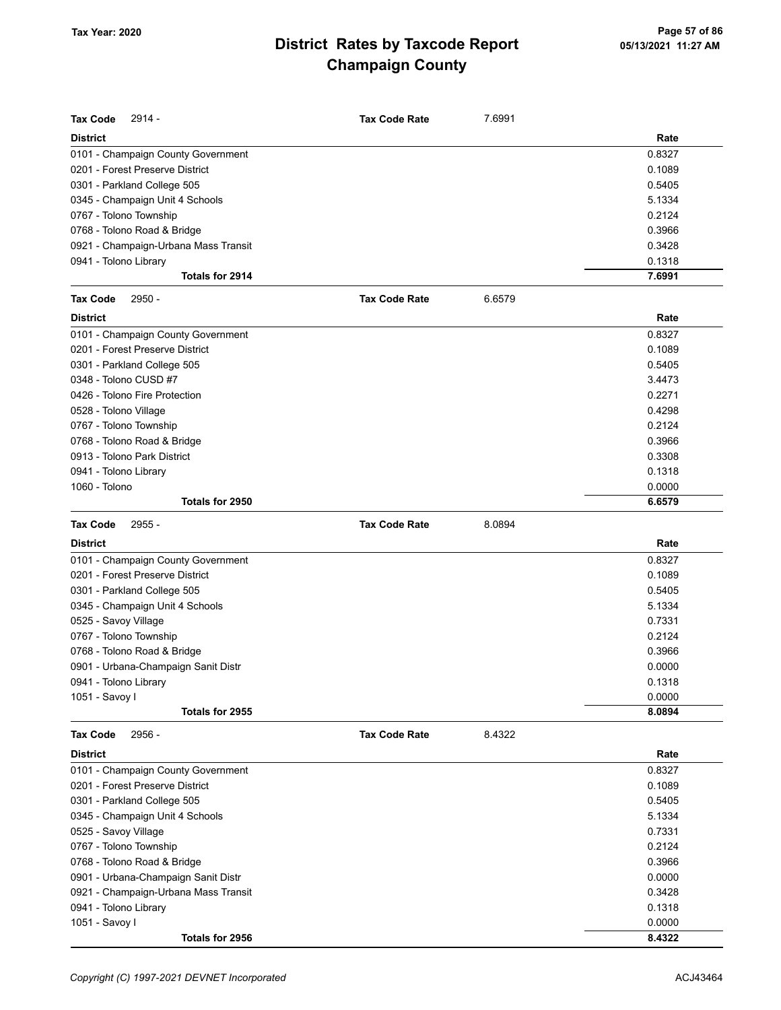| <b>Tax Code</b><br>$2914 -$          | <b>Tax Code Rate</b> | 7.6991 |        |
|--------------------------------------|----------------------|--------|--------|
| <b>District</b>                      |                      |        | Rate   |
| 0101 - Champaign County Government   |                      |        | 0.8327 |
| 0201 - Forest Preserve District      |                      |        | 0.1089 |
| 0301 - Parkland College 505          |                      |        | 0.5405 |
| 0345 - Champaign Unit 4 Schools      |                      |        | 5.1334 |
| 0767 - Tolono Township               |                      |        | 0.2124 |
| 0768 - Tolono Road & Bridge          |                      |        | 0.3966 |
| 0921 - Champaign-Urbana Mass Transit |                      |        | 0.3428 |
| 0941 - Tolono Library                |                      |        | 0.1318 |
| Totals for 2914                      |                      |        | 7.6991 |
| $2950 -$<br><b>Tax Code</b>          | <b>Tax Code Rate</b> | 6.6579 |        |
| <b>District</b>                      |                      |        | Rate   |
| 0101 - Champaign County Government   |                      |        | 0.8327 |
| 0201 - Forest Preserve District      |                      |        | 0.1089 |
| 0301 - Parkland College 505          |                      |        | 0.5405 |
| 0348 - Tolono CUSD #7                |                      |        | 3.4473 |
| 0426 - Tolono Fire Protection        |                      |        | 0.2271 |
| 0528 - Tolono Village                |                      |        | 0.4298 |
| 0767 - Tolono Township               |                      |        | 0.2124 |
| 0768 - Tolono Road & Bridge          |                      |        | 0.3966 |
| 0913 - Tolono Park District          |                      |        | 0.3308 |
| 0941 - Tolono Library                |                      |        | 0.1318 |
| 1060 - Tolono                        |                      |        | 0.0000 |
| Totals for 2950                      |                      |        | 6.6579 |
| <b>Tax Code</b><br>2955 -            | <b>Tax Code Rate</b> | 8.0894 |        |
| <b>District</b>                      |                      |        | Rate   |
| 0101 - Champaign County Government   |                      |        | 0.8327 |
| 0201 - Forest Preserve District      |                      |        | 0.1089 |
| 0301 - Parkland College 505          |                      |        | 0.5405 |
| 0345 - Champaign Unit 4 Schools      |                      |        | 5.1334 |
| 0525 - Savoy Village                 |                      |        | 0.7331 |
| 0767 - Tolono Township               |                      |        | 0.2124 |
| 0768 - Tolono Road & Bridge          |                      |        | 0.3966 |
| 0901 - Urbana-Champaign Sanit Distr  |                      |        | 0.0000 |
| 0941 - Tolono Library                |                      |        | 0.1318 |
| 1051 - Savoy I                       |                      |        | 0.0000 |
| Totals for 2955                      |                      |        | 8.0894 |
| <b>Tax Code</b><br>2956 -            | <b>Tax Code Rate</b> | 8.4322 |        |
| <b>District</b>                      |                      |        | Rate   |
| 0101 - Champaign County Government   |                      |        | 0.8327 |
| 0201 - Forest Preserve District      |                      |        | 0.1089 |
| 0301 - Parkland College 505          |                      |        | 0.5405 |
| 0345 - Champaign Unit 4 Schools      |                      |        | 5.1334 |
| 0525 - Savoy Village                 |                      |        | 0.7331 |
| 0767 - Tolono Township               |                      |        | 0.2124 |
| 0768 - Tolono Road & Bridge          |                      |        | 0.3966 |
| 0901 - Urbana-Champaign Sanit Distr  |                      |        | 0.0000 |
| 0921 - Champaign-Urbana Mass Transit |                      |        | 0.3428 |
| 0941 - Tolono Library                |                      |        | 0.1318 |
| 1051 - Savoy I                       |                      |        | 0.0000 |
| Totals for 2956                      |                      |        | 8.4322 |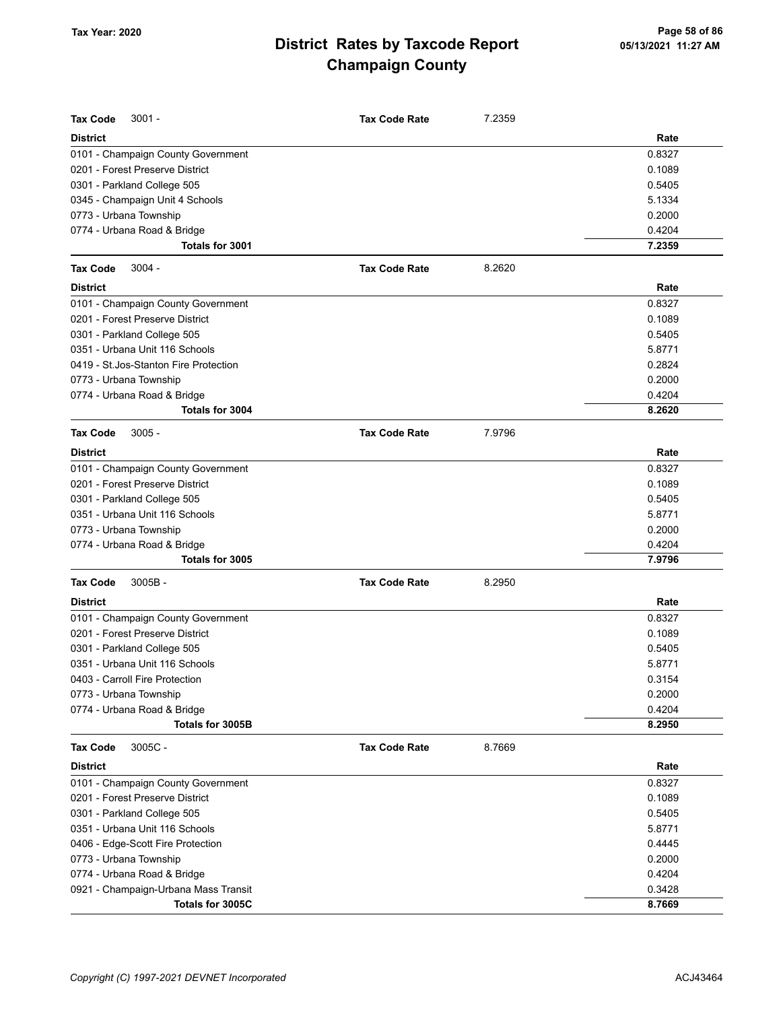| <b>Tax Code</b><br>$3001 -$            | <b>Tax Code Rate</b> | 7.2359 |        |
|----------------------------------------|----------------------|--------|--------|
| <b>District</b>                        |                      |        | Rate   |
| 0101 - Champaign County Government     |                      |        | 0.8327 |
| 0201 - Forest Preserve District        |                      |        | 0.1089 |
| 0301 - Parkland College 505            |                      |        | 0.5405 |
| 0345 - Champaign Unit 4 Schools        |                      |        | 5.1334 |
| 0773 - Urbana Township                 |                      |        | 0.2000 |
| 0774 - Urbana Road & Bridge            |                      |        | 0.4204 |
| Totals for 3001                        |                      |        | 7.2359 |
| <b>Tax Code</b><br>$3004 -$            | <b>Tax Code Rate</b> | 8.2620 |        |
| <b>District</b>                        |                      |        | Rate   |
| 0101 - Champaign County Government     |                      |        | 0.8327 |
| 0201 - Forest Preserve District        |                      |        | 0.1089 |
| 0301 - Parkland College 505            |                      |        | 0.5405 |
| 0351 - Urbana Unit 116 Schools         |                      |        | 5.8771 |
| 0419 - St. Jos-Stanton Fire Protection |                      |        | 0.2824 |
| 0773 - Urbana Township                 |                      |        | 0.2000 |
| 0774 - Urbana Road & Bridge            |                      |        | 0.4204 |
| Totals for 3004                        |                      |        | 8.2620 |
| <b>Tax Code</b><br>$3005 -$            | <b>Tax Code Rate</b> | 7.9796 |        |
| <b>District</b>                        |                      |        | Rate   |
| 0101 - Champaign County Government     |                      |        | 0.8327 |
| 0201 - Forest Preserve District        |                      |        | 0.1089 |
| 0301 - Parkland College 505            |                      |        | 0.5405 |
| 0351 - Urbana Unit 116 Schools         |                      |        | 5.8771 |
| 0773 - Urbana Township                 |                      |        | 0.2000 |
| 0774 - Urbana Road & Bridge            |                      |        | 0.4204 |
| Totals for 3005                        |                      |        | 7.9796 |
| <b>Tax Code</b><br>$3005B -$           | <b>Tax Code Rate</b> | 8.2950 |        |
| <b>District</b>                        |                      |        | Rate   |
| 0101 - Champaign County Government     |                      |        | 0.8327 |
| 0201 - Forest Preserve District        |                      |        | 0.1089 |
| 0301 - Parkland College 505            |                      |        | 0.5405 |
| 0351 - Urbana Unit 116 Schools         |                      |        | 5.8771 |
| 0403 - Carroll Fire Protection         |                      |        | 0.3154 |
| 0773 - Urbana Township                 |                      |        | 0.2000 |
| 0774 - Urbana Road & Bridge            |                      |        | 0.4204 |
| Totals for 3005B                       |                      |        | 8.2950 |
| 3005C-<br><b>Tax Code</b>              | <b>Tax Code Rate</b> | 8.7669 |        |
| <b>District</b>                        |                      |        | Rate   |
| 0101 - Champaign County Government     |                      |        | 0.8327 |
| 0201 - Forest Preserve District        |                      |        | 0.1089 |
| 0301 - Parkland College 505            |                      |        | 0.5405 |
| 0351 - Urbana Unit 116 Schools         |                      |        | 5.8771 |
| 0406 - Edge-Scott Fire Protection      |                      |        | 0.4445 |
| 0773 - Urbana Township                 |                      |        | 0.2000 |
| 0774 - Urbana Road & Bridge            |                      |        | 0.4204 |
| 0921 - Champaign-Urbana Mass Transit   |                      |        | 0.3428 |
| Totals for 3005C                       |                      |        | 8.7669 |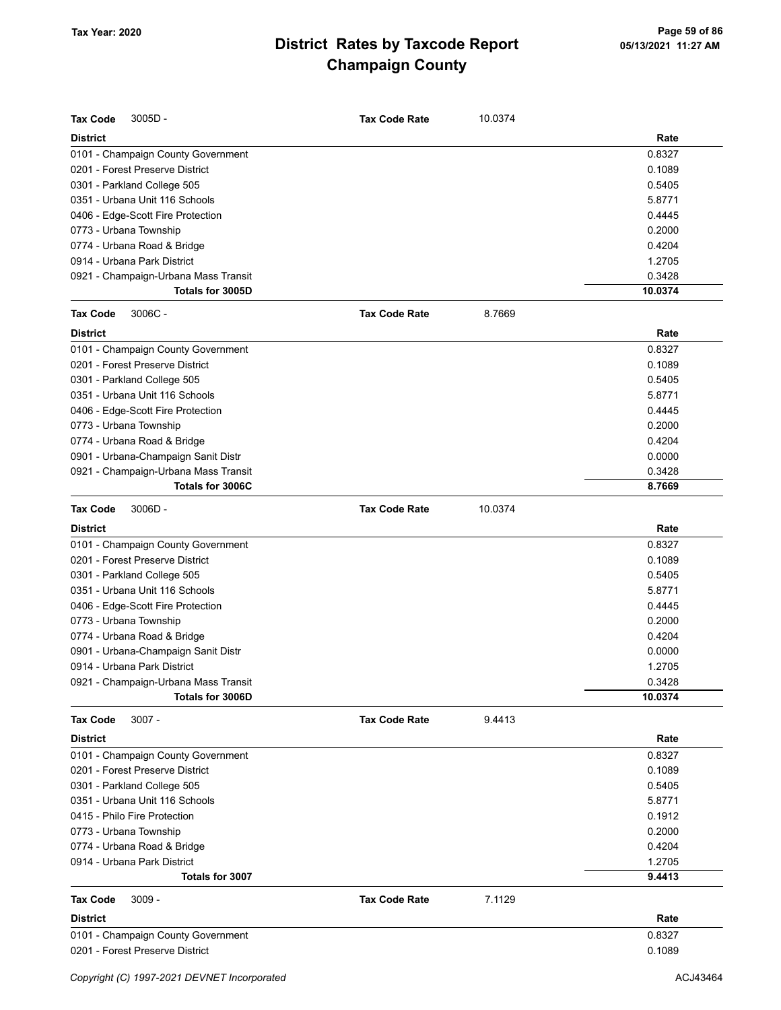| <b>Tax Code</b><br>3005D-            | <b>Tax Code Rate</b> | 10.0374 |         |
|--------------------------------------|----------------------|---------|---------|
| <b>District</b>                      |                      |         | Rate    |
| 0101 - Champaign County Government   |                      |         | 0.8327  |
| 0201 - Forest Preserve District      |                      |         | 0.1089  |
| 0301 - Parkland College 505          |                      |         | 0.5405  |
| 0351 - Urbana Unit 116 Schools       |                      |         | 5.8771  |
| 0406 - Edge-Scott Fire Protection    |                      |         | 0.4445  |
| 0773 - Urbana Township               |                      |         | 0.2000  |
| 0774 - Urbana Road & Bridge          |                      |         | 0.4204  |
| 0914 - Urbana Park District          |                      |         | 1.2705  |
| 0921 - Champaign-Urbana Mass Transit |                      |         | 0.3428  |
| Totals for 3005D                     |                      |         | 10.0374 |
| <b>Tax Code</b><br>$3006C -$         | <b>Tax Code Rate</b> | 8.7669  |         |
| <b>District</b>                      |                      |         | Rate    |
| 0101 - Champaign County Government   |                      |         | 0.8327  |
| 0201 - Forest Preserve District      |                      |         | 0.1089  |
| 0301 - Parkland College 505          |                      |         | 0.5405  |
| 0351 - Urbana Unit 116 Schools       |                      |         | 5.8771  |
| 0406 - Edge-Scott Fire Protection    |                      |         | 0.4445  |
| 0773 - Urbana Township               |                      |         | 0.2000  |
| 0774 - Urbana Road & Bridge          |                      |         | 0.4204  |
| 0901 - Urbana-Champaign Sanit Distr  |                      |         | 0.0000  |
| 0921 - Champaign-Urbana Mass Transit |                      |         | 0.3428  |
| Totals for 3006C                     |                      |         | 8.7669  |
| <b>Tax Code</b><br>3006D-            | <b>Tax Code Rate</b> | 10.0374 |         |
| <b>District</b>                      |                      |         | Rate    |
| 0101 - Champaign County Government   |                      |         | 0.8327  |
| 0201 - Forest Preserve District      |                      |         | 0.1089  |
| 0301 - Parkland College 505          |                      |         | 0.5405  |
| 0351 - Urbana Unit 116 Schools       |                      |         | 5.8771  |
| 0406 - Edge-Scott Fire Protection    |                      |         | 0.4445  |
| 0773 - Urbana Township               |                      |         | 0.2000  |
| 0774 - Urbana Road & Bridge          |                      |         | 0.4204  |
| 0901 - Urbana-Champaign Sanit Distr  |                      |         | 0.0000  |
| 0914 - Urbana Park District          |                      |         | 1.2705  |
| 0921 - Champaign-Urbana Mass Transit |                      |         | 0.3428  |
| Totals for 3006D                     |                      |         | 10.0374 |
| $3007 -$<br>Tax Code                 | <b>Tax Code Rate</b> | 9.4413  |         |
| <b>District</b>                      |                      |         | Rate    |
| 0101 - Champaign County Government   |                      |         | 0.8327  |
| 0201 - Forest Preserve District      |                      |         | 0.1089  |
| 0301 - Parkland College 505          |                      |         | 0.5405  |
| 0351 - Urbana Unit 116 Schools       |                      |         | 5.8771  |
| 0415 - Philo Fire Protection         |                      |         | 0.1912  |
| 0773 - Urbana Township               |                      |         | 0.2000  |
| 0774 - Urbana Road & Bridge          |                      |         | 0.4204  |
| 0914 - Urbana Park District          |                      |         | 1.2705  |
| Totals for 3007                      |                      |         | 9.4413  |
| <b>Tax Code</b><br>$3009 -$          | <b>Tax Code Rate</b> | 7.1129  |         |
| <b>District</b>                      |                      |         | Rate    |
| 0101 - Champaign County Government   |                      |         | 0.8327  |
| 0201 - Forest Preserve District      |                      |         | 0.1089  |
|                                      |                      |         |         |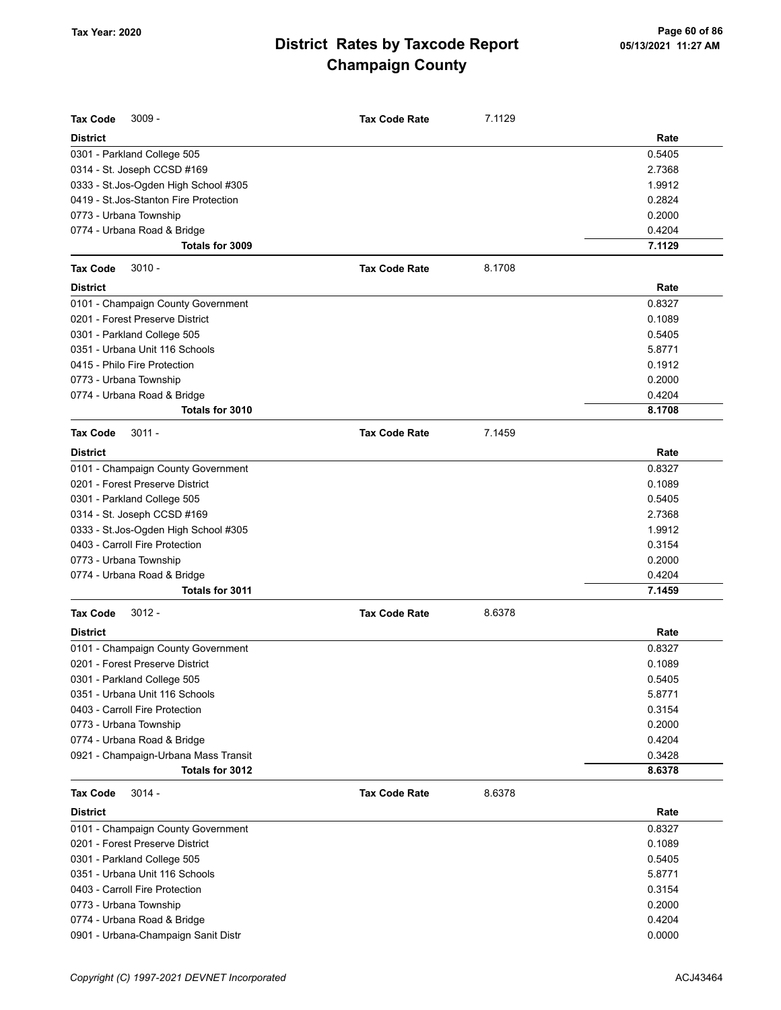| <b>Tax Code</b><br>$3009 -$            | <b>Tax Code Rate</b> | 7.1129 |        |
|----------------------------------------|----------------------|--------|--------|
| <b>District</b>                        |                      |        | Rate   |
| 0301 - Parkland College 505            |                      |        | 0.5405 |
| 0314 - St. Joseph CCSD #169            |                      |        | 2.7368 |
| 0333 - St.Jos-Ogden High School #305   |                      |        | 1.9912 |
| 0419 - St. Jos-Stanton Fire Protection |                      |        | 0.2824 |
| 0773 - Urbana Township                 |                      |        | 0.2000 |
| 0774 - Urbana Road & Bridge            |                      |        | 0.4204 |
| Totals for 3009                        |                      |        | 7.1129 |
| <b>Tax Code</b><br>$3010 -$            | <b>Tax Code Rate</b> | 8.1708 |        |
| <b>District</b>                        |                      |        | Rate   |
| 0101 - Champaign County Government     |                      |        | 0.8327 |
| 0201 - Forest Preserve District        |                      |        | 0.1089 |
| 0301 - Parkland College 505            |                      |        | 0.5405 |
| 0351 - Urbana Unit 116 Schools         |                      |        | 5.8771 |
| 0415 - Philo Fire Protection           |                      |        | 0.1912 |
| 0773 - Urbana Township                 |                      |        | 0.2000 |
| 0774 - Urbana Road & Bridge            |                      |        | 0.4204 |
| Totals for 3010                        |                      |        | 8.1708 |
|                                        |                      |        |        |
| <b>Tax Code</b><br>$3011 -$            | <b>Tax Code Rate</b> | 7.1459 |        |
| <b>District</b>                        |                      |        | Rate   |
| 0101 - Champaign County Government     |                      |        | 0.8327 |
| 0201 - Forest Preserve District        |                      |        | 0.1089 |
| 0301 - Parkland College 505            |                      |        | 0.5405 |
| 0314 - St. Joseph CCSD #169            |                      |        | 2.7368 |
| 0333 - St.Jos-Ogden High School #305   |                      |        | 1.9912 |
| 0403 - Carroll Fire Protection         |                      |        | 0.3154 |
| 0773 - Urbana Township                 |                      |        | 0.2000 |
| 0774 - Urbana Road & Bridge            |                      |        | 0.4204 |
| Totals for 3011                        |                      |        | 7.1459 |
| $3012 -$<br><b>Tax Code</b>            | <b>Tax Code Rate</b> | 8.6378 |        |
| <b>District</b>                        |                      |        | Rate   |
| 0101 - Champaign County Government     |                      |        | 0.8327 |
| 0201 - Forest Preserve District        |                      |        | 0.1089 |
| 0301 - Parkland College 505            |                      |        | 0.5405 |
| 0351 - Urbana Unit 116 Schools         |                      |        | 5.8771 |
| 0403 - Carroll Fire Protection         |                      |        | 0.3154 |
| 0773 - Urbana Township                 |                      |        | 0.2000 |
| 0774 - Urbana Road & Bridge            |                      |        | 0.4204 |
| 0921 - Champaign-Urbana Mass Transit   |                      |        | 0.3428 |
| Totals for 3012                        |                      |        | 8.6378 |
| <b>Tax Code</b><br>$3014 -$            | <b>Tax Code Rate</b> | 8.6378 |        |
| <b>District</b>                        |                      |        | Rate   |
| 0101 - Champaign County Government     |                      |        | 0.8327 |
| 0201 - Forest Preserve District        |                      |        | 0.1089 |
| 0301 - Parkland College 505            |                      |        | 0.5405 |
| 0351 - Urbana Unit 116 Schools         |                      |        | 5.8771 |
| 0403 - Carroll Fire Protection         |                      |        | 0.3154 |
| 0773 - Urbana Township                 |                      |        | 0.2000 |
| 0774 - Urbana Road & Bridge            |                      |        | 0.4204 |
| 0901 - Urbana-Champaign Sanit Distr    |                      |        | 0.0000 |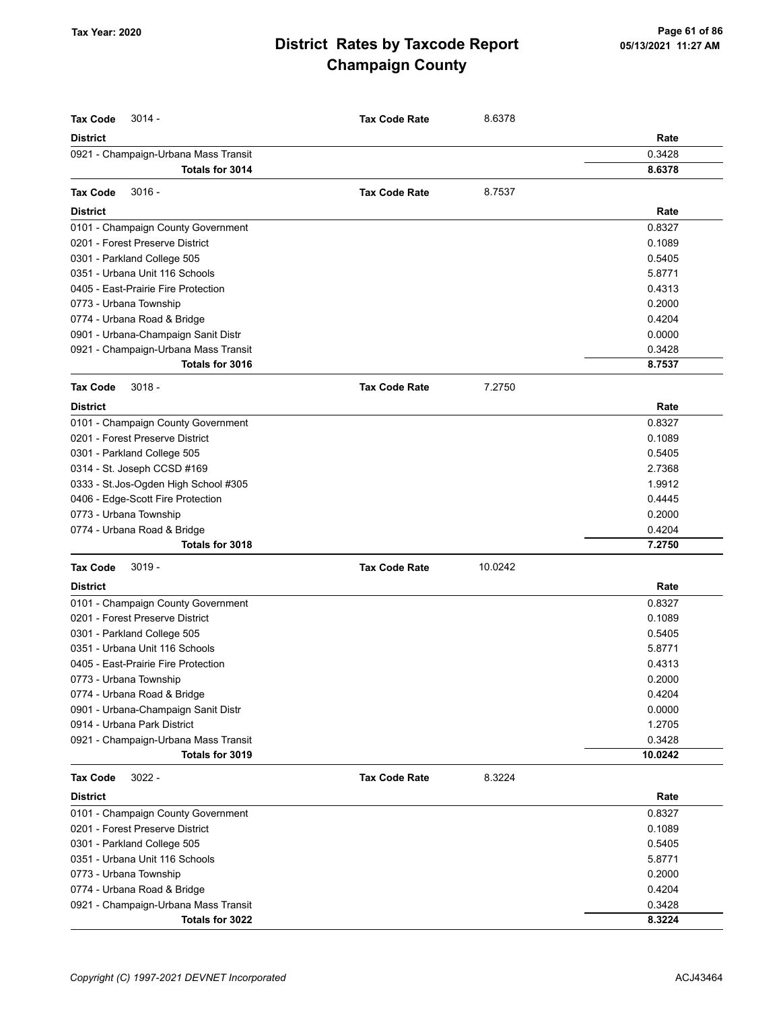| <b>Tax Code</b><br>$3014 -$          | <b>Tax Code Rate</b> | 8.6378  |         |
|--------------------------------------|----------------------|---------|---------|
| <b>District</b>                      |                      |         | Rate    |
| 0921 - Champaign-Urbana Mass Transit |                      |         | 0.3428  |
| Totals for 3014                      |                      |         | 8.6378  |
| $3016 -$<br><b>Tax Code</b>          | <b>Tax Code Rate</b> | 8.7537  |         |
| <b>District</b>                      |                      |         | Rate    |
| 0101 - Champaign County Government   |                      |         | 0.8327  |
| 0201 - Forest Preserve District      |                      |         | 0.1089  |
| 0301 - Parkland College 505          |                      |         | 0.5405  |
| 0351 - Urbana Unit 116 Schools       |                      |         | 5.8771  |
| 0405 - East-Prairie Fire Protection  |                      |         | 0.4313  |
| 0773 - Urbana Township               |                      |         | 0.2000  |
| 0774 - Urbana Road & Bridge          |                      |         | 0.4204  |
| 0901 - Urbana-Champaign Sanit Distr  |                      |         | 0.0000  |
| 0921 - Champaign-Urbana Mass Transit |                      |         | 0.3428  |
| Totals for 3016                      |                      |         | 8.7537  |
| <b>Tax Code</b><br>$3018 -$          | <b>Tax Code Rate</b> | 7.2750  |         |
| <b>District</b>                      |                      |         | Rate    |
| 0101 - Champaign County Government   |                      |         | 0.8327  |
| 0201 - Forest Preserve District      |                      |         | 0.1089  |
| 0301 - Parkland College 505          |                      |         | 0.5405  |
| 0314 - St. Joseph CCSD #169          |                      |         | 2.7368  |
| 0333 - St.Jos-Ogden High School #305 |                      |         | 1.9912  |
| 0406 - Edge-Scott Fire Protection    |                      |         | 0.4445  |
| 0773 - Urbana Township               |                      |         | 0.2000  |
| 0774 - Urbana Road & Bridge          |                      |         | 0.4204  |
| Totals for 3018                      |                      |         | 7.2750  |
| <b>Tax Code</b><br>$3019 -$          | <b>Tax Code Rate</b> | 10.0242 |         |
| <b>District</b>                      |                      |         | Rate    |
| 0101 - Champaign County Government   |                      |         | 0.8327  |
| 0201 - Forest Preserve District      |                      |         | 0.1089  |
| 0301 - Parkland College 505          |                      |         | 0.5405  |
| 0351 - Urbana Unit 116 Schools       |                      |         | 5.8771  |
| 0405 - East-Prairie Fire Protection  |                      |         | 0.4313  |
| 0773 - Urbana Township               |                      |         | 0.2000  |
| 0774 - Urbana Road & Bridge          |                      |         | 0.4204  |
| 0901 - Urbana-Champaign Sanit Distr  |                      |         | 0.0000  |
| 0914 - Urbana Park District          |                      |         | 1.2705  |
| 0921 - Champaign-Urbana Mass Transit |                      |         | 0.3428  |
| Totals for 3019                      |                      |         | 10.0242 |
| <b>Tax Code</b><br>$3022 -$          | <b>Tax Code Rate</b> | 8.3224  |         |
| <b>District</b>                      |                      |         | Rate    |
| 0101 - Champaign County Government   |                      |         | 0.8327  |
| 0201 - Forest Preserve District      |                      |         | 0.1089  |
| 0301 - Parkland College 505          |                      |         | 0.5405  |
| 0351 - Urbana Unit 116 Schools       |                      |         | 5.8771  |
| 0773 - Urbana Township               |                      |         | 0.2000  |
| 0774 - Urbana Road & Bridge          |                      |         | 0.4204  |
| 0921 - Champaign-Urbana Mass Transit |                      |         | 0.3428  |
| Totals for 3022                      |                      |         | 8.3224  |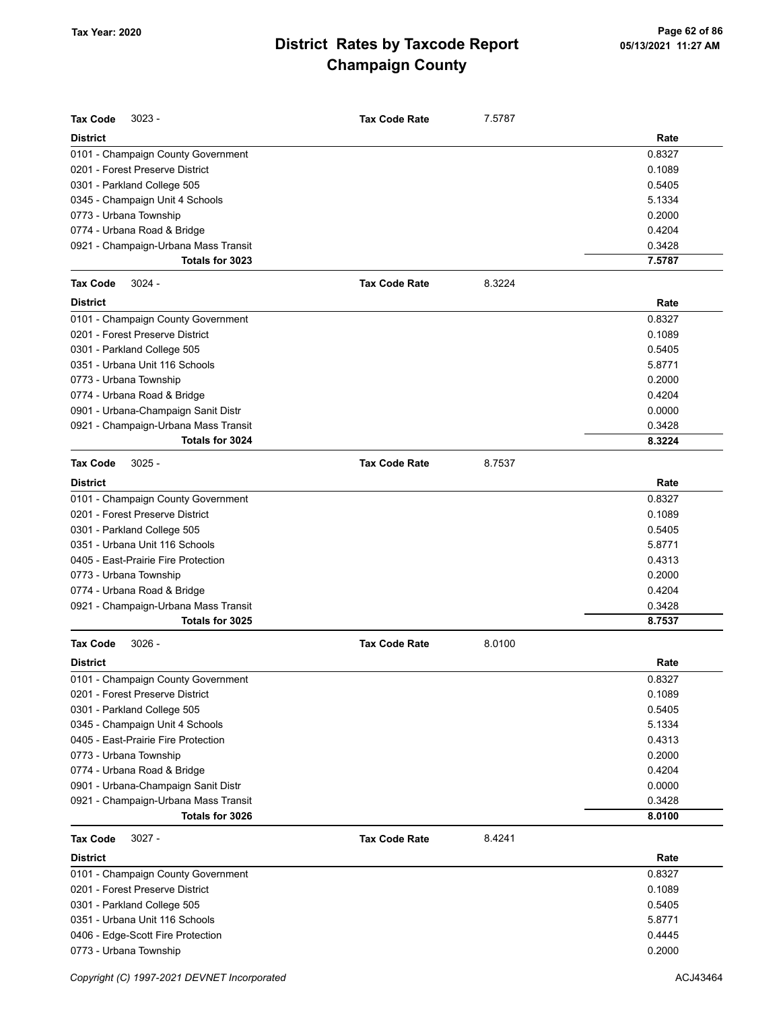| <b>Tax Code</b><br>$3023 -$          | <b>Tax Code Rate</b> | 7.5787 |        |
|--------------------------------------|----------------------|--------|--------|
|                                      |                      |        |        |
| <b>District</b>                      |                      |        | Rate   |
| 0101 - Champaign County Government   |                      |        | 0.8327 |
| 0201 - Forest Preserve District      |                      |        | 0.1089 |
| 0301 - Parkland College 505          |                      |        | 0.5405 |
| 0345 - Champaign Unit 4 Schools      |                      |        | 5.1334 |
| 0773 - Urbana Township               |                      |        | 0.2000 |
| 0774 - Urbana Road & Bridge          |                      |        | 0.4204 |
| 0921 - Champaign-Urbana Mass Transit |                      |        | 0.3428 |
| Totals for 3023                      |                      |        | 7.5787 |
| <b>Tax Code</b><br>$3024 -$          | <b>Tax Code Rate</b> | 8.3224 |        |
| <b>District</b>                      |                      |        | Rate   |
| 0101 - Champaign County Government   |                      |        | 0.8327 |
| 0201 - Forest Preserve District      |                      |        | 0.1089 |
| 0301 - Parkland College 505          |                      |        | 0.5405 |
| 0351 - Urbana Unit 116 Schools       |                      |        | 5.8771 |
| 0773 - Urbana Township               |                      |        | 0.2000 |
| 0774 - Urbana Road & Bridge          |                      |        | 0.4204 |
| 0901 - Urbana-Champaign Sanit Distr  |                      |        | 0.0000 |
| 0921 - Champaign-Urbana Mass Transit |                      |        | 0.3428 |
| Totals for 3024                      |                      |        | 8.3224 |
| <b>Tax Code</b><br>$3025 -$          | <b>Tax Code Rate</b> | 8.7537 |        |
| <b>District</b>                      |                      |        | Rate   |
| 0101 - Champaign County Government   |                      |        | 0.8327 |
| 0201 - Forest Preserve District      |                      |        | 0.1089 |
| 0301 - Parkland College 505          |                      |        | 0.5405 |
| 0351 - Urbana Unit 116 Schools       |                      |        | 5.8771 |
| 0405 - East-Prairie Fire Protection  |                      |        | 0.4313 |
| 0773 - Urbana Township               |                      |        | 0.2000 |
| 0774 - Urbana Road & Bridge          |                      |        | 0.4204 |
| 0921 - Champaign-Urbana Mass Transit |                      |        | 0.3428 |
| Totals for 3025                      |                      |        | 8.7537 |
| <b>Tax Code</b><br>$3026 -$          | <b>Tax Code Rate</b> | 8.0100 |        |
| <b>District</b>                      |                      |        | Rate   |
|                                      |                      |        |        |
| 0101 - Champaign County Government   |                      |        | 0.8327 |
| 0201 - Forest Preserve District      |                      |        | 0.1089 |
| 0301 - Parkland College 505          |                      |        | 0.5405 |
| 0345 - Champaign Unit 4 Schools      |                      |        | 5.1334 |
| 0405 - East-Prairie Fire Protection  |                      |        | 0.4313 |
| 0773 - Urbana Township               |                      |        | 0.2000 |
| 0774 - Urbana Road & Bridge          |                      |        | 0.4204 |
| 0901 - Urbana-Champaign Sanit Distr  |                      |        | 0.0000 |
| 0921 - Champaign-Urbana Mass Transit |                      |        | 0.3428 |
| Totals for 3026                      |                      |        | 8.0100 |
| $3027 -$<br><b>Tax Code</b>          | <b>Tax Code Rate</b> | 8.4241 |        |
| <b>District</b>                      |                      |        | Rate   |
| 0101 - Champaign County Government   |                      |        | 0.8327 |
| 0201 - Forest Preserve District      |                      |        | 0.1089 |
| 0301 - Parkland College 505          |                      |        | 0.5405 |
| 0351 - Urbana Unit 116 Schools       |                      |        | 5.8771 |
| 0406 - Edge-Scott Fire Protection    |                      |        | 0.4445 |
| 0773 - Urbana Township               |                      |        | 0.2000 |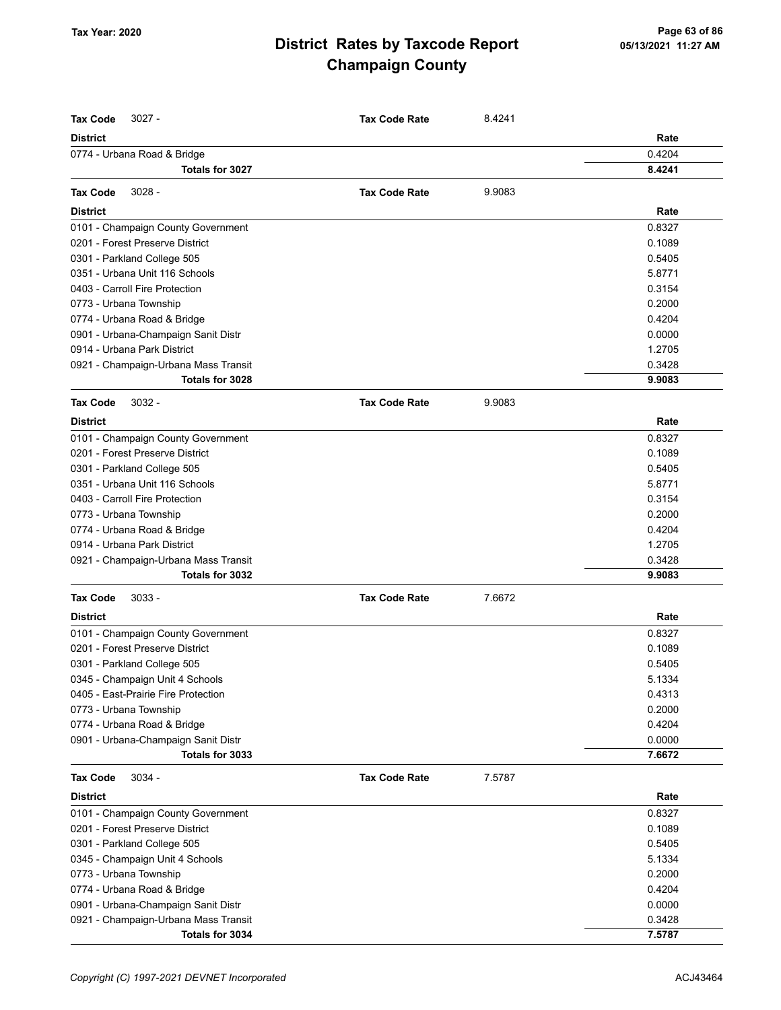| <b>Tax Code</b><br>$3027 -$          | <b>Tax Code Rate</b> | 8.4241 |        |
|--------------------------------------|----------------------|--------|--------|
| <b>District</b>                      |                      |        | Rate   |
| 0774 - Urbana Road & Bridge          |                      |        | 0.4204 |
| Totals for 3027                      |                      |        | 8.4241 |
| $3028 -$<br><b>Tax Code</b>          | <b>Tax Code Rate</b> | 9.9083 |        |
| <b>District</b>                      |                      |        | Rate   |
| 0101 - Champaign County Government   |                      |        | 0.8327 |
| 0201 - Forest Preserve District      |                      |        | 0.1089 |
| 0301 - Parkland College 505          |                      |        | 0.5405 |
| 0351 - Urbana Unit 116 Schools       |                      |        | 5.8771 |
| 0403 - Carroll Fire Protection       |                      |        | 0.3154 |
| 0773 - Urbana Township               |                      |        | 0.2000 |
| 0774 - Urbana Road & Bridge          |                      |        | 0.4204 |
| 0901 - Urbana-Champaign Sanit Distr  |                      |        | 0.0000 |
| 0914 - Urbana Park District          |                      |        | 1.2705 |
| 0921 - Champaign-Urbana Mass Transit |                      |        | 0.3428 |
| Totals for 3028                      |                      |        | 9.9083 |
| $3032 -$<br><b>Tax Code</b>          | <b>Tax Code Rate</b> | 9.9083 |        |
| <b>District</b>                      |                      |        | Rate   |
| 0101 - Champaign County Government   |                      |        | 0.8327 |
| 0201 - Forest Preserve District      |                      |        | 0.1089 |
| 0301 - Parkland College 505          |                      |        | 0.5405 |
| 0351 - Urbana Unit 116 Schools       |                      |        | 5.8771 |
| 0403 - Carroll Fire Protection       |                      |        | 0.3154 |
| 0773 - Urbana Township               |                      |        | 0.2000 |
| 0774 - Urbana Road & Bridge          |                      |        | 0.4204 |
| 0914 - Urbana Park District          |                      |        | 1.2705 |
| 0921 - Champaign-Urbana Mass Transit |                      |        | 0.3428 |
| Totals for 3032                      |                      |        | 9.9083 |
| <b>Tax Code</b><br>$3033 -$          | <b>Tax Code Rate</b> | 7.6672 |        |
| <b>District</b>                      |                      |        | Rate   |
| 0101 - Champaign County Government   |                      |        | 0.8327 |
| 0201 - Forest Preserve District      |                      |        | 0.1089 |
| 0301 - Parkland College 505          |                      |        | 0.5405 |
| 0345 - Champaign Unit 4 Schools      |                      |        | 5.1334 |
| 0405 - East-Prairie Fire Protection  |                      |        | 0.4313 |
| 0773 - Urbana Township               |                      |        | 0.2000 |
| 0774 - Urbana Road & Bridge          |                      |        | 0.4204 |
| 0901 - Urbana-Champaign Sanit Distr  |                      |        | 0.0000 |
| Totals for 3033                      |                      |        | 7.6672 |
| <b>Tax Code</b><br>$3034 -$          | <b>Tax Code Rate</b> | 7.5787 |        |
| <b>District</b>                      |                      |        | Rate   |
| 0101 - Champaign County Government   |                      |        | 0.8327 |
| 0201 - Forest Preserve District      |                      |        | 0.1089 |
| 0301 - Parkland College 505          |                      |        | 0.5405 |
| 0345 - Champaign Unit 4 Schools      |                      |        | 5.1334 |
| 0773 - Urbana Township               |                      |        | 0.2000 |
| 0774 - Urbana Road & Bridge          |                      |        | 0.4204 |
| 0901 - Urbana-Champaign Sanit Distr  |                      |        | 0.0000 |
| 0921 - Champaign-Urbana Mass Transit |                      |        | 0.3428 |
| Totals for 3034                      |                      |        | 7.5787 |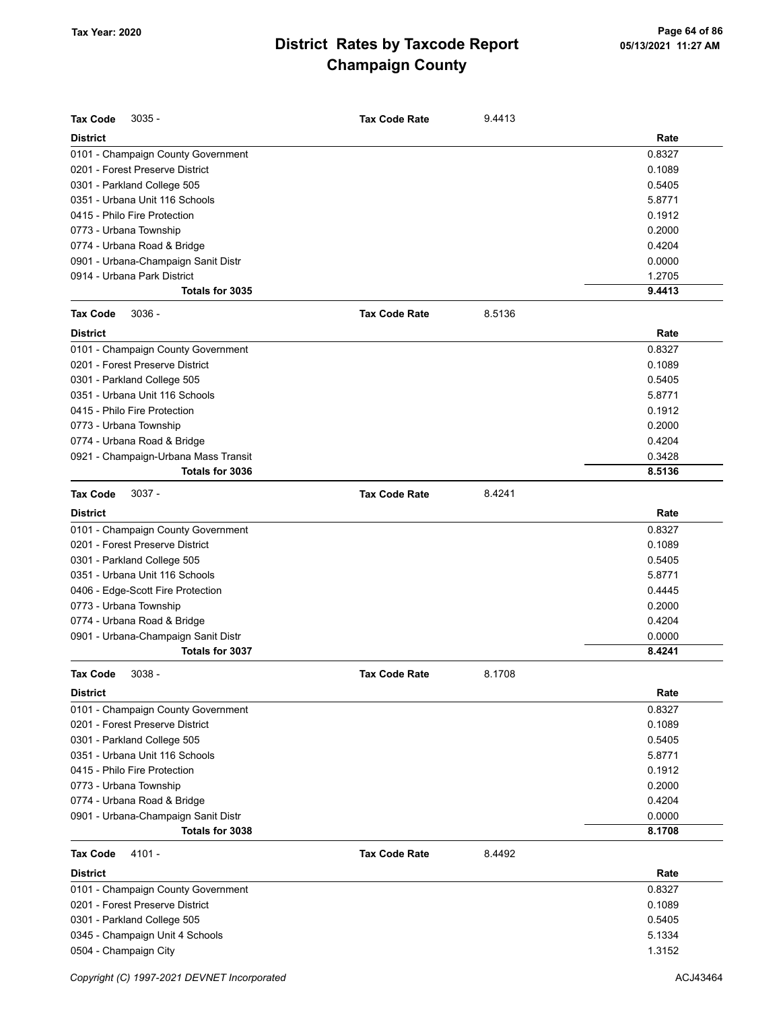| <b>Tax Code</b><br>$3035 -$                                 | <b>Tax Code Rate</b> | 9.4413 |                  |
|-------------------------------------------------------------|----------------------|--------|------------------|
| <b>District</b>                                             |                      |        | Rate             |
| 0101 - Champaign County Government                          |                      |        | 0.8327           |
| 0201 - Forest Preserve District                             |                      |        | 0.1089           |
| 0301 - Parkland College 505                                 |                      |        | 0.5405           |
| 0351 - Urbana Unit 116 Schools                              |                      |        | 5.8771           |
| 0415 - Philo Fire Protection                                |                      |        | 0.1912           |
| 0773 - Urbana Township                                      |                      |        | 0.2000           |
| 0774 - Urbana Road & Bridge                                 |                      |        | 0.4204           |
| 0901 - Urbana-Champaign Sanit Distr                         |                      |        | 0.0000           |
| 0914 - Urbana Park District                                 |                      |        | 1.2705           |
| Totals for 3035                                             |                      |        | 9.4413           |
| <b>Tax Code</b><br>$3036 -$                                 | <b>Tax Code Rate</b> | 8.5136 |                  |
| <b>District</b>                                             |                      |        | Rate             |
| 0101 - Champaign County Government                          |                      |        | 0.8327           |
| 0201 - Forest Preserve District                             |                      |        | 0.1089           |
| 0301 - Parkland College 505                                 |                      |        | 0.5405           |
| 0351 - Urbana Unit 116 Schools                              |                      |        | 5.8771           |
| 0415 - Philo Fire Protection                                |                      |        | 0.1912           |
| 0773 - Urbana Township                                      |                      |        | 0.2000           |
| 0774 - Urbana Road & Bridge                                 |                      |        | 0.4204           |
| 0921 - Champaign-Urbana Mass Transit                        |                      |        | 0.3428           |
| Totals for 3036                                             |                      |        | 8.5136           |
| $3037 -$<br><b>Tax Code</b>                                 | <b>Tax Code Rate</b> | 8.4241 |                  |
| <b>District</b>                                             |                      |        | Rate             |
| 0101 - Champaign County Government                          |                      |        | 0.8327           |
| 0201 - Forest Preserve District                             |                      |        | 0.1089           |
| 0301 - Parkland College 505                                 |                      |        | 0.5405           |
| 0351 - Urbana Unit 116 Schools                              |                      |        | 5.8771           |
|                                                             |                      |        |                  |
| 0406 - Edge-Scott Fire Protection<br>0773 - Urbana Township |                      |        | 0.4445<br>0.2000 |
|                                                             |                      |        |                  |
| 0774 - Urbana Road & Bridge                                 |                      |        | 0.4204           |
| 0901 - Urbana-Champaign Sanit Distr                         |                      |        | 0.0000           |
| Totals for 3037                                             |                      |        | 8.4241           |
| 3038<br>Tax Code                                            | <b>Tax Code Rate</b> | 8.1708 |                  |
| <b>District</b>                                             |                      |        | Rate             |
| 0101 - Champaign County Government                          |                      |        | 0.8327           |
| 0201 - Forest Preserve District                             |                      |        | 0.1089           |
| 0301 - Parkland College 505                                 |                      |        | 0.5405           |
| 0351 - Urbana Unit 116 Schools                              |                      |        | 5.8771           |
| 0415 - Philo Fire Protection                                |                      |        | 0.1912           |
| 0773 - Urbana Township                                      |                      |        | 0.2000           |
| 0774 - Urbana Road & Bridge                                 |                      |        | 0.4204           |
| 0901 - Urbana-Champaign Sanit Distr                         |                      |        | 0.0000           |
| Totals for 3038                                             |                      |        | 8.1708           |
| <b>Tax Code</b><br>4101 -                                   | <b>Tax Code Rate</b> | 8.4492 |                  |
| <b>District</b>                                             |                      |        | Rate             |
| 0101 - Champaign County Government                          |                      |        | 0.8327           |
| 0201 - Forest Preserve District                             |                      |        | 0.1089           |
| 0301 - Parkland College 505                                 |                      |        | 0.5405           |
| 0345 - Champaign Unit 4 Schools                             |                      |        | 5.1334           |
| 0504 - Champaign City                                       |                      |        | 1.3152           |
|                                                             |                      |        |                  |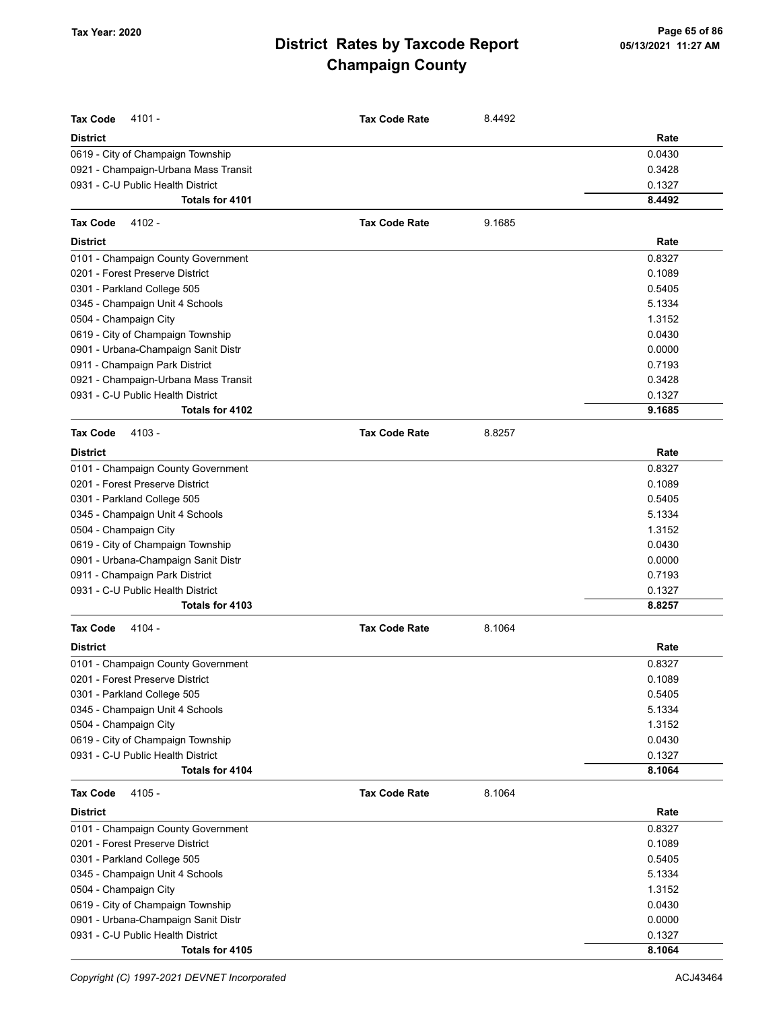| <b>Tax Code</b><br>$4101 -$          | <b>Tax Code Rate</b> | 8.4492 |        |
|--------------------------------------|----------------------|--------|--------|
| <b>District</b>                      |                      |        | Rate   |
| 0619 - City of Champaign Township    |                      |        | 0.0430 |
| 0921 - Champaign-Urbana Mass Transit |                      |        | 0.3428 |
| 0931 - C-U Public Health District    |                      |        | 0.1327 |
| Totals for 4101                      |                      |        | 8.4492 |
| <b>Tax Code</b><br>$4102 -$          | <b>Tax Code Rate</b> | 9.1685 |        |
| <b>District</b>                      |                      |        | Rate   |
| 0101 - Champaign County Government   |                      |        | 0.8327 |
| 0201 - Forest Preserve District      |                      |        | 0.1089 |
| 0301 - Parkland College 505          |                      |        | 0.5405 |
| 0345 - Champaign Unit 4 Schools      |                      |        | 5.1334 |
| 0504 - Champaign City                |                      |        | 1.3152 |
| 0619 - City of Champaign Township    |                      |        | 0.0430 |
| 0901 - Urbana-Champaign Sanit Distr  |                      |        | 0.0000 |
| 0911 - Champaign Park District       |                      |        | 0.7193 |
| 0921 - Champaign-Urbana Mass Transit |                      |        | 0.3428 |
| 0931 - C-U Public Health District    |                      |        | 0.1327 |
| Totals for 4102                      |                      |        | 9.1685 |
| <b>Tax Code</b><br>4103 -            | <b>Tax Code Rate</b> | 8.8257 |        |
| <b>District</b>                      |                      |        | Rate   |
| 0101 - Champaign County Government   |                      |        | 0.8327 |
| 0201 - Forest Preserve District      |                      |        | 0.1089 |
| 0301 - Parkland College 505          |                      |        | 0.5405 |
| 0345 - Champaign Unit 4 Schools      |                      |        | 5.1334 |
| 0504 - Champaign City                |                      |        | 1.3152 |
| 0619 - City of Champaign Township    |                      |        | 0.0430 |
| 0901 - Urbana-Champaign Sanit Distr  |                      |        | 0.0000 |
| 0911 - Champaign Park District       |                      |        | 0.7193 |
| 0931 - C-U Public Health District    |                      |        | 0.1327 |
| Totals for 4103                      |                      |        | 8.8257 |
| 4104 -<br><b>Tax Code</b>            | <b>Tax Code Rate</b> | 8.1064 |        |
| <b>District</b>                      |                      |        | Rate   |
| 0101 - Champaign County Government   |                      |        | 0.8327 |
| 0201 - Forest Preserve District      |                      |        | 0.1089 |
| 0301 - Parkland College 505          |                      |        | 0.5405 |
| 0345 - Champaign Unit 4 Schools      |                      |        | 5.1334 |
| 0504 - Champaign City                |                      |        | 1.3152 |
| 0619 - City of Champaign Township    |                      |        | 0.0430 |
| 0931 - C-U Public Health District    |                      |        | 0.1327 |
| Totals for 4104                      |                      |        | 8.1064 |
| <b>Tax Code</b><br>4105 -            | <b>Tax Code Rate</b> | 8.1064 |        |
| <b>District</b>                      |                      |        | Rate   |
| 0101 - Champaign County Government   |                      |        | 0.8327 |
| 0201 - Forest Preserve District      |                      |        | 0.1089 |
| 0301 - Parkland College 505          |                      |        | 0.5405 |
| 0345 - Champaign Unit 4 Schools      |                      |        | 5.1334 |
| 0504 - Champaign City                |                      |        | 1.3152 |
| 0619 - City of Champaign Township    |                      |        | 0.0430 |
| 0901 - Urbana-Champaign Sanit Distr  |                      |        | 0.0000 |
| 0931 - C-U Public Health District    |                      |        | 0.1327 |
| Totals for 4105                      |                      |        | 8.1064 |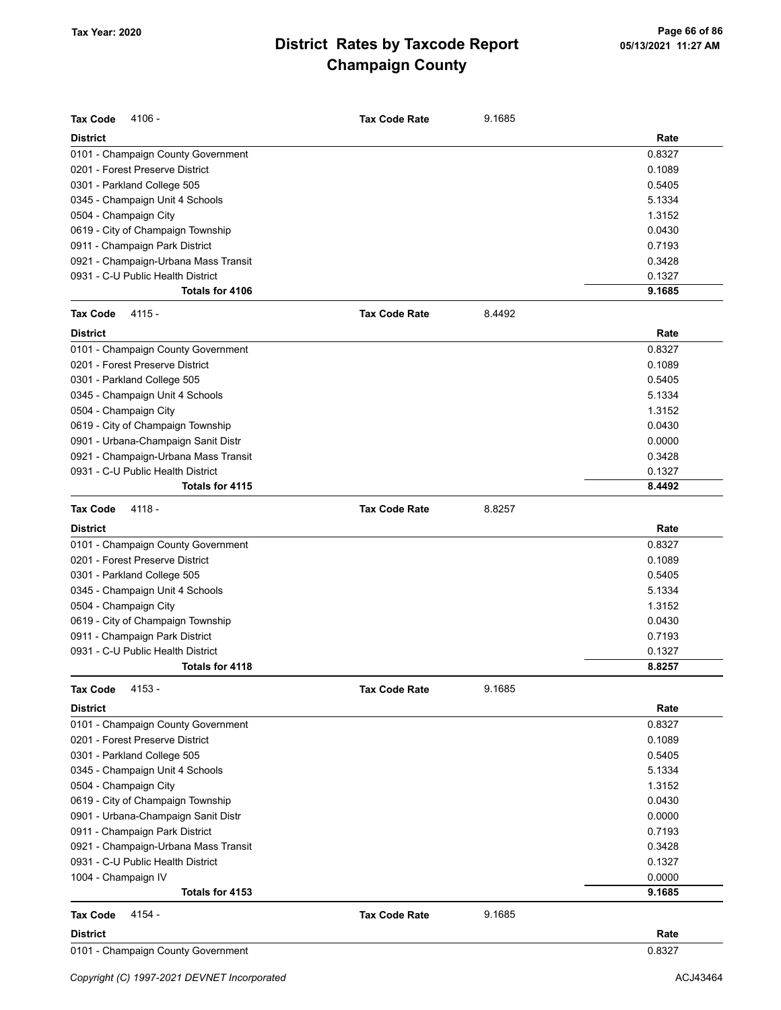| <b>Tax Code</b><br>4106 -            | <b>Tax Code Rate</b> | 9.1685 |        |
|--------------------------------------|----------------------|--------|--------|
| <b>District</b>                      |                      |        | Rate   |
| 0101 - Champaign County Government   |                      |        | 0.8327 |
| 0201 - Forest Preserve District      |                      |        | 0.1089 |
| 0301 - Parkland College 505          |                      |        | 0.5405 |
| 0345 - Champaign Unit 4 Schools      |                      |        | 5.1334 |
| 0504 - Champaign City                |                      |        | 1.3152 |
| 0619 - City of Champaign Township    |                      |        | 0.0430 |
| 0911 - Champaign Park District       |                      |        | 0.7193 |
| 0921 - Champaign-Urbana Mass Transit |                      |        | 0.3428 |
| 0931 - C-U Public Health District    |                      |        | 0.1327 |
| Totals for 4106                      |                      |        | 9.1685 |
| <b>Tax Code</b><br>$4115 -$          | <b>Tax Code Rate</b> | 8.4492 |        |
| <b>District</b>                      |                      |        | Rate   |
| 0101 - Champaign County Government   |                      |        | 0.8327 |
| 0201 - Forest Preserve District      |                      |        | 0.1089 |
| 0301 - Parkland College 505          |                      |        | 0.5405 |
| 0345 - Champaign Unit 4 Schools      |                      |        | 5.1334 |
| 0504 - Champaign City                |                      |        | 1.3152 |
| 0619 - City of Champaign Township    |                      |        | 0.0430 |
| 0901 - Urbana-Champaign Sanit Distr  |                      |        | 0.0000 |
| 0921 - Champaign-Urbana Mass Transit |                      |        | 0.3428 |
| 0931 - C-U Public Health District    |                      |        | 0.1327 |
| Totals for 4115                      |                      |        | 8.4492 |
| 4118 -<br><b>Tax Code</b>            | <b>Tax Code Rate</b> | 8.8257 |        |
| <b>District</b>                      |                      |        | Rate   |
| 0101 - Champaign County Government   |                      |        | 0.8327 |
| 0201 - Forest Preserve District      |                      |        | 0.1089 |
| 0301 - Parkland College 505          |                      |        | 0.5405 |
| 0345 - Champaign Unit 4 Schools      |                      |        | 5.1334 |
| 0504 - Champaign City                |                      |        | 1.3152 |
| 0619 - City of Champaign Township    |                      |        | 0.0430 |
| 0911 - Champaign Park District       |                      |        | 0.7193 |
| 0931 - C-U Public Health District    |                      |        | 0.1327 |
| Totals for 4118                      |                      |        | 8.8257 |
| <b>Tax Code</b><br>4153 -            | <b>Tax Code Rate</b> | 9.1685 |        |
| <b>District</b>                      |                      |        | Rate   |
| 0101 - Champaign County Government   |                      |        | 0.8327 |
| 0201 - Forest Preserve District      |                      |        | 0.1089 |
| 0301 - Parkland College 505          |                      |        | 0.5405 |
| 0345 - Champaign Unit 4 Schools      |                      |        | 5.1334 |
| 0504 - Champaign City                |                      |        | 1.3152 |
| 0619 - City of Champaign Township    |                      |        | 0.0430 |
| 0901 - Urbana-Champaign Sanit Distr  |                      |        | 0.0000 |
| 0911 - Champaign Park District       |                      |        | 0.7193 |
| 0921 - Champaign-Urbana Mass Transit |                      |        | 0.3428 |
| 0931 - C-U Public Health District    |                      |        | 0.1327 |
| 1004 - Champaign IV                  |                      |        | 0.0000 |
| Totals for 4153                      |                      |        | 9.1685 |
| 4154 -<br><b>Tax Code</b>            | <b>Tax Code Rate</b> | 9.1685 |        |
| <b>District</b>                      |                      |        | Rate   |
| 0101 - Champaign County Government   |                      |        | 0.8327 |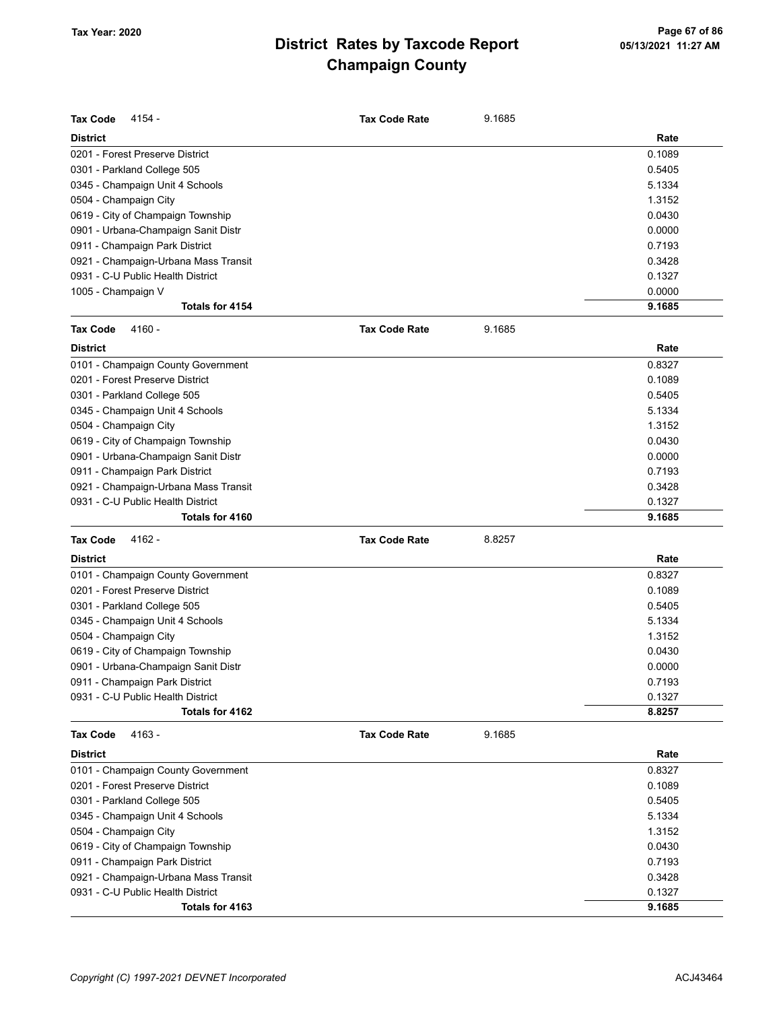| <b>Tax Code</b><br>4154 -            | <b>Tax Code Rate</b> | 9.1685 |        |
|--------------------------------------|----------------------|--------|--------|
| <b>District</b>                      |                      |        | Rate   |
| 0201 - Forest Preserve District      |                      |        | 0.1089 |
| 0301 - Parkland College 505          |                      |        | 0.5405 |
| 0345 - Champaign Unit 4 Schools      |                      |        | 5.1334 |
| 0504 - Champaign City                |                      |        | 1.3152 |
| 0619 - City of Champaign Township    |                      |        | 0.0430 |
| 0901 - Urbana-Champaign Sanit Distr  |                      |        | 0.0000 |
| 0911 - Champaign Park District       |                      |        | 0.7193 |
| 0921 - Champaign-Urbana Mass Transit |                      |        | 0.3428 |
| 0931 - C-U Public Health District    |                      |        | 0.1327 |
| 1005 - Champaign V                   |                      |        | 0.0000 |
| <b>Totals for 4154</b>               |                      |        | 9.1685 |
| <b>Tax Code</b><br>4160 -            | <b>Tax Code Rate</b> | 9.1685 |        |
| <b>District</b>                      |                      |        | Rate   |
| 0101 - Champaign County Government   |                      |        | 0.8327 |
| 0201 - Forest Preserve District      |                      |        | 0.1089 |
| 0301 - Parkland College 505          |                      |        | 0.5405 |
| 0345 - Champaign Unit 4 Schools      |                      |        | 5.1334 |
| 0504 - Champaign City                |                      |        | 1.3152 |
| 0619 - City of Champaign Township    |                      |        | 0.0430 |
| 0901 - Urbana-Champaign Sanit Distr  |                      |        | 0.0000 |
| 0911 - Champaign Park District       |                      |        | 0.7193 |
| 0921 - Champaign-Urbana Mass Transit |                      |        | 0.3428 |
| 0931 - C-U Public Health District    |                      |        | 0.1327 |
| Totals for 4160                      |                      |        | 9.1685 |
| <b>Tax Code</b><br>4162 -            | <b>Tax Code Rate</b> | 8.8257 |        |
| <b>District</b>                      |                      |        | Rate   |
| 0101 - Champaign County Government   |                      |        | 0.8327 |
| 0201 - Forest Preserve District      |                      |        | 0.1089 |
| 0301 - Parkland College 505          |                      |        | 0.5405 |
| 0345 - Champaign Unit 4 Schools      |                      |        | 5.1334 |
| 0504 - Champaign City                |                      |        | 1.3152 |
| 0619 - City of Champaign Township    |                      |        | 0.0430 |
| 0901 - Urbana-Champaign Sanit Distr  |                      |        | 0.0000 |
| 0911 - Champaign Park District       |                      |        | 0.7193 |
| 0931 - C-U Public Health District    |                      |        | 0.1327 |
| Totals for 4162                      |                      |        | 8.8257 |
| <b>Tax Code</b><br>4163 -            | <b>Tax Code Rate</b> | 9.1685 |        |
| <b>District</b>                      |                      |        | Rate   |
| 0101 - Champaign County Government   |                      |        | 0.8327 |
| 0201 - Forest Preserve District      |                      |        | 0.1089 |
| 0301 - Parkland College 505          |                      |        | 0.5405 |
| 0345 - Champaign Unit 4 Schools      |                      |        | 5.1334 |
| 0504 - Champaign City                |                      |        | 1.3152 |
| 0619 - City of Champaign Township    |                      |        | 0.0430 |
| 0911 - Champaign Park District       |                      |        | 0.7193 |
| 0921 - Champaign-Urbana Mass Transit |                      |        | 0.3428 |
| 0931 - C-U Public Health District    |                      |        | 0.1327 |
| Totals for 4163                      |                      |        | 9.1685 |
|                                      |                      |        |        |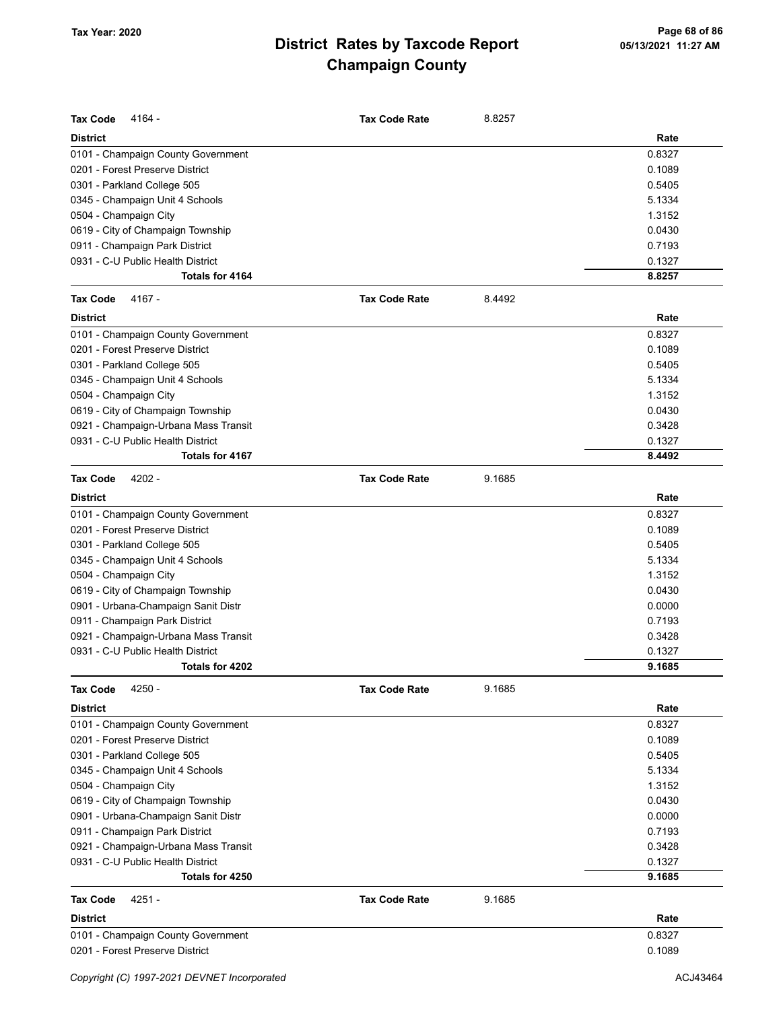| <b>Tax Code</b><br>4164 -            | <b>Tax Code Rate</b> | 8.8257 |        |
|--------------------------------------|----------------------|--------|--------|
| <b>District</b>                      |                      |        | Rate   |
| 0101 - Champaign County Government   |                      |        | 0.8327 |
| 0201 - Forest Preserve District      |                      |        | 0.1089 |
| 0301 - Parkland College 505          |                      |        | 0.5405 |
| 0345 - Champaign Unit 4 Schools      |                      |        | 5.1334 |
| 0504 - Champaign City                |                      |        | 1.3152 |
| 0619 - City of Champaign Township    |                      |        | 0.0430 |
| 0911 - Champaign Park District       |                      |        | 0.7193 |
| 0931 - C-U Public Health District    |                      |        | 0.1327 |
| Totals for 4164                      |                      |        | 8.8257 |
| 4167 -<br><b>Tax Code</b>            | <b>Tax Code Rate</b> | 8.4492 |        |
| <b>District</b>                      |                      |        | Rate   |
| 0101 - Champaign County Government   |                      |        | 0.8327 |
| 0201 - Forest Preserve District      |                      |        | 0.1089 |
| 0301 - Parkland College 505          |                      |        | 0.5405 |
| 0345 - Champaign Unit 4 Schools      |                      |        | 5.1334 |
| 0504 - Champaign City                |                      |        | 1.3152 |
| 0619 - City of Champaign Township    |                      |        | 0.0430 |
| 0921 - Champaign-Urbana Mass Transit |                      |        | 0.3428 |
| 0931 - C-U Public Health District    |                      |        | 0.1327 |
| Totals for 4167                      |                      |        | 8.4492 |
| <b>Tax Code</b><br>$4202 -$          | <b>Tax Code Rate</b> | 9.1685 |        |
| <b>District</b>                      |                      |        | Rate   |
| 0101 - Champaign County Government   |                      |        | 0.8327 |
| 0201 - Forest Preserve District      |                      |        | 0.1089 |
| 0301 - Parkland College 505          |                      |        | 0.5405 |
| 0345 - Champaign Unit 4 Schools      |                      |        | 5.1334 |
| 0504 - Champaign City                |                      |        | 1.3152 |
| 0619 - City of Champaign Township    |                      |        | 0.0430 |
| 0901 - Urbana-Champaign Sanit Distr  |                      |        | 0.0000 |
| 0911 - Champaign Park District       |                      |        | 0.7193 |
| 0921 - Champaign-Urbana Mass Transit |                      |        | 0.3428 |
| 0931 - C-U Public Health District    |                      |        | 0.1327 |
| Totals for 4202                      |                      |        | 9.1685 |
| <b>Tax Code</b><br>4250 -            | <b>Tax Code Rate</b> | 9.1685 |        |
|                                      |                      |        |        |
| <b>District</b>                      |                      |        | Rate   |
| 0101 - Champaign County Government   |                      |        | 0.8327 |
| 0201 - Forest Preserve District      |                      |        | 0.1089 |
| 0301 - Parkland College 505          |                      |        | 0.5405 |
| 0345 - Champaign Unit 4 Schools      |                      |        | 5.1334 |
| 0504 - Champaign City                |                      |        | 1.3152 |
| 0619 - City of Champaign Township    |                      |        | 0.0430 |
| 0901 - Urbana-Champaign Sanit Distr  |                      |        | 0.0000 |
| 0911 - Champaign Park District       |                      |        | 0.7193 |
| 0921 - Champaign-Urbana Mass Transit |                      |        | 0.3428 |
| 0931 - C-U Public Health District    |                      |        | 0.1327 |
| Totals for 4250                      |                      |        | 9.1685 |
| <b>Tax Code</b><br>$4251 -$          | <b>Tax Code Rate</b> | 9.1685 |        |
| <b>District</b>                      |                      |        | Rate   |
| 0101 - Champaign County Government   |                      |        | 0.8327 |
| 0201 - Forest Preserve District      |                      |        | 0.1089 |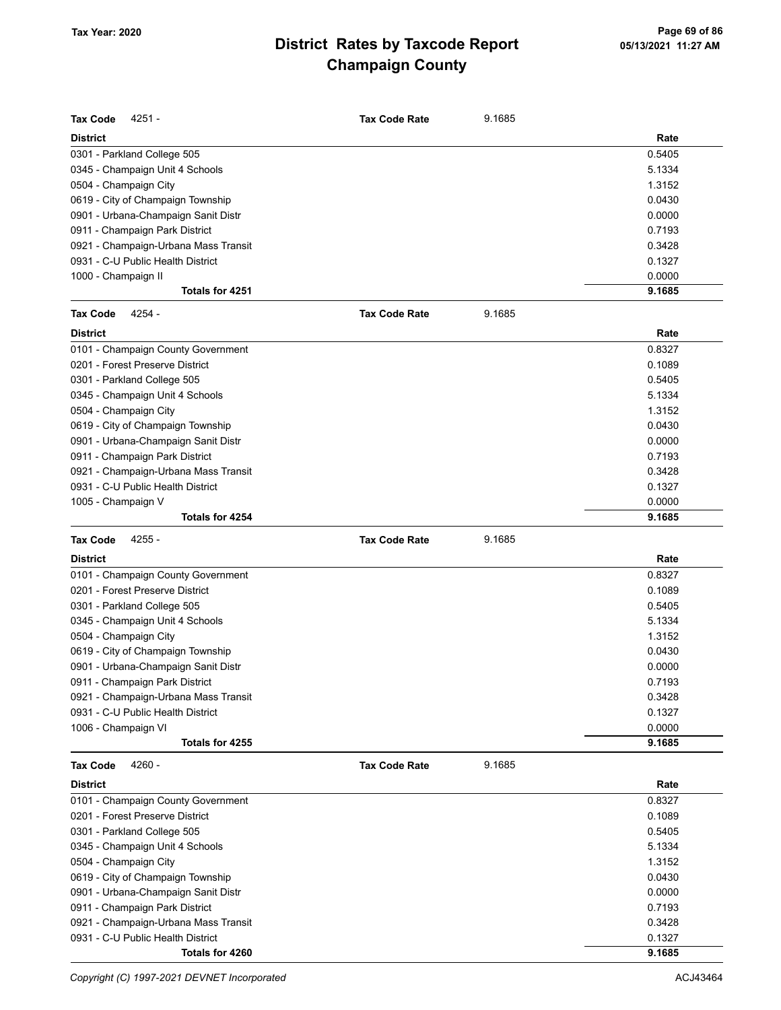| <b>Tax Code</b><br>4251 -            | <b>Tax Code Rate</b> | 9.1685 |        |
|--------------------------------------|----------------------|--------|--------|
| District                             |                      |        | Rate   |
| 0301 - Parkland College 505          |                      |        | 0.5405 |
| 0345 - Champaign Unit 4 Schools      |                      |        | 5.1334 |
| 0504 - Champaign City                |                      |        | 1.3152 |
| 0619 - City of Champaign Township    |                      |        | 0.0430 |
| 0901 - Urbana-Champaign Sanit Distr  |                      |        | 0.0000 |
| 0911 - Champaign Park District       |                      |        | 0.7193 |
| 0921 - Champaign-Urbana Mass Transit |                      |        | 0.3428 |
| 0931 - C-U Public Health District    |                      |        | 0.1327 |
| 1000 - Champaign II                  |                      |        | 0.0000 |
| Totals for 4251                      |                      |        | 9.1685 |
| <b>Tax Code</b><br>4254 -            | <b>Tax Code Rate</b> | 9.1685 |        |
| <b>District</b>                      |                      |        | Rate   |
| 0101 - Champaign County Government   |                      |        | 0.8327 |
| 0201 - Forest Preserve District      |                      |        | 0.1089 |
| 0301 - Parkland College 505          |                      |        | 0.5405 |
| 0345 - Champaign Unit 4 Schools      |                      |        | 5.1334 |
| 0504 - Champaign City                |                      |        | 1.3152 |
| 0619 - City of Champaign Township    |                      |        | 0.0430 |
| 0901 - Urbana-Champaign Sanit Distr  |                      |        | 0.0000 |
| 0911 - Champaign Park District       |                      |        | 0.7193 |
| 0921 - Champaign-Urbana Mass Transit |                      |        | 0.3428 |
| 0931 - C-U Public Health District    |                      |        | 0.1327 |
| 1005 - Champaign V                   |                      |        | 0.0000 |
| Totals for 4254                      |                      |        | 9.1685 |
|                                      |                      |        |        |
|                                      |                      |        |        |
| <b>Tax Code</b><br>4255 -            | <b>Tax Code Rate</b> | 9.1685 |        |
| District                             |                      |        | Rate   |
| 0101 - Champaign County Government   |                      |        | 0.8327 |
| 0201 - Forest Preserve District      |                      |        | 0.1089 |
| 0301 - Parkland College 505          |                      |        | 0.5405 |
| 0345 - Champaign Unit 4 Schools      |                      |        | 5.1334 |
| 0504 - Champaign City                |                      |        | 1.3152 |
| 0619 - City of Champaign Township    |                      |        | 0.0430 |
| 0901 - Urbana-Champaign Sanit Distr  |                      |        | 0.0000 |
| 0911 - Champaign Park District       |                      |        | 0.7193 |
| 0921 - Champaign-Urbana Mass Transit |                      |        | 0.3428 |
| 0931 - C-U Public Health District    |                      |        | 0.1327 |
| 1006 - Champaign VI                  |                      |        | 0.0000 |
| Totals for 4255                      |                      |        | 9.1685 |
| <b>Tax Code</b><br>4260 -            | <b>Tax Code Rate</b> | 9.1685 |        |
| <b>District</b>                      |                      |        | Rate   |
| 0101 - Champaign County Government   |                      |        | 0.8327 |
| 0201 - Forest Preserve District      |                      |        | 0.1089 |
| 0301 - Parkland College 505          |                      |        | 0.5405 |
| 0345 - Champaign Unit 4 Schools      |                      |        | 5.1334 |
| 0504 - Champaign City                |                      |        | 1.3152 |
| 0619 - City of Champaign Township    |                      |        | 0.0430 |
| 0901 - Urbana-Champaign Sanit Distr  |                      |        | 0.0000 |
| 0911 - Champaign Park District       |                      |        | 0.7193 |
| 0921 - Champaign-Urbana Mass Transit |                      |        | 0.3428 |
| 0931 - C-U Public Health District    |                      |        | 0.1327 |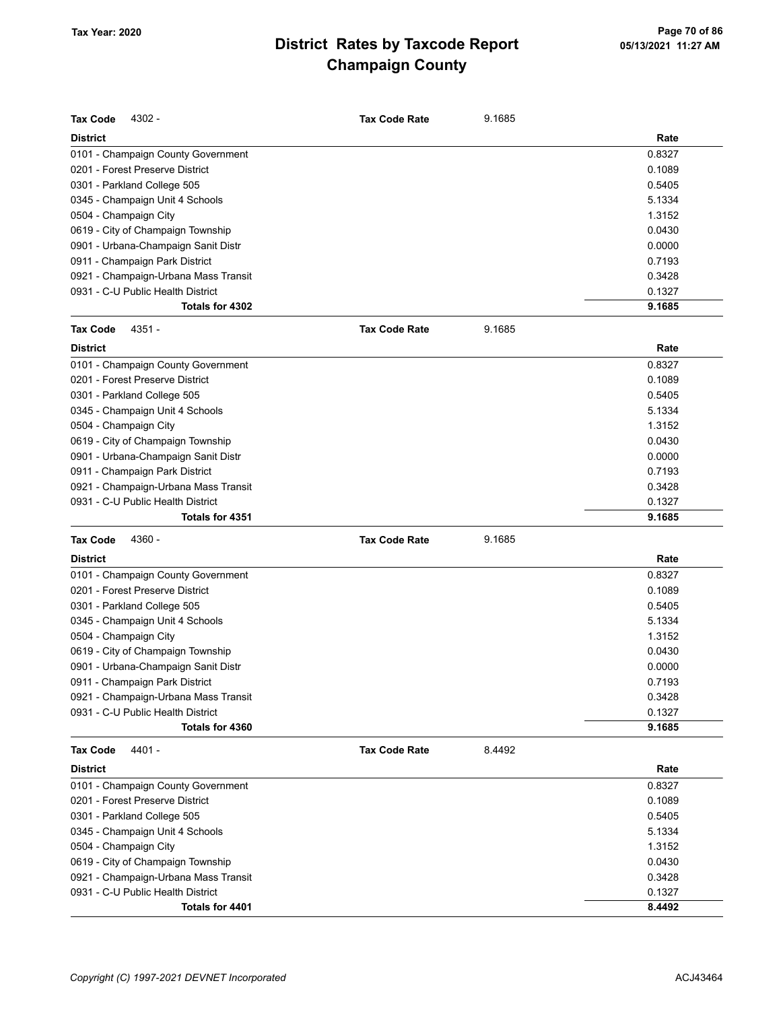| <b>Tax Code</b><br>4302 -            | <b>Tax Code Rate</b> | 9.1685 |        |
|--------------------------------------|----------------------|--------|--------|
| <b>District</b>                      |                      |        | Rate   |
| 0101 - Champaign County Government   |                      |        | 0.8327 |
| 0201 - Forest Preserve District      |                      |        | 0.1089 |
| 0301 - Parkland College 505          |                      |        | 0.5405 |
| 0345 - Champaign Unit 4 Schools      |                      |        | 5.1334 |
| 0504 - Champaign City                |                      |        | 1.3152 |
| 0619 - City of Champaign Township    |                      |        | 0.0430 |
| 0901 - Urbana-Champaign Sanit Distr  |                      |        | 0.0000 |
| 0911 - Champaign Park District       |                      |        | 0.7193 |
| 0921 - Champaign-Urbana Mass Transit |                      |        | 0.3428 |
| 0931 - C-U Public Health District    |                      |        | 0.1327 |
| Totals for 4302                      |                      |        | 9.1685 |
| <b>Tax Code</b><br>4351 -            | <b>Tax Code Rate</b> | 9.1685 |        |
| <b>District</b>                      |                      |        | Rate   |
| 0101 - Champaign County Government   |                      |        | 0.8327 |
| 0201 - Forest Preserve District      |                      |        | 0.1089 |
| 0301 - Parkland College 505          |                      |        | 0.5405 |
| 0345 - Champaign Unit 4 Schools      |                      |        | 5.1334 |
| 0504 - Champaign City                |                      |        | 1.3152 |
| 0619 - City of Champaign Township    |                      |        | 0.0430 |
| 0901 - Urbana-Champaign Sanit Distr  |                      |        | 0.0000 |
| 0911 - Champaign Park District       |                      |        | 0.7193 |
| 0921 - Champaign-Urbana Mass Transit |                      |        | 0.3428 |
| 0931 - C-U Public Health District    |                      |        | 0.1327 |
| Totals for 4351                      |                      |        | 9.1685 |
| <b>Tax Code</b><br>4360 -            | <b>Tax Code Rate</b> | 9.1685 |        |
| <b>District</b>                      |                      |        | Rate   |
| 0101 - Champaign County Government   |                      |        | 0.8327 |
| 0201 - Forest Preserve District      |                      |        | 0.1089 |
| 0301 - Parkland College 505          |                      |        | 0.5405 |
| 0345 - Champaign Unit 4 Schools      |                      |        | 5.1334 |
| 0504 - Champaign City                |                      |        | 1.3152 |
| 0619 - City of Champaign Township    |                      |        | 0.0430 |
| 0901 - Urbana-Champaign Sanit Distr  |                      |        | 0.0000 |
| 0911 - Champaign Park District       |                      |        | 0.7193 |
| 0921 - Champaign-Urbana Mass Transit |                      |        | 0.3428 |
| 0931 - C-U Public Health District    |                      |        | 0.1327 |
| Totals for 4360                      |                      |        | 9.1685 |
| <b>Tax Code</b><br>4401 -            | <b>Tax Code Rate</b> | 8.4492 |        |
| <b>District</b>                      |                      |        | Rate   |
| 0101 - Champaign County Government   |                      |        | 0.8327 |
| 0201 - Forest Preserve District      |                      |        | 0.1089 |
| 0301 - Parkland College 505          |                      |        | 0.5405 |
| 0345 - Champaign Unit 4 Schools      |                      |        | 5.1334 |
| 0504 - Champaign City                |                      |        | 1.3152 |
| 0619 - City of Champaign Township    |                      |        | 0.0430 |
| 0921 - Champaign-Urbana Mass Transit |                      |        | 0.3428 |
| 0931 - C-U Public Health District    |                      |        | 0.1327 |
|                                      |                      |        |        |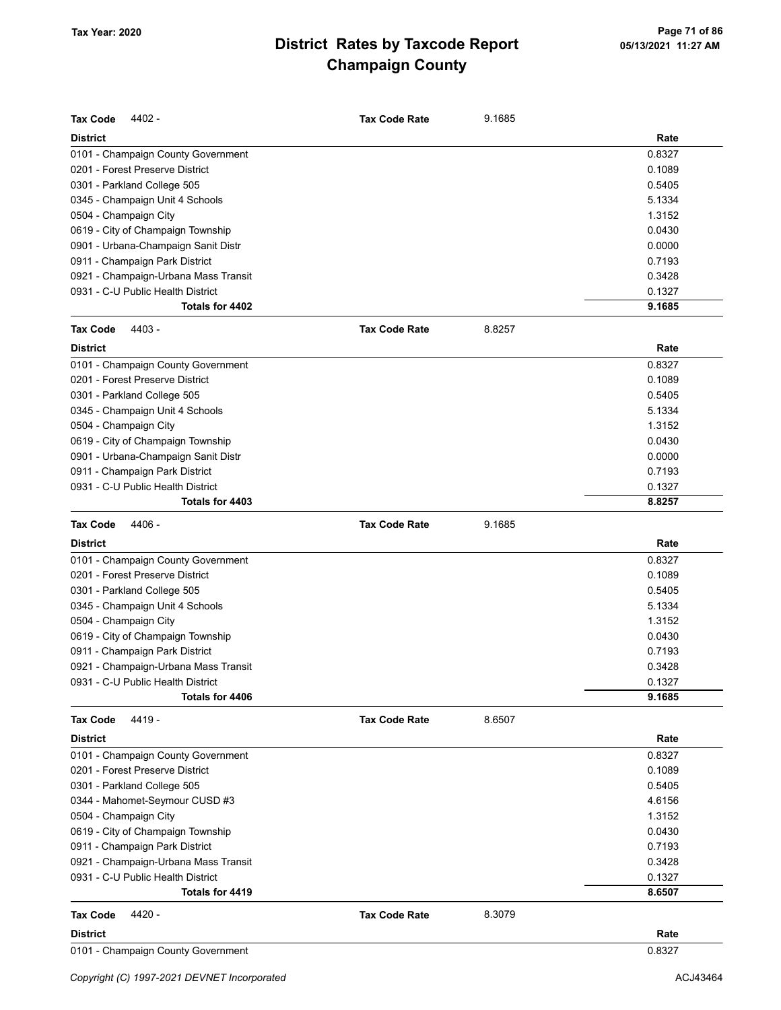| <b>Tax Code</b><br>4402 -            | <b>Tax Code Rate</b> | 9.1685 |        |
|--------------------------------------|----------------------|--------|--------|
| <b>District</b>                      |                      |        | Rate   |
| 0101 - Champaign County Government   |                      |        | 0.8327 |
| 0201 - Forest Preserve District      |                      |        | 0.1089 |
| 0301 - Parkland College 505          |                      |        | 0.5405 |
| 0345 - Champaign Unit 4 Schools      |                      |        | 5.1334 |
| 0504 - Champaign City                |                      |        | 1.3152 |
| 0619 - City of Champaign Township    |                      |        | 0.0430 |
| 0901 - Urbana-Champaign Sanit Distr  |                      |        | 0.0000 |
| 0911 - Champaign Park District       |                      |        | 0.7193 |
| 0921 - Champaign-Urbana Mass Transit |                      |        | 0.3428 |
| 0931 - C-U Public Health District    |                      |        | 0.1327 |
| Totals for 4402                      |                      |        | 9.1685 |
| <b>Tax Code</b><br>4403 -            | <b>Tax Code Rate</b> | 8.8257 |        |
| <b>District</b>                      |                      |        | Rate   |
| 0101 - Champaign County Government   |                      |        | 0.8327 |
| 0201 - Forest Preserve District      |                      |        | 0.1089 |
| 0301 - Parkland College 505          |                      |        | 0.5405 |
| 0345 - Champaign Unit 4 Schools      |                      |        | 5.1334 |
| 0504 - Champaign City                |                      |        | 1.3152 |
| 0619 - City of Champaign Township    |                      |        | 0.0430 |
| 0901 - Urbana-Champaign Sanit Distr  |                      |        | 0.0000 |
| 0911 - Champaign Park District       |                      |        | 0.7193 |
| 0931 - C-U Public Health District    |                      |        | 0.1327 |
| Totals for 4403                      |                      |        | 8.8257 |
| <b>Tax Code</b><br>4406 -            | <b>Tax Code Rate</b> | 9.1685 |        |
| <b>District</b>                      |                      |        | Rate   |
| 0101 - Champaign County Government   |                      |        | 0.8327 |
| 0201 - Forest Preserve District      |                      |        | 0.1089 |
| 0301 - Parkland College 505          |                      |        | 0.5405 |
| 0345 - Champaign Unit 4 Schools      |                      |        | 5.1334 |
| 0504 - Champaign City                |                      |        | 1.3152 |
| 0619 - City of Champaign Township    |                      |        | 0.0430 |
| 0911 - Champaign Park District       |                      |        | 0.7193 |
| 0921 - Champaign-Urbana Mass Transit |                      |        | 0.3428 |
| 0931 - C-U Public Health District    |                      |        | 0.1327 |
| Totals for 4406                      |                      |        | 9.1685 |
| 4419 -<br><b>Tax Code</b>            | <b>Tax Code Rate</b> | 8.6507 |        |
| <b>District</b>                      |                      |        | Rate   |
| 0101 - Champaign County Government   |                      |        | 0.8327 |
| 0201 - Forest Preserve District      |                      |        | 0.1089 |
| 0301 - Parkland College 505          |                      |        | 0.5405 |
| 0344 - Mahomet-Seymour CUSD #3       |                      |        | 4.6156 |
| 0504 - Champaign City                |                      |        | 1.3152 |
| 0619 - City of Champaign Township    |                      |        | 0.0430 |
| 0911 - Champaign Park District       |                      |        | 0.7193 |
| 0921 - Champaign-Urbana Mass Transit |                      |        | 0.3428 |
| 0931 - C-U Public Health District    |                      |        | 0.1327 |
| Totals for 4419                      |                      |        | 8.6507 |
| 4420 -<br>Tax Code                   | <b>Tax Code Rate</b> | 8.3079 |        |
|                                      |                      |        |        |
| <b>District</b>                      |                      |        | Rate   |
| 0101 - Champaign County Government   |                      |        | 0.8327 |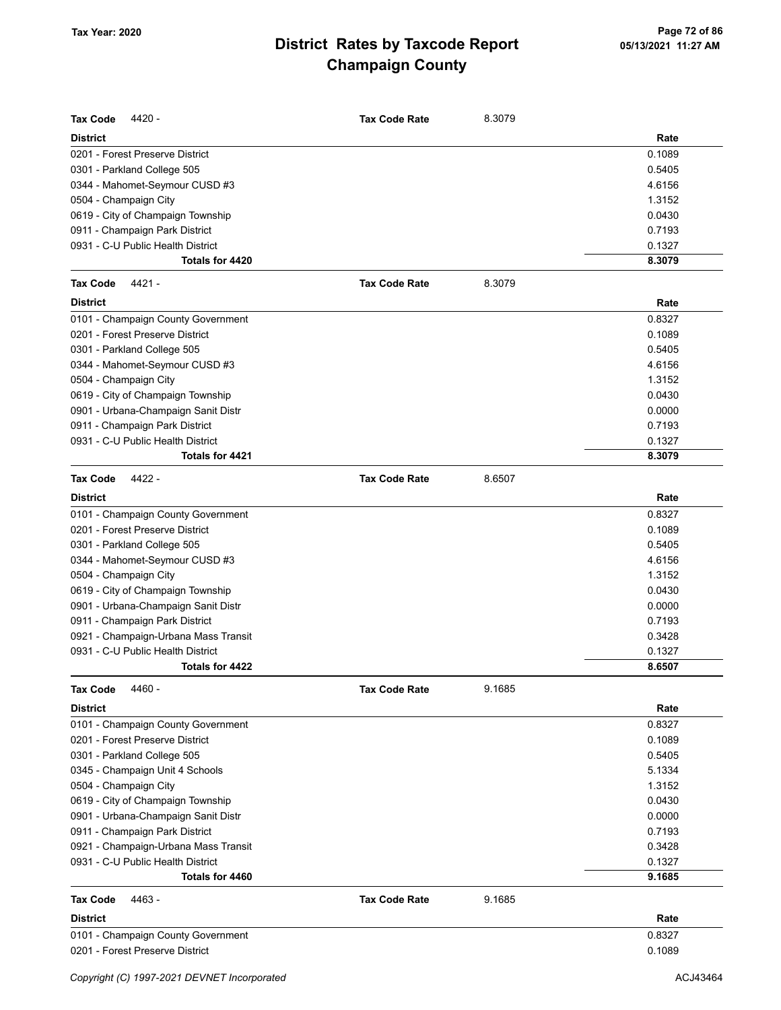| <b>Tax Code</b><br>4420 -                                             | <b>Tax Code Rate</b> | 8.3079 |                  |
|-----------------------------------------------------------------------|----------------------|--------|------------------|
| <b>District</b>                                                       |                      |        | Rate             |
| 0201 - Forest Preserve District                                       |                      |        | 0.1089           |
| 0301 - Parkland College 505                                           |                      |        | 0.5405           |
| 0344 - Mahomet-Seymour CUSD #3                                        |                      |        | 4.6156           |
| 0504 - Champaign City                                                 |                      |        | 1.3152           |
| 0619 - City of Champaign Township                                     |                      |        | 0.0430           |
| 0911 - Champaign Park District                                        |                      |        | 0.7193           |
| 0931 - C-U Public Health District                                     |                      |        | 0.1327           |
| Totals for 4420                                                       |                      |        | 8.3079           |
| 4421 -<br><b>Tax Code</b>                                             | <b>Tax Code Rate</b> | 8.3079 |                  |
| <b>District</b>                                                       |                      |        | Rate             |
| 0101 - Champaign County Government                                    |                      |        | 0.8327           |
| 0201 - Forest Preserve District                                       |                      |        | 0.1089           |
| 0301 - Parkland College 505                                           |                      |        | 0.5405           |
| 0344 - Mahomet-Seymour CUSD #3                                        |                      |        | 4.6156           |
| 0504 - Champaign City                                                 |                      |        | 1.3152           |
| 0619 - City of Champaign Township                                     |                      |        | 0.0430           |
| 0901 - Urbana-Champaign Sanit Distr                                   |                      |        | 0.0000           |
| 0911 - Champaign Park District                                        |                      |        | 0.7193           |
| 0931 - C-U Public Health District                                     |                      |        | 0.1327           |
| Totals for 4421                                                       |                      |        | 8.3079           |
| <b>Tax Code</b><br>4422 -                                             | <b>Tax Code Rate</b> | 8.6507 |                  |
| <b>District</b>                                                       |                      |        | Rate             |
| 0101 - Champaign County Government                                    |                      |        | 0.8327           |
| 0201 - Forest Preserve District                                       |                      |        | 0.1089           |
| 0301 - Parkland College 505                                           |                      |        | 0.5405           |
| 0344 - Mahomet-Seymour CUSD #3                                        |                      |        | 4.6156           |
| 0504 - Champaign City                                                 |                      |        | 1.3152           |
| 0619 - City of Champaign Township                                     |                      |        | 0.0430           |
| 0901 - Urbana-Champaign Sanit Distr                                   |                      |        | 0.0000           |
| 0911 - Champaign Park District                                        |                      |        | 0.7193           |
| 0921 - Champaign-Urbana Mass Transit                                  |                      |        | 0.3428           |
| 0931 - C-U Public Health District                                     |                      |        | 0.1327           |
| Totals for 4422                                                       |                      |        | 8.6507           |
| <b>Tax Code</b><br>4460 -                                             | <b>Tax Code Rate</b> | 9.1685 |                  |
| <b>District</b>                                                       |                      |        | Rate             |
| 0101 - Champaign County Government                                    |                      |        | 0.8327           |
| 0201 - Forest Preserve District                                       |                      |        | 0.1089           |
| 0301 - Parkland College 505                                           |                      |        | 0.5405           |
| 0345 - Champaign Unit 4 Schools                                       |                      |        | 5.1334           |
| 0504 - Champaign City                                                 |                      |        | 1.3152           |
| 0619 - City of Champaign Township                                     |                      |        | 0.0430           |
| 0901 - Urbana-Champaign Sanit Distr                                   |                      |        | 0.0000           |
| 0911 - Champaign Park District                                        |                      |        | 0.7193           |
| 0921 - Champaign-Urbana Mass Transit                                  |                      |        | 0.3428           |
| 0931 - C-U Public Health District<br>Totals for 4460                  |                      |        | 0.1327<br>9.1685 |
|                                                                       |                      |        |                  |
| <b>Tax Code</b><br>4463 -                                             | <b>Tax Code Rate</b> | 9.1685 |                  |
| <b>District</b>                                                       |                      |        | Rate             |
| 0101 - Champaign County Government<br>0201 - Forest Preserve District |                      |        | 0.8327           |
|                                                                       |                      |        | 0.1089           |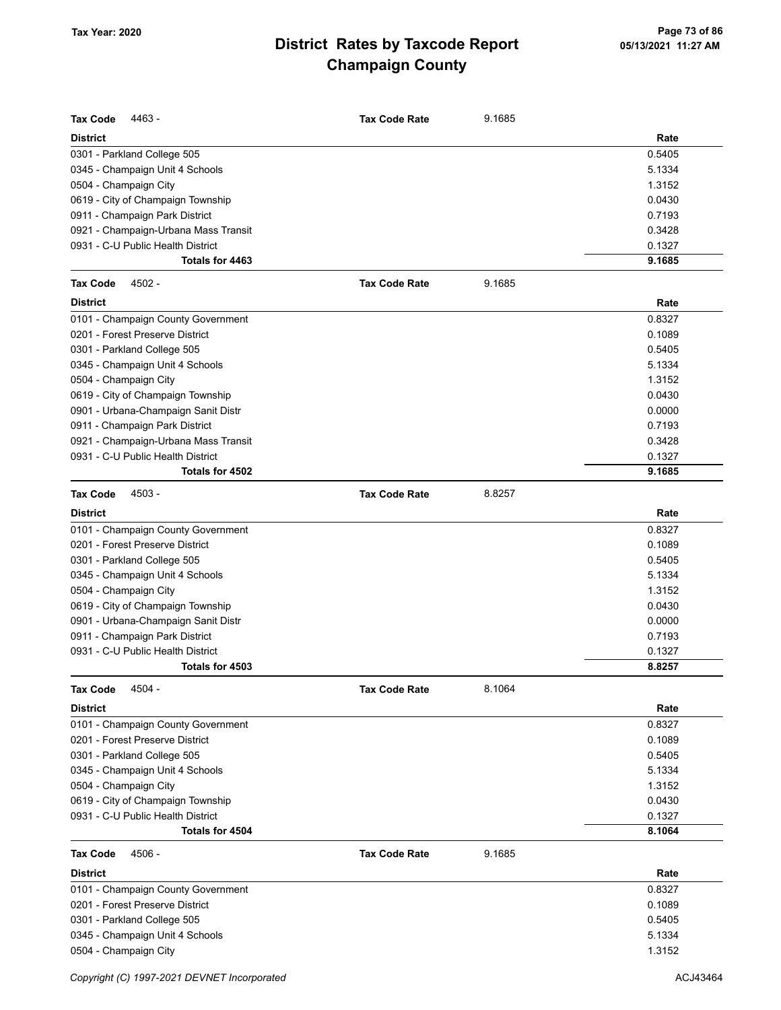| <b>Tax Code</b><br>4463 -                                             | <b>Tax Code Rate</b> | 9.1685 |                |
|-----------------------------------------------------------------------|----------------------|--------|----------------|
| <b>District</b>                                                       |                      |        | Rate           |
| 0301 - Parkland College 505                                           |                      |        | 0.5405         |
| 0345 - Champaign Unit 4 Schools                                       |                      |        | 5.1334         |
| 0504 - Champaign City                                                 |                      |        | 1.3152         |
| 0619 - City of Champaign Township                                     |                      |        | 0.0430         |
| 0911 - Champaign Park District                                        |                      |        | 0.7193         |
| 0921 - Champaign-Urbana Mass Transit                                  |                      |        | 0.3428         |
| 0931 - C-U Public Health District                                     |                      |        | 0.1327         |
| Totals for 4463                                                       |                      |        | 9.1685         |
| 4502 -<br><b>Tax Code</b>                                             | <b>Tax Code Rate</b> | 9.1685 |                |
| <b>District</b>                                                       |                      |        | Rate           |
| 0101 - Champaign County Government                                    |                      |        | 0.8327         |
| 0201 - Forest Preserve District                                       |                      |        | 0.1089         |
| 0301 - Parkland College 505                                           |                      |        | 0.5405         |
| 0345 - Champaign Unit 4 Schools                                       |                      |        | 5.1334         |
| 0504 - Champaign City                                                 |                      |        | 1.3152         |
| 0619 - City of Champaign Township                                     |                      |        | 0.0430         |
| 0901 - Urbana-Champaign Sanit Distr                                   |                      |        | 0.0000         |
| 0911 - Champaign Park District                                        |                      |        | 0.7193         |
| 0921 - Champaign-Urbana Mass Transit                                  |                      |        | 0.3428         |
| 0931 - C-U Public Health District                                     |                      |        | 0.1327         |
| Totals for 4502                                                       |                      |        | 9.1685         |
| 4503 -<br><b>Tax Code</b>                                             | <b>Tax Code Rate</b> | 8.8257 |                |
|                                                                       |                      |        |                |
| <b>District</b>                                                       |                      |        | Rate<br>0.8327 |
| 0101 - Champaign County Government<br>0201 - Forest Preserve District |                      |        | 0.1089         |
|                                                                       |                      |        | 0.5405         |
| 0301 - Parkland College 505                                           |                      |        | 5.1334         |
| 0345 - Champaign Unit 4 Schools                                       |                      |        | 1.3152         |
| 0504 - Champaign City<br>0619 - City of Champaign Township            |                      |        | 0.0430         |
| 0901 - Urbana-Champaign Sanit Distr                                   |                      |        | 0.0000         |
|                                                                       |                      |        | 0.7193         |
| 0911 - Champaign Park District<br>0931 - C-U Public Health District   |                      |        | 0.1327         |
| Totals for 4503                                                       |                      |        | 8.8257         |
|                                                                       |                      |        |                |
| <b>Tax Code</b><br>4504 -                                             | <b>Tax Code Rate</b> | 8.1064 |                |
| <b>District</b>                                                       |                      |        | Rate           |
| 0101 - Champaign County Government                                    |                      |        | 0.8327         |
| 0201 - Forest Preserve District                                       |                      |        | 0.1089         |
| 0301 - Parkland College 505                                           |                      |        | 0.5405         |
| 0345 - Champaign Unit 4 Schools                                       |                      |        | 5.1334         |
| 0504 - Champaign City                                                 |                      |        | 1.3152         |
| 0619 - City of Champaign Township                                     |                      |        | 0.0430         |
| 0931 - C-U Public Health District                                     |                      |        | 0.1327         |
| Totals for 4504                                                       |                      |        | 8.1064         |
| <b>Tax Code</b><br>4506 -                                             | <b>Tax Code Rate</b> | 9.1685 |                |
| <b>District</b>                                                       |                      |        | Rate           |
| 0101 - Champaign County Government                                    |                      |        | 0.8327         |
| 0201 - Forest Preserve District                                       |                      |        | 0.1089         |
| 0301 - Parkland College 505                                           |                      |        | 0.5405         |
| 0345 - Champaign Unit 4 Schools                                       |                      |        | 5.1334         |
| 0504 - Champaign City                                                 |                      |        | 1.3152         |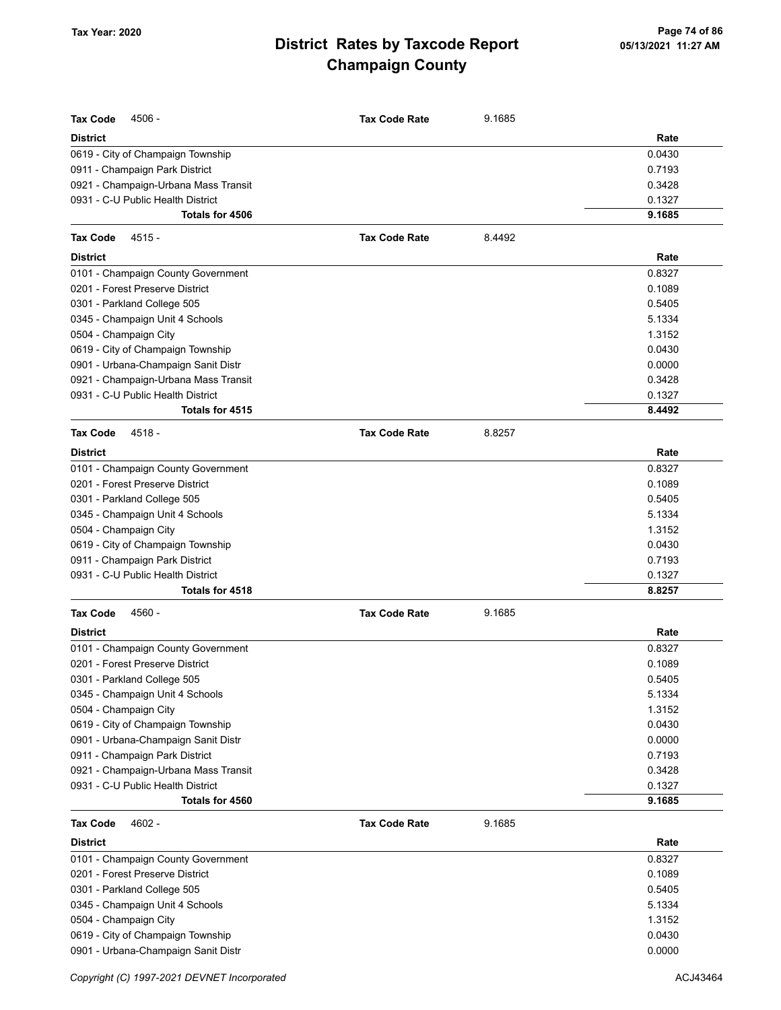| <b>Tax Code</b><br>4506 -            | <b>Tax Code Rate</b> | 9.1685 |        |
|--------------------------------------|----------------------|--------|--------|
| <b>District</b>                      |                      |        | Rate   |
| 0619 - City of Champaign Township    |                      |        | 0.0430 |
| 0911 - Champaign Park District       |                      |        | 0.7193 |
| 0921 - Champaign-Urbana Mass Transit |                      |        | 0.3428 |
| 0931 - C-U Public Health District    |                      |        | 0.1327 |
| Totals for 4506                      |                      |        | 9.1685 |
| <b>Tax Code</b><br>$4515 -$          | <b>Tax Code Rate</b> | 8.4492 |        |
| <b>District</b>                      |                      |        | Rate   |
| 0101 - Champaign County Government   |                      |        | 0.8327 |
| 0201 - Forest Preserve District      |                      |        | 0.1089 |
| 0301 - Parkland College 505          |                      |        | 0.5405 |
| 0345 - Champaign Unit 4 Schools      |                      |        | 5.1334 |
| 0504 - Champaign City                |                      |        | 1.3152 |
| 0619 - City of Champaign Township    |                      |        | 0.0430 |
| 0901 - Urbana-Champaign Sanit Distr  |                      |        | 0.0000 |
| 0921 - Champaign-Urbana Mass Transit |                      |        | 0.3428 |
| 0931 - C-U Public Health District    |                      |        | 0.1327 |
| Totals for 4515                      |                      |        | 8.4492 |
| <b>Tax Code</b><br>4518 -            | <b>Tax Code Rate</b> | 8.8257 |        |
| <b>District</b>                      |                      |        | Rate   |
| 0101 - Champaign County Government   |                      |        | 0.8327 |
| 0201 - Forest Preserve District      |                      |        | 0.1089 |
| 0301 - Parkland College 505          |                      |        | 0.5405 |
| 0345 - Champaign Unit 4 Schools      |                      |        | 5.1334 |
| 0504 - Champaign City                |                      |        | 1.3152 |
| 0619 - City of Champaign Township    |                      |        | 0.0430 |
| 0911 - Champaign Park District       |                      |        | 0.7193 |
| 0931 - C-U Public Health District    |                      |        | 0.1327 |
| Totals for 4518                      |                      |        | 8.8257 |
| 4560 -<br><b>Tax Code</b>            | <b>Tax Code Rate</b> | 9.1685 |        |
| <b>District</b>                      |                      |        | Rate   |
| 0101 - Champaign County Government   |                      |        | 0.8327 |
| 0201 - Forest Preserve District      |                      |        | 0.1089 |
| 0301 - Parkland College 505          |                      |        | 0.5405 |
| 0345 - Champaign Unit 4 Schools      |                      |        | 5.1334 |
| 0504 - Champaign City                |                      |        | 1.3152 |
| 0619 - City of Champaign Township    |                      |        | 0.0430 |
| 0901 - Urbana-Champaign Sanit Distr  |                      |        | 0.0000 |
| 0911 - Champaign Park District       |                      |        | 0.7193 |
| 0921 - Champaign-Urbana Mass Transit |                      |        | 0.3428 |
| 0931 - C-U Public Health District    |                      |        | 0.1327 |
| Totals for 4560                      |                      |        | 9.1685 |
| 4602 -<br><b>Tax Code</b>            | <b>Tax Code Rate</b> | 9.1685 |        |
| <b>District</b>                      |                      |        | Rate   |
| 0101 - Champaign County Government   |                      |        | 0.8327 |
| 0201 - Forest Preserve District      |                      |        | 0.1089 |
| 0301 - Parkland College 505          |                      |        | 0.5405 |
| 0345 - Champaign Unit 4 Schools      |                      |        | 5.1334 |
| 0504 - Champaign City                |                      |        | 1.3152 |
| 0619 - City of Champaign Township    |                      |        | 0.0430 |
| 0901 - Urbana-Champaign Sanit Distr  |                      |        | 0.0000 |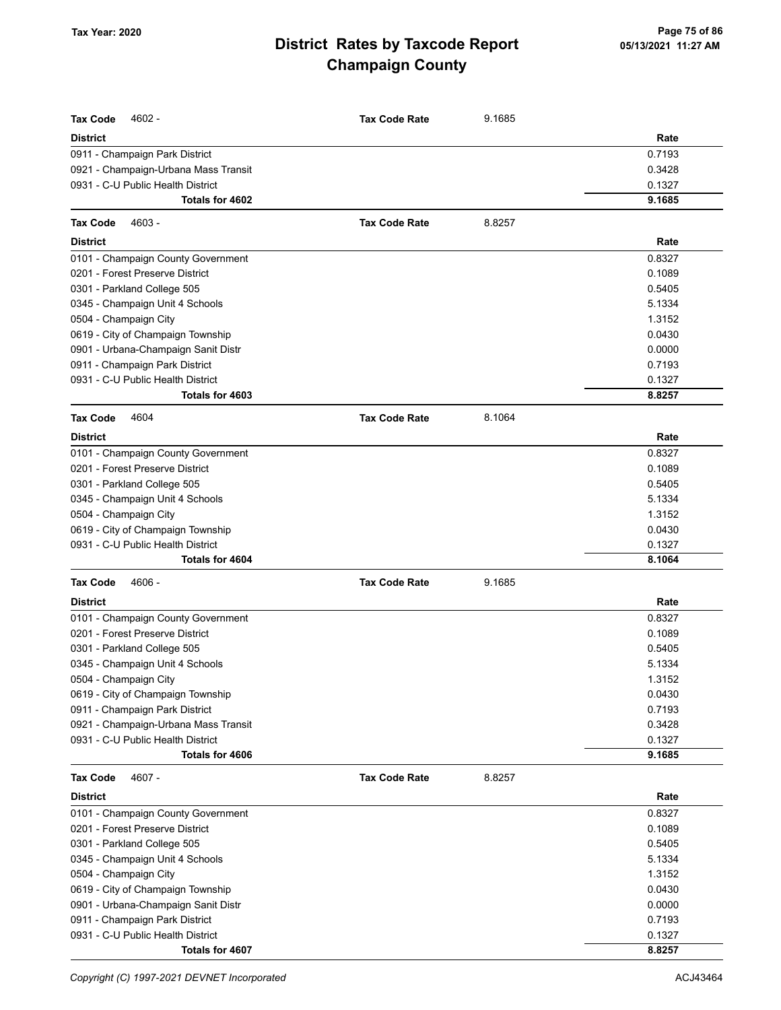| <b>Tax Code</b><br>4602 -                            | <b>Tax Code Rate</b> | 9.1685 |                  |
|------------------------------------------------------|----------------------|--------|------------------|
| <b>District</b>                                      |                      |        | Rate             |
| 0911 - Champaign Park District                       |                      |        | 0.7193           |
| 0921 - Champaign-Urbana Mass Transit                 |                      |        | 0.3428           |
| 0931 - C-U Public Health District                    |                      |        | 0.1327           |
| Totals for 4602                                      |                      |        | 9.1685           |
| <b>Tax Code</b><br>4603 -                            | <b>Tax Code Rate</b> | 8.8257 |                  |
| <b>District</b>                                      |                      |        | Rate             |
| 0101 - Champaign County Government                   |                      |        | 0.8327           |
| 0201 - Forest Preserve District                      |                      |        | 0.1089           |
| 0301 - Parkland College 505                          |                      |        | 0.5405           |
| 0345 - Champaign Unit 4 Schools                      |                      |        | 5.1334           |
| 0504 - Champaign City                                |                      |        | 1.3152           |
| 0619 - City of Champaign Township                    |                      |        | 0.0430           |
| 0901 - Urbana-Champaign Sanit Distr                  |                      |        | 0.0000           |
| 0911 - Champaign Park District                       |                      |        | 0.7193           |
| 0931 - C-U Public Health District                    |                      |        | 0.1327           |
| Totals for 4603                                      |                      |        | 8.8257           |
| 4604<br><b>Tax Code</b>                              | <b>Tax Code Rate</b> | 8.1064 |                  |
| <b>District</b>                                      |                      |        | Rate             |
| 0101 - Champaign County Government                   |                      |        | 0.8327           |
| 0201 - Forest Preserve District                      |                      |        | 0.1089           |
| 0301 - Parkland College 505                          |                      |        | 0.5405           |
| 0345 - Champaign Unit 4 Schools                      |                      |        | 5.1334           |
| 0504 - Champaign City                                |                      |        | 1.3152           |
| 0619 - City of Champaign Township                    |                      |        | 0.0430           |
| 0931 - C-U Public Health District                    |                      |        | 0.1327           |
| Totals for 4604                                      |                      |        | 8.1064           |
| <b>Tax Code</b><br>4606 -                            | <b>Tax Code Rate</b> | 9.1685 |                  |
| <b>District</b>                                      |                      |        | Rate             |
| 0101 - Champaign County Government                   |                      |        | 0.8327           |
| 0201 - Forest Preserve District                      |                      |        | 0.1089           |
| 0301 - Parkland College 505                          |                      |        | 0.5405           |
| 0345 - Champaign Unit 4 Schools                      |                      |        | 5.1334           |
| 0504 - Champaign City                                |                      |        | 1.3152           |
| 0619 - City of Champaign Township                    |                      |        | 0.0430           |
| 0911 - Champaign Park District                       |                      |        | 0.7193           |
| 0921 - Champaign-Urbana Mass Transit                 |                      |        | 0.3428           |
| 0931 - C-U Public Health District<br>Totals for 4606 |                      |        | 0.1327<br>9.1685 |
| <b>Tax Code</b><br>4607 -                            | <b>Tax Code Rate</b> | 8.8257 |                  |
| <b>District</b>                                      |                      |        | Rate             |
| 0101 - Champaign County Government                   |                      |        | 0.8327           |
| 0201 - Forest Preserve District                      |                      |        | 0.1089           |
| 0301 - Parkland College 505                          |                      |        | 0.5405           |
| 0345 - Champaign Unit 4 Schools                      |                      |        | 5.1334           |
| 0504 - Champaign City                                |                      |        | 1.3152           |
| 0619 - City of Champaign Township                    |                      |        | 0.0430           |
| 0901 - Urbana-Champaign Sanit Distr                  |                      |        | 0.0000           |
| 0911 - Champaign Park District                       |                      |        | 0.7193           |
| 0931 - C-U Public Health District                    |                      |        | 0.1327           |
| Totals for 4607                                      |                      |        | 8.8257           |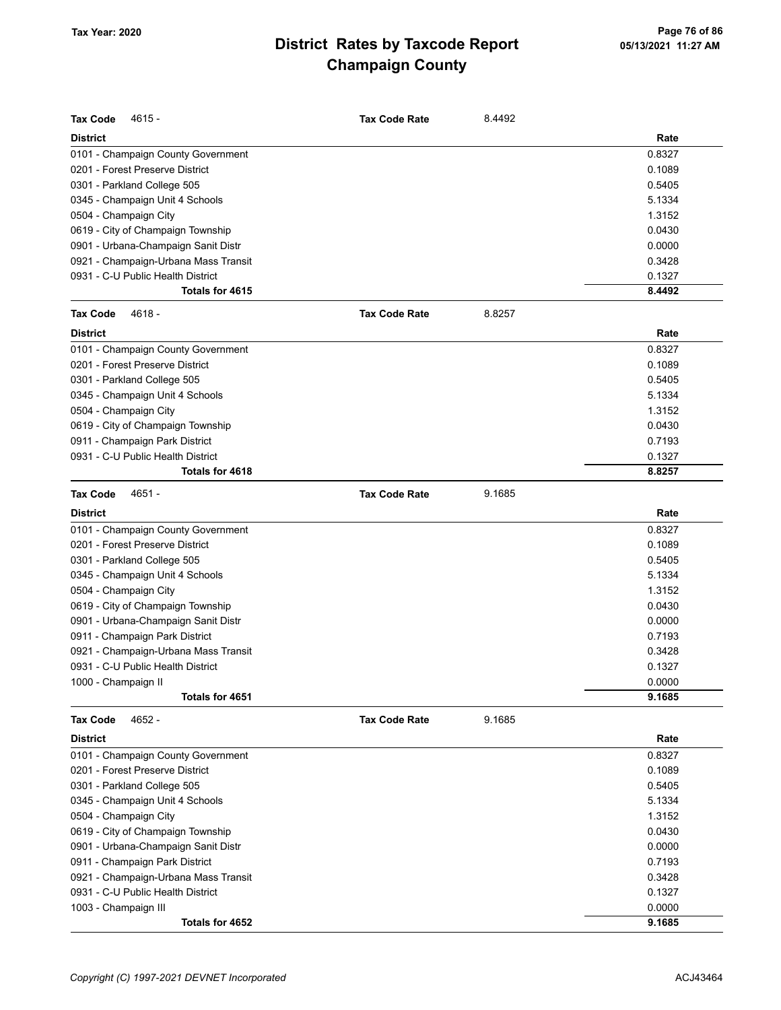| <b>Tax Code</b><br>4615 -            | <b>Tax Code Rate</b> | 8.4492 |        |
|--------------------------------------|----------------------|--------|--------|
| <b>District</b>                      |                      |        | Rate   |
| 0101 - Champaign County Government   |                      |        | 0.8327 |
| 0201 - Forest Preserve District      |                      |        | 0.1089 |
| 0301 - Parkland College 505          |                      |        | 0.5405 |
| 0345 - Champaign Unit 4 Schools      |                      |        | 5.1334 |
| 0504 - Champaign City                |                      |        | 1.3152 |
| 0619 - City of Champaign Township    |                      |        | 0.0430 |
| 0901 - Urbana-Champaign Sanit Distr  |                      |        | 0.0000 |
| 0921 - Champaign-Urbana Mass Transit |                      |        | 0.3428 |
| 0931 - C-U Public Health District    |                      |        | 0.1327 |
| Totals for 4615                      |                      |        | 8.4492 |
| <b>Tax Code</b><br>$4618 -$          | <b>Tax Code Rate</b> | 8.8257 |        |
| <b>District</b>                      |                      |        | Rate   |
| 0101 - Champaign County Government   |                      |        | 0.8327 |
| 0201 - Forest Preserve District      |                      |        | 0.1089 |
| 0301 - Parkland College 505          |                      |        | 0.5405 |
| 0345 - Champaign Unit 4 Schools      |                      |        | 5.1334 |
| 0504 - Champaign City                |                      |        | 1.3152 |
| 0619 - City of Champaign Township    |                      |        | 0.0430 |
| 0911 - Champaign Park District       |                      |        | 0.7193 |
| 0931 - C-U Public Health District    |                      |        | 0.1327 |
| Totals for 4618                      |                      |        | 8.8257 |
| <b>Tax Code</b><br>4651 -            | <b>Tax Code Rate</b> | 9.1685 |        |
| <b>District</b>                      |                      |        | Rate   |
| 0101 - Champaign County Government   |                      |        | 0.8327 |
| 0201 - Forest Preserve District      |                      |        | 0.1089 |
| 0301 - Parkland College 505          |                      |        | 0.5405 |
| 0345 - Champaign Unit 4 Schools      |                      |        | 5.1334 |
| 0504 - Champaign City                |                      |        | 1.3152 |
| 0619 - City of Champaign Township    |                      |        | 0.0430 |
| 0901 - Urbana-Champaign Sanit Distr  |                      |        | 0.0000 |
| 0911 - Champaign Park District       |                      |        | 0.7193 |
| 0921 - Champaign-Urbana Mass Transit |                      |        | 0.3428 |
| 0931 - C-U Public Health District    |                      |        | 0.1327 |
| 1000 - Champaign II                  |                      |        | 0.0000 |
| Totals for 4651                      |                      |        | 9.1685 |
| 4652 -<br>Tax Code                   | <b>Tax Code Rate</b> | 9.1685 |        |
| <b>District</b>                      |                      |        | Rate   |
| 0101 - Champaign County Government   |                      |        | 0.8327 |
| 0201 - Forest Preserve District      |                      |        | 0.1089 |
| 0301 - Parkland College 505          |                      |        | 0.5405 |
| 0345 - Champaign Unit 4 Schools      |                      |        | 5.1334 |
| 0504 - Champaign City                |                      |        | 1.3152 |
| 0619 - City of Champaign Township    |                      |        | 0.0430 |
| 0901 - Urbana-Champaign Sanit Distr  |                      |        | 0.0000 |
| 0911 - Champaign Park District       |                      |        | 0.7193 |
| 0921 - Champaign-Urbana Mass Transit |                      |        | 0.3428 |
| 0931 - C-U Public Health District    |                      |        | 0.1327 |
| 1003 - Champaign III                 |                      |        | 0.0000 |
| Totals for 4652                      |                      |        | 9.1685 |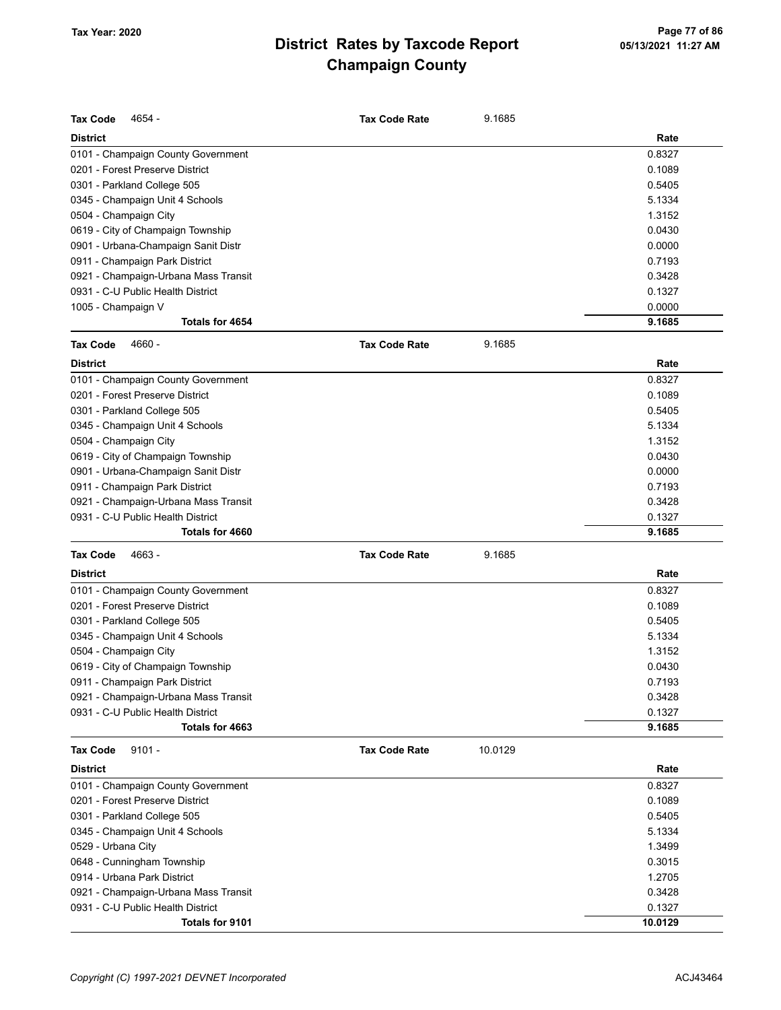| <b>Tax Code</b><br>4654 -            | <b>Tax Code Rate</b> | 9.1685  |         |
|--------------------------------------|----------------------|---------|---------|
| <b>District</b>                      |                      |         | Rate    |
| 0101 - Champaign County Government   |                      |         | 0.8327  |
| 0201 - Forest Preserve District      |                      |         | 0.1089  |
| 0301 - Parkland College 505          |                      |         | 0.5405  |
| 0345 - Champaign Unit 4 Schools      |                      |         | 5.1334  |
| 0504 - Champaign City                |                      |         | 1.3152  |
| 0619 - City of Champaign Township    |                      |         | 0.0430  |
| 0901 - Urbana-Champaign Sanit Distr  |                      |         | 0.0000  |
| 0911 - Champaign Park District       |                      |         | 0.7193  |
| 0921 - Champaign-Urbana Mass Transit |                      |         | 0.3428  |
| 0931 - C-U Public Health District    |                      |         | 0.1327  |
| 1005 - Champaign V                   |                      |         | 0.0000  |
| Totals for 4654                      |                      |         | 9.1685  |
| <b>Tax Code</b><br>4660 -            | <b>Tax Code Rate</b> | 9.1685  |         |
| <b>District</b>                      |                      |         | Rate    |
| 0101 - Champaign County Government   |                      |         | 0.8327  |
| 0201 - Forest Preserve District      |                      |         | 0.1089  |
| 0301 - Parkland College 505          |                      |         | 0.5405  |
| 0345 - Champaign Unit 4 Schools      |                      |         | 5.1334  |
| 0504 - Champaign City                |                      |         | 1.3152  |
| 0619 - City of Champaign Township    |                      |         | 0.0430  |
| 0901 - Urbana-Champaign Sanit Distr  |                      |         | 0.0000  |
| 0911 - Champaign Park District       |                      |         | 0.7193  |
| 0921 - Champaign-Urbana Mass Transit |                      |         | 0.3428  |
| 0931 - C-U Public Health District    |                      |         | 0.1327  |
| Totals for 4660                      |                      |         | 9.1685  |
| <b>Tax Code</b><br>4663 -            | <b>Tax Code Rate</b> | 9.1685  |         |
| <b>District</b>                      |                      |         | Rate    |
| 0101 - Champaign County Government   |                      |         | 0.8327  |
| 0201 - Forest Preserve District      |                      |         | 0.1089  |
| 0301 - Parkland College 505          |                      |         | 0.5405  |
| 0345 - Champaign Unit 4 Schools      |                      |         | 5.1334  |
| 0504 - Champaign City                |                      |         | 1.3152  |
| 0619 - City of Champaign Township    |                      |         | 0.0430  |
| 0911 - Champaign Park District       |                      |         | 0.7193  |
| 0921 - Champaign-Urbana Mass Transit |                      |         | 0.3428  |
| 0931 - C-U Public Health District    |                      |         | 0.1327  |
| Totals for 4663                      |                      |         | 9.1685  |
| Tax Code<br>$9101 -$                 | <b>Tax Code Rate</b> | 10.0129 |         |
| District                             |                      |         | Rate    |
| 0101 - Champaign County Government   |                      |         | 0.8327  |
| 0201 - Forest Preserve District      |                      |         | 0.1089  |
| 0301 - Parkland College 505          |                      |         | 0.5405  |
| 0345 - Champaign Unit 4 Schools      |                      |         | 5.1334  |
| 0529 - Urbana City                   |                      |         | 1.3499  |
| 0648 - Cunningham Township           |                      |         | 0.3015  |
| 0914 - Urbana Park District          |                      |         | 1.2705  |
| 0921 - Champaign-Urbana Mass Transit |                      |         | 0.3428  |
| 0931 - C-U Public Health District    |                      |         | 0.1327  |
| Totals for 9101                      |                      |         | 10.0129 |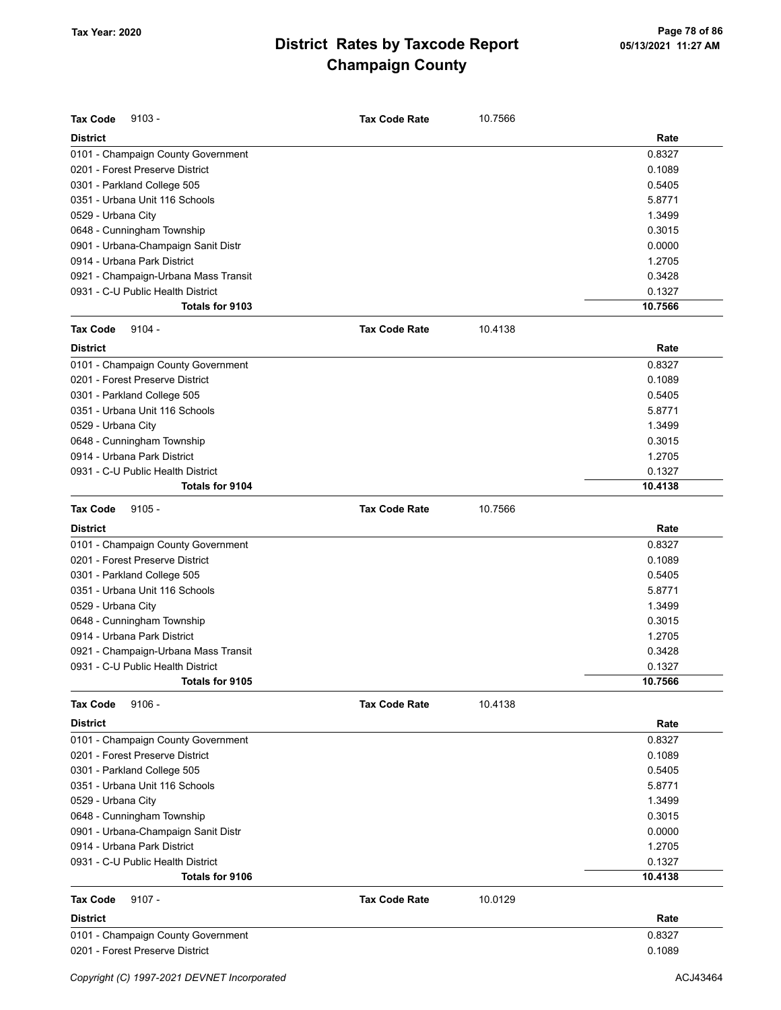| <b>District</b><br>Rate<br>0.8327<br>0101 - Champaign County Government<br>0201 - Forest Preserve District<br>0.1089<br>0301 - Parkland College 505<br>0.5405<br>5.8771<br>0351 - Urbana Unit 116 Schools<br>1.3499<br>0529 - Urbana City<br>0.3015<br>0648 - Cunningham Township<br>0.0000<br>0901 - Urbana-Champaign Sanit Distr<br>0914 - Urbana Park District<br>1.2705<br>0921 - Champaign-Urbana Mass Transit<br>0.3428<br>0.1327<br>0931 - C-U Public Health District<br>10.7566<br>Totals for 9103<br><b>Tax Code</b><br>$9104 -$<br><b>Tax Code Rate</b><br>10.4138<br><b>District</b><br>Rate<br>0101 - Champaign County Government<br>0.8327<br>0201 - Forest Preserve District<br>0.1089<br>0301 - Parkland College 505<br>0.5405<br>0351 - Urbana Unit 116 Schools<br>5.8771<br>1.3499<br>0529 - Urbana City<br>0.3015<br>0648 - Cunningham Township<br>0914 - Urbana Park District<br>1.2705<br>0.1327<br>0931 - C-U Public Health District<br>10.4138<br><b>Totals for 9104</b><br><b>Tax Code</b><br>$9105 -$<br>10.7566<br><b>Tax Code Rate</b><br>Rate<br><b>District</b><br>0.8327<br>0101 - Champaign County Government<br>0201 - Forest Preserve District<br>0.1089<br>0301 - Parkland College 505<br>0.5405<br>0351 - Urbana Unit 116 Schools<br>5.8771<br>1.3499<br>0529 - Urbana City<br>0.3015<br>0648 - Cunningham Township<br>0914 - Urbana Park District<br>1.2705<br>0.3428<br>0921 - Champaign-Urbana Mass Transit<br>0931 - C-U Public Health District<br>0.1327<br>Totals for 9105<br>10.7566<br><b>Tax Code</b><br>$9106 -$<br>10.4138<br><b>Tax Code Rate</b><br><b>District</b><br>Rate<br>0.8327<br>0101 - Champaign County Government<br>0201 - Forest Preserve District<br>0.1089<br>0301 - Parkland College 505<br>0.5405<br>0351 - Urbana Unit 116 Schools<br>5.8771<br>0529 - Urbana City<br>1.3499<br>0.3015<br>0648 - Cunningham Township<br>0901 - Urbana-Champaign Sanit Distr<br>0.0000<br>1.2705<br>0914 - Urbana Park District<br>0931 - C-U Public Health District<br>0.1327<br>10.4138<br>Totals for 9106<br><b>Tax Code</b><br>$9107 -$<br><b>Tax Code Rate</b><br>10.0129<br><b>District</b><br>Rate<br>0.8327<br>0101 - Champaign County Government<br>0201 - Forest Preserve District<br>0.1089 | <b>Tax Code</b><br>$9103 -$ | <b>Tax Code Rate</b> | 10.7566 |  |
|-------------------------------------------------------------------------------------------------------------------------------------------------------------------------------------------------------------------------------------------------------------------------------------------------------------------------------------------------------------------------------------------------------------------------------------------------------------------------------------------------------------------------------------------------------------------------------------------------------------------------------------------------------------------------------------------------------------------------------------------------------------------------------------------------------------------------------------------------------------------------------------------------------------------------------------------------------------------------------------------------------------------------------------------------------------------------------------------------------------------------------------------------------------------------------------------------------------------------------------------------------------------------------------------------------------------------------------------------------------------------------------------------------------------------------------------------------------------------------------------------------------------------------------------------------------------------------------------------------------------------------------------------------------------------------------------------------------------------------------------------------------------------------------------------------------------------------------------------------------------------------------------------------------------------------------------------------------------------------------------------------------------------------------------------------------------------------------------------------------------------------------------------------------------------------------------------------------------------------------------------------|-----------------------------|----------------------|---------|--|
|                                                                                                                                                                                                                                                                                                                                                                                                                                                                                                                                                                                                                                                                                                                                                                                                                                                                                                                                                                                                                                                                                                                                                                                                                                                                                                                                                                                                                                                                                                                                                                                                                                                                                                                                                                                                                                                                                                                                                                                                                                                                                                                                                                                                                                                       |                             |                      |         |  |
|                                                                                                                                                                                                                                                                                                                                                                                                                                                                                                                                                                                                                                                                                                                                                                                                                                                                                                                                                                                                                                                                                                                                                                                                                                                                                                                                                                                                                                                                                                                                                                                                                                                                                                                                                                                                                                                                                                                                                                                                                                                                                                                                                                                                                                                       |                             |                      |         |  |
|                                                                                                                                                                                                                                                                                                                                                                                                                                                                                                                                                                                                                                                                                                                                                                                                                                                                                                                                                                                                                                                                                                                                                                                                                                                                                                                                                                                                                                                                                                                                                                                                                                                                                                                                                                                                                                                                                                                                                                                                                                                                                                                                                                                                                                                       |                             |                      |         |  |
|                                                                                                                                                                                                                                                                                                                                                                                                                                                                                                                                                                                                                                                                                                                                                                                                                                                                                                                                                                                                                                                                                                                                                                                                                                                                                                                                                                                                                                                                                                                                                                                                                                                                                                                                                                                                                                                                                                                                                                                                                                                                                                                                                                                                                                                       |                             |                      |         |  |
|                                                                                                                                                                                                                                                                                                                                                                                                                                                                                                                                                                                                                                                                                                                                                                                                                                                                                                                                                                                                                                                                                                                                                                                                                                                                                                                                                                                                                                                                                                                                                                                                                                                                                                                                                                                                                                                                                                                                                                                                                                                                                                                                                                                                                                                       |                             |                      |         |  |
|                                                                                                                                                                                                                                                                                                                                                                                                                                                                                                                                                                                                                                                                                                                                                                                                                                                                                                                                                                                                                                                                                                                                                                                                                                                                                                                                                                                                                                                                                                                                                                                                                                                                                                                                                                                                                                                                                                                                                                                                                                                                                                                                                                                                                                                       |                             |                      |         |  |
|                                                                                                                                                                                                                                                                                                                                                                                                                                                                                                                                                                                                                                                                                                                                                                                                                                                                                                                                                                                                                                                                                                                                                                                                                                                                                                                                                                                                                                                                                                                                                                                                                                                                                                                                                                                                                                                                                                                                                                                                                                                                                                                                                                                                                                                       |                             |                      |         |  |
|                                                                                                                                                                                                                                                                                                                                                                                                                                                                                                                                                                                                                                                                                                                                                                                                                                                                                                                                                                                                                                                                                                                                                                                                                                                                                                                                                                                                                                                                                                                                                                                                                                                                                                                                                                                                                                                                                                                                                                                                                                                                                                                                                                                                                                                       |                             |                      |         |  |
|                                                                                                                                                                                                                                                                                                                                                                                                                                                                                                                                                                                                                                                                                                                                                                                                                                                                                                                                                                                                                                                                                                                                                                                                                                                                                                                                                                                                                                                                                                                                                                                                                                                                                                                                                                                                                                                                                                                                                                                                                                                                                                                                                                                                                                                       |                             |                      |         |  |
|                                                                                                                                                                                                                                                                                                                                                                                                                                                                                                                                                                                                                                                                                                                                                                                                                                                                                                                                                                                                                                                                                                                                                                                                                                                                                                                                                                                                                                                                                                                                                                                                                                                                                                                                                                                                                                                                                                                                                                                                                                                                                                                                                                                                                                                       |                             |                      |         |  |
|                                                                                                                                                                                                                                                                                                                                                                                                                                                                                                                                                                                                                                                                                                                                                                                                                                                                                                                                                                                                                                                                                                                                                                                                                                                                                                                                                                                                                                                                                                                                                                                                                                                                                                                                                                                                                                                                                                                                                                                                                                                                                                                                                                                                                                                       |                             |                      |         |  |
|                                                                                                                                                                                                                                                                                                                                                                                                                                                                                                                                                                                                                                                                                                                                                                                                                                                                                                                                                                                                                                                                                                                                                                                                                                                                                                                                                                                                                                                                                                                                                                                                                                                                                                                                                                                                                                                                                                                                                                                                                                                                                                                                                                                                                                                       |                             |                      |         |  |
|                                                                                                                                                                                                                                                                                                                                                                                                                                                                                                                                                                                                                                                                                                                                                                                                                                                                                                                                                                                                                                                                                                                                                                                                                                                                                                                                                                                                                                                                                                                                                                                                                                                                                                                                                                                                                                                                                                                                                                                                                                                                                                                                                                                                                                                       |                             |                      |         |  |
|                                                                                                                                                                                                                                                                                                                                                                                                                                                                                                                                                                                                                                                                                                                                                                                                                                                                                                                                                                                                                                                                                                                                                                                                                                                                                                                                                                                                                                                                                                                                                                                                                                                                                                                                                                                                                                                                                                                                                                                                                                                                                                                                                                                                                                                       |                             |                      |         |  |
|                                                                                                                                                                                                                                                                                                                                                                                                                                                                                                                                                                                                                                                                                                                                                                                                                                                                                                                                                                                                                                                                                                                                                                                                                                                                                                                                                                                                                                                                                                                                                                                                                                                                                                                                                                                                                                                                                                                                                                                                                                                                                                                                                                                                                                                       |                             |                      |         |  |
|                                                                                                                                                                                                                                                                                                                                                                                                                                                                                                                                                                                                                                                                                                                                                                                                                                                                                                                                                                                                                                                                                                                                                                                                                                                                                                                                                                                                                                                                                                                                                                                                                                                                                                                                                                                                                                                                                                                                                                                                                                                                                                                                                                                                                                                       |                             |                      |         |  |
|                                                                                                                                                                                                                                                                                                                                                                                                                                                                                                                                                                                                                                                                                                                                                                                                                                                                                                                                                                                                                                                                                                                                                                                                                                                                                                                                                                                                                                                                                                                                                                                                                                                                                                                                                                                                                                                                                                                                                                                                                                                                                                                                                                                                                                                       |                             |                      |         |  |
|                                                                                                                                                                                                                                                                                                                                                                                                                                                                                                                                                                                                                                                                                                                                                                                                                                                                                                                                                                                                                                                                                                                                                                                                                                                                                                                                                                                                                                                                                                                                                                                                                                                                                                                                                                                                                                                                                                                                                                                                                                                                                                                                                                                                                                                       |                             |                      |         |  |
|                                                                                                                                                                                                                                                                                                                                                                                                                                                                                                                                                                                                                                                                                                                                                                                                                                                                                                                                                                                                                                                                                                                                                                                                                                                                                                                                                                                                                                                                                                                                                                                                                                                                                                                                                                                                                                                                                                                                                                                                                                                                                                                                                                                                                                                       |                             |                      |         |  |
|                                                                                                                                                                                                                                                                                                                                                                                                                                                                                                                                                                                                                                                                                                                                                                                                                                                                                                                                                                                                                                                                                                                                                                                                                                                                                                                                                                                                                                                                                                                                                                                                                                                                                                                                                                                                                                                                                                                                                                                                                                                                                                                                                                                                                                                       |                             |                      |         |  |
|                                                                                                                                                                                                                                                                                                                                                                                                                                                                                                                                                                                                                                                                                                                                                                                                                                                                                                                                                                                                                                                                                                                                                                                                                                                                                                                                                                                                                                                                                                                                                                                                                                                                                                                                                                                                                                                                                                                                                                                                                                                                                                                                                                                                                                                       |                             |                      |         |  |
|                                                                                                                                                                                                                                                                                                                                                                                                                                                                                                                                                                                                                                                                                                                                                                                                                                                                                                                                                                                                                                                                                                                                                                                                                                                                                                                                                                                                                                                                                                                                                                                                                                                                                                                                                                                                                                                                                                                                                                                                                                                                                                                                                                                                                                                       |                             |                      |         |  |
|                                                                                                                                                                                                                                                                                                                                                                                                                                                                                                                                                                                                                                                                                                                                                                                                                                                                                                                                                                                                                                                                                                                                                                                                                                                                                                                                                                                                                                                                                                                                                                                                                                                                                                                                                                                                                                                                                                                                                                                                                                                                                                                                                                                                                                                       |                             |                      |         |  |
|                                                                                                                                                                                                                                                                                                                                                                                                                                                                                                                                                                                                                                                                                                                                                                                                                                                                                                                                                                                                                                                                                                                                                                                                                                                                                                                                                                                                                                                                                                                                                                                                                                                                                                                                                                                                                                                                                                                                                                                                                                                                                                                                                                                                                                                       |                             |                      |         |  |
|                                                                                                                                                                                                                                                                                                                                                                                                                                                                                                                                                                                                                                                                                                                                                                                                                                                                                                                                                                                                                                                                                                                                                                                                                                                                                                                                                                                                                                                                                                                                                                                                                                                                                                                                                                                                                                                                                                                                                                                                                                                                                                                                                                                                                                                       |                             |                      |         |  |
|                                                                                                                                                                                                                                                                                                                                                                                                                                                                                                                                                                                                                                                                                                                                                                                                                                                                                                                                                                                                                                                                                                                                                                                                                                                                                                                                                                                                                                                                                                                                                                                                                                                                                                                                                                                                                                                                                                                                                                                                                                                                                                                                                                                                                                                       |                             |                      |         |  |
|                                                                                                                                                                                                                                                                                                                                                                                                                                                                                                                                                                                                                                                                                                                                                                                                                                                                                                                                                                                                                                                                                                                                                                                                                                                                                                                                                                                                                                                                                                                                                                                                                                                                                                                                                                                                                                                                                                                                                                                                                                                                                                                                                                                                                                                       |                             |                      |         |  |
|                                                                                                                                                                                                                                                                                                                                                                                                                                                                                                                                                                                                                                                                                                                                                                                                                                                                                                                                                                                                                                                                                                                                                                                                                                                                                                                                                                                                                                                                                                                                                                                                                                                                                                                                                                                                                                                                                                                                                                                                                                                                                                                                                                                                                                                       |                             |                      |         |  |
|                                                                                                                                                                                                                                                                                                                                                                                                                                                                                                                                                                                                                                                                                                                                                                                                                                                                                                                                                                                                                                                                                                                                                                                                                                                                                                                                                                                                                                                                                                                                                                                                                                                                                                                                                                                                                                                                                                                                                                                                                                                                                                                                                                                                                                                       |                             |                      |         |  |
|                                                                                                                                                                                                                                                                                                                                                                                                                                                                                                                                                                                                                                                                                                                                                                                                                                                                                                                                                                                                                                                                                                                                                                                                                                                                                                                                                                                                                                                                                                                                                                                                                                                                                                                                                                                                                                                                                                                                                                                                                                                                                                                                                                                                                                                       |                             |                      |         |  |
|                                                                                                                                                                                                                                                                                                                                                                                                                                                                                                                                                                                                                                                                                                                                                                                                                                                                                                                                                                                                                                                                                                                                                                                                                                                                                                                                                                                                                                                                                                                                                                                                                                                                                                                                                                                                                                                                                                                                                                                                                                                                                                                                                                                                                                                       |                             |                      |         |  |
|                                                                                                                                                                                                                                                                                                                                                                                                                                                                                                                                                                                                                                                                                                                                                                                                                                                                                                                                                                                                                                                                                                                                                                                                                                                                                                                                                                                                                                                                                                                                                                                                                                                                                                                                                                                                                                                                                                                                                                                                                                                                                                                                                                                                                                                       |                             |                      |         |  |
|                                                                                                                                                                                                                                                                                                                                                                                                                                                                                                                                                                                                                                                                                                                                                                                                                                                                                                                                                                                                                                                                                                                                                                                                                                                                                                                                                                                                                                                                                                                                                                                                                                                                                                                                                                                                                                                                                                                                                                                                                                                                                                                                                                                                                                                       |                             |                      |         |  |
|                                                                                                                                                                                                                                                                                                                                                                                                                                                                                                                                                                                                                                                                                                                                                                                                                                                                                                                                                                                                                                                                                                                                                                                                                                                                                                                                                                                                                                                                                                                                                                                                                                                                                                                                                                                                                                                                                                                                                                                                                                                                                                                                                                                                                                                       |                             |                      |         |  |
|                                                                                                                                                                                                                                                                                                                                                                                                                                                                                                                                                                                                                                                                                                                                                                                                                                                                                                                                                                                                                                                                                                                                                                                                                                                                                                                                                                                                                                                                                                                                                                                                                                                                                                                                                                                                                                                                                                                                                                                                                                                                                                                                                                                                                                                       |                             |                      |         |  |
|                                                                                                                                                                                                                                                                                                                                                                                                                                                                                                                                                                                                                                                                                                                                                                                                                                                                                                                                                                                                                                                                                                                                                                                                                                                                                                                                                                                                                                                                                                                                                                                                                                                                                                                                                                                                                                                                                                                                                                                                                                                                                                                                                                                                                                                       |                             |                      |         |  |
|                                                                                                                                                                                                                                                                                                                                                                                                                                                                                                                                                                                                                                                                                                                                                                                                                                                                                                                                                                                                                                                                                                                                                                                                                                                                                                                                                                                                                                                                                                                                                                                                                                                                                                                                                                                                                                                                                                                                                                                                                                                                                                                                                                                                                                                       |                             |                      |         |  |
|                                                                                                                                                                                                                                                                                                                                                                                                                                                                                                                                                                                                                                                                                                                                                                                                                                                                                                                                                                                                                                                                                                                                                                                                                                                                                                                                                                                                                                                                                                                                                                                                                                                                                                                                                                                                                                                                                                                                                                                                                                                                                                                                                                                                                                                       |                             |                      |         |  |
|                                                                                                                                                                                                                                                                                                                                                                                                                                                                                                                                                                                                                                                                                                                                                                                                                                                                                                                                                                                                                                                                                                                                                                                                                                                                                                                                                                                                                                                                                                                                                                                                                                                                                                                                                                                                                                                                                                                                                                                                                                                                                                                                                                                                                                                       |                             |                      |         |  |
|                                                                                                                                                                                                                                                                                                                                                                                                                                                                                                                                                                                                                                                                                                                                                                                                                                                                                                                                                                                                                                                                                                                                                                                                                                                                                                                                                                                                                                                                                                                                                                                                                                                                                                                                                                                                                                                                                                                                                                                                                                                                                                                                                                                                                                                       |                             |                      |         |  |
|                                                                                                                                                                                                                                                                                                                                                                                                                                                                                                                                                                                                                                                                                                                                                                                                                                                                                                                                                                                                                                                                                                                                                                                                                                                                                                                                                                                                                                                                                                                                                                                                                                                                                                                                                                                                                                                                                                                                                                                                                                                                                                                                                                                                                                                       |                             |                      |         |  |
|                                                                                                                                                                                                                                                                                                                                                                                                                                                                                                                                                                                                                                                                                                                                                                                                                                                                                                                                                                                                                                                                                                                                                                                                                                                                                                                                                                                                                                                                                                                                                                                                                                                                                                                                                                                                                                                                                                                                                                                                                                                                                                                                                                                                                                                       |                             |                      |         |  |
|                                                                                                                                                                                                                                                                                                                                                                                                                                                                                                                                                                                                                                                                                                                                                                                                                                                                                                                                                                                                                                                                                                                                                                                                                                                                                                                                                                                                                                                                                                                                                                                                                                                                                                                                                                                                                                                                                                                                                                                                                                                                                                                                                                                                                                                       |                             |                      |         |  |
|                                                                                                                                                                                                                                                                                                                                                                                                                                                                                                                                                                                                                                                                                                                                                                                                                                                                                                                                                                                                                                                                                                                                                                                                                                                                                                                                                                                                                                                                                                                                                                                                                                                                                                                                                                                                                                                                                                                                                                                                                                                                                                                                                                                                                                                       |                             |                      |         |  |
|                                                                                                                                                                                                                                                                                                                                                                                                                                                                                                                                                                                                                                                                                                                                                                                                                                                                                                                                                                                                                                                                                                                                                                                                                                                                                                                                                                                                                                                                                                                                                                                                                                                                                                                                                                                                                                                                                                                                                                                                                                                                                                                                                                                                                                                       |                             |                      |         |  |
|                                                                                                                                                                                                                                                                                                                                                                                                                                                                                                                                                                                                                                                                                                                                                                                                                                                                                                                                                                                                                                                                                                                                                                                                                                                                                                                                                                                                                                                                                                                                                                                                                                                                                                                                                                                                                                                                                                                                                                                                                                                                                                                                                                                                                                                       |                             |                      |         |  |
|                                                                                                                                                                                                                                                                                                                                                                                                                                                                                                                                                                                                                                                                                                                                                                                                                                                                                                                                                                                                                                                                                                                                                                                                                                                                                                                                                                                                                                                                                                                                                                                                                                                                                                                                                                                                                                                                                                                                                                                                                                                                                                                                                                                                                                                       |                             |                      |         |  |
|                                                                                                                                                                                                                                                                                                                                                                                                                                                                                                                                                                                                                                                                                                                                                                                                                                                                                                                                                                                                                                                                                                                                                                                                                                                                                                                                                                                                                                                                                                                                                                                                                                                                                                                                                                                                                                                                                                                                                                                                                                                                                                                                                                                                                                                       |                             |                      |         |  |
|                                                                                                                                                                                                                                                                                                                                                                                                                                                                                                                                                                                                                                                                                                                                                                                                                                                                                                                                                                                                                                                                                                                                                                                                                                                                                                                                                                                                                                                                                                                                                                                                                                                                                                                                                                                                                                                                                                                                                                                                                                                                                                                                                                                                                                                       |                             |                      |         |  |
|                                                                                                                                                                                                                                                                                                                                                                                                                                                                                                                                                                                                                                                                                                                                                                                                                                                                                                                                                                                                                                                                                                                                                                                                                                                                                                                                                                                                                                                                                                                                                                                                                                                                                                                                                                                                                                                                                                                                                                                                                                                                                                                                                                                                                                                       |                             |                      |         |  |
|                                                                                                                                                                                                                                                                                                                                                                                                                                                                                                                                                                                                                                                                                                                                                                                                                                                                                                                                                                                                                                                                                                                                                                                                                                                                                                                                                                                                                                                                                                                                                                                                                                                                                                                                                                                                                                                                                                                                                                                                                                                                                                                                                                                                                                                       |                             |                      |         |  |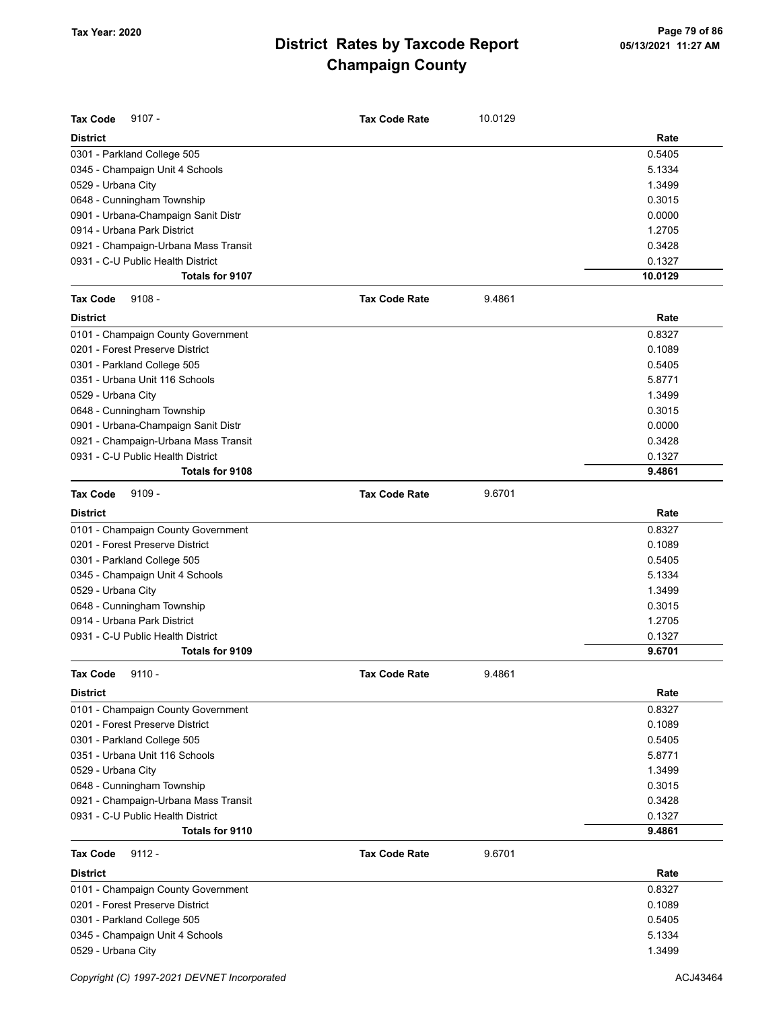| <b>Tax Code</b><br>$9107 -$          | <b>Tax Code Rate</b> | 10.0129 |         |
|--------------------------------------|----------------------|---------|---------|
| <b>District</b>                      |                      |         | Rate    |
| 0301 - Parkland College 505          |                      |         | 0.5405  |
| 0345 - Champaign Unit 4 Schools      |                      |         | 5.1334  |
| 0529 - Urbana City                   |                      |         | 1.3499  |
| 0648 - Cunningham Township           |                      |         | 0.3015  |
| 0901 - Urbana-Champaign Sanit Distr  |                      |         | 0.0000  |
| 0914 - Urbana Park District          |                      |         | 1.2705  |
| 0921 - Champaign-Urbana Mass Transit |                      |         | 0.3428  |
| 0931 - C-U Public Health District    |                      |         | 0.1327  |
| <b>Totals for 9107</b>               |                      |         | 10.0129 |
| $9108 -$<br><b>Tax Code</b>          | <b>Tax Code Rate</b> | 9.4861  |         |
| <b>District</b>                      |                      |         | Rate    |
| 0101 - Champaign County Government   |                      |         | 0.8327  |
| 0201 - Forest Preserve District      |                      |         | 0.1089  |
| 0301 - Parkland College 505          |                      |         | 0.5405  |
| 0351 - Urbana Unit 116 Schools       |                      |         | 5.8771  |
| 0529 - Urbana City                   |                      |         | 1.3499  |
| 0648 - Cunningham Township           |                      |         | 0.3015  |
| 0901 - Urbana-Champaign Sanit Distr  |                      |         | 0.0000  |
| 0921 - Champaign-Urbana Mass Transit |                      |         | 0.3428  |
| 0931 - C-U Public Health District    |                      |         | 0.1327  |
| Totals for 9108                      |                      |         | 9.4861  |
| $9109 -$<br><b>Tax Code</b>          | <b>Tax Code Rate</b> | 9.6701  |         |
| <b>District</b>                      |                      |         | Rate    |
| 0101 - Champaign County Government   |                      |         | 0.8327  |
| 0201 - Forest Preserve District      |                      |         | 0.1089  |
| 0301 - Parkland College 505          |                      |         | 0.5405  |
| 0345 - Champaign Unit 4 Schools      |                      |         | 5.1334  |
| 0529 - Urbana City                   |                      |         | 1.3499  |
| 0648 - Cunningham Township           |                      |         | 0.3015  |
| 0914 - Urbana Park District          |                      |         | 1.2705  |
| 0931 - C-U Public Health District    |                      |         | 0.1327  |
| <b>Totals for 9109</b>               |                      |         | 9.6701  |
| <b>Tax Code</b><br>$9110 -$          | Tax Code Rate        | 9.4861  |         |
| <b>District</b>                      |                      |         | Rate    |
| 0101 - Champaign County Government   |                      |         | 0.8327  |
| 0201 - Forest Preserve District      |                      |         | 0.1089  |
| 0301 - Parkland College 505          |                      |         | 0.5405  |
| 0351 - Urbana Unit 116 Schools       |                      |         | 5.8771  |
| 0529 - Urbana City                   |                      |         | 1.3499  |
| 0648 - Cunningham Township           |                      |         | 0.3015  |
| 0921 - Champaign-Urbana Mass Transit |                      |         | 0.3428  |
| 0931 - C-U Public Health District    |                      |         | 0.1327  |
| Totals for 9110                      |                      |         | 9.4861  |
| <b>Tax Code</b><br>$9112 -$          | <b>Tax Code Rate</b> | 9.6701  |         |
| <b>District</b>                      |                      |         | Rate    |
| 0101 - Champaign County Government   |                      |         | 0.8327  |
| 0201 - Forest Preserve District      |                      |         | 0.1089  |
| 0301 - Parkland College 505          |                      |         | 0.5405  |
| 0345 - Champaign Unit 4 Schools      |                      |         | 5.1334  |
| 0529 - Urbana City                   |                      |         | 1.3499  |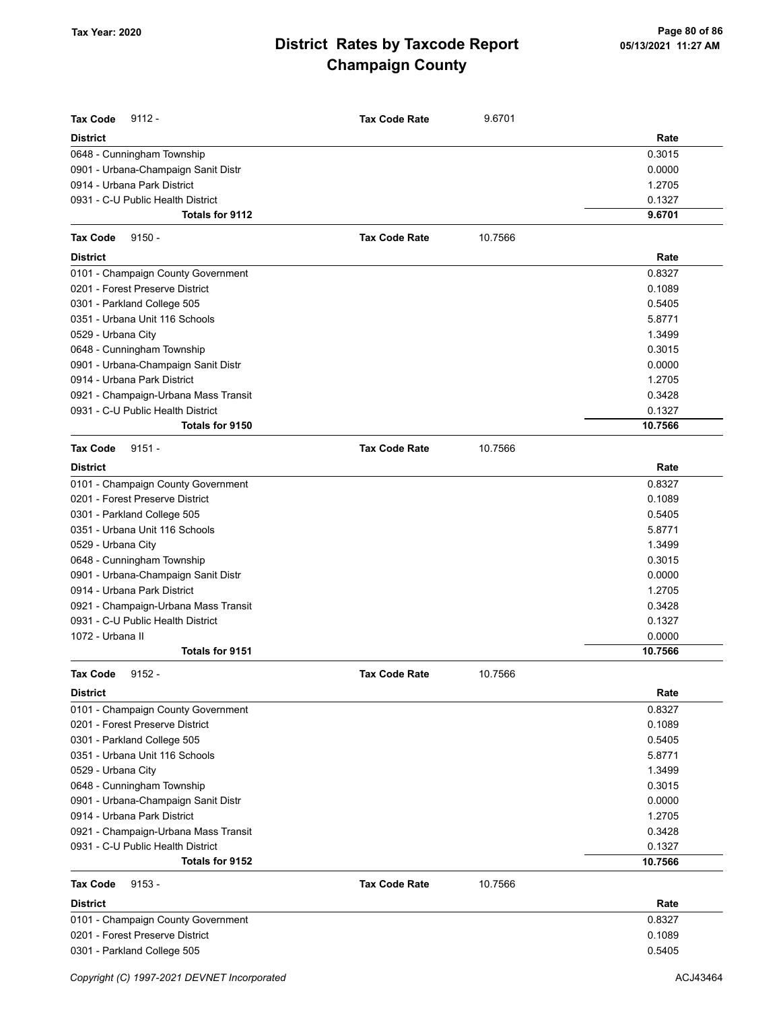| <b>Tax Code</b><br>$9112 -$                           | <b>Tax Code Rate</b> | 9.6701  |                   |
|-------------------------------------------------------|----------------------|---------|-------------------|
| <b>District</b>                                       |                      |         | Rate              |
| 0648 - Cunningham Township                            |                      |         | 0.3015            |
| 0901 - Urbana-Champaign Sanit Distr                   |                      |         | 0.0000            |
| 0914 - Urbana Park District                           |                      |         | 1.2705            |
| 0931 - C-U Public Health District                     |                      |         | 0.1327            |
| Totals for 9112                                       |                      |         | 9.6701            |
| <b>Tax Code</b><br>$9150 -$                           | <b>Tax Code Rate</b> | 10.7566 |                   |
| <b>District</b>                                       |                      |         | Rate              |
| 0101 - Champaign County Government                    |                      |         | 0.8327            |
| 0201 - Forest Preserve District                       |                      |         | 0.1089            |
| 0301 - Parkland College 505                           |                      |         | 0.5405            |
| 0351 - Urbana Unit 116 Schools                        |                      |         | 5.8771            |
| 0529 - Urbana City                                    |                      |         | 1.3499            |
| 0648 - Cunningham Township                            |                      |         | 0.3015            |
| 0901 - Urbana-Champaign Sanit Distr                   |                      |         | 0.0000            |
| 0914 - Urbana Park District                           |                      |         | 1.2705            |
| 0921 - Champaign-Urbana Mass Transit                  |                      |         | 0.3428            |
| 0931 - C-U Public Health District                     |                      |         | 0.1327            |
| Totals for 9150                                       |                      |         | 10.7566           |
| <b>Tax Code</b><br>$9151 -$                           | <b>Tax Code Rate</b> | 10.7566 |                   |
| <b>District</b>                                       |                      |         | Rate              |
| 0101 - Champaign County Government                    |                      |         | 0.8327            |
| 0201 - Forest Preserve District                       |                      |         | 0.1089            |
| 0301 - Parkland College 505                           |                      |         | 0.5405            |
| 0351 - Urbana Unit 116 Schools                        |                      |         | 5.8771            |
| 0529 - Urbana City                                    |                      |         | 1.3499            |
| 0648 - Cunningham Township                            |                      |         | 0.3015            |
| 0901 - Urbana-Champaign Sanit Distr                   |                      |         | 0.0000            |
| 0914 - Urbana Park District                           |                      |         | 1.2705            |
| 0921 - Champaign-Urbana Mass Transit                  |                      |         | 0.3428            |
| 0931 - C-U Public Health District                     |                      |         | 0.1327            |
| 1072 - Urbana II                                      |                      |         | 0.0000            |
| <b>Totals for 9151</b>                                |                      |         | 10.7566           |
| <b>Tax Code</b><br>$9152 -$                           | <b>Tax Code Rate</b> | 10.7566 |                   |
| <b>District</b>                                       |                      |         | Rate              |
| 0101 - Champaign County Government                    |                      |         | 0.8327            |
| 0201 - Forest Preserve District                       |                      |         | 0.1089            |
| 0301 - Parkland College 505                           |                      |         | 0.5405            |
| 0351 - Urbana Unit 116 Schools                        |                      |         | 5.8771            |
| 0529 - Urbana City                                    |                      |         | 1.3499            |
| 0648 - Cunningham Township                            |                      |         | 0.3015            |
| 0901 - Urbana-Champaign Sanit Distr                   |                      |         | 0.0000            |
| 0914 - Urbana Park District                           |                      |         | 1.2705            |
| 0921 - Champaign-Urbana Mass Transit                  |                      |         | 0.3428            |
| 0931 - C-U Public Health District<br>Totals for 9152  |                      |         | 0.1327<br>10.7566 |
|                                                       | <b>Tax Code Rate</b> |         |                   |
| <b>Tax Code</b><br>$9153 -$                           |                      | 10.7566 |                   |
| <b>District</b><br>0101 - Champaign County Government |                      |         | Rate<br>0.8327    |
| 0201 - Forest Preserve District                       |                      |         | 0.1089            |
| 0301 - Parkland College 505                           |                      |         | 0.5405            |
|                                                       |                      |         |                   |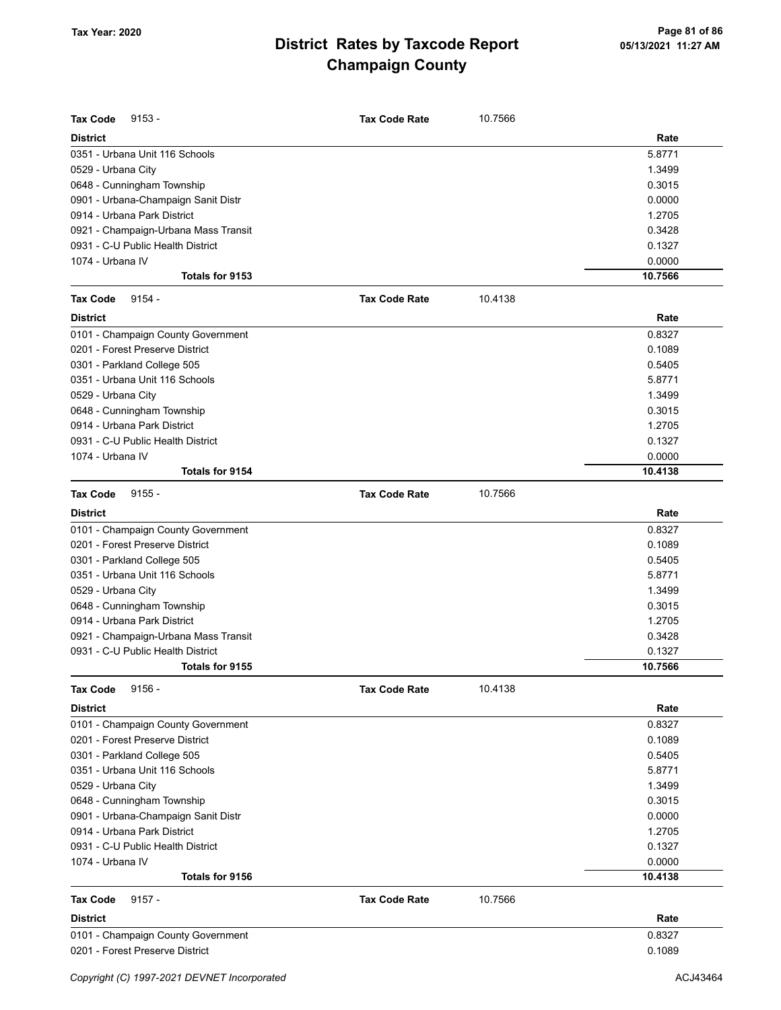| <b>Tax Code</b><br>$9153 -$          | <b>Tax Code Rate</b> | 10.7566 |                   |
|--------------------------------------|----------------------|---------|-------------------|
| <b>District</b>                      |                      |         | Rate              |
| 0351 - Urbana Unit 116 Schools       |                      |         | 5.8771            |
| 0529 - Urbana City                   |                      |         | 1.3499            |
| 0648 - Cunningham Township           |                      |         | 0.3015            |
| 0901 - Urbana-Champaign Sanit Distr  |                      |         | 0.0000            |
| 0914 - Urbana Park District          |                      |         | 1.2705            |
| 0921 - Champaign-Urbana Mass Transit |                      |         | 0.3428            |
| 0931 - C-U Public Health District    |                      |         | 0.1327            |
| 1074 - Urbana IV                     |                      |         | 0.0000            |
| Totals for 9153                      |                      |         | 10.7566           |
| <b>Tax Code</b><br>$9154 -$          | <b>Tax Code Rate</b> | 10.4138 |                   |
| <b>District</b>                      |                      |         | Rate              |
| 0101 - Champaign County Government   |                      |         | 0.8327            |
| 0201 - Forest Preserve District      |                      |         | 0.1089            |
| 0301 - Parkland College 505          |                      |         | 0.5405            |
| 0351 - Urbana Unit 116 Schools       |                      |         | 5.8771            |
| 0529 - Urbana City                   |                      |         | 1.3499            |
| 0648 - Cunningham Township           |                      |         | 0.3015            |
| 0914 - Urbana Park District          |                      |         | 1.2705            |
| 0931 - C-U Public Health District    |                      |         | 0.1327            |
| 1074 - Urbana IV                     |                      |         | 0.0000            |
| Totals for 9154                      |                      |         | 10.4138           |
| <b>Tax Code</b><br>$9155 -$          | <b>Tax Code Rate</b> | 10.7566 |                   |
| <b>District</b>                      |                      |         | Rate              |
| 0101 - Champaign County Government   |                      |         | 0.8327            |
| 0201 - Forest Preserve District      |                      |         | 0.1089            |
| 0301 - Parkland College 505          |                      |         | 0.5405            |
| 0351 - Urbana Unit 116 Schools       |                      |         | 5.8771            |
| 0529 - Urbana City                   |                      |         | 1.3499            |
| 0648 - Cunningham Township           |                      |         | 0.3015            |
| 0914 - Urbana Park District          |                      |         | 1.2705            |
| 0921 - Champaign-Urbana Mass Transit |                      |         | 0.3428            |
| 0931 - C-U Public Health District    |                      |         | 0.1327            |
| Totals for 9155                      |                      |         | 10.7566           |
| <b>Tax Code</b><br>$9156 -$          | <b>Tax Code Rate</b> | 10.4138 |                   |
| <b>District</b>                      |                      |         | Rate              |
| 0101 - Champaign County Government   |                      |         | 0.8327            |
| 0201 - Forest Preserve District      |                      |         | 0.1089            |
| 0301 - Parkland College 505          |                      |         | 0.5405            |
| 0351 - Urbana Unit 116 Schools       |                      |         | 5.8771            |
| 0529 - Urbana City                   |                      |         | 1.3499            |
| 0648 - Cunningham Township           |                      |         | 0.3015            |
| 0901 - Urbana-Champaign Sanit Distr  |                      |         | 0.0000            |
| 0914 - Urbana Park District          |                      |         | 1.2705            |
| 0931 - C-U Public Health District    |                      |         | 0.1327            |
| 1074 - Urbana IV<br>Totals for 9156  |                      |         | 0.0000<br>10.4138 |
|                                      |                      |         |                   |
| <b>Tax Code</b><br>$9157 -$          | <b>Tax Code Rate</b> | 10.7566 |                   |
| <b>District</b>                      |                      |         | Rate              |
| 0101 - Champaign County Government   |                      |         | 0.8327            |
| 0201 - Forest Preserve District      |                      |         | 0.1089            |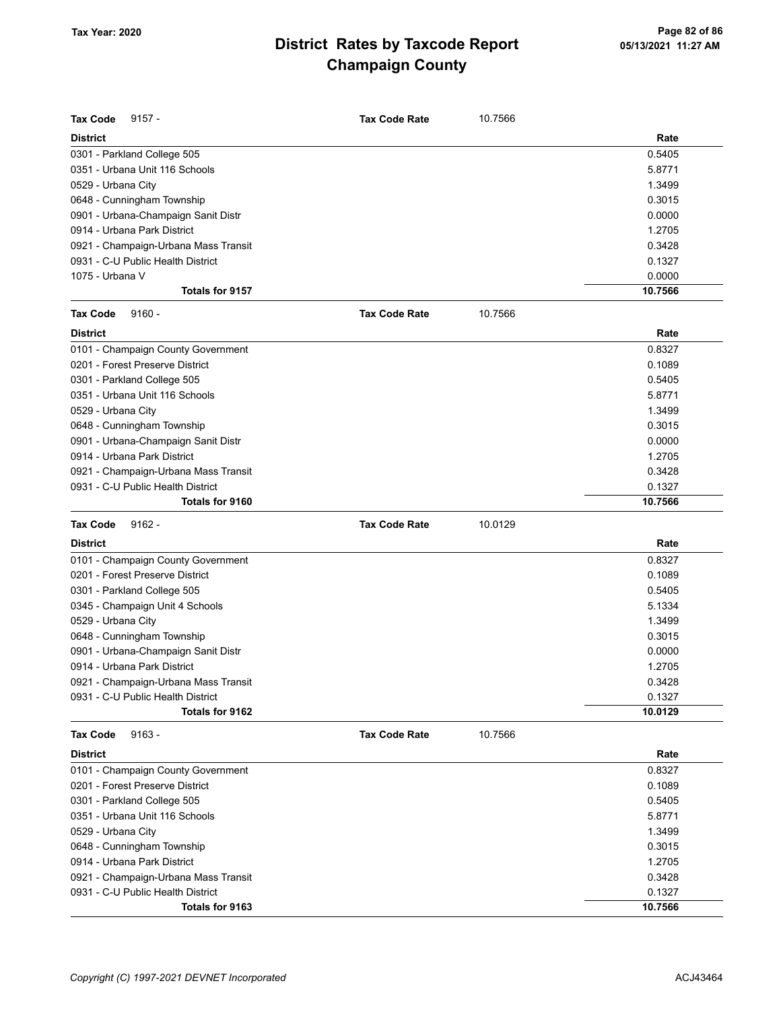| <b>Tax Code</b><br>$9157 -$                          | <b>Tax Code Rate</b> | 10.7566 |                   |
|------------------------------------------------------|----------------------|---------|-------------------|
| <b>District</b>                                      |                      |         | Rate              |
| 0301 - Parkland College 505                          |                      |         | 0.5405            |
| 0351 - Urbana Unit 116 Schools                       |                      |         | 5.8771            |
| 0529 - Urbana City                                   |                      |         | 1.3499            |
| 0648 - Cunningham Township                           |                      |         | 0.3015            |
| 0901 - Urbana-Champaign Sanit Distr                  |                      |         | 0.0000            |
| 0914 - Urbana Park District                          |                      |         | 1.2705            |
| 0921 - Champaign-Urbana Mass Transit                 |                      |         | 0.3428            |
| 0931 - C-U Public Health District                    |                      |         | 0.1327            |
| 1075 - Urbana V                                      |                      |         | 0.0000            |
| Totals for 9157                                      |                      |         | 10.7566           |
| <b>Tax Code</b><br>$9160 -$                          | <b>Tax Code Rate</b> | 10.7566 |                   |
| <b>District</b>                                      |                      |         | Rate              |
| 0101 - Champaign County Government                   |                      |         | 0.8327            |
| 0201 - Forest Preserve District                      |                      |         | 0.1089            |
| 0301 - Parkland College 505                          |                      |         | 0.5405            |
| 0351 - Urbana Unit 116 Schools                       |                      |         | 5.8771            |
| 0529 - Urbana City                                   |                      |         | 1.3499            |
| 0648 - Cunningham Township                           |                      |         | 0.3015            |
| 0901 - Urbana-Champaign Sanit Distr                  |                      |         | 0.0000            |
| 0914 - Urbana Park District                          |                      |         | 1.2705            |
| 0921 - Champaign-Urbana Mass Transit                 |                      |         | 0.3428            |
| 0931 - C-U Public Health District                    |                      |         | 0.1327            |
| Totals for 9160                                      |                      |         | 10.7566           |
|                                                      |                      |         |                   |
|                                                      |                      |         |                   |
| <b>Tax Code</b><br>$9162 -$                          | <b>Tax Code Rate</b> | 10.0129 |                   |
| <b>District</b>                                      |                      |         | Rate              |
| 0101 - Champaign County Government                   |                      |         | 0.8327            |
| 0201 - Forest Preserve District                      |                      |         | 0.1089            |
| 0301 - Parkland College 505                          |                      |         | 0.5405            |
| 0345 - Champaign Unit 4 Schools                      |                      |         | 5.1334            |
| 0529 - Urbana City                                   |                      |         | 1.3499            |
| 0648 - Cunningham Township                           |                      |         | 0.3015            |
| 0901 - Urbana-Champaign Sanit Distr                  |                      |         | 0.0000            |
| 0914 - Urbana Park District                          |                      |         | 1.2705            |
| 0921 - Champaign-Urbana Mass Transit                 |                      |         | 0.3428            |
| 0931 - C-U Public Health District                    |                      |         | 0.1327            |
| Totals for 9162                                      |                      |         | 10.0129           |
| <b>Tax Code</b><br>$9163 -$                          | <b>Tax Code Rate</b> | 10.7566 |                   |
| <b>District</b>                                      |                      |         | Rate              |
| 0101 - Champaign County Government                   |                      |         | 0.8327            |
| 0201 - Forest Preserve District                      |                      |         | 0.1089            |
| 0301 - Parkland College 505                          |                      |         | 0.5405            |
| 0351 - Urbana Unit 116 Schools                       |                      |         | 5.8771            |
| 0529 - Urbana City                                   |                      |         | 1.3499            |
| 0648 - Cunningham Township                           |                      |         | 0.3015            |
| 0914 - Urbana Park District                          |                      |         | 1.2705            |
| 0921 - Champaign-Urbana Mass Transit                 |                      |         | 0.3428            |
| 0931 - C-U Public Health District<br>Totals for 9163 |                      |         | 0.1327<br>10.7566 |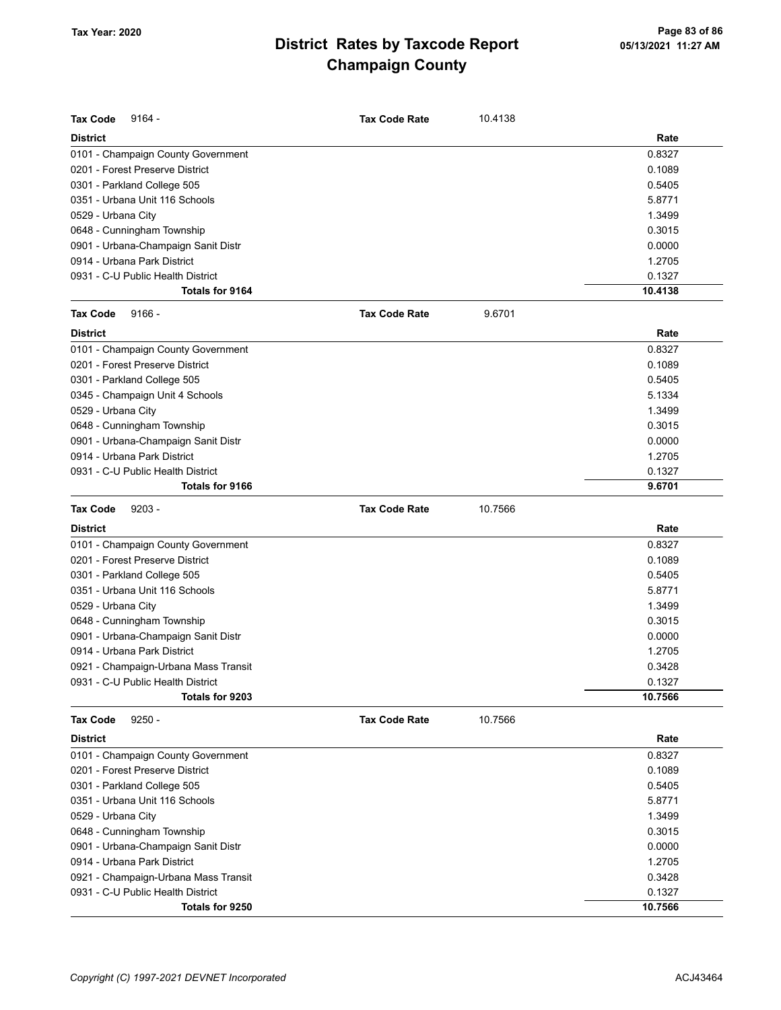| <b>Tax Code</b><br>$9164 -$          | <b>Tax Code Rate</b> | 10.4138 |         |
|--------------------------------------|----------------------|---------|---------|
| <b>District</b>                      |                      |         | Rate    |
| 0101 - Champaign County Government   |                      |         | 0.8327  |
| 0201 - Forest Preserve District      |                      |         | 0.1089  |
| 0301 - Parkland College 505          |                      |         | 0.5405  |
| 0351 - Urbana Unit 116 Schools       |                      |         | 5.8771  |
| 0529 - Urbana City                   |                      |         | 1.3499  |
| 0648 - Cunningham Township           |                      |         | 0.3015  |
| 0901 - Urbana-Champaign Sanit Distr  |                      |         | 0.0000  |
| 0914 - Urbana Park District          |                      |         | 1.2705  |
| 0931 - C-U Public Health District    |                      |         | 0.1327  |
| Totals for 9164                      |                      |         | 10.4138 |
| <b>Tax Code</b><br>$9166 -$          | <b>Tax Code Rate</b> | 9.6701  |         |
| <b>District</b>                      |                      |         | Rate    |
| 0101 - Champaign County Government   |                      |         | 0.8327  |
| 0201 - Forest Preserve District      |                      |         | 0.1089  |
| 0301 - Parkland College 505          |                      |         | 0.5405  |
| 0345 - Champaign Unit 4 Schools      |                      |         | 5.1334  |
| 0529 - Urbana City                   |                      |         | 1.3499  |
| 0648 - Cunningham Township           |                      |         | 0.3015  |
| 0901 - Urbana-Champaign Sanit Distr  |                      |         | 0.0000  |
| 0914 - Urbana Park District          |                      |         | 1.2705  |
| 0931 - C-U Public Health District    |                      |         | 0.1327  |
| Totals for 9166                      |                      |         | 9.6701  |
| <b>Tax Code</b><br>$9203 -$          | <b>Tax Code Rate</b> | 10.7566 |         |
| <b>District</b>                      |                      |         | Rate    |
| 0101 - Champaign County Government   |                      |         | 0.8327  |
| 0201 - Forest Preserve District      |                      |         | 0.1089  |
| 0301 - Parkland College 505          |                      |         | 0.5405  |
| 0351 - Urbana Unit 116 Schools       |                      |         | 5.8771  |
| 0529 - Urbana City                   |                      |         | 1.3499  |
| 0648 - Cunningham Township           |                      |         | 0.3015  |
| 0901 - Urbana-Champaign Sanit Distr  |                      |         | 0.0000  |
| 0914 - Urbana Park District          |                      |         | 1.2705  |
| 0921 - Champaign-Urbana Mass Transit |                      |         | 0.3428  |
| 0931 - C-U Public Health District    |                      |         | 0.1327  |
| Totals for 9203                      |                      |         | 10.7566 |
| $9250 -$<br><b>Tax Code</b>          | <b>Tax Code Rate</b> | 10.7566 |         |
| <b>District</b>                      |                      |         | Rate    |
| 0101 - Champaign County Government   |                      |         | 0.8327  |
| 0201 - Forest Preserve District      |                      |         | 0.1089  |
| 0301 - Parkland College 505          |                      |         | 0.5405  |
| 0351 - Urbana Unit 116 Schools       |                      |         | 5.8771  |
| 0529 - Urbana City                   |                      |         | 1.3499  |
| 0648 - Cunningham Township           |                      |         | 0.3015  |
| 0901 - Urbana-Champaign Sanit Distr  |                      |         | 0.0000  |
| 0914 - Urbana Park District          |                      |         | 1.2705  |
| 0921 - Champaign-Urbana Mass Transit |                      |         | 0.3428  |
| 0931 - C-U Public Health District    |                      |         | 0.1327  |
| Totals for 9250                      |                      |         | 10.7566 |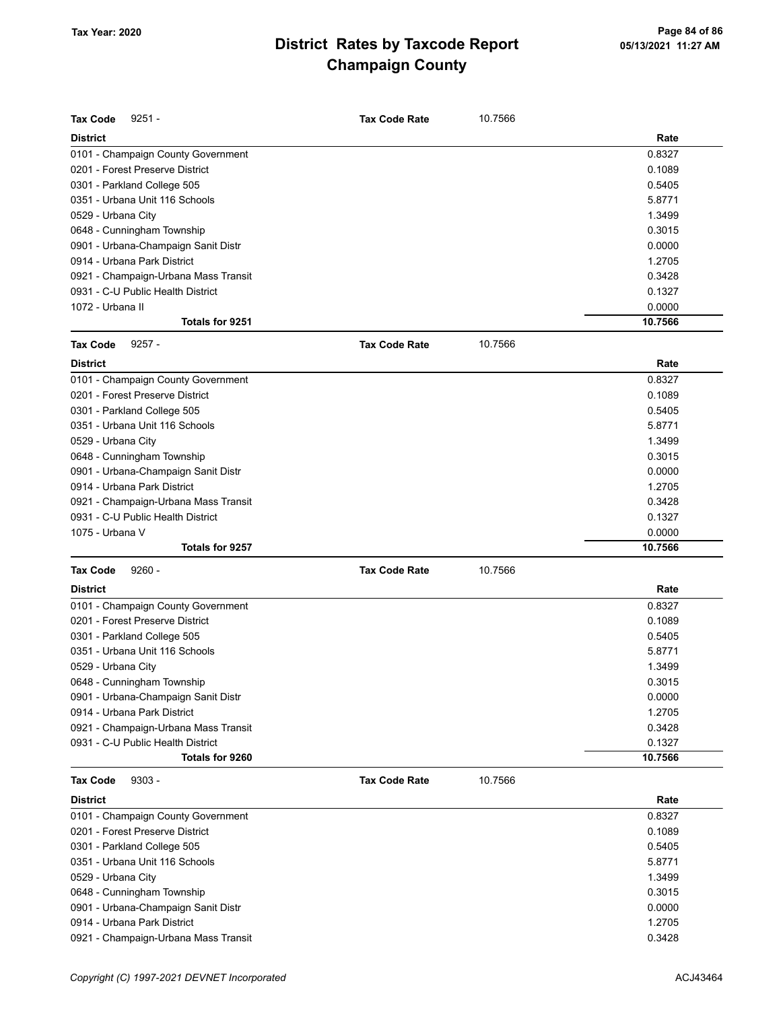| <b>Tax Code</b><br>$9251 -$                                           | <b>Tax Code Rate</b> | 10.7566 |                   |
|-----------------------------------------------------------------------|----------------------|---------|-------------------|
| <b>District</b>                                                       |                      |         | Rate              |
|                                                                       |                      |         | 0.8327            |
| 0101 - Champaign County Government<br>0201 - Forest Preserve District |                      |         |                   |
|                                                                       |                      |         | 0.1089            |
| 0301 - Parkland College 505                                           |                      |         | 0.5405            |
| 0351 - Urbana Unit 116 Schools                                        |                      |         | 5.8771            |
| 0529 - Urbana City                                                    |                      |         | 1.3499            |
| 0648 - Cunningham Township                                            |                      |         | 0.3015            |
| 0901 - Urbana-Champaign Sanit Distr                                   |                      |         | 0.0000            |
| 0914 - Urbana Park District                                           |                      |         | 1.2705            |
| 0921 - Champaign-Urbana Mass Transit                                  |                      |         | 0.3428            |
| 0931 - C-U Public Health District                                     |                      |         | 0.1327            |
| 1072 - Urbana II                                                      |                      |         | 0.0000            |
| Totals for 9251                                                       |                      |         | 10.7566           |
| <b>Tax Code</b><br>$9257 -$                                           | <b>Tax Code Rate</b> | 10.7566 |                   |
| <b>District</b>                                                       |                      |         | Rate              |
| 0101 - Champaign County Government                                    |                      |         | 0.8327            |
| 0201 - Forest Preserve District                                       |                      |         | 0.1089            |
| 0301 - Parkland College 505                                           |                      |         | 0.5405            |
| 0351 - Urbana Unit 116 Schools                                        |                      |         | 5.8771            |
| 0529 - Urbana City                                                    |                      |         | 1.3499            |
| 0648 - Cunningham Township                                            |                      |         | 0.3015            |
| 0901 - Urbana-Champaign Sanit Distr                                   |                      |         | 0.0000            |
| 0914 - Urbana Park District                                           |                      |         | 1.2705            |
| 0921 - Champaign-Urbana Mass Transit                                  |                      |         | 0.3428            |
| 0931 - C-U Public Health District                                     |                      |         | 0.1327            |
| 1075 - Urbana V                                                       |                      |         | 0.0000            |
| Totals for 9257                                                       |                      |         | 10.7566           |
| <b>Tax Code</b><br>$9260 -$                                           | <b>Tax Code Rate</b> | 10.7566 |                   |
| <b>District</b>                                                       |                      |         | Rate              |
| 0101 - Champaign County Government                                    |                      |         | 0.8327            |
| 0201 - Forest Preserve District                                       |                      |         | 0.1089            |
| 0301 - Parkland College 505                                           |                      |         | 0.5405            |
| 0351 - Urbana Unit 116 Schools                                        |                      |         | 5.8771            |
| 0529 - Urbana City                                                    |                      |         | 1.3499            |
| 0648 - Cunningham Township                                            |                      |         | 0.3015            |
| 0901 - Urbana-Champaign Sanit Distr                                   |                      |         | 0.0000            |
| 0914 - Urbana Park District                                           |                      |         | 1.2705            |
| 0921 - Champaign-Urbana Mass Transit                                  |                      |         | 0.3428            |
| 0931 - C-U Public Health District                                     |                      |         |                   |
| Totals for 9260                                                       |                      |         | 0.1327<br>10.7566 |
|                                                                       |                      |         |                   |
| <b>Tax Code</b><br>$9303 -$                                           | <b>Tax Code Rate</b> | 10.7566 |                   |
| District                                                              |                      |         | Rate              |
| 0101 - Champaign County Government                                    |                      |         | 0.8327            |
| 0201 - Forest Preserve District                                       |                      |         | 0.1089            |
| 0301 - Parkland College 505                                           |                      |         | 0.5405            |
| 0351 - Urbana Unit 116 Schools                                        |                      |         | 5.8771            |
| 0529 - Urbana City                                                    |                      |         | 1.3499            |

0648 - Cunningham Township 0.3015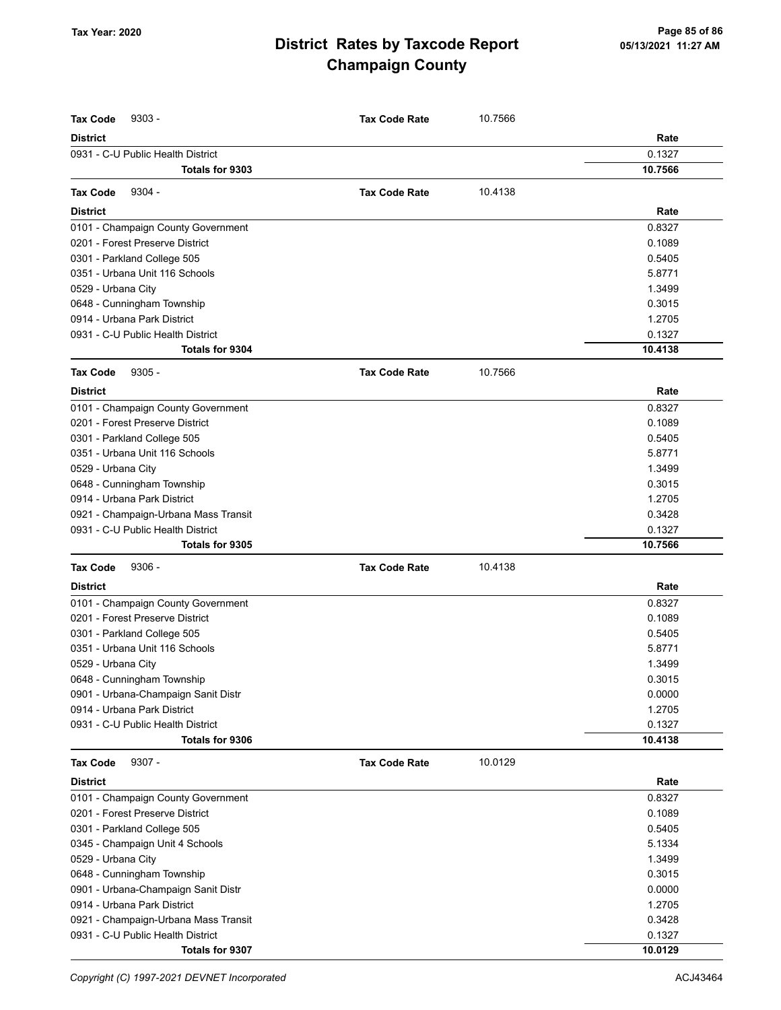| <b>Tax Code</b><br>$9303 -$          | <b>Tax Code Rate</b> | 10.7566 |         |
|--------------------------------------|----------------------|---------|---------|
| <b>District</b>                      |                      |         | Rate    |
| 0931 - C-U Public Health District    |                      |         | 0.1327  |
| Totals for 9303                      |                      |         | 10.7566 |
| 9304 -<br><b>Tax Code</b>            | <b>Tax Code Rate</b> | 10.4138 |         |
| <b>District</b>                      |                      |         | Rate    |
| 0101 - Champaign County Government   |                      |         | 0.8327  |
| 0201 - Forest Preserve District      |                      |         | 0.1089  |
| 0301 - Parkland College 505          |                      |         | 0.5405  |
| 0351 - Urbana Unit 116 Schools       |                      |         | 5.8771  |
| 0529 - Urbana City                   |                      |         | 1.3499  |
| 0648 - Cunningham Township           |                      |         | 0.3015  |
| 0914 - Urbana Park District          |                      |         | 1.2705  |
| 0931 - C-U Public Health District    |                      |         | 0.1327  |
| Totals for 9304                      |                      |         | 10.4138 |
| <b>Tax Code</b><br>$9305 -$          | <b>Tax Code Rate</b> | 10.7566 |         |
| <b>District</b>                      |                      |         | Rate    |
| 0101 - Champaign County Government   |                      |         | 0.8327  |
| 0201 - Forest Preserve District      |                      |         | 0.1089  |
| 0301 - Parkland College 505          |                      |         | 0.5405  |
| 0351 - Urbana Unit 116 Schools       |                      |         | 5.8771  |
| 0529 - Urbana City                   |                      |         | 1.3499  |
| 0648 - Cunningham Township           |                      |         | 0.3015  |
| 0914 - Urbana Park District          |                      |         | 1.2705  |
| 0921 - Champaign-Urbana Mass Transit |                      |         | 0.3428  |
| 0931 - C-U Public Health District    |                      |         | 0.1327  |
| Totals for 9305                      |                      |         | 10.7566 |
| <b>Tax Code</b><br>$9306 -$          | <b>Tax Code Rate</b> | 10.4138 |         |
| <b>District</b>                      |                      |         | Rate    |
| 0101 - Champaign County Government   |                      |         | 0.8327  |
| 0201 - Forest Preserve District      |                      |         | 0.1089  |
| 0301 - Parkland College 505          |                      |         | 0.5405  |
| 0351 - Urbana Unit 116 Schools       |                      |         | 5.8771  |
| 0529 - Urbana City                   |                      |         | 1.3499  |
| 0648 - Cunningham Township           |                      |         | 0.3015  |
| 0901 - Urbana-Champaign Sanit Distr  |                      |         | 0.0000  |
| 0914 - Urbana Park District          |                      |         | 1.2705  |
| 0931 - C-U Public Health District    |                      |         | 0.1327  |
| Totals for 9306                      |                      |         | 10.4138 |
| <b>Tax Code</b><br>$9307 -$          | <b>Tax Code Rate</b> | 10.0129 |         |
| <b>District</b>                      |                      |         | Rate    |
| 0101 - Champaign County Government   |                      |         | 0.8327  |
| 0201 - Forest Preserve District      |                      |         | 0.1089  |
| 0301 - Parkland College 505          |                      |         | 0.5405  |
| 0345 - Champaign Unit 4 Schools      |                      |         | 5.1334  |
| 0529 - Urbana City                   |                      |         | 1.3499  |
| 0648 - Cunningham Township           |                      |         | 0.3015  |
| 0901 - Urbana-Champaign Sanit Distr  |                      |         | 0.0000  |
| 0914 - Urbana Park District          |                      |         | 1.2705  |
| 0921 - Champaign-Urbana Mass Transit |                      |         | 0.3428  |
| 0931 - C-U Public Health District    |                      |         | 0.1327  |
| Totals for 9307                      |                      |         | 10.0129 |